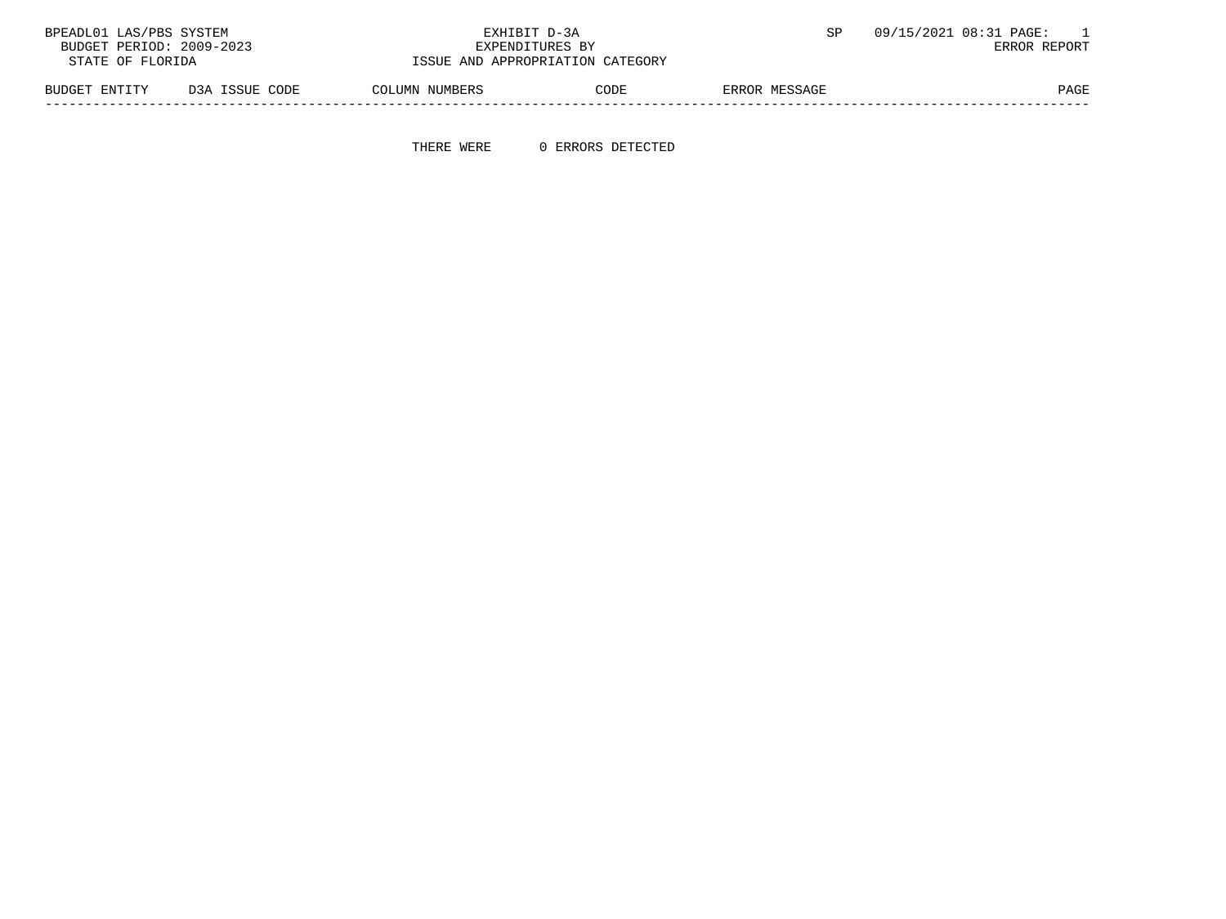| 09/15/2021 08:31 PAGE: | EXHIBIT D-3A                     |                |                | BPEADL01 LAS/PBS SYSTEM  |
|------------------------|----------------------------------|----------------|----------------|--------------------------|
| ERROR REPORT           | EXPENDITURES BY                  |                |                | BUDGET PERIOD: 2009-2023 |
|                        | ISSUE AND APPROPRIATION CATEGORY |                |                | STATE OF FLORIDA         |
| ERROR MESSAGE          | CODE                             | COLUMN NUMBERS | D3A ISSUE CODE | BUDGET ENTITY            |

-----------------------------------------------------------------------------------------------------------------------------------

THERE WERE 0 ERRORS DETECTED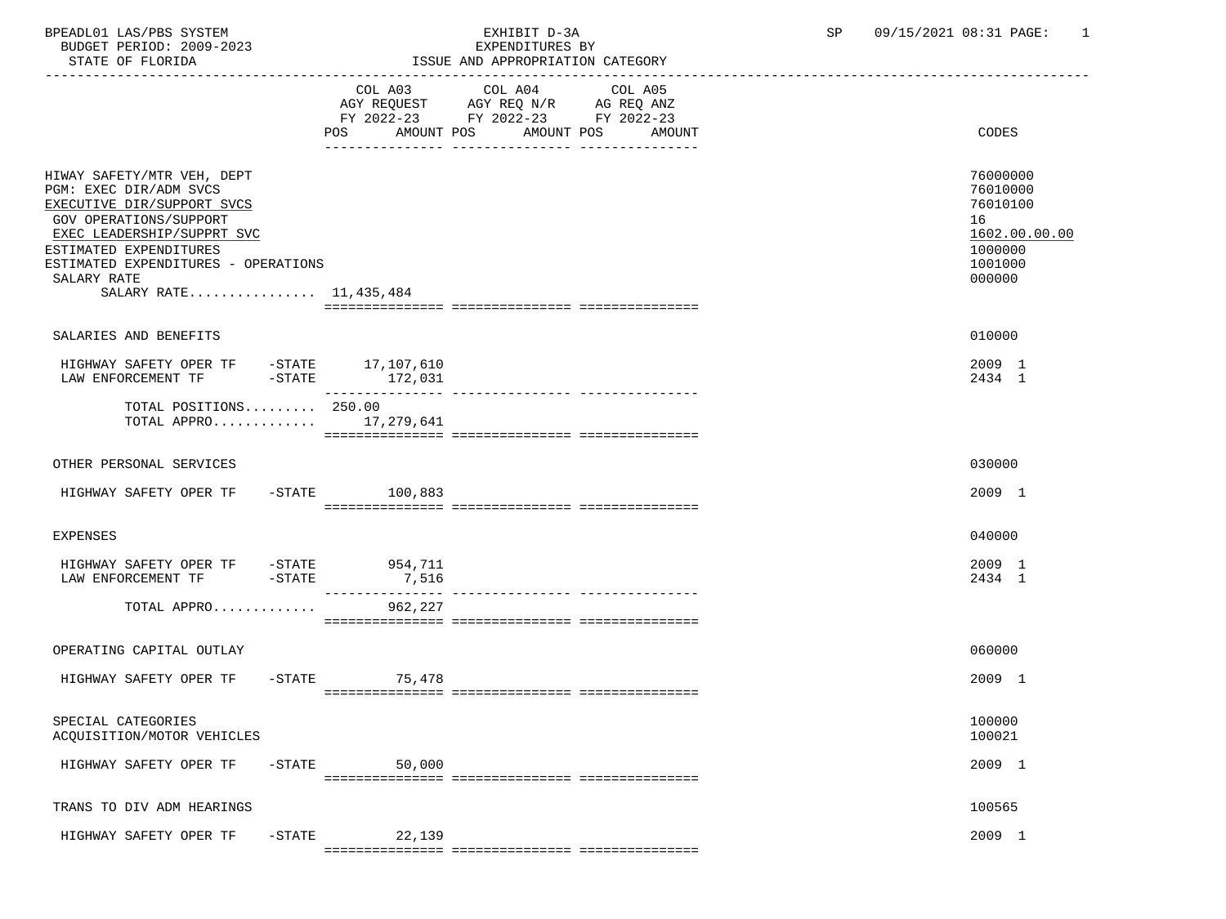BPEADL01 LAS/PBS SYSTEM EXHIBIT D-3A SP 09/15/2021 08:31 PAGE: 1 BUDGET PERIOD: 2009-2023

| STATE OF FLORIDA                                                                                                                                                                                                                                            |                              | ISSUE AND APPROPRIATION CATEGORY                                                                                     |                                                                                         |
|-------------------------------------------------------------------------------------------------------------------------------------------------------------------------------------------------------------------------------------------------------------|------------------------------|----------------------------------------------------------------------------------------------------------------------|-----------------------------------------------------------------------------------------|
|                                                                                                                                                                                                                                                             | COL A03<br>POS<br>AMOUNT POS | COL A04<br>COL A05<br>AGY REQUEST AGY REQ N/R AG REQ ANZ<br>FY 2022-23 FY 2022-23 FY 2022-23<br>AMOUNT POS<br>AMOUNT | CODES                                                                                   |
| HIWAY SAFETY/MTR VEH, DEPT<br>PGM: EXEC DIR/ADM SVCS<br>EXECUTIVE DIR/SUPPORT SVCS<br><b>GOV OPERATIONS/SUPPORT</b><br>EXEC LEADERSHIP/SUPPRT SVC<br>ESTIMATED EXPENDITURES<br>ESTIMATED EXPENDITURES - OPERATIONS<br>SALARY RATE<br>SALARY RATE 11,435,484 |                              |                                                                                                                      | 76000000<br>76010000<br>76010100<br>16<br>1602.00.00.00<br>1000000<br>1001000<br>000000 |
| SALARIES AND BENEFITS                                                                                                                                                                                                                                       |                              |                                                                                                                      | 010000                                                                                  |
| HIGHWAY SAFETY OPER TF -STATE 17,107,610<br>LAW ENFORCEMENT TF<br>$-STATE$                                                                                                                                                                                  | 172,031                      |                                                                                                                      | 2009 1<br>2434 1                                                                        |
| TOTAL POSITIONS 250.00<br>TOTAL APPRO $17,279,641$                                                                                                                                                                                                          |                              |                                                                                                                      |                                                                                         |
| OTHER PERSONAL SERVICES                                                                                                                                                                                                                                     |                              |                                                                                                                      | 030000                                                                                  |
| HIGHWAY SAFETY OPER TF                                                                                                                                                                                                                                      | -STATE 100,883               |                                                                                                                      | 2009 1                                                                                  |
| <b>EXPENSES</b>                                                                                                                                                                                                                                             |                              |                                                                                                                      | 040000                                                                                  |
| HIGHWAY SAFETY OPER TF -STATE<br>$-$ STATE<br>LAW ENFORCEMENT TF                                                                                                                                                                                            | 954,711<br>7,516             |                                                                                                                      | 2009 1<br>2434 1                                                                        |
| TOTAL APPRO                                                                                                                                                                                                                                                 | 962,227                      |                                                                                                                      |                                                                                         |
| OPERATING CAPITAL OUTLAY                                                                                                                                                                                                                                    |                              |                                                                                                                      | 060000                                                                                  |
| HIGHWAY SAFETY OPER TF                                                                                                                                                                                                                                      | -STATE 75,478                |                                                                                                                      | 2009 1                                                                                  |
| SPECIAL CATEGORIES<br>ACQUISITION/MOTOR VEHICLES                                                                                                                                                                                                            |                              |                                                                                                                      | 100000<br>100021                                                                        |
| HIGHWAY SAFETY OPER TF<br>$-$ STATE                                                                                                                                                                                                                         | 50,000                       |                                                                                                                      | 2009 1                                                                                  |
| TRANS TO DIV ADM HEARINGS                                                                                                                                                                                                                                   |                              |                                                                                                                      | 100565                                                                                  |
| HIGHWAY SAFETY OPER TF<br>$-STATE$                                                                                                                                                                                                                          | 22,139                       |                                                                                                                      | 2009 1                                                                                  |
|                                                                                                                                                                                                                                                             |                              |                                                                                                                      |                                                                                         |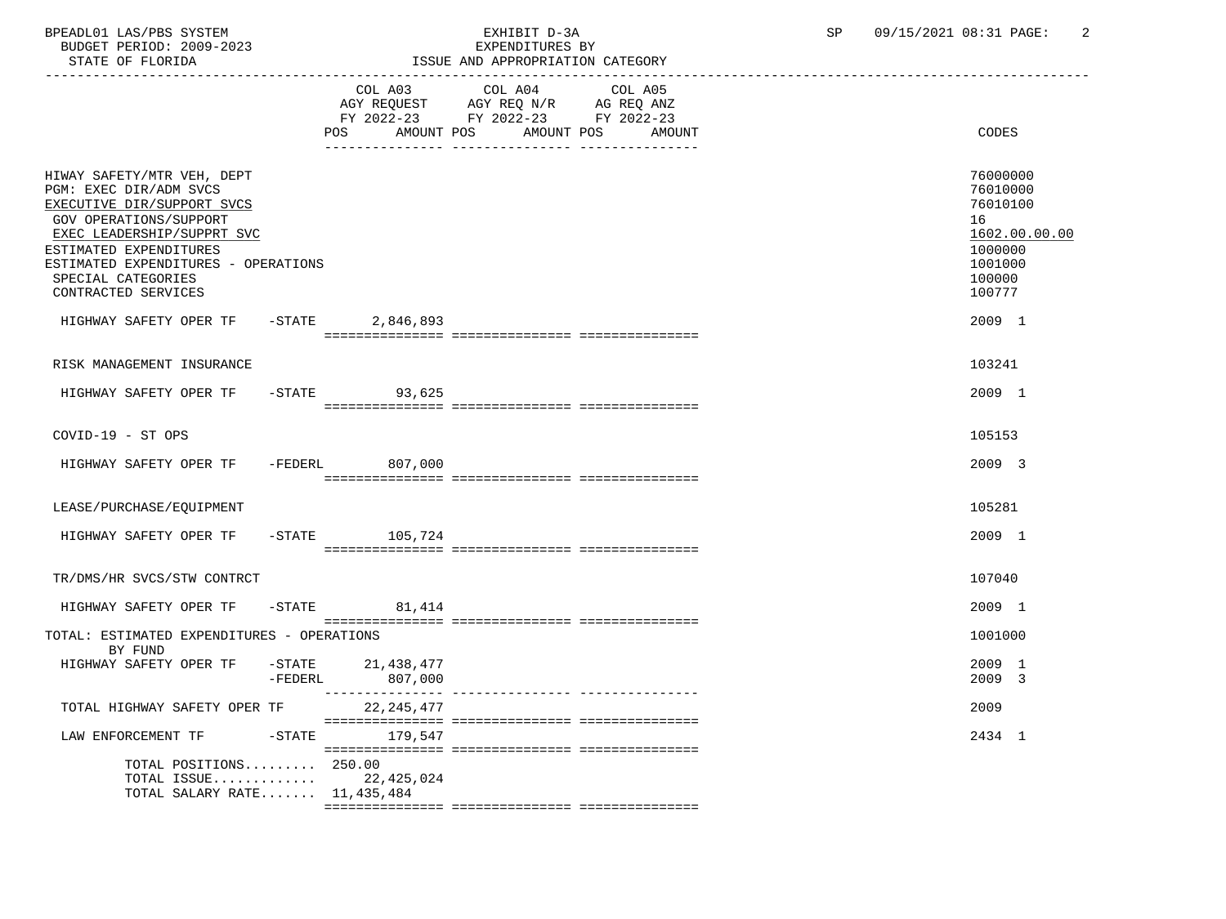BPEADL01 LAS/PBS SYSTEM EXHIBIT D-3A SP 09/15/2021 08:31 PAGE: 2 BUDGET PERIOD: 2009-2023<br>STATE OF FLORIDA

ISSUE AND APPROPRIATION CATEGORY

|                                                                                                                                                                                                                                                                 |         | COL A03           | COL A04<br>AGY REQUEST AGY REQ N/R AG REQ ANZ<br>FY 2022-23 FY 2022-23 FY 2022-23 | COL A05 |        |                                                                                                   |
|-----------------------------------------------------------------------------------------------------------------------------------------------------------------------------------------------------------------------------------------------------------------|---------|-------------------|-----------------------------------------------------------------------------------|---------|--------|---------------------------------------------------------------------------------------------------|
|                                                                                                                                                                                                                                                                 |         | AMOUNT POS<br>POS | AMOUNT POS                                                                        |         | AMOUNT | CODES                                                                                             |
| HIWAY SAFETY/MTR VEH, DEPT<br>PGM: EXEC DIR/ADM SVCS<br>EXECUTIVE DIR/SUPPORT SVCS<br><b>GOV OPERATIONS/SUPPORT</b><br>EXEC LEADERSHIP/SUPPRT SVC<br>ESTIMATED EXPENDITURES<br>ESTIMATED EXPENDITURES - OPERATIONS<br>SPECIAL CATEGORIES<br>CONTRACTED SERVICES |         |                   |                                                                                   |         |        | 76000000<br>76010000<br>76010100<br>16<br>1602.00.00.00<br>1000000<br>1001000<br>100000<br>100777 |
| HIGHWAY SAFETY OPER TF - STATE                                                                                                                                                                                                                                  |         | 2,846,893         |                                                                                   |         |        | 2009 1                                                                                            |
| RISK MANAGEMENT INSURANCE                                                                                                                                                                                                                                       |         |                   |                                                                                   |         |        | 103241                                                                                            |
| HIGHWAY SAFETY OPER TF -STATE 93,625                                                                                                                                                                                                                            |         |                   |                                                                                   |         |        | 2009 1                                                                                            |
| COVID-19 - ST OPS                                                                                                                                                                                                                                               |         |                   |                                                                                   |         |        | 105153                                                                                            |
| HIGHWAY SAFETY OPER TF -FEDERL 807,000                                                                                                                                                                                                                          |         |                   |                                                                                   |         |        | 2009 3                                                                                            |
| LEASE/PURCHASE/EQUIPMENT                                                                                                                                                                                                                                        |         |                   |                                                                                   |         |        | 105281                                                                                            |
| HIGHWAY SAFETY OPER TF                                                                                                                                                                                                                                          |         | $-STATE$ 105,724  |                                                                                   |         |        | 2009 1                                                                                            |
| TR/DMS/HR SVCS/STW CONTRCT                                                                                                                                                                                                                                      |         |                   |                                                                                   |         |        | 107040                                                                                            |
| HIGHWAY SAFETY OPER TF -STATE 81,414                                                                                                                                                                                                                            |         |                   |                                                                                   |         |        | 2009 1                                                                                            |
| TOTAL: ESTIMATED EXPENDITURES - OPERATIONS<br>BY FUND                                                                                                                                                                                                           |         |                   |                                                                                   |         |        | 1001000                                                                                           |
| HIGHWAY SAFETY OPER TF -STATE 21,438,477                                                                                                                                                                                                                        | -FEDERL | 807,000           |                                                                                   |         |        | 2009 1<br>2009 3                                                                                  |
| TOTAL HIGHWAY SAFETY OPER TF                                                                                                                                                                                                                                    |         | 22, 245, 477      |                                                                                   |         |        | 2009                                                                                              |
| LAW ENFORCEMENT TF                                                                                                                                                                                                                                              |         | -STATE 179,547    |                                                                                   |         |        | 2434 1                                                                                            |
| TOTAL POSITIONS 250.00<br>TOTAL ISSUE 22,425,024<br>TOTAL SALARY RATE $11,435,484$                                                                                                                                                                              |         |                   |                                                                                   |         |        |                                                                                                   |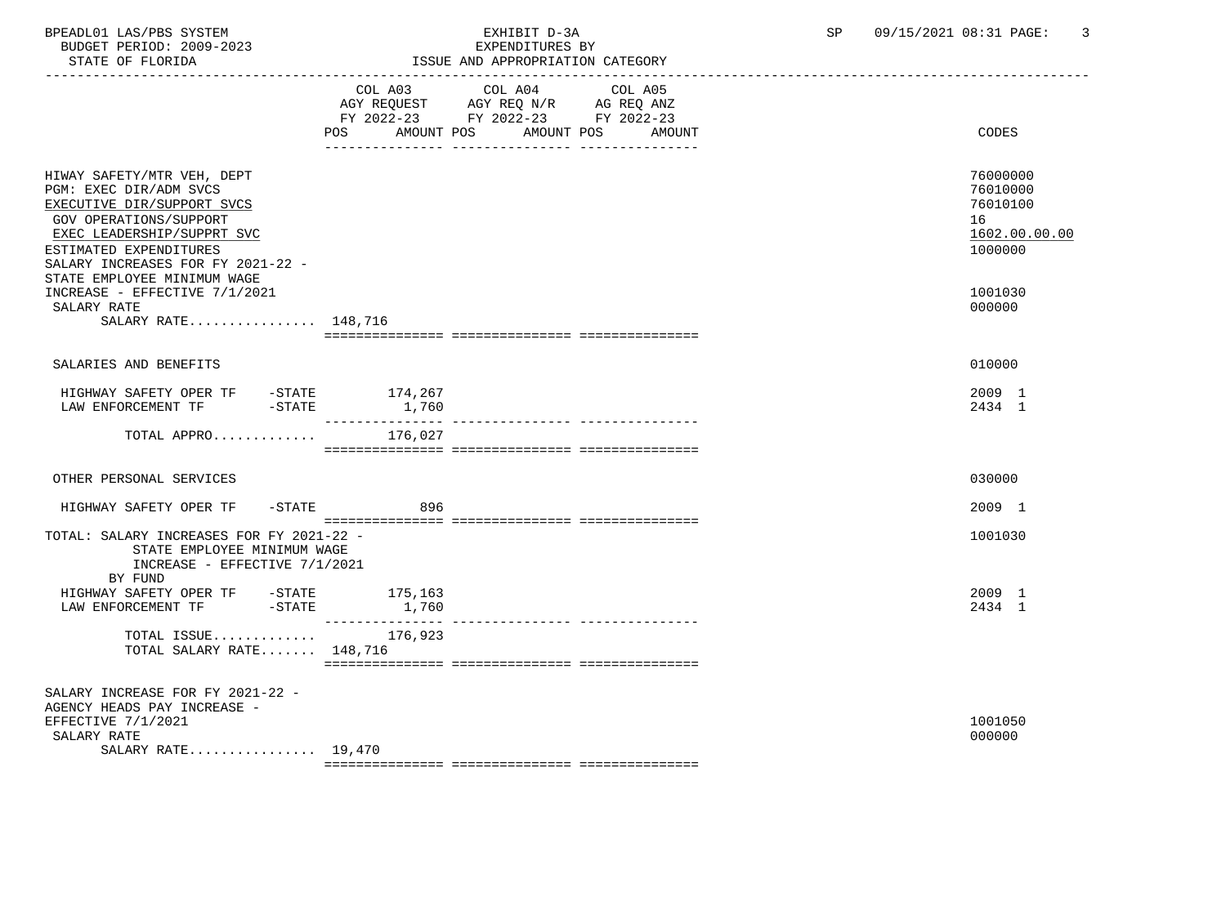BUDGET PERIOD: 2009-2023<br>STATE OF FLORIDA

# BPEADL01 LAS/PBS SYSTEM EXHIBIT D-3A SP 09/15/2021 08:31 PAGE: 3

ISSUE AND APPROPRIATION CATEGORY

|                                                                                                                                                                                                                  | AMOUNT POS<br><b>POS</b>    | COL A03 COL A04<br>AGY REQUEST AGY REQ N/R AG REQ ANZ<br>FY 2022-23 FY 2022-23 FY 2022-23<br>AMOUNT POS | COL A05<br>AMOUNT | CODES                                                              |
|------------------------------------------------------------------------------------------------------------------------------------------------------------------------------------------------------------------|-----------------------------|---------------------------------------------------------------------------------------------------------|-------------------|--------------------------------------------------------------------|
| HIWAY SAFETY/MTR VEH, DEPT<br>PGM: EXEC DIR/ADM SVCS<br>EXECUTIVE DIR/SUPPORT SVCS<br><b>GOV OPERATIONS/SUPPORT</b><br>EXEC LEADERSHIP/SUPPRT SVC<br>ESTIMATED EXPENDITURES<br>SALARY INCREASES FOR FY 2021-22 - |                             |                                                                                                         |                   | 76000000<br>76010000<br>76010100<br>16<br>1602.00.00.00<br>1000000 |
| STATE EMPLOYEE MINIMUM WAGE<br>INCREASE - EFFECTIVE 7/1/2021<br>SALARY RATE<br>SALARY RATE 148,716                                                                                                               |                             |                                                                                                         |                   | 1001030<br>000000                                                  |
|                                                                                                                                                                                                                  |                             |                                                                                                         |                   |                                                                    |
| SALARIES AND BENEFITS                                                                                                                                                                                            |                             |                                                                                                         |                   | 010000                                                             |
| HIGHWAY SAFETY OPER TF -STATE 174,267<br>$-STATE$<br>LAW ENFORCEMENT TF                                                                                                                                          | 1,760<br>---------------    |                                                                                                         |                   | 2009 1<br>2434 1                                                   |
| TOTAL APPRO                                                                                                                                                                                                      | 176,027                     |                                                                                                         |                   |                                                                    |
| OTHER PERSONAL SERVICES                                                                                                                                                                                          |                             |                                                                                                         |                   | 030000                                                             |
| $-$ STATE<br>HIGHWAY SAFETY OPER TF                                                                                                                                                                              | 896                         |                                                                                                         |                   | 2009 1                                                             |
| TOTAL: SALARY INCREASES FOR FY 2021-22 -<br>STATE EMPLOYEE MINIMUM WAGE<br>INCREASE - EFFECTIVE 7/1/2021<br>BY FUND                                                                                              |                             |                                                                                                         |                   | 1001030                                                            |
| HIGHWAY SAFETY OPER TF -STATE 175,163<br>$-\mathtt{STATE}$<br>LAW ENFORCEMENT TF                                                                                                                                 | 1,760                       |                                                                                                         |                   | 2009 1<br>2434 1                                                   |
| TOTAL ISSUE<br>TOTAL SALARY RATE 148,716                                                                                                                                                                         | ________________<br>176,923 | ---------------- ---------------                                                                        |                   |                                                                    |
| SALARY INCREASE FOR FY 2021-22 -<br>AGENCY HEADS PAY INCREASE -<br>EFFECTIVE 7/1/2021<br>SALARY RATE<br>SALARY RATE 19,470                                                                                       |                             |                                                                                                         |                   | 1001050<br>000000                                                  |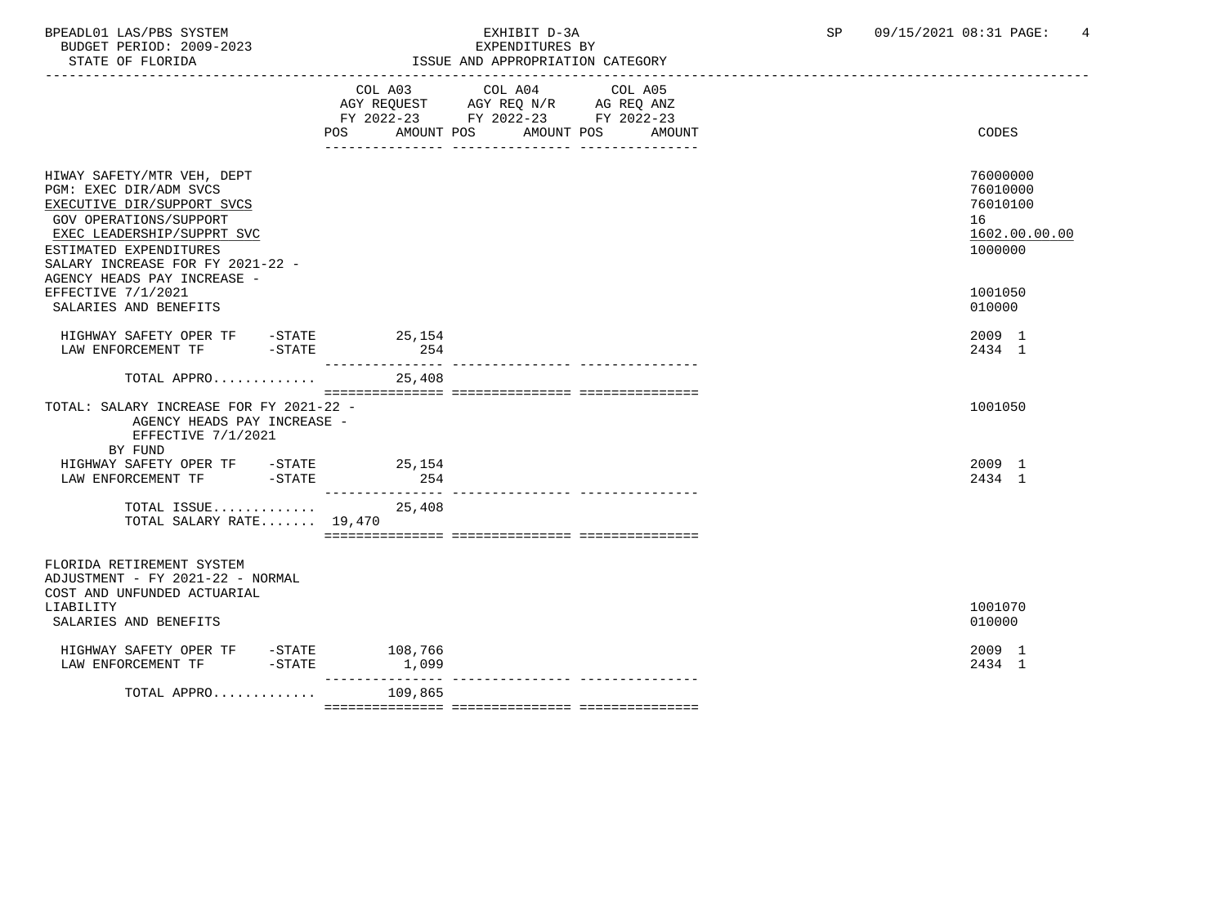BUDGET PERIOD: 2009-2023<br>STATE OF FLORIDA

## BPEADL01 LAS/PBS SYSTEM EXHIBIT D-3A SP 09/15/2021 08:31 PAGE: 4

ISSUE AND APPROPRIATION CATEGORY

|                                                                                                                                                                                                                                         | POS AMOUNT POS<br>_____________________________________ | COL A03 COL A04 COL A05<br>AGY REQUEST AGY REQ N/R AG REQ ANZ<br>FY 2022-23 FY 2022-23 FY 2022-23 | AMOUNT POS<br>AMOUNT | <b>CODES</b>                                                       |
|-----------------------------------------------------------------------------------------------------------------------------------------------------------------------------------------------------------------------------------------|---------------------------------------------------------|---------------------------------------------------------------------------------------------------|----------------------|--------------------------------------------------------------------|
| HIWAY SAFETY/MTR VEH, DEPT<br>PGM: EXEC DIR/ADM SVCS<br>EXECUTIVE DIR/SUPPORT SVCS<br>GOV OPERATIONS/SUPPORT<br>EXEC LEADERSHIP/SUPPRT SVC<br>ESTIMATED EXPENDITURES<br>SALARY INCREASE FOR FY 2021-22 -<br>AGENCY HEADS PAY INCREASE - |                                                         |                                                                                                   |                      | 76000000<br>76010000<br>76010100<br>16<br>1602.00.00.00<br>1000000 |
| EFFECTIVE 7/1/2021<br>SALARIES AND BENEFITS                                                                                                                                                                                             |                                                         |                                                                                                   |                      | 1001050<br>010000                                                  |
| HIGHWAY SAFETY OPER TF - STATE 25,154<br>LAW ENFORCEMENT TF -STATE                                                                                                                                                                      | 254                                                     |                                                                                                   |                      | 2009 1<br>2434 1                                                   |
| TOTAL APPRO                                                                                                                                                                                                                             | 25,408                                                  |                                                                                                   |                      |                                                                    |
| TOTAL: SALARY INCREASE FOR FY 2021-22 -<br>AGENCY HEADS PAY INCREASE -<br>EFFECTIVE 7/1/2021<br>BY FUND                                                                                                                                 |                                                         |                                                                                                   |                      | 1001050                                                            |
| HIGHWAY SAFETY OPER TF -STATE 25,154<br>$-STATE$<br>LAW ENFORCEMENT TF                                                                                                                                                                  | 254                                                     |                                                                                                   |                      | 2009 1<br>2434 1                                                   |
| TOTAL ISSUE<br>TOTAL SALARY RATE 19,470                                                                                                                                                                                                 | ________________<br>25,408                              |                                                                                                   |                      |                                                                    |
| FLORIDA RETIREMENT SYSTEM<br>ADJUSTMENT - FY 2021-22 - NORMAL<br>COST AND UNFUNDED ACTUARIAL<br>LIABILITY<br>SALARIES AND BENEFITS                                                                                                      |                                                         |                                                                                                   |                      | 1001070<br>010000                                                  |
|                                                                                                                                                                                                                                         |                                                         |                                                                                                   |                      |                                                                    |
| HIGHWAY SAFETY OPER TF - STATE 108,766<br>LAW ENFORCEMENT TF<br>$-STATE$                                                                                                                                                                | 1,099                                                   |                                                                                                   |                      | 2009 1<br>2434 1                                                   |
| TOTAL APPRO                                                                                                                                                                                                                             | _______________<br>109,865                              |                                                                                                   |                      |                                                                    |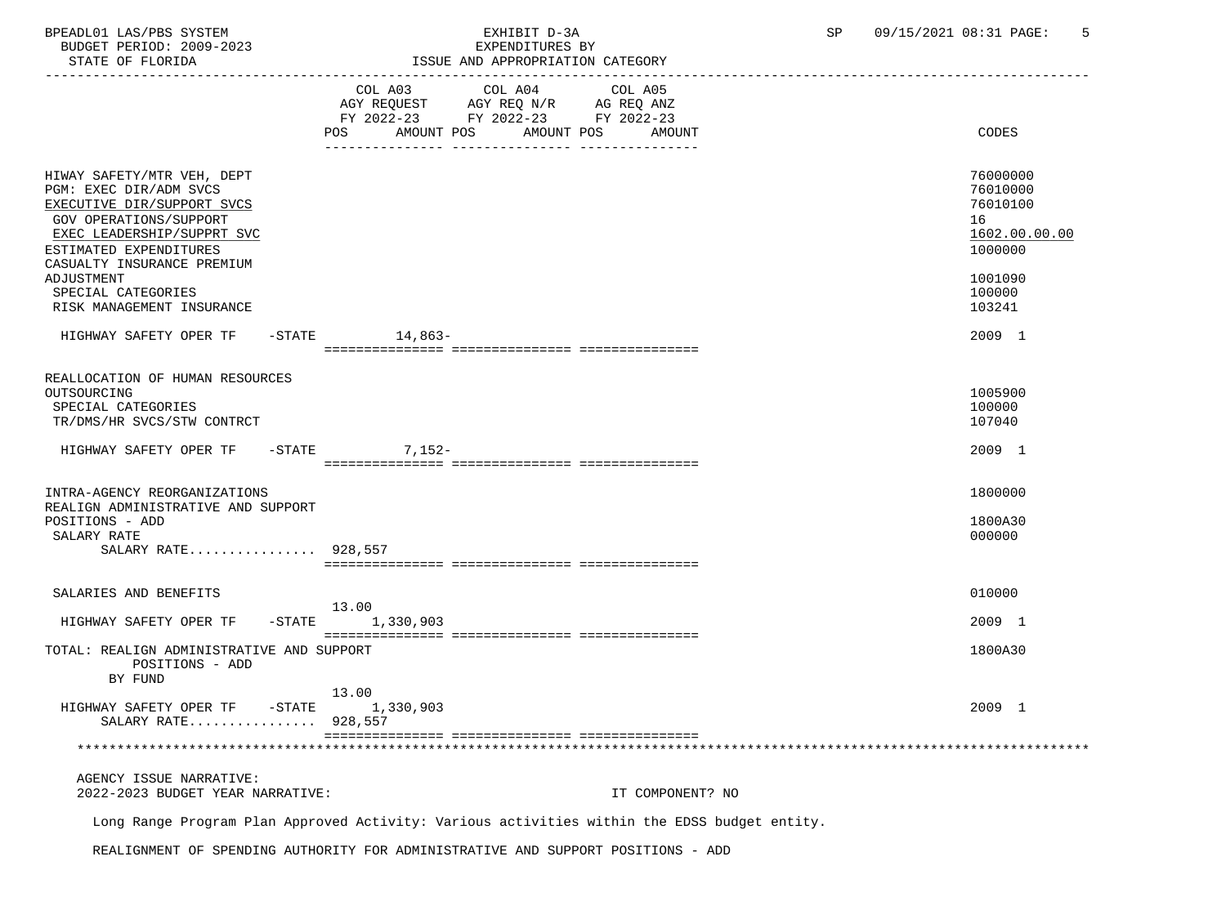BPEADL01 LAS/PBS SYSTEM 
BEADL01 LAS/PBS SYSTEM

SPEADL01 LAS/PBS SYSTEM

SPEADL01 LAS/PBS SYSTEM

SPEADL01 LAS/PBS SYSTEM

SPEADL01 LAS/PBS SYSTEM

SPEADL01 LAS/PBS SYSTEM

SPEADL01 LAS/PBS SYSTEM BUDGET PERIOD: 2009-2023

| CAUS-COOS . GUILLE INFORMATION<br>STATE OF FLORIDA                                                                                                                                                        |                                                                                                                   | BAFBNDIIORBS BI<br>ISSUE AND APPROPRIATION CATEGORY |                                                                    |
|-----------------------------------------------------------------------------------------------------------------------------------------------------------------------------------------------------------|-------------------------------------------------------------------------------------------------------------------|-----------------------------------------------------|--------------------------------------------------------------------|
|                                                                                                                                                                                                           | COL A03<br>COL A04<br>AGY REQUEST AGY REQ N/R AG REQ ANZ<br>FY 2022-23 FY 2022-23 FY 2022-23<br>AMOUNT POS<br>POS | COL A05<br>AMOUNT POS<br>AMOUNT                     | CODES                                                              |
| HIWAY SAFETY/MTR VEH, DEPT<br>PGM: EXEC DIR/ADM SVCS<br>EXECUTIVE DIR/SUPPORT SVCS<br><b>GOV OPERATIONS/SUPPORT</b><br>EXEC LEADERSHIP/SUPPRT SVC<br>ESTIMATED EXPENDITURES<br>CASUALTY INSURANCE PREMIUM |                                                                                                                   |                                                     | 76000000<br>76010000<br>76010100<br>16<br>1602.00.00.00<br>1000000 |
| ADJUSTMENT<br>SPECIAL CATEGORIES<br>RISK MANAGEMENT INSURANCE                                                                                                                                             |                                                                                                                   |                                                     | 1001090<br>100000<br>103241                                        |
| HIGHWAY SAFETY OPER TF                                                                                                                                                                                    | -STATE 14,863-                                                                                                    |                                                     | 2009 1                                                             |
| REALLOCATION OF HUMAN RESOURCES<br>OUTSOURCING<br>SPECIAL CATEGORIES<br>TR/DMS/HR SVCS/STW CONTRCT                                                                                                        |                                                                                                                   |                                                     | 1005900<br>100000<br>107040                                        |
| HIGHWAY SAFETY OPER TF                                                                                                                                                                                    | $-$ STATE<br>$7,152-$                                                                                             |                                                     | 2009 1                                                             |
| INTRA-AGENCY REORGANIZATIONS<br>REALIGN ADMINISTRATIVE AND SUPPORT                                                                                                                                        |                                                                                                                   |                                                     | 1800000                                                            |
| POSITIONS - ADD<br>SALARY RATE<br>SALARY RATE 928,557                                                                                                                                                     |                                                                                                                   |                                                     | 1800A30<br>000000                                                  |
| SALARIES AND BENEFITS                                                                                                                                                                                     |                                                                                                                   |                                                     | 010000                                                             |
| HIGHWAY SAFETY OPER TF                                                                                                                                                                                    | 13.00<br>$-STATE$ 1,330,903                                                                                       |                                                     | 2009 1                                                             |
| TOTAL: REALIGN ADMINISTRATIVE AND SUPPORT<br>POSITIONS - ADD<br>BY FUND                                                                                                                                   |                                                                                                                   |                                                     | 1800A30                                                            |
| HIGHWAY SAFETY OPER TF -STATE 1,330,903<br>SALARY RATE 928,557                                                                                                                                            | 13.00                                                                                                             |                                                     | 2009 1                                                             |
|                                                                                                                                                                                                           |                                                                                                                   |                                                     |                                                                    |
| AGENCY ISSUE NARRATIVE:<br>2022-2023 BUDGET YEAR NARRATIVE:                                                                                                                                               |                                                                                                                   | IT COMPONENT? NO                                    |                                                                    |

Long Range Program Plan Approved Activity: Various activities within the EDSS budget entity.

REALIGNMENT OF SPENDING AUTHORITY FOR ADMINISTRATIVE AND SUPPORT POSITIONS - ADD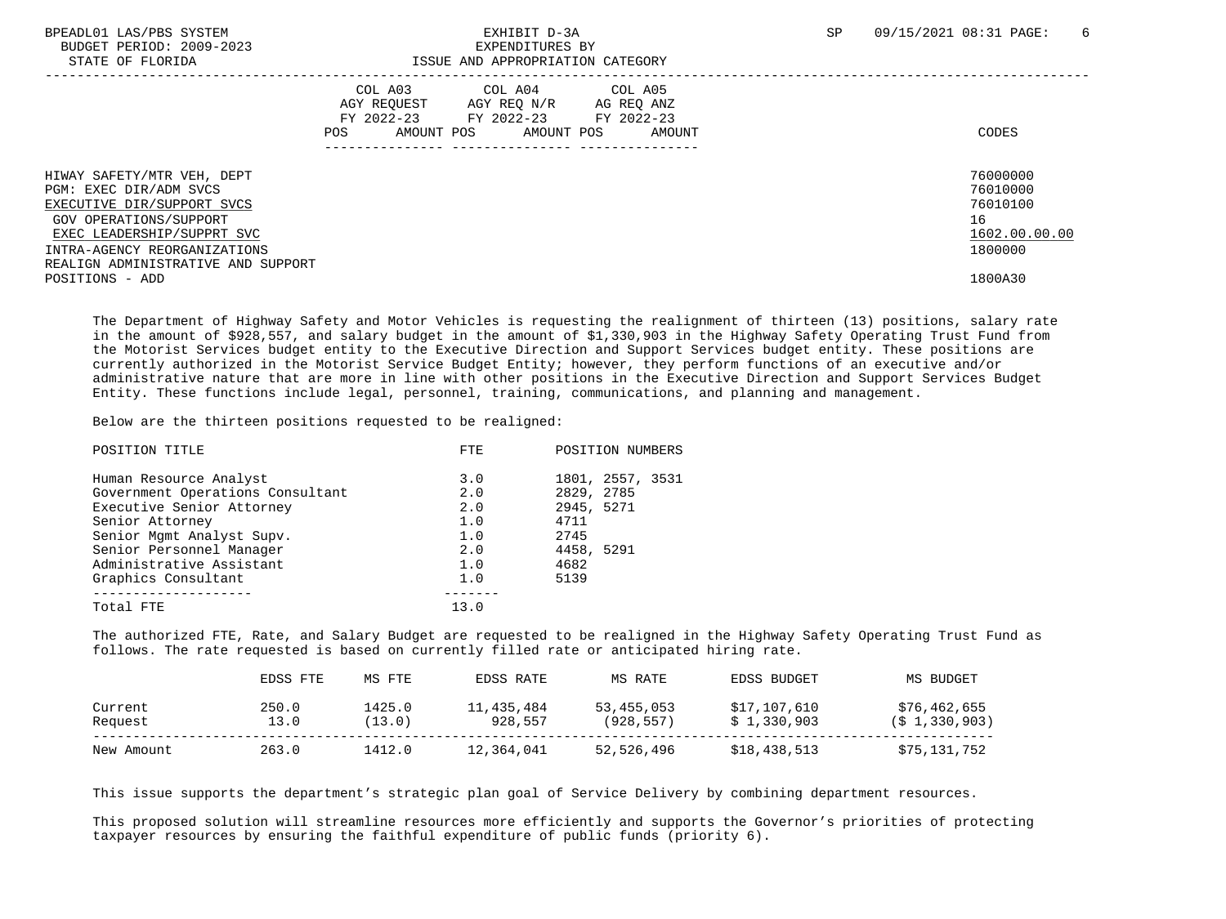| BPEADL01 LAS/PBS SYSTEM |                   |                          |
|-------------------------|-------------------|--------------------------|
|                         |                   | BUDGET PERIOD: 2009-2023 |
|                         | גתדסת הם סתי שידי |                          |

### EXPENDITURES BY STATE OF FLORIDA ISSUE AND APPROPRIATION CATEGORY

| DIAIL OF FIORIDA                                                                                                                                                                                                 | TOOOD AND AFFROFRIAIION CAIBGORI                          |                                                                             |                   |                                                                    |
|------------------------------------------------------------------------------------------------------------------------------------------------------------------------------------------------------------------|-----------------------------------------------------------|-----------------------------------------------------------------------------|-------------------|--------------------------------------------------------------------|
|                                                                                                                                                                                                                  | COL A03<br>AGY REOUEST<br>FY 2022-23<br>AMOUNT POS<br>POS | COL A04<br>AGY REO N/R<br>AG REO ANZ<br>FY 2022-23 FY 2022-23<br>AMOUNT POS | COL A05<br>AMOUNT | CODES                                                              |
| HIWAY SAFETY/MTR VEH, DEPT<br>PGM: EXEC DIR/ADM SVCS<br>EXECUTIVE DIR/SUPPORT SVCS<br>GOV OPERATIONS/SUPPORT<br>EXEC LEADERSHIP/SUPPRT SVC<br>INTRA-AGENCY REORGANIZATIONS<br>REALIGN ADMINISTRATIVE AND SUPPORT |                                                           |                                                                             |                   | 76000000<br>76010000<br>76010100<br>16<br>1602.00.00.00<br>1800000 |
| POSITIONS - ADD                                                                                                                                                                                                  |                                                           |                                                                             |                   | 1800A30                                                            |

 The Department of Highway Safety and Motor Vehicles is requesting the realignment of thirteen (13) positions, salary rate in the amount of \$928,557, and salary budget in the amount of \$1,330,903 in the Highway Safety Operating Trust Fund from the Motorist Services budget entity to the Executive Direction and Support Services budget entity. These positions are currently authorized in the Motorist Service Budget Entity; however, they perform functions of an executive and/or administrative nature that are more in line with other positions in the Executive Direction and Support Services Budget Entity. These functions include legal, personnel, training, communications, and planning and management.

Below are the thirteen positions requested to be realigned:

| POSITION TITLE                   | <b>FTE</b> | POSITION NUMBERS |  |  |
|----------------------------------|------------|------------------|--|--|
| Human Resource Analyst           | 3.0        | 1801, 2557, 3531 |  |  |
| Government Operations Consultant | 2.0        | 2829, 2785       |  |  |
| Executive Senior Attorney        | 2.0        | 2945, 5271       |  |  |
| Senior Attorney                  | 1.0        | 4711             |  |  |
| Senior Mgmt Analyst Supv.        | 1.0        | 2745             |  |  |
| Senior Personnel Manager         | 2.0        | 4458, 5291       |  |  |
| Administrative Assistant         | 1.0        | 4682             |  |  |
| Graphics Consultant              | 1.0        | 5139             |  |  |
|                                  |            |                  |  |  |
| Total FTE                        | 13.0       |                  |  |  |
|                                  |            |                  |  |  |

 The authorized FTE, Rate, and Salary Budget are requested to be realigned in the Highway Safety Operating Trust Fund as follows. The rate requested is based on currently filled rate or anticipated hiring rate.

|                    | EDSS FTE      | MS FTE           | EDSS RATE             | MS RATE                  | EDSS BUDGET                 | MS BUDGET                                   |
|--------------------|---------------|------------------|-----------------------|--------------------------|-----------------------------|---------------------------------------------|
| Current<br>Request | 250.0<br>13.0 | 1425.0<br>(13.0) | 11,435,484<br>928,557 | 53,455,053<br>(928, 557) | \$17,107,610<br>\$1,330,903 | \$76,462,655<br>(S <sub>1</sub> , 330, 903) |
| New Amount         | 263.0         | 1412.0           | 12,364,041            | 52,526,496               | \$18,438,513                | \$75,131,752                                |

This issue supports the department's strategic plan goal of Service Delivery by combining department resources.

 This proposed solution will streamline resources more efficiently and supports the Governor's priorities of protecting taxpayer resources by ensuring the faithful expenditure of public funds (priority 6).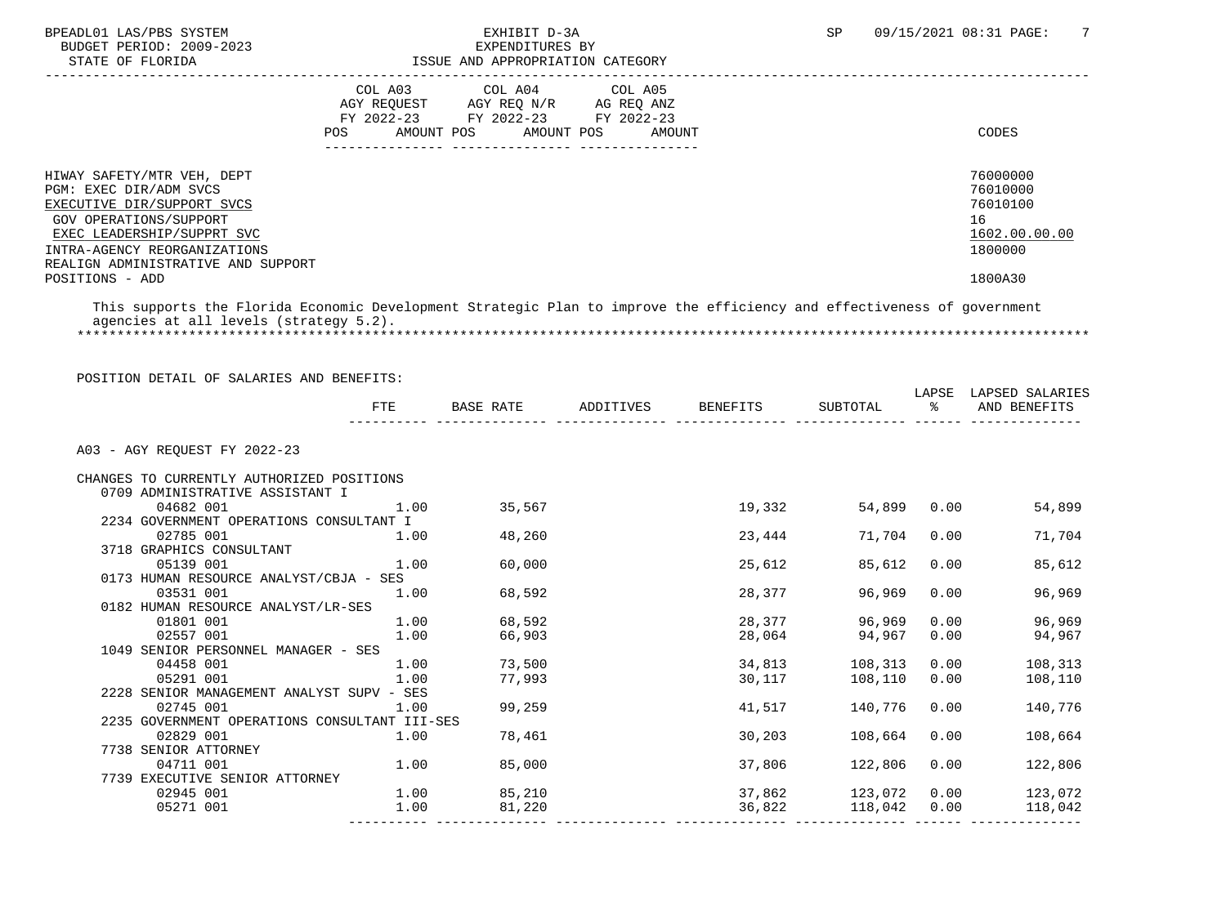BUDGET PERIOD: 2009-2023<br>STATE OF FLORIDA

## BPEADL01 LAS/PBS SYSTEM EXHIBIT D-3A SP 09/15/2021 08:31 PAGE: 7 ISSUE AND APPROPRIATION CATEGORY

|                                                                                                                                                                                                                  | COL A03<br>AGY REOUEST<br>FY 2022-23<br>POS<br>AMOUNT POS | COL A04 COL A05<br>AGY REQ N/R<br>FY 2022-23 FY 2022-23<br>AMOUNT POS | AG REQ ANZ<br>AMOUNT | CODES                                                              |
|------------------------------------------------------------------------------------------------------------------------------------------------------------------------------------------------------------------|-----------------------------------------------------------|-----------------------------------------------------------------------|----------------------|--------------------------------------------------------------------|
| HIWAY SAFETY/MTR VEH, DEPT<br>PGM: EXEC DIR/ADM SVCS<br>EXECUTIVE DIR/SUPPORT SVCS<br>GOV OPERATIONS/SUPPORT<br>EXEC LEADERSHIP/SUPPRT SVC<br>INTRA-AGENCY REORGANIZATIONS<br>REALIGN ADMINISTRATIVE AND SUPPORT |                                                           |                                                                       |                      | 76000000<br>76010000<br>76010100<br>16<br>1602.00.00.00<br>1800000 |
| POSITIONS - ADD                                                                                                                                                                                                  |                                                           |                                                                       |                      | 1800A30                                                            |

 This supports the Florida Economic Development Strategic Plan to improve the efficiency and effectiveness of government agencies at all levels (strategy 5.2). \*\*\*\*\*\*\*\*\*\*\*\*\*\*\*\*\*\*\*\*\*\*\*\*\*\*\*\*\*\*\*\*\*\*\*\*\*\*\*\*\*\*\*\*\*\*\*\*\*\*\*\*\*\*\*\*\*\*\*\*\*\*\*\*\*\*\*\*\*\*\*\*\*\*\*\*\*\*\*\*\*\*\*\*\*\*\*\*\*\*\*\*\*\*\*\*\*\*\*\*\*\*\*\*\*\*\*\*\*\*\*\*\*\*\*\*\*\*\*\*\*\*\*\*\*\*\*

|                                               | FTE  |             | BASE RATE ADDITIVES BENEFITS | SUBTOTAL %          |      | LAPSE LAPSED SALARIES<br>AND BENEFITS |
|-----------------------------------------------|------|-------------|------------------------------|---------------------|------|---------------------------------------|
| A03 - AGY REOUEST FY 2022-23                  |      |             |                              |                     |      |                                       |
| CHANGES TO CURRENTLY AUTHORIZED POSITIONS     |      |             |                              |                     |      |                                       |
| 0709 ADMINISTRATIVE ASSISTANT I               |      |             |                              |                     |      |                                       |
| 04682 001                                     | 1.00 | 35,567      | 19,332                       | 54,899 0.00         |      | 54,899                                |
| 2234 GOVERNMENT OPERATIONS CONSULTANT I       |      |             |                              |                     |      |                                       |
| 02785 001                                     | 1.00 | 48,260      | 23,444                       | 71,704              | 0.00 | 71,704                                |
| 3718 GRAPHICS CONSULTANT                      |      |             |                              |                     |      |                                       |
| 05139 001                                     | 1.00 | 60,000      | 25,612                       | 85,612              | 0.00 | 85,612                                |
| 0173 HUMAN RESOURCE ANALYST/CBJA - SES        |      |             |                              |                     |      |                                       |
| 03531 001                                     | 1.00 | 68,592      | 28,377                       | 96,969              | 0.00 | 96,969                                |
| 0182 HUMAN RESOURCE ANALYST/LR-SES            |      |             |                              |                     |      |                                       |
| 01801 001                                     |      | 1.00 68,592 | 28,377                       | 96,969              | 0.00 | 96,969                                |
| 02557 001                                     | 1.00 | 66,903      | 28,064                       | 94,967              | 0.00 | 94,967                                |
| 1049 SENIOR PERSONNEL MANAGER - SES           |      |             |                              |                     |      |                                       |
| 04458 001                                     |      | 1.00 73,500 |                              | 34,813 108,313      | 0.00 | 108,313                               |
| 05291 001                                     | 1.00 | 77,993      | 30,117                       | 108,110             | 0.00 | 108,110                               |
| 2228 SENIOR MANAGEMENT ANALYST SUPV - SES     |      |             |                              |                     |      |                                       |
| 02745 001                                     | 1.00 | 99,259      | 41,517                       | 140,776             | 0.00 | 140,776                               |
| 2235 GOVERNMENT OPERATIONS CONSULTANT III-SES |      |             |                              |                     |      |                                       |
| 02829 001                                     | 1.00 | 78,461      | 30,203                       | 108,664             | 0.00 | 108,664                               |
| 7738 SENIOR ATTORNEY                          |      |             |                              |                     |      |                                       |
| 04711 001                                     | 1.00 | 85,000      | 37,806                       | 122,806             | 0.00 | 122,806                               |
| 7739 EXECUTIVE SENIOR ATTORNEY                |      |             |                              |                     |      |                                       |
| 02945 001                                     |      | 1.00 85,210 |                              | 37,862 123,072 0.00 |      | 123,072                               |
| 05271 001                                     | 1.00 | 81,220      | 36,822                       | 118,042             | 0.00 | 118,042                               |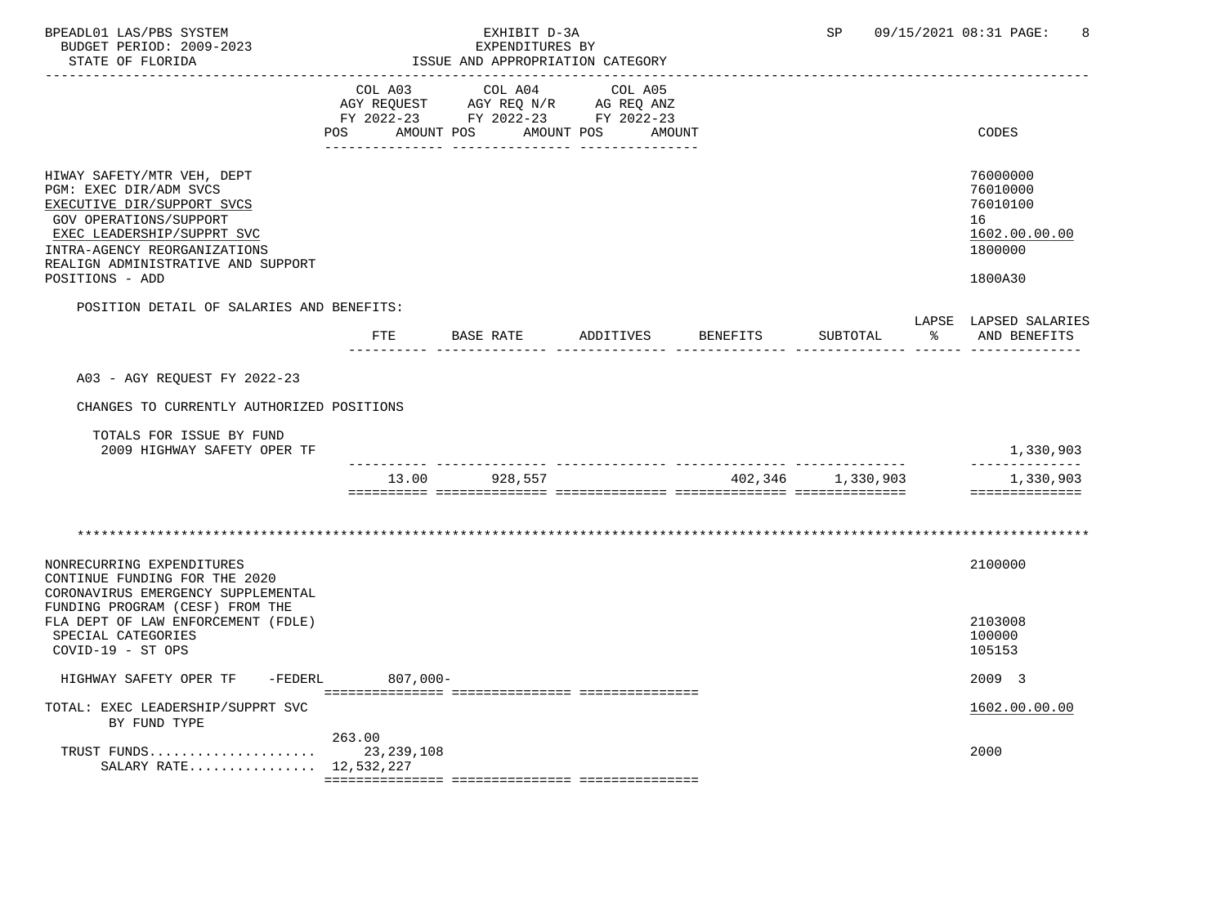| BPEADL01 LAS/PBS SYSTEM<br>BUDGET PERIOD: 2009-2023<br>STATE OF FLORIDA                                                                                                                                                             |             | EXHIBIT D-3A<br>EXPENDITURES BY<br>ISSUE AND APPROPRIATION CATEGORY<br>-----------------------                                                                                                                                             |                    | <b>SP</b>         |    | 09/15/2021 08:31 PAGE:<br>8                                                   |
|-------------------------------------------------------------------------------------------------------------------------------------------------------------------------------------------------------------------------------------|-------------|--------------------------------------------------------------------------------------------------------------------------------------------------------------------------------------------------------------------------------------------|--------------------|-------------------|----|-------------------------------------------------------------------------------|
|                                                                                                                                                                                                                                     | COL A03     | COL A04<br>$\begin{tabular}{lllllll} \bf AGY & \bf REQUEST & \bf AGY & \bf REQ & \tt N/R & \tt AG & \tt REQ & \tt ANZ \\ \bf FY & \tt 2022-23 & \tt FY & \tt 2022-23 & \tt FY & \tt 2022-23 \\ \end{tabular}$<br>POS AMOUNT POS AMOUNT POS | COL A05<br>AMOUNT  |                   |    | CODES                                                                         |
| HIWAY SAFETY/MTR VEH, DEPT<br>PGM: EXEC DIR/ADM SVCS<br>EXECUTIVE DIR/SUPPORT SVCS<br>GOV OPERATIONS/SUPPORT<br>EXEC LEADERSHIP/SUPPRT SVC<br>INTRA-AGENCY REORGANIZATIONS<br>REALIGN ADMINISTRATIVE AND SUPPORT<br>POSITIONS - ADD |             |                                                                                                                                                                                                                                            |                    |                   |    | 76000000<br>76010000<br>76010100<br>16<br>1602.00.00.00<br>1800000<br>1800A30 |
| POSITION DETAIL OF SALARIES AND BENEFITS:                                                                                                                                                                                           | FTE         | BASE RATE                                                                                                                                                                                                                                  | ADDITIVES BENEFITS | SUBTOTAL          | ွေ | LAPSE LAPSED SALARIES<br>AND BENEFITS                                         |
| A03 - AGY REQUEST FY 2022-23<br>CHANGES TO CURRENTLY AUTHORIZED POSITIONS<br>TOTALS FOR ISSUE BY FUND<br>2009 HIGHWAY SAFETY OPER TF                                                                                                | 13.00       | 928,557                                                                                                                                                                                                                                    |                    | 402,346 1,330,903 |    | 1,330,903<br>______________<br>1,330,903<br>--------------                    |
|                                                                                                                                                                                                                                     |             |                                                                                                                                                                                                                                            |                    |                   |    |                                                                               |
| NONRECURRING EXPENDITURES<br>CONTINUE FUNDING FOR THE 2020<br>CORONAVIRUS EMERGENCY SUPPLEMENTAL<br>FUNDING PROGRAM (CESF) FROM THE                                                                                                 |             |                                                                                                                                                                                                                                            |                    |                   |    | 2100000                                                                       |
| FLA DEPT OF LAW ENFORCEMENT (FDLE)<br>SPECIAL CATEGORIES<br>COVID-19 - ST OPS                                                                                                                                                       |             |                                                                                                                                                                                                                                            |                    |                   |    | 2103008<br>100000<br>105153                                                   |
| HIGHWAY SAFETY OPER TF<br>-FEDERL                                                                                                                                                                                                   | $807,000 -$ |                                                                                                                                                                                                                                            |                    |                   |    | 2009 3                                                                        |
| TOTAL: EXEC LEADERSHIP/SUPPRT SVC<br>BY FUND TYPE                                                                                                                                                                                   |             |                                                                                                                                                                                                                                            |                    |                   |    | 1602.00.00.00                                                                 |
| SALARY RATE 12,532,227                                                                                                                                                                                                              | 263.00      |                                                                                                                                                                                                                                            |                    |                   |    | 2000                                                                          |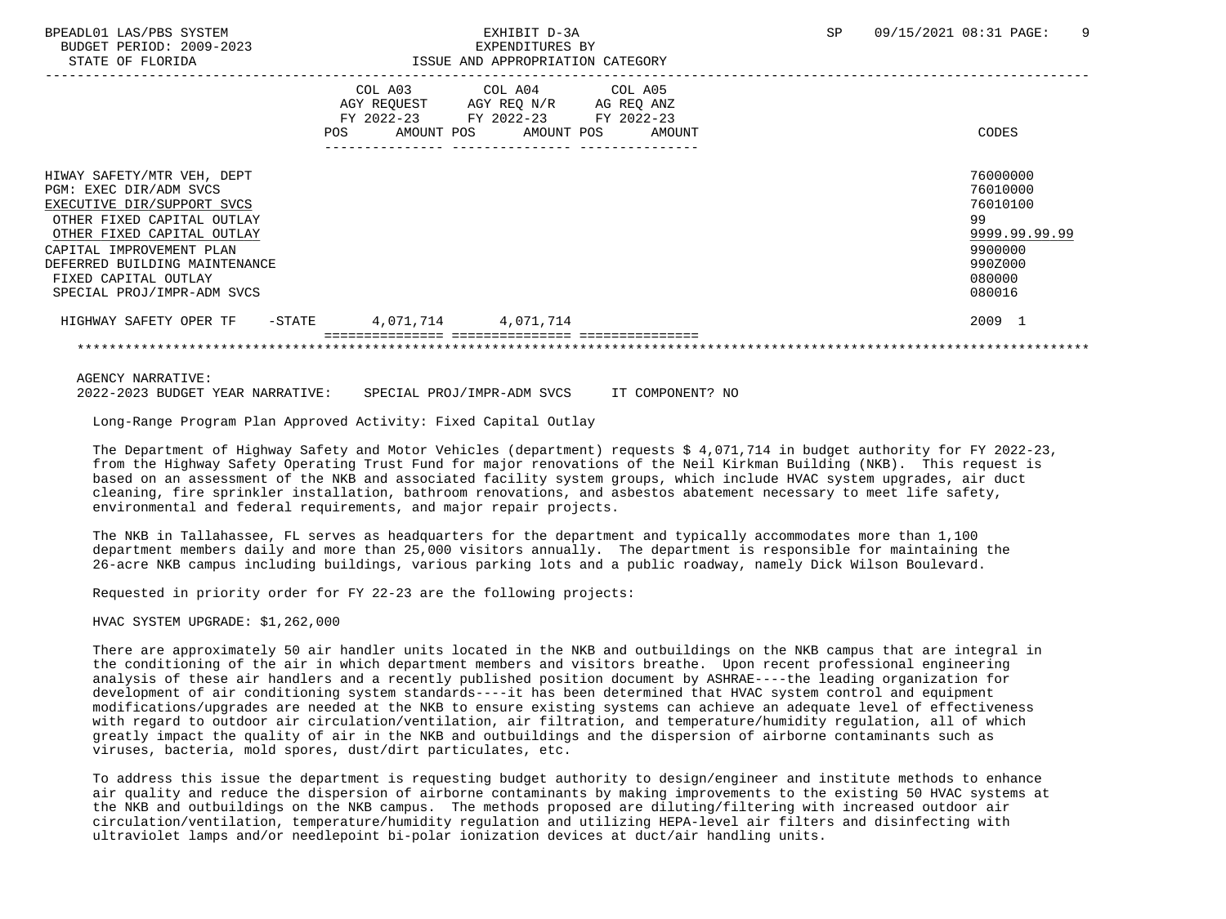| BPEADL01 LAS/PBS SYSTEM |                                                         |                          |
|-------------------------|---------------------------------------------------------|--------------------------|
|                         |                                                         | BUDGET PERIOD: 2009-2023 |
|                         | $\sim$ $\sim$ $\sim$ $\sim$ $\sim$ $\sim$ $\sim$ $\sim$ |                          |

### EXPENDITURES BY STATE OF FLORIDA ISSUE AND APPROPRIATION CATEGORY

| COL A03 COL A04 COL A05<br>AGY REQUEST AGY REQ N/R AG REQ ANZ<br>FY 2022-23 FY 2022-23 FY 2022-23<br>AMOUNT POS AMOUNT POS | AMOUNT | CODES                                                                                             |
|----------------------------------------------------------------------------------------------------------------------------|--------|---------------------------------------------------------------------------------------------------|
|                                                                                                                            |        |                                                                                                   |
|                                                                                                                            |        | 76000000<br>76010000<br>76010100<br>99<br>9999.99.99.99<br>9900000<br>990Z000<br>080000<br>080016 |
|                                                                                                                            |        | 2009 1                                                                                            |
|                                                                                                                            |        |                                                                                                   |
|                                                                                                                            |        | 4,071,714 4,071,714                                                                               |

AGENCY NARRATIVE:

2022-2023 BUDGET YEAR NARRATIVE: SPECIAL PROJ/IMPR-ADM SVCS IT COMPONENT? NO

Long-Range Program Plan Approved Activity: Fixed Capital Outlay

 The Department of Highway Safety and Motor Vehicles (department) requests \$ 4,071,714 in budget authority for FY 2022-23, from the Highway Safety Operating Trust Fund for major renovations of the Neil Kirkman Building (NKB). This request is based on an assessment of the NKB and associated facility system groups, which include HVAC system upgrades, air duct cleaning, fire sprinkler installation, bathroom renovations, and asbestos abatement necessary to meet life safety, environmental and federal requirements, and major repair projects.

 The NKB in Tallahassee, FL serves as headquarters for the department and typically accommodates more than 1,100 department members daily and more than 25,000 visitors annually. The department is responsible for maintaining the 26-acre NKB campus including buildings, various parking lots and a public roadway, namely Dick Wilson Boulevard.

Requested in priority order for FY 22-23 are the following projects:

HVAC SYSTEM UPGRADE: \$1,262,000

 There are approximately 50 air handler units located in the NKB and outbuildings on the NKB campus that are integral in the conditioning of the air in which department members and visitors breathe. Upon recent professional engineering analysis of these air handlers and a recently published position document by ASHRAE----the leading organization for development of air conditioning system standards----it has been determined that HVAC system control and equipment modifications/upgrades are needed at the NKB to ensure existing systems can achieve an adequate level of effectiveness with regard to outdoor air circulation/ventilation, air filtration, and temperature/humidity regulation, all of which greatly impact the quality of air in the NKB and outbuildings and the dispersion of airborne contaminants such as viruses, bacteria, mold spores, dust/dirt particulates, etc.

 To address this issue the department is requesting budget authority to design/engineer and institute methods to enhance air quality and reduce the dispersion of airborne contaminants by making improvements to the existing 50 HVAC systems at the NKB and outbuildings on the NKB campus. The methods proposed are diluting/filtering with increased outdoor air circulation/ventilation, temperature/humidity regulation and utilizing HEPA-level air filters and disinfecting with ultraviolet lamps and/or needlepoint bi-polar ionization devices at duct/air handling units.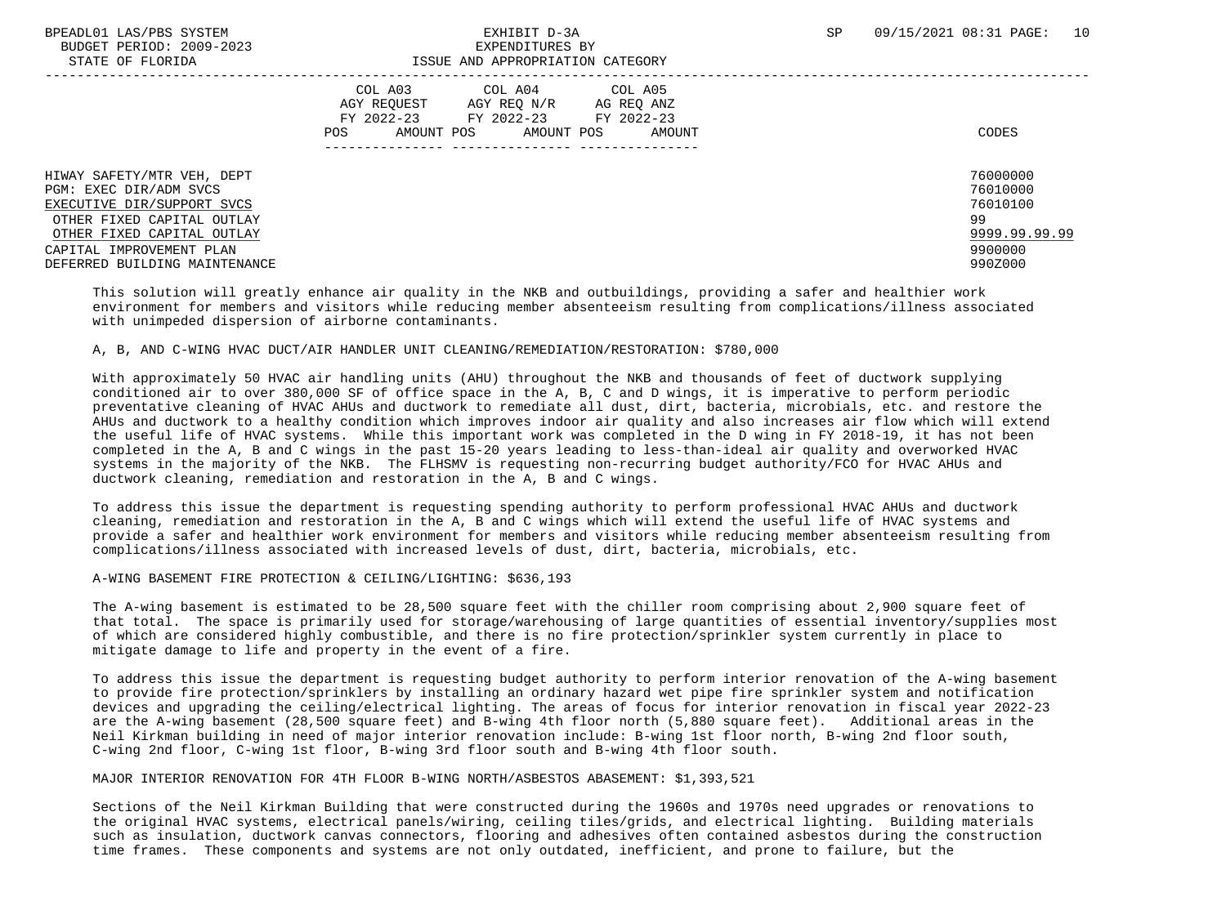BUDGET PERIOD: 2009-2023<br>
EXPENDITURES BY ELOPIDA

# STATE OF FLORIDA ISSUE AND APPROPRIATION CATEGORY

| DIAIB OF FEORIDA                                                                                                                                                                                            | TOOG UND ULLIVERIITON CUIBOORI                                                                                                                                |                                                                               |
|-------------------------------------------------------------------------------------------------------------------------------------------------------------------------------------------------------------|---------------------------------------------------------------------------------------------------------------------------------------------------------------|-------------------------------------------------------------------------------|
|                                                                                                                                                                                                             | COL A03<br>COL A05<br>COL A04<br>AGY REOUEST<br>AGY REO N/R<br>AG REQ ANZ<br>FY 2022-23<br>FY 2022-23 FY 2022-23<br>AMOUNT POS<br>POS<br>AMOUNT POS<br>AMOUNT | CODES                                                                         |
| HIWAY SAFETY/MTR VEH, DEPT<br>PGM: EXEC DIR/ADM SVCS<br>EXECUTIVE DIR/SUPPORT SVCS<br>OTHER FIXED CAPITAL OUTLAY<br>OTHER FIXED CAPITAL OUTLAY<br>CAPITAL IMPROVEMENT PLAN<br>DEFERRED BUILDING MAINTENANCE |                                                                                                                                                               | 76000000<br>76010000<br>76010100<br>99<br>9999.99.99.99<br>9900000<br>990Z000 |

 This solution will greatly enhance air quality in the NKB and outbuildings, providing a safer and healthier work environment for members and visitors while reducing member absenteeism resulting from complications/illness associated with unimpeded dispersion of airborne contaminants.

### A, B, AND C-WING HVAC DUCT/AIR HANDLER UNIT CLEANING/REMEDIATION/RESTORATION: \$780,000

 With approximately 50 HVAC air handling units (AHU) throughout the NKB and thousands of feet of ductwork supplying conditioned air to over 380,000 SF of office space in the A, B, C and D wings, it is imperative to perform periodic preventative cleaning of HVAC AHUs and ductwork to remediate all dust, dirt, bacteria, microbials, etc. and restore the AHUs and ductwork to a healthy condition which improves indoor air quality and also increases air flow which will extend the useful life of HVAC systems. While this important work was completed in the D wing in FY 2018-19, it has not been completed in the A, B and C wings in the past 15-20 years leading to less-than-ideal air quality and overworked HVAC systems in the majority of the NKB. The FLHSMV is requesting non-recurring budget authority/FCO for HVAC AHUs and ductwork cleaning, remediation and restoration in the A, B and C wings.

 To address this issue the department is requesting spending authority to perform professional HVAC AHUs and ductwork cleaning, remediation and restoration in the A, B and C wings which will extend the useful life of HVAC systems and provide a safer and healthier work environment for members and visitors while reducing member absenteeism resulting from complications/illness associated with increased levels of dust, dirt, bacteria, microbials, etc.

### A-WING BASEMENT FIRE PROTECTION & CEILING/LIGHTING: \$636,193

 The A-wing basement is estimated to be 28,500 square feet with the chiller room comprising about 2,900 square feet of that total. The space is primarily used for storage/warehousing of large quantities of essential inventory/supplies most of which are considered highly combustible, and there is no fire protection/sprinkler system currently in place to mitigate damage to life and property in the event of a fire.

 To address this issue the department is requesting budget authority to perform interior renovation of the A-wing basement to provide fire protection/sprinklers by installing an ordinary hazard wet pipe fire sprinkler system and notification devices and upgrading the ceiling/electrical lighting. The areas of focus for interior renovation in fiscal year 2022-23 are the A-wing basement (28,500 square feet) and B-wing 4th floor north (5,880 square feet). Additional areas in the Neil Kirkman building in need of major interior renovation include: B-wing 1st floor north, B-wing 2nd floor south, C-wing 2nd floor, C-wing 1st floor, B-wing 3rd floor south and B-wing 4th floor south.

### MAJOR INTERIOR RENOVATION FOR 4TH FLOOR B-WING NORTH/ASBESTOS ABASEMENT: \$1,393,521

 Sections of the Neil Kirkman Building that were constructed during the 1960s and 1970s need upgrades or renovations to the original HVAC systems, electrical panels/wiring, ceiling tiles/grids, and electrical lighting. Building materials such as insulation, ductwork canvas connectors, flooring and adhesives often contained asbestos during the construction time frames. These components and systems are not only outdated, inefficient, and prone to failure, but the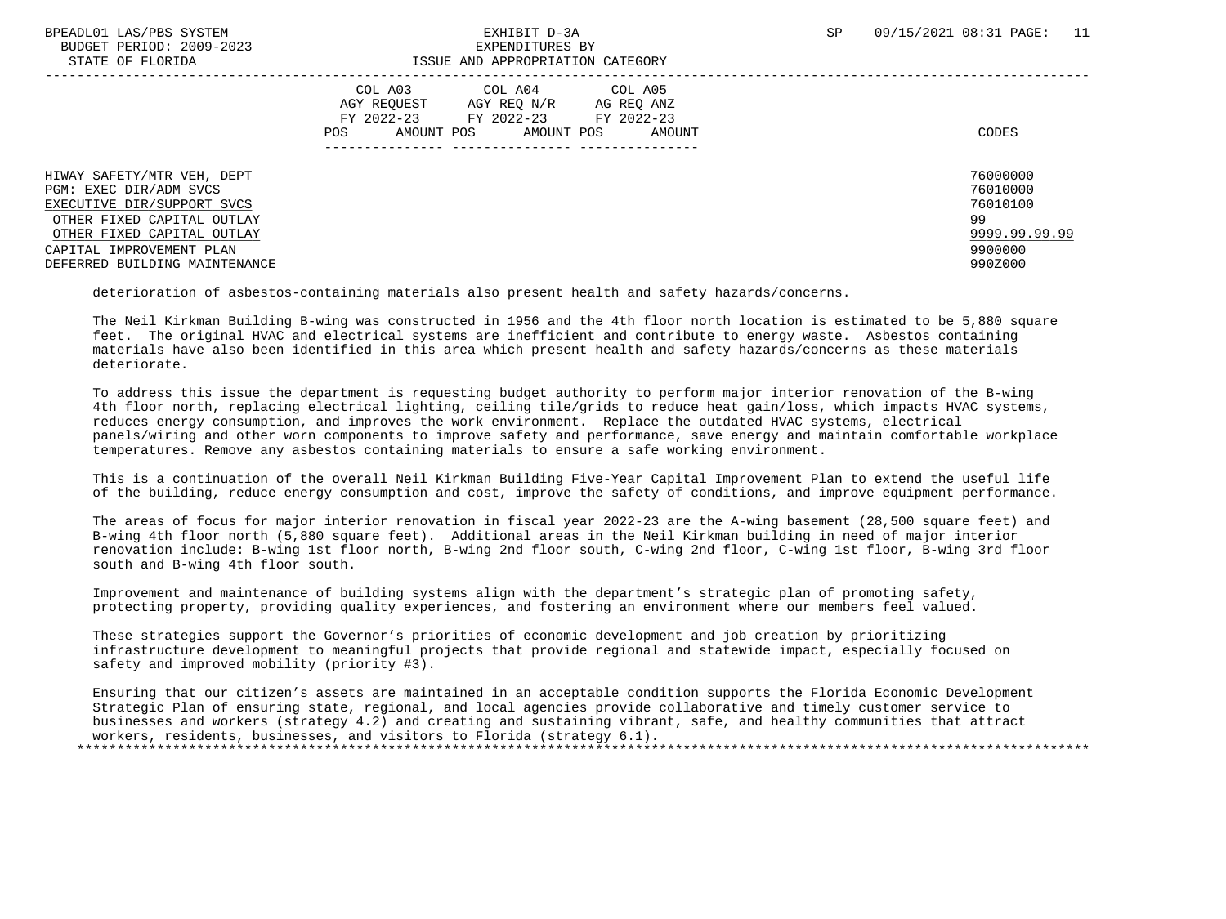|  |                   | BPEADL01 LAS/PBS SYSTEM  |
|--|-------------------|--------------------------|
|  |                   | BUDGET PERIOD: 2009-2023 |
|  | גתדכת זה הת היהיה |                          |

### BUDGET PERIOD: 2009-2023 EXPENDITURES BY STATE OF FLORIDA ISSUE AND APPROPRIATION CATEGORY

| DINID OI IDORIDII             | TODON IND INTINOLIGIILION CITTIOONI       |               |
|-------------------------------|-------------------------------------------|---------------|
|                               |                                           |               |
|                               | COL A03<br>COL A05<br>COL A04             |               |
|                               | AGY REOUEST<br>AGY REO N/R<br>AG REO ANZ  |               |
|                               | FY 2022-23<br>FY 2022-23 FY 2022-23       |               |
|                               | AMOUNT POS<br>AMOUNT POS<br>POS<br>AMOUNT | CODES         |
|                               |                                           |               |
|                               |                                           |               |
| HIWAY SAFETY/MTR VEH, DEPT    |                                           | 76000000      |
| PGM: EXEC DIR/ADM SVCS        |                                           | 76010000      |
| EXECUTIVE DIR/SUPPORT SVCS    |                                           | 76010100      |
| OTHER FIXED CAPITAL OUTLAY    |                                           | 99            |
| OTHER FIXED CAPITAL OUTLAY    |                                           | 9999.99.99.99 |
| CAPITAL IMPROVEMENT PLAN      |                                           | 9900000       |
| DEFERRED BUILDING MAINTENANCE |                                           | 990Z000       |
|                               |                                           |               |

deterioration of asbestos-containing materials also present health and safety hazards/concerns.

 The Neil Kirkman Building B-wing was constructed in 1956 and the 4th floor north location is estimated to be 5,880 square feet. The original HVAC and electrical systems are inefficient and contribute to energy waste. Asbestos containing materials have also been identified in this area which present health and safety hazards/concerns as these materials deteriorate.

 To address this issue the department is requesting budget authority to perform major interior renovation of the B-wing 4th floor north, replacing electrical lighting, ceiling tile/grids to reduce heat gain/loss, which impacts HVAC systems, reduces energy consumption, and improves the work environment. Replace the outdated HVAC systems, electrical panels/wiring and other worn components to improve safety and performance, save energy and maintain comfortable workplace temperatures. Remove any asbestos containing materials to ensure a safe working environment.

 This is a continuation of the overall Neil Kirkman Building Five-Year Capital Improvement Plan to extend the useful life of the building, reduce energy consumption and cost, improve the safety of conditions, and improve equipment performance.

 The areas of focus for major interior renovation in fiscal year 2022-23 are the A-wing basement (28,500 square feet) and B-wing 4th floor north (5,880 square feet). Additional areas in the Neil Kirkman building in need of major interior renovation include: B-wing 1st floor north, B-wing 2nd floor south, C-wing 2nd floor, C-wing 1st floor, B-wing 3rd floor south and B-wing 4th floor south.

 Improvement and maintenance of building systems align with the department's strategic plan of promoting safety, protecting property, providing quality experiences, and fostering an environment where our members feel valued.

 These strategies support the Governor's priorities of economic development and job creation by prioritizing infrastructure development to meaningful projects that provide regional and statewide impact, especially focused on safety and improved mobility (priority #3).

 Ensuring that our citizen's assets are maintained in an acceptable condition supports the Florida Economic Development Strategic Plan of ensuring state, regional, and local agencies provide collaborative and timely customer service to businesses and workers (strategy 4.2) and creating and sustaining vibrant, safe, and healthy communities that attract workers, residents, businesses, and visitors to Florida (strategy 6.1). \*\*\*\*\*\*\*\*\*\*\*\*\*\*\*\*\*\*\*\*\*\*\*\*\*\*\*\*\*\*\*\*\*\*\*\*\*\*\*\*\*\*\*\*\*\*\*\*\*\*\*\*\*\*\*\*\*\*\*\*\*\*\*\*\*\*\*\*\*\*\*\*\*\*\*\*\*\*\*\*\*\*\*\*\*\*\*\*\*\*\*\*\*\*\*\*\*\*\*\*\*\*\*\*\*\*\*\*\*\*\*\*\*\*\*\*\*\*\*\*\*\*\*\*\*\*\*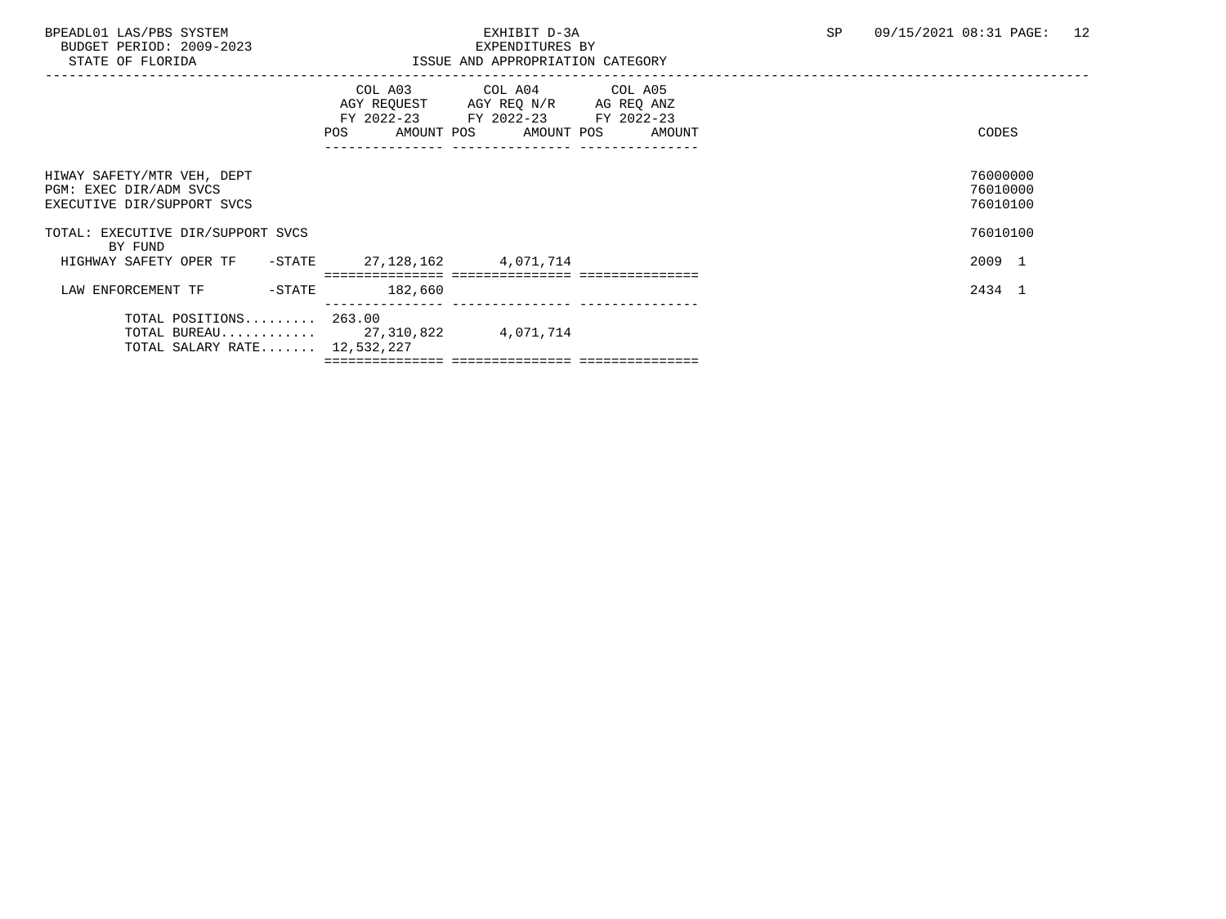BUDGET PERIOD: 2009-2023<br>STATE OF FLORIDA

# BPEADL01 LAS/PBS SYSTEM EXHIBIT D-3A SP 09/15/2021 08:31 PAGE: 12

| STATE OF FLORIDA                                                                   | ISSUE AND APPROPRIATION CATEGORY                                                                                                      |                                  |
|------------------------------------------------------------------------------------|---------------------------------------------------------------------------------------------------------------------------------------|----------------------------------|
|                                                                                    | COL A03 COL A04 COL A05<br>AGY REQUEST AGY REQ N/R AG REQ ANZ<br>FY 2022-23 FY 2022-23 FY 2022-23<br>POS AMOUNT POS AMOUNT POS AMOUNT | CODES                            |
| HIWAY SAFETY/MTR VEH, DEPT<br>PGM: EXEC DIR/ADM SVCS<br>EXECUTIVE DIR/SUPPORT SVCS |                                                                                                                                       | 76000000<br>76010000<br>76010100 |
| TOTAL: EXECUTIVE DIR/SUPPORT SVCS<br>BY FUND                                       |                                                                                                                                       | 76010100                         |
| HIGHWAY SAFETY OPER TF - STATE                                                     | 27,128,162 4,071,714                                                                                                                  | 2009 1                           |
| LAW ENFORCEMENT TF<br>$-$ STATE                                                    | 182,660                                                                                                                               | 2434 1                           |
| TOTAL POSITIONS 263.00<br>TOTAL SALARY RATE 12,532,227                             | TOTAL BUREAU 27,310,822 4,071,714                                                                                                     |                                  |
|                                                                                    |                                                                                                                                       |                                  |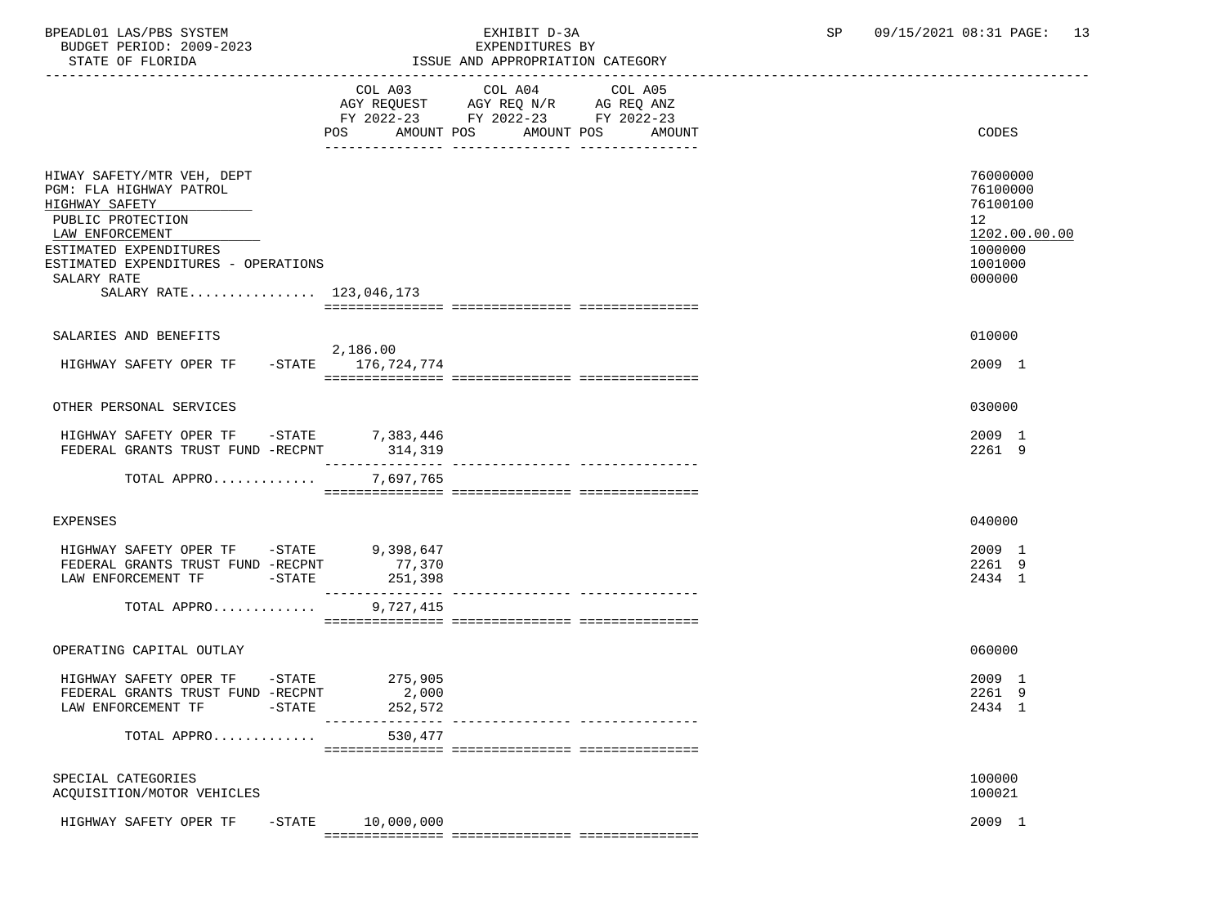STATE OF FLORIDA ISSUE AND APPROPRIATION CATEGORY ----------------------------------------------------------------------------------------------------------------------------------- COL A03 COL A04 AGY REQUEST AGY REQ N/R AG REQ ANZ FY 2022-23 FY 2022-23 FY 2022-23 POS AMOUNT POS AMOUNT POS AMOUNT CODES --------------- --------------- --------------- HIWAY SAFETY/MTR VEH, DEPT 76000000<br>PGM: FLA HIGHWAY PATROL PGM: FLA HIGHWAY PATROL 76100000<br>HIGHWAY SAFETY 76100100 HIGHWAY SAFETY 76100100 \_\_\_\_\_\_\_\_\_\_\_\_\_\_\_\_\_\_\_\_\_\_\_\_\_\_ PUBLIC PROTECTION 12<br>1202.00.00.00  $\texttt{LAN ENFORCEMENT} \color{black} \textcolor{red}{1202.00.00.00}$  ESTIMATED EXPENDITURES 1000000 ESTIMATED EXPENDITURES - OPERATIONS<br>SALARY RATE 000000  $\texttt{SALARY RATE}$  . The contract of the contract of the contract of the contract of the contract of the contract of the contract of the contract of the contract of the contract of the contract of the contract of the contract o SALARY RATE................. 123,046,173 =============== =============== =============== SALARIES AND BENEFITS 010000 2,186.00 HIGHWAY SAFETY OPER TF -STATE 176,724,774 2009 1 =============== =============== =============== OTHER PERSONAL SERVICES 030000 HIGHWAY SAFETY OPER TF -STATE 7,383,446 2009 1 FEDERAL GRANTS TRUST FUND -RECPNT --------------- --------------- --------------- TOTAL APPRO............. 7,697,765 =============== =============== =============== EXPENSES 040000 HIGHWAY SAFETY OPER TF -STATE 9,398,647 2009 1 FEDERAL GRANTS TRUST FUND -RECPNT 77,370 2261 9 LAW ENFORCEMENT TF  $-$  STATE 251,398 2434 1 --------------- --------------- --------------- TOTAL APPRO............. =============== =============== =============== OPERATING CAPITAL OUTLAY 060000 HIGHWAY SAFETY OPER TF -STATE 275,905 2009 1 FEDERAL GRANTS TRUST FUND -RECPNT LAW ENFORCEMENT TF  $-$  STATE 252,572 2434 1 --------------- --------------- --------------- TOTAL APPRO............. 530,477 =============== =============== =============== SPECIAL CATEGORIES 100000 ACQUISITION/MOTOR VEHICLES 100021 HIGHWAY SAFETY OPER TF -STATE 10,000,000 2009 1 2009 1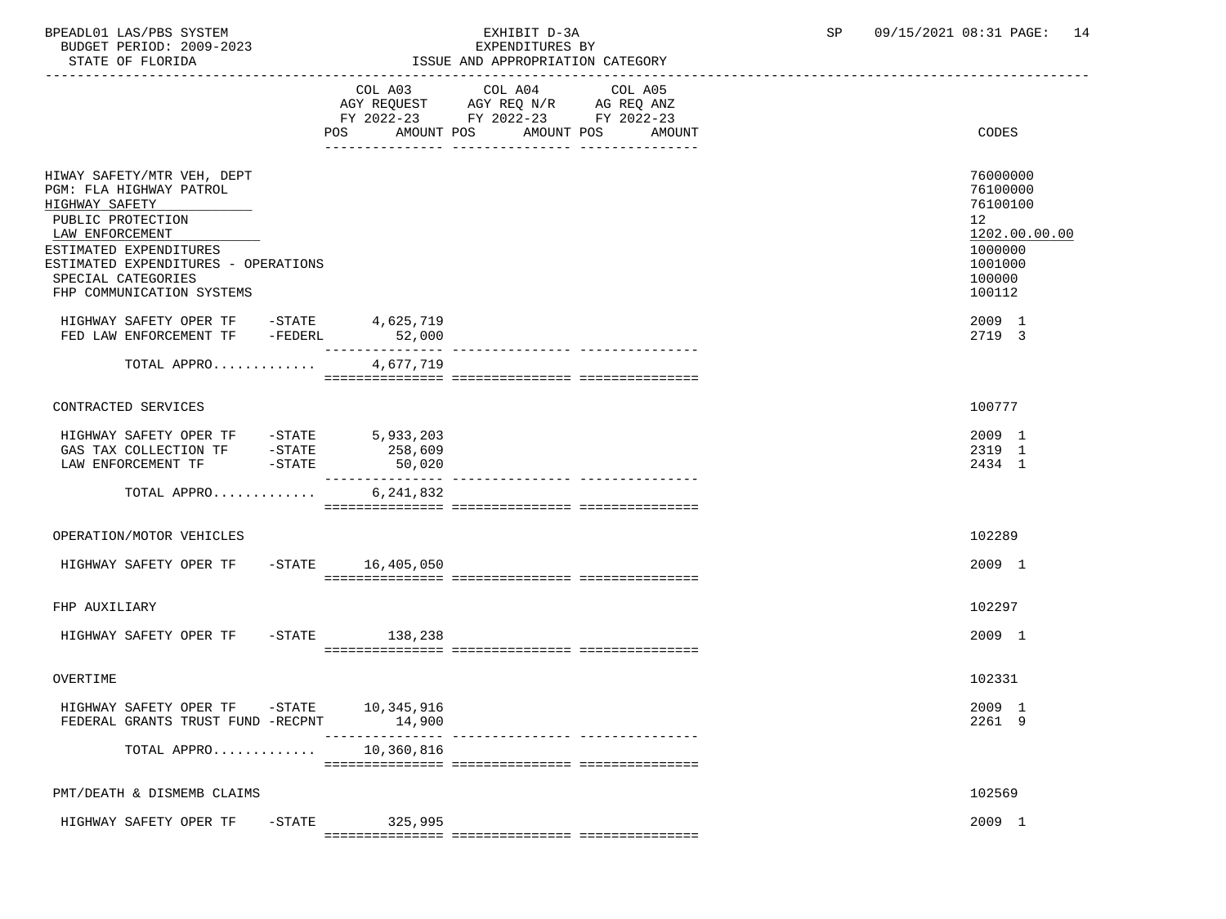BUDGET PERIOD: 2009-2023

# BPEADL01 LAS/PBS SYSTEM EXHIBIT D-3A SP 09/15/2021 08:31 PAGE: 14

| STATE OF FLORIDA                                                                                                                    |                       | ISSUE AND APPROPRIATION CATEGORY                                                                                                                                                                                                              |                                                         |
|-------------------------------------------------------------------------------------------------------------------------------------|-----------------------|-----------------------------------------------------------------------------------------------------------------------------------------------------------------------------------------------------------------------------------------------|---------------------------------------------------------|
|                                                                                                                                     | COL A03<br>AMOUNT POS | COL A04<br>COL A05<br>$\begin{tabular}{lllllll} \bf AGY \,\, REQUEST \,\, & \bf AGY \,\, REQ \,\, N/R & \bf AG \,\, REQ \,\, ANZ \\ \bf FY \,\, 2022-23 & \bf FY \,\, 2022-23 & \bf FY \,\, 2022-23 \\ \end{tabular}$<br>AMOUNT POS<br>AMOUNT | CODES                                                   |
| HIWAY SAFETY/MTR VEH, DEPT<br>PGM: FLA HIGHWAY PATROL<br>HIGHWAY SAFETY                                                             |                       |                                                                                                                                                                                                                                               | 76000000<br>76100000<br>76100100                        |
| PUBLIC PROTECTION                                                                                                                   |                       |                                                                                                                                                                                                                                               | 12                                                      |
| LAW ENFORCEMENT<br>ESTIMATED EXPENDITURES<br>ESTIMATED EXPENDITURES - OPERATIONS<br>SPECIAL CATEGORIES<br>FHP COMMUNICATION SYSTEMS |                       |                                                                                                                                                                                                                                               | 1202.00.00.00<br>1000000<br>1001000<br>100000<br>100112 |
| HIGHWAY SAFETY OPER TF -STATE<br>FED LAW ENFORCEMENT TF -FEDERL                                                                     | 4,625,719<br>52,000   |                                                                                                                                                                                                                                               | 2009 1<br>2719 3                                        |
| TOTAL APPRO                                                                                                                         | 4,677,719             |                                                                                                                                                                                                                                               |                                                         |
| CONTRACTED SERVICES                                                                                                                 |                       |                                                                                                                                                                                                                                               | 100777                                                  |
| HIGHWAY SAFETY OPER TF -STATE 5,933,203                                                                                             | 258,609<br>50,020     |                                                                                                                                                                                                                                               | 2009 1<br>2319 1<br>2434 1                              |
| TOTAL APPRO                                                                                                                         | 6,241,832             |                                                                                                                                                                                                                                               |                                                         |
| OPERATION/MOTOR VEHICLES                                                                                                            |                       |                                                                                                                                                                                                                                               | 102289                                                  |
| HIGHWAY SAFETY OPER TF -STATE 16,405,050                                                                                            |                       |                                                                                                                                                                                                                                               | 2009 1                                                  |
| FHP AUXILIARY                                                                                                                       |                       |                                                                                                                                                                                                                                               | 102297                                                  |
| HIGHWAY SAFETY OPER TF - STATE 138,238                                                                                              |                       |                                                                                                                                                                                                                                               | 2009 1                                                  |
| OVERTIME                                                                                                                            |                       |                                                                                                                                                                                                                                               | 102331                                                  |
| HIGHWAY SAFETY OPER TF -STATE 10,345,916<br>FEDERAL GRANTS TRUST FUND -RECPNT                                                       | 14,900                |                                                                                                                                                                                                                                               | 2009 1<br>2261 9                                        |
| TOTAL APPRO                                                                                                                         | 10,360,816            |                                                                                                                                                                                                                                               |                                                         |
| PMT/DEATH & DISMEMB CLAIMS                                                                                                          |                       |                                                                                                                                                                                                                                               | 102569                                                  |
| HIGHWAY SAFETY OPER TF - STATE                                                                                                      | 325,995               |                                                                                                                                                                                                                                               | 2009 1                                                  |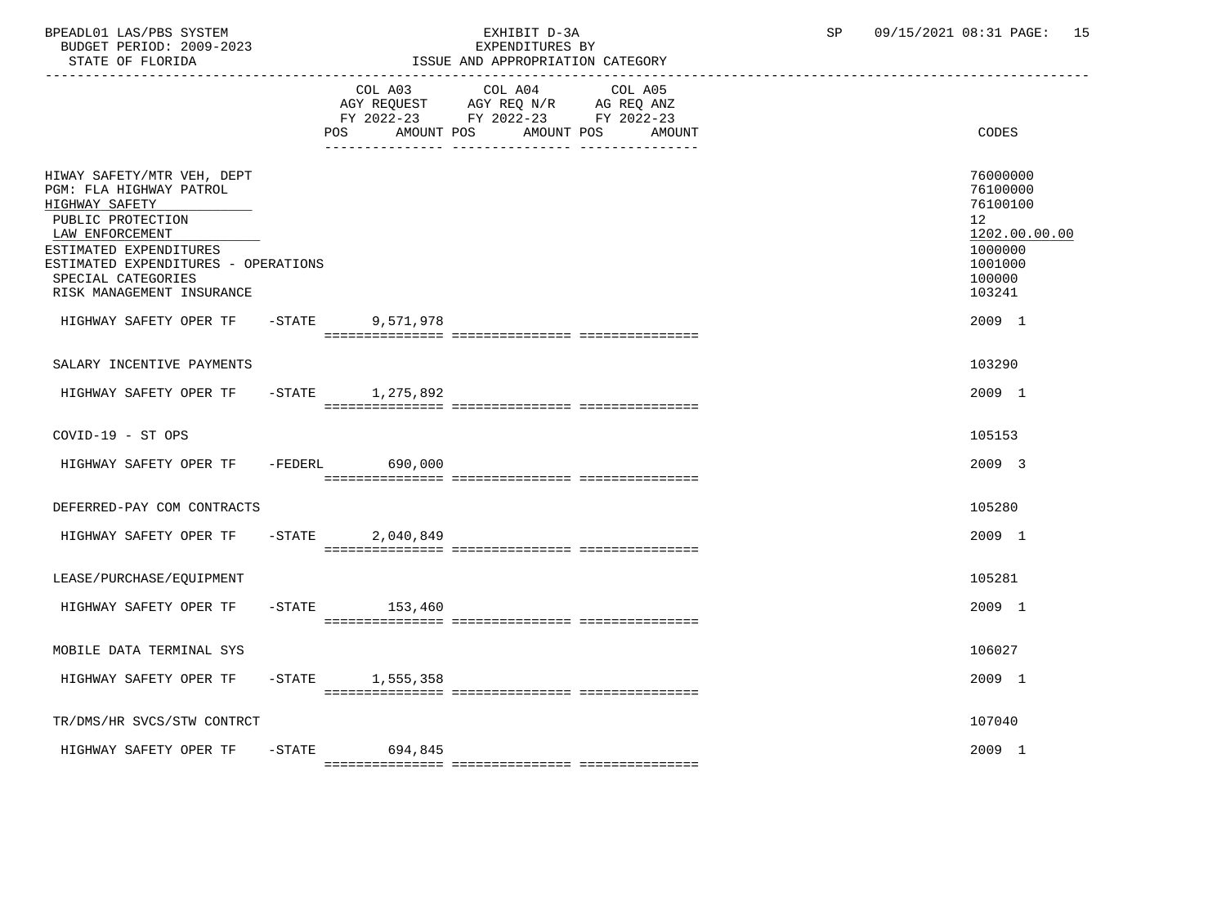BPEADL01 LAS/PBS SYSTEM EXHIBIT D-3A SP 09/15/2021 08:31 PAGE: 15 BUDGET PERIOD: 2009-2023<br>STATE OF FLORIDA

STATE OF FLORIDA ISSUE AND APPROPRIATION CATEGORY

|--|

|                                                                                                                                                                                                                                     |           | COL A03<br>POS<br>AMOUNT POS | COL A04<br>AGY REQUEST AGY REQ N/R AG REQ ANZ<br>FY 2022-23 FY 2022-23 FY 2022-23<br>AMOUNT POS<br>__ ________________ __________ | COL A05 | AMOUNT | <b>CODES</b>                                                                                                   |
|-------------------------------------------------------------------------------------------------------------------------------------------------------------------------------------------------------------------------------------|-----------|------------------------------|-----------------------------------------------------------------------------------------------------------------------------------|---------|--------|----------------------------------------------------------------------------------------------------------------|
| HIWAY SAFETY/MTR VEH, DEPT<br>PGM: FLA HIGHWAY PATROL<br>HIGHWAY SAFETY<br>PUBLIC PROTECTION<br>LAW ENFORCEMENT<br>ESTIMATED EXPENDITURES<br>ESTIMATED EXPENDITURES - OPERATIONS<br>SPECIAL CATEGORIES<br>RISK MANAGEMENT INSURANCE |           |                              |                                                                                                                                   |         |        | 76000000<br>76100000<br>76100100<br>12 <sup>°</sup><br>1202.00.00.00<br>1000000<br>1001000<br>100000<br>103241 |
| HIGHWAY SAFETY OPER TF - STATE                                                                                                                                                                                                      |           | 9,571,978                    |                                                                                                                                   |         |        | 2009 1                                                                                                         |
| SALARY INCENTIVE PAYMENTS                                                                                                                                                                                                           |           |                              |                                                                                                                                   |         |        | 103290                                                                                                         |
| HIGHWAY SAFETY OPER TF -STATE 1,275,892                                                                                                                                                                                             |           |                              |                                                                                                                                   |         |        | 2009 1                                                                                                         |
|                                                                                                                                                                                                                                     |           |                              |                                                                                                                                   |         |        |                                                                                                                |
| COVID-19 - ST OPS                                                                                                                                                                                                                   |           |                              |                                                                                                                                   |         |        | 105153                                                                                                         |
| HIGHWAY SAFETY OPER TF -FEDERL 690,000                                                                                                                                                                                              |           |                              |                                                                                                                                   |         |        | 2009 3                                                                                                         |
|                                                                                                                                                                                                                                     |           |                              |                                                                                                                                   |         |        |                                                                                                                |
| DEFERRED-PAY COM CONTRACTS                                                                                                                                                                                                          |           |                              |                                                                                                                                   |         |        | 105280                                                                                                         |
| HIGHWAY SAFETY OPER TF                                                                                                                                                                                                              | $-$ STATE | 2,040,849                    |                                                                                                                                   |         |        | 2009 1                                                                                                         |
| LEASE/PURCHASE/EQUIPMENT                                                                                                                                                                                                            |           |                              |                                                                                                                                   |         |        | 105281                                                                                                         |
| HIGHWAY SAFETY OPER TF                                                                                                                                                                                                              |           | $-STATE$ 153,460             |                                                                                                                                   |         |        | 2009 1                                                                                                         |
| MOBILE DATA TERMINAL SYS                                                                                                                                                                                                            |           |                              |                                                                                                                                   |         |        | 106027                                                                                                         |
| HIGHWAY SAFETY OPER TF                                                                                                                                                                                                              | $-$ STATE | 1,555,358                    |                                                                                                                                   |         |        | 2009 1                                                                                                         |
|                                                                                                                                                                                                                                     |           |                              |                                                                                                                                   |         |        |                                                                                                                |
| TR/DMS/HR SVCS/STW CONTRCT                                                                                                                                                                                                          |           |                              |                                                                                                                                   |         |        | 107040                                                                                                         |
| HIGHWAY SAFETY OPER TF                                                                                                                                                                                                              |           | -STATE 694,845               |                                                                                                                                   |         |        | 2009 1                                                                                                         |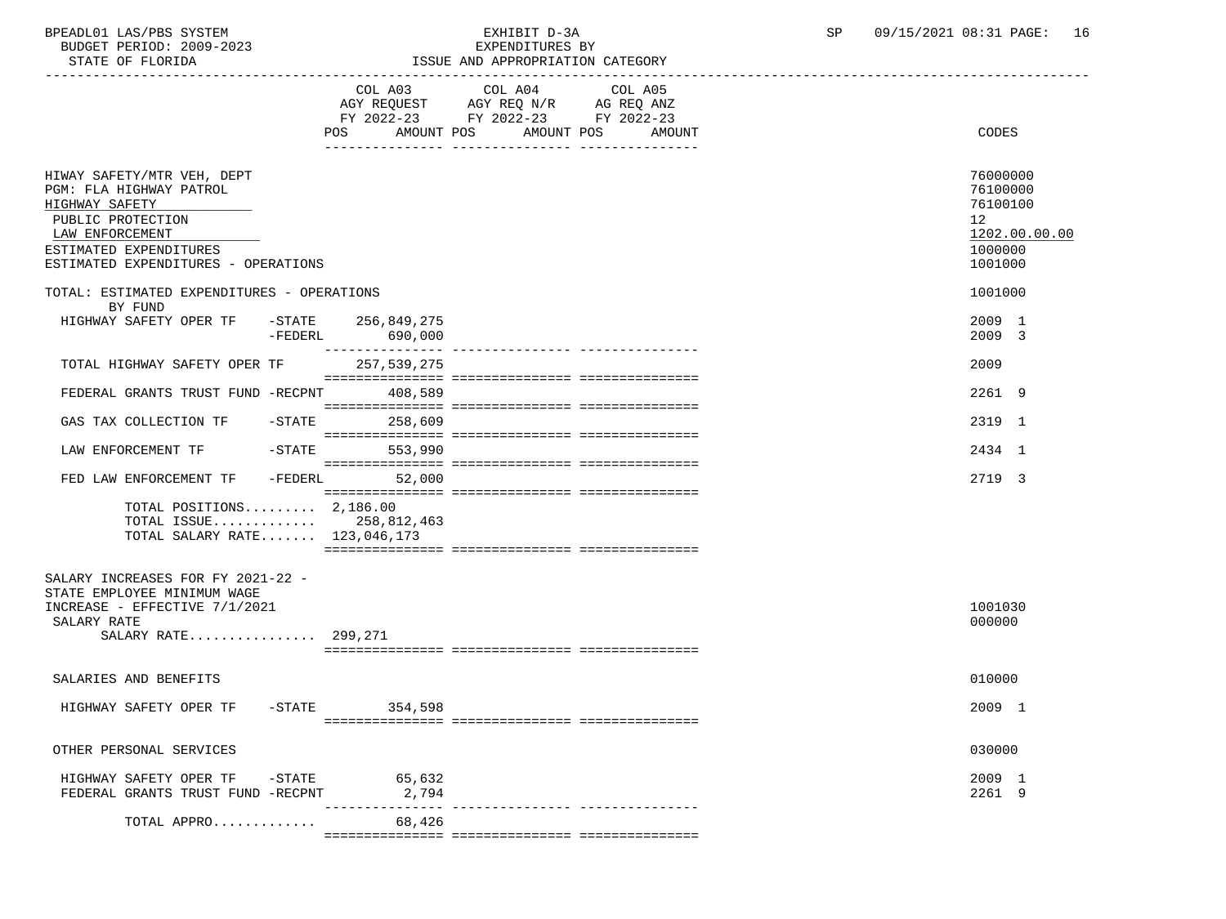BPEADL01 LAS/PBS SYSTEM EXHIBIT D-3A SP 09/15/2021 08:31 PAGE: 16 BUDGET PERIOD: 2009-2023<br>STATE OF FLORIDA

| STATE OF FLORIDA                                                                                                                                                                 |                                          | ISSUE AND APPROPRIATION CATEGORY                                                                                     |                                                                               |
|----------------------------------------------------------------------------------------------------------------------------------------------------------------------------------|------------------------------------------|----------------------------------------------------------------------------------------------------------------------|-------------------------------------------------------------------------------|
|                                                                                                                                                                                  | COL A03<br>AMOUNT POS<br>POS             | COL A04<br>COL A05<br>AGY REQUEST AGY REQ N/R AG REQ ANZ<br>FY 2022-23 FY 2022-23 FY 2022-23<br>AMOUNT POS<br>AMOUNT | CODES                                                                         |
| HIWAY SAFETY/MTR VEH, DEPT<br>PGM: FLA HIGHWAY PATROL<br>HIGHWAY SAFETY<br>PUBLIC PROTECTION<br>LAW ENFORCEMENT<br>ESTIMATED EXPENDITURES<br>ESTIMATED EXPENDITURES - OPERATIONS |                                          |                                                                                                                      | 76000000<br>76100000<br>76100100<br>12<br>1202.00.00.00<br>1000000<br>1001000 |
| TOTAL: ESTIMATED EXPENDITURES - OPERATIONS<br>BY FUND                                                                                                                            |                                          |                                                                                                                      | 1001000                                                                       |
| HIGHWAY SAFETY OPER TF                                                                                                                                                           | -STATE 256,849,275<br>-FEDERL<br>690,000 |                                                                                                                      | 2009 1<br>2009 3                                                              |
| TOTAL HIGHWAY SAFETY OPER TF                                                                                                                                                     | ________________<br>257,539,275          | ---------------- ----------------                                                                                    | 2009                                                                          |
| FEDERAL GRANTS TRUST FUND -RECPNT                                                                                                                                                | 408,589                                  |                                                                                                                      | 2261 9                                                                        |
| GAS TAX COLLECTION TF - STATE                                                                                                                                                    | 258,609                                  |                                                                                                                      | 2319 1                                                                        |
| LAW ENFORCEMENT TF                                                                                                                                                               | -STATE<br>553,990                        |                                                                                                                      | 2434 1                                                                        |
| FED LAW ENFORCEMENT TF                                                                                                                                                           | -FEDERL<br>52,000                        |                                                                                                                      | 2719 3                                                                        |
| TOTAL POSITIONS 2,186.00<br>TOTAL ISSUE 258,812,463<br>TOTAL SALARY RATE 123,046,173                                                                                             |                                          |                                                                                                                      |                                                                               |
| SALARY INCREASES FOR FY 2021-22 -<br>STATE EMPLOYEE MINIMUM WAGE<br>INCREASE - EFFECTIVE 7/1/2021<br>SALARY RATE<br>SALARY RATE 299,271                                          |                                          |                                                                                                                      | 1001030<br>000000                                                             |
| SALARIES AND BENEFITS                                                                                                                                                            |                                          |                                                                                                                      | 010000                                                                        |
| HIGHWAY SAFETY OPER TF -STATE 354,598                                                                                                                                            |                                          |                                                                                                                      | 2009 1                                                                        |
| OTHER PERSONAL SERVICES                                                                                                                                                          |                                          |                                                                                                                      | 030000                                                                        |
| HIGHWAY SAFETY OPER TF -STATE<br>FEDERAL GRANTS TRUST FUND -RECPNT                                                                                                               | 65,632<br>2,794                          |                                                                                                                      | 2009 1<br>2261 9                                                              |
| TOTAL APPRO                                                                                                                                                                      | 68,426                                   |                                                                                                                      |                                                                               |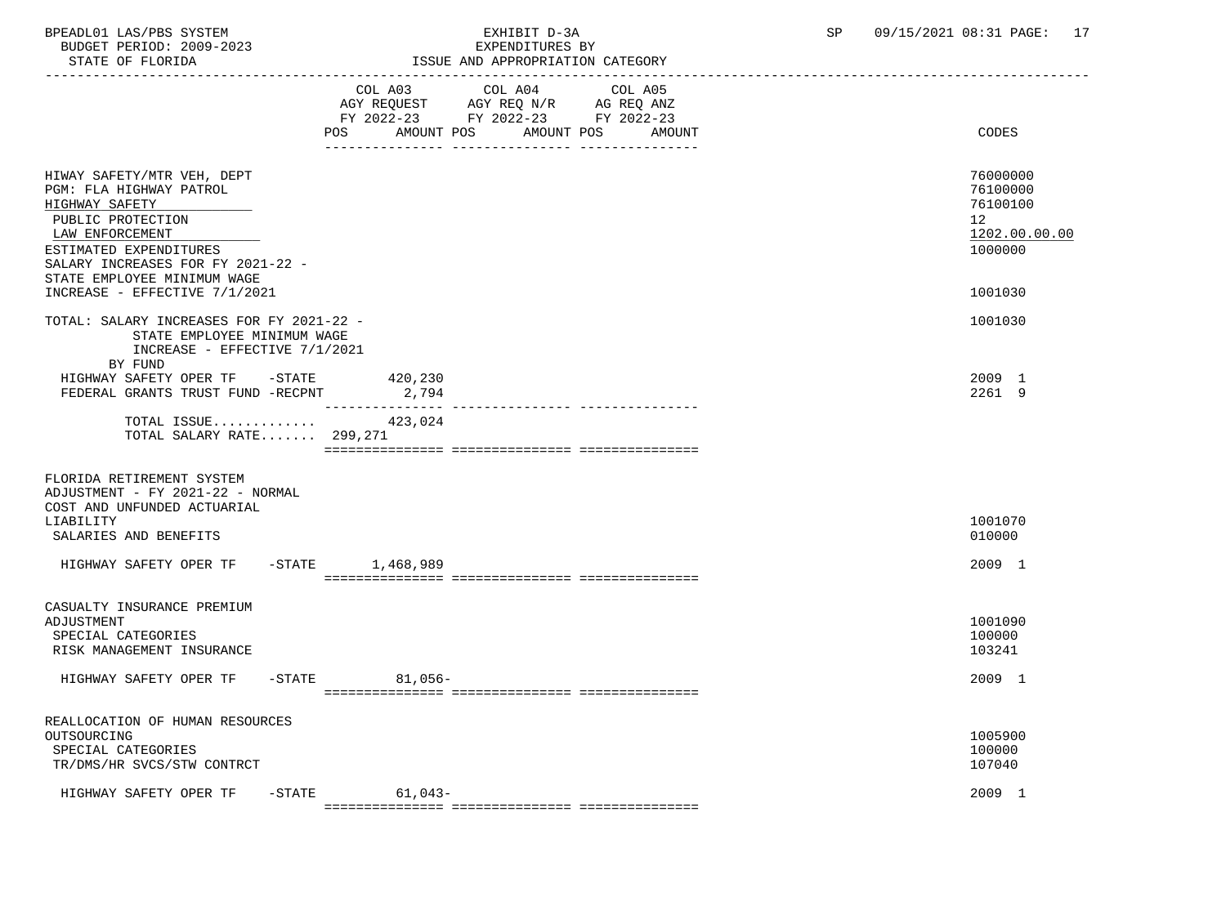BUDGET PERIOD: 2009-2023<br>STATE OF FLORIDA

## BPEADL01 LAS/PBS SYSTEM EXHIBIT D-3A SP 09/15/2021 08:31 PAGE: 17

| STATE OF FLORIDA                                                                                                                                                                                                                               |                                                                                                                           | ISSUE AND APPROPRIATION CATEGORY                                                                                             |                                                                               |
|------------------------------------------------------------------------------------------------------------------------------------------------------------------------------------------------------------------------------------------------|---------------------------------------------------------------------------------------------------------------------------|------------------------------------------------------------------------------------------------------------------------------|-------------------------------------------------------------------------------|
|                                                                                                                                                                                                                                                | COL A03<br>POS FOR THE POST OF THE STATE STATE STATE STATE STATE STATE STATE STATE STATE STATE STATE STATE STATE STATE ST | COL A04<br>COL A05<br>AGY REQUEST AGY REQ N/R AG REQ ANZ<br>FY 2022-23 FY 2022-23 FY 2022-23<br>AMOUNT POS AMOUNT POS AMOUNT | CODES                                                                         |
| HIWAY SAFETY/MTR VEH, DEPT<br>PGM: FLA HIGHWAY PATROL<br>HIGHWAY SAFETY<br>PUBLIC PROTECTION<br>LAW ENFORCEMENT<br>ESTIMATED EXPENDITURES<br>SALARY INCREASES FOR FY 2021-22 -<br>STATE EMPLOYEE MINIMUM WAGE<br>INCREASE - EFFECTIVE 7/1/2021 |                                                                                                                           |                                                                                                                              | 76000000<br>76100000<br>76100100<br>12<br>1202.00.00.00<br>1000000<br>1001030 |
| TOTAL: SALARY INCREASES FOR FY 2021-22 -<br>STATE EMPLOYEE MINIMUM WAGE<br>INCREASE - EFFECTIVE 7/1/2021<br>BY FUND<br>HIGHWAY SAFETY OPER TF -STATE 420,230<br>FEDERAL GRANTS TRUST FUND -RECPNT                                              | 2,794                                                                                                                     |                                                                                                                              | 1001030<br>2009 1<br>2261 9                                                   |
| TOTAL ISSUE<br>TOTAL SALARY RATE 299,271                                                                                                                                                                                                       | 423,024                                                                                                                   | _____________ ________________                                                                                               |                                                                               |
| FLORIDA RETIREMENT SYSTEM<br>ADJUSTMENT - FY 2021-22 - NORMAL<br>COST AND UNFUNDED ACTUARIAL<br>LIABILITY<br>SALARIES AND BENEFITS                                                                                                             |                                                                                                                           |                                                                                                                              | 1001070<br>010000                                                             |
| HIGHWAY SAFETY OPER TF -STATE 1,468,989                                                                                                                                                                                                        |                                                                                                                           |                                                                                                                              | 2009 1                                                                        |
| CASUALTY INSURANCE PREMIUM<br>ADJUSTMENT<br>SPECIAL CATEGORIES<br>RISK MANAGEMENT INSURANCE                                                                                                                                                    |                                                                                                                           |                                                                                                                              | 1001090<br>100000<br>103241                                                   |
| HIGHWAY SAFETY OPER TF                                                                                                                                                                                                                         | $-STATE$<br>81,056-                                                                                                       |                                                                                                                              | 2009 1                                                                        |
| REALLOCATION OF HUMAN RESOURCES<br>OUTSOURCING<br>SPECIAL CATEGORIES<br>TR/DMS/HR SVCS/STW CONTRCT                                                                                                                                             |                                                                                                                           |                                                                                                                              | 1005900<br>100000<br>107040                                                   |
| HIGHWAY SAFETY OPER TF -STATE                                                                                                                                                                                                                  | 61,043-                                                                                                                   |                                                                                                                              | 2009 1                                                                        |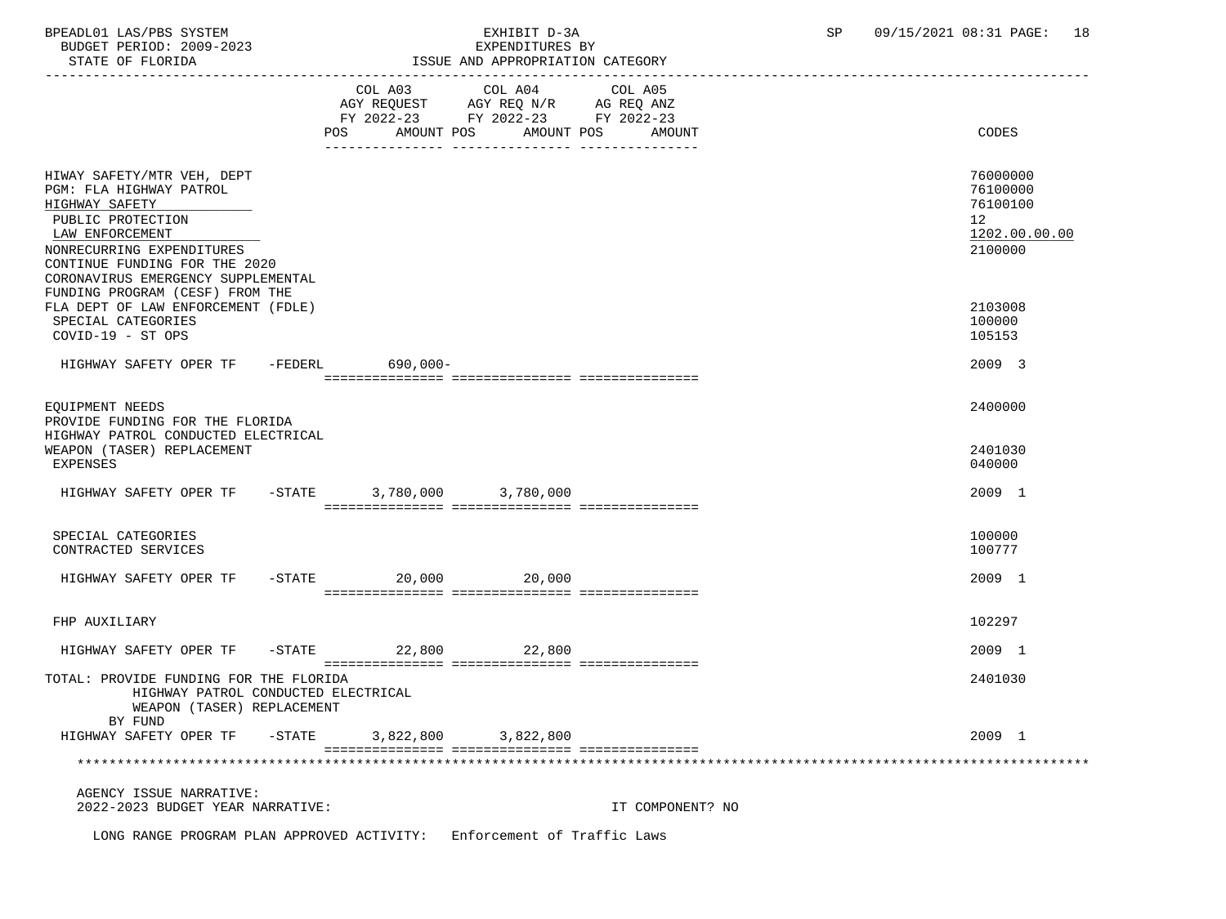BPEADL01 LAS/PBS SYSTEM EXHIBIT D-3A SP 09/15/2021 08:31 PAGE: 18 BUDGET PERIOD: 2009-2023<br>STATE OF FLORIDA

# ISSUE AND APPROPRIATION CATEGORY

|                                                                                                                                                                                                                     | COL A03           | COL A04 COL A05<br>AGY REQUEST AGY REQ N/R AG REQ ANZ<br>FY 2022-23 FY 2022-23 FY 2022-23 |                  |                                                                    |
|---------------------------------------------------------------------------------------------------------------------------------------------------------------------------------------------------------------------|-------------------|-------------------------------------------------------------------------------------------|------------------|--------------------------------------------------------------------|
|                                                                                                                                                                                                                     | AMOUNT POS<br>POS | AMOUNT POS                                                                                | AMOUNT           | CODES                                                              |
| HIWAY SAFETY/MTR VEH, DEPT<br>PGM: FLA HIGHWAY PATROL<br>HIGHWAY SAFETY<br>PUBLIC PROTECTION<br>LAW ENFORCEMENT<br>NONRECURRING EXPENDITURES<br>CONTINUE FUNDING FOR THE 2020<br>CORONAVIRUS EMERGENCY SUPPLEMENTAL |                   |                                                                                           |                  | 76000000<br>76100000<br>76100100<br>12<br>1202.00.00.00<br>2100000 |
| FUNDING PROGRAM (CESF) FROM THE<br>FLA DEPT OF LAW ENFORCEMENT (FDLE)<br>SPECIAL CATEGORIES<br>COVID-19 - ST OPS                                                                                                    |                   |                                                                                           |                  | 2103008<br>100000<br>105153                                        |
| HIGHWAY SAFETY OPER TF -FEDERL 690,000-                                                                                                                                                                             |                   |                                                                                           |                  | 2009 3                                                             |
| EOUIPMENT NEEDS<br>PROVIDE FUNDING FOR THE FLORIDA<br>HIGHWAY PATROL CONDUCTED ELECTRICAL<br>WEAPON (TASER) REPLACEMENT<br><b>EXPENSES</b>                                                                          |                   |                                                                                           |                  | 2400000<br>2401030<br>040000                                       |
| HIGHWAY SAFETY OPER TF                                                                                                                                                                                              | $-STATE$          | 3,780,000 3,780,000                                                                       |                  | 2009 1                                                             |
| SPECIAL CATEGORIES<br>CONTRACTED SERVICES                                                                                                                                                                           |                   |                                                                                           |                  | 100000<br>100777                                                   |
| HIGHWAY SAFETY OPER TF -STATE 20,000 20,000                                                                                                                                                                         |                   |                                                                                           |                  | 2009 1                                                             |
| FHP AUXILIARY                                                                                                                                                                                                       |                   |                                                                                           |                  | 102297                                                             |
| HIGHWAY SAFETY OPER TF                                                                                                                                                                                              | $-STATE$ 22,800   | 22,800                                                                                    |                  | 2009 1                                                             |
| TOTAL: PROVIDE FUNDING FOR THE FLORIDA<br>HIGHWAY PATROL CONDUCTED ELECTRICAL<br>WEAPON (TASER) REPLACEMENT<br>BY FUND                                                                                              |                   |                                                                                           |                  | 2401030                                                            |
| HIGHWAY SAFETY OPER TF - STATE                                                                                                                                                                                      |                   | 3,822,800 3,822,800                                                                       |                  | 2009 1                                                             |
|                                                                                                                                                                                                                     |                   |                                                                                           |                  |                                                                    |
| AGENCY ISSUE NARRATIVE:<br>2022-2023 BUDGET YEAR NARRATIVE:                                                                                                                                                         |                   |                                                                                           | IT COMPONENT? NO |                                                                    |
|                                                                                                                                                                                                                     |                   |                                                                                           |                  |                                                                    |

LONG RANGE PROGRAM PLAN APPROVED ACTIVITY: Enforcement of Traffic Laws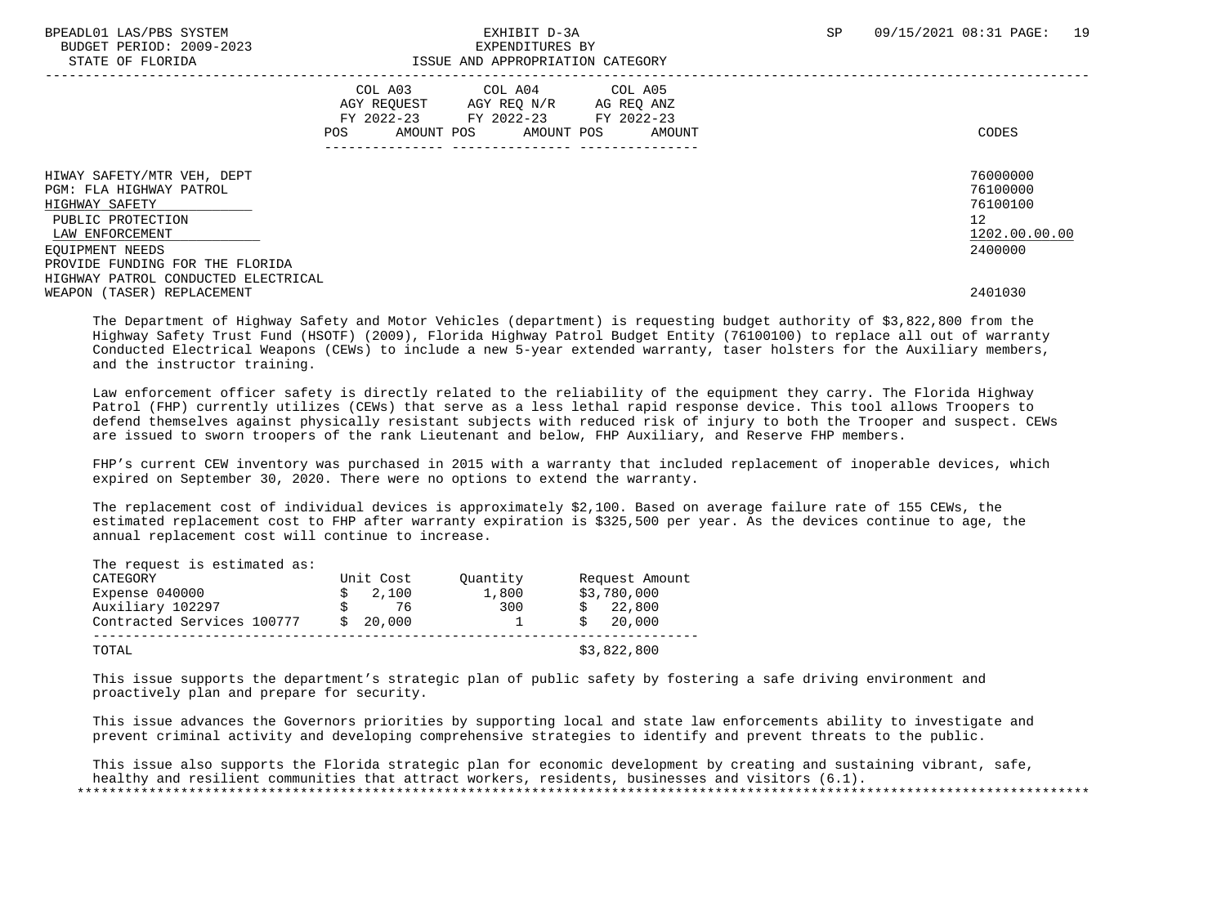## BPEADL01 LAS/PBS SYSTEM SALL THE SEXHIBIT D-3A SP 09/15/2021 08:31 PAGE: 19 STATE OF FLORIDA **ISSUE AND APPROPRIATION CATEGORY**

|                                                                                                                                    | COL A03<br>AGY REQUEST<br>FY 2022-23<br>AMOUNT POS<br>POS | COL A04<br>AGY REQ N/R<br>FY 2022-23<br>AMOUNT POS | COL A05<br>AG REQ ANZ<br>FY 2022-23<br>AMOUNT | CODES                                                              |
|------------------------------------------------------------------------------------------------------------------------------------|-----------------------------------------------------------|----------------------------------------------------|-----------------------------------------------|--------------------------------------------------------------------|
| HIWAY SAFETY/MTR VEH, DEPT<br>PGM: FLA HIGHWAY PATROL<br>HIGHWAY SAFETY<br>PUBLIC PROTECTION<br>LAW ENFORCEMENT<br>EOUIPMENT NEEDS |                                                           |                                                    |                                               | 76000000<br>76100000<br>76100100<br>12<br>1202.00.00.00<br>2400000 |
| PROVIDE FUNDING FOR THE FLORIDA<br>HIGHWAY PATROL CONDUCTED ELECTRICAL<br>WEAPON (TASER) REPLACEMENT                               |                                                           |                                                    |                                               | 2401030                                                            |

 The Department of Highway Safety and Motor Vehicles (department) is requesting budget authority of \$3,822,800 from the Highway Safety Trust Fund (HSOTF) (2009), Florida Highway Patrol Budget Entity (76100100) to replace all out of warranty Conducted Electrical Weapons (CEWs) to include a new 5-year extended warranty, taser holsters for the Auxiliary members, and the instructor training.

 Law enforcement officer safety is directly related to the reliability of the equipment they carry. The Florida Highway Patrol (FHP) currently utilizes (CEWs) that serve as a less lethal rapid response device. This tool allows Troopers to defend themselves against physically resistant subjects with reduced risk of injury to both the Trooper and suspect. CEWs are issued to sworn troopers of the rank Lieutenant and below, FHP Auxiliary, and Reserve FHP members.

 FHP's current CEW inventory was purchased in 2015 with a warranty that included replacement of inoperable devices, which expired on September 30, 2020. There were no options to extend the warranty.

 The replacement cost of individual devices is approximately \$2,100. Based on average failure rate of 155 CEWs, the estimated replacement cost to FHP after warranty expiration is \$325,500 per year. As the devices continue to age, the annual replacement cost will continue to increase.

| CATEGORY                   | Unit Cost | Ouantity | Request Amount |
|----------------------------|-----------|----------|----------------|
| Expense 040000             | 2,100     | 1,800    | \$3,780,000    |
| Auxiliary 102297           | 76        | 300      | 22,800         |
| Contracted Services 100777 | 20,000    |          | 20,000         |

 This issue supports the department's strategic plan of public safety by fostering a safe driving environment and proactively plan and prepare for security.

 This issue advances the Governors priorities by supporting local and state law enforcements ability to investigate and prevent criminal activity and developing comprehensive strategies to identify and prevent threats to the public.

 This issue also supports the Florida strategic plan for economic development by creating and sustaining vibrant, safe, healthy and resilient communities that attract workers, residents, businesses and visitors (6.1). \*\*\*\*\*\*\*\*\*\*\*\*\*\*\*\*\*\*\*\*\*\*\*\*\*\*\*\*\*\*\*\*\*\*\*\*\*\*\*\*\*\*\*\*\*\*\*\*\*\*\*\*\*\*\*\*\*\*\*\*\*\*\*\*\*\*\*\*\*\*\*\*\*\*\*\*\*\*\*\*\*\*\*\*\*\*\*\*\*\*\*\*\*\*\*\*\*\*\*\*\*\*\*\*\*\*\*\*\*\*\*\*\*\*\*\*\*\*\*\*\*\*\*\*\*\*\*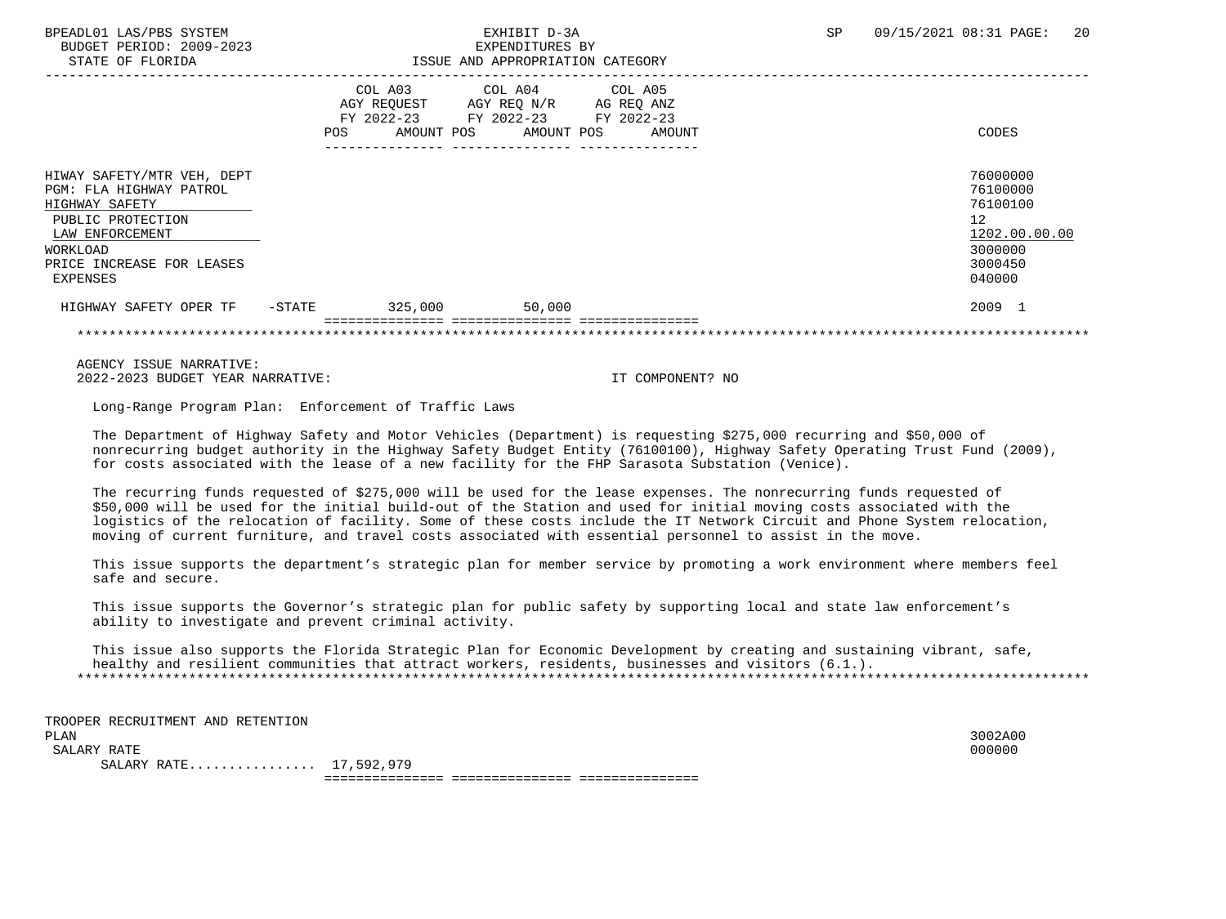BUDGET PERIOD: 2009-2023 EXPENDITURES BY STATE OF FLORIDA **ISSUE AND APPROPRIATION CATEGORY** 

|                                                                                                                                                                      | POS    | COL A03<br>AGY REQUEST<br>$FY$ 2022-23<br>AMOUNT POS | COL A04 COL A05<br>AGY REQ N/R<br>FY 2022-23 FY 2022-23<br>AMOUNT POS | AG REQ ANZ<br>AMOUNT | CODES                                                                                   |
|----------------------------------------------------------------------------------------------------------------------------------------------------------------------|--------|------------------------------------------------------|-----------------------------------------------------------------------|----------------------|-----------------------------------------------------------------------------------------|
| HIWAY SAFETY/MTR VEH, DEPT<br>PGM: FLA HIGHWAY PATROL<br>HIGHWAY SAFETY<br>PUBLIC PROTECTION<br>LAW ENFORCEMENT<br>WORKLOAD<br>PRICE INCREASE FOR LEASES<br>EXPENSES |        |                                                      |                                                                       |                      | 76000000<br>76100000<br>76100100<br>12<br>1202.00.00.00<br>3000000<br>3000450<br>040000 |
| HIGHWAY SAFETY OPER TF                                                                                                                                               | -STATE | 325,000                                              | 50,000                                                                |                      | 2009 1                                                                                  |
|                                                                                                                                                                      |        |                                                      |                                                                       |                      |                                                                                         |

 AGENCY ISSUE NARRATIVE: 2022-2023 BUDGET YEAR NARRATIVE: IT COMPONENT? NO

Long-Range Program Plan: Enforcement of Traffic Laws

 The Department of Highway Safety and Motor Vehicles (Department) is requesting \$275,000 recurring and \$50,000 of nonrecurring budget authority in the Highway Safety Budget Entity (76100100), Highway Safety Operating Trust Fund (2009), for costs associated with the lease of a new facility for the FHP Sarasota Substation (Venice).

 The recurring funds requested of \$275,000 will be used for the lease expenses. The nonrecurring funds requested of \$50,000 will be used for the initial build-out of the Station and used for initial moving costs associated with the logistics of the relocation of facility. Some of these costs include the IT Network Circuit and Phone System relocation, moving of current furniture, and travel costs associated with essential personnel to assist in the move.

 This issue supports the department's strategic plan for member service by promoting a work environment where members feel safe and secure.

 This issue supports the Governor's strategic plan for public safety by supporting local and state law enforcement's ability to investigate and prevent criminal activity.

 This issue also supports the Florida Strategic Plan for Economic Development by creating and sustaining vibrant, safe, healthy and resilient communities that attract workers, residents, businesses and visitors (6.1.). \*\*\*\*\*\*\*\*\*\*\*\*\*\*\*\*\*\*\*\*\*\*\*\*\*\*\*\*\*\*\*\*\*\*\*\*\*\*\*\*\*\*\*\*\*\*\*\*\*\*\*\*\*\*\*\*\*\*\*\*\*\*\*\*\*\*\*\*\*\*\*\*\*\*\*\*\*\*\*\*\*\*\*\*\*\*\*\*\*\*\*\*\*\*\*\*\*\*\*\*\*\*\*\*\*\*\*\*\*\*\*\*\*\*\*\*\*\*\*\*\*\*\*\*\*\*\*

 TROOPER RECRUITMENT AND RETENTION PLAN 3002A00  $\texttt{SALARY RATE}$  . The contract of the contract of the contract of the contract of the contract of the contract of the contract of the contract of the contract of the contract of the contract of the contract of the contract o SALARY RATE................ 17,592,979 =============== =============== ===============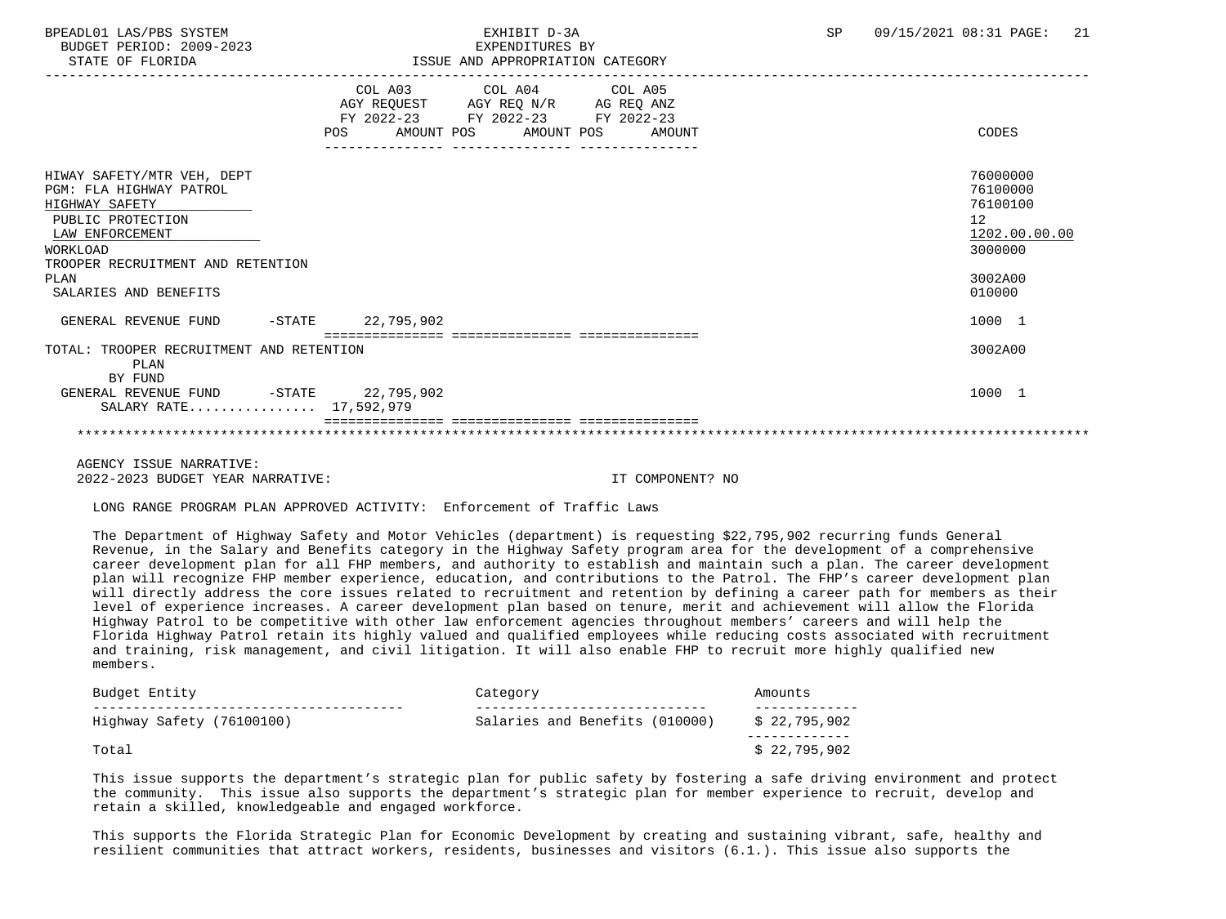BUDGET PERIOD: 2009-2023 EXPENDITURES BY STATE OF FLORIDA **ISSUE AND APPROPRIATION CATEGORY** 

|                                                                                                                             | COL A03<br>AGY REQUEST AGY REQ N/R AG REQ ANZ<br>POS   | COL A04 COL A05<br>FY 2022-23 FY 2022-23 FY 2022-23<br>AMOUNT POS AMOUNT POS |  | AMOUNT | CODES                                                              |
|-----------------------------------------------------------------------------------------------------------------------------|--------------------------------------------------------|------------------------------------------------------------------------------|--|--------|--------------------------------------------------------------------|
| HIWAY SAFETY/MTR VEH, DEPT<br>PGM: FLA HIGHWAY PATROL<br>HIGHWAY SAFETY<br>PUBLIC PROTECTION<br>LAW ENFORCEMENT<br>WORKLOAD |                                                        |                                                                              |  |        | 76000000<br>76100000<br>76100100<br>12<br>1202.00.00.00<br>3000000 |
| TROOPER RECRUITMENT AND RETENTION<br>PLAN<br>SALARIES AND BENEFITS                                                          |                                                        |                                                                              |  |        | 3002A00<br>010000                                                  |
| GENERAL REVENUE FUND                                                                                                        | -STATE 22,795,902<br>================================= |                                                                              |  |        | 1000 1                                                             |
| TOTAL: TROOPER RECRUITMENT AND RETENTION<br>PLAN<br>BY FUND                                                                 |                                                        |                                                                              |  |        | 3002A00                                                            |
| GENERAL REVENUE FUND -STATE 22,795,902<br>SALARY RATE 17,592,979                                                            |                                                        |                                                                              |  |        | 1000 1                                                             |
|                                                                                                                             |                                                        |                                                                              |  |        |                                                                    |
|                                                                                                                             |                                                        |                                                                              |  |        |                                                                    |

 AGENCY ISSUE NARRATIVE: 2022-2023 BUDGET YEAR NARRATIVE: IT COMPONENT? NO

LONG RANGE PROGRAM PLAN APPROVED ACTIVITY: Enforcement of Traffic Laws

 The Department of Highway Safety and Motor Vehicles (department) is requesting \$22,795,902 recurring funds General Revenue, in the Salary and Benefits category in the Highway Safety program area for the development of a comprehensive career development plan for all FHP members, and authority to establish and maintain such a plan. The career development plan will recognize FHP member experience, education, and contributions to the Patrol. The FHP's career development plan will directly address the core issues related to recruitment and retention by defining a career path for members as their level of experience increases. A career development plan based on tenure, merit and achievement will allow the Florida Highway Patrol to be competitive with other law enforcement agencies throughout members' careers and will help the Florida Highway Patrol retain its highly valued and qualified employees while reducing costs associated with recruitment and training, risk management, and civil litigation. It will also enable FHP to recruit more highly qualified new members.

| Budget Entity             | Category                       | Amounts      |
|---------------------------|--------------------------------|--------------|
| Highway Safety (76100100) | Salaries and Benefits (010000) | \$22,795,902 |
| Total                     |                                | \$22,795,902 |

 This issue supports the department's strategic plan for public safety by fostering a safe driving environment and protect the community. This issue also supports the department's strategic plan for member experience to recruit, develop and retain a skilled, knowledgeable and engaged workforce.

 This supports the Florida Strategic Plan for Economic Development by creating and sustaining vibrant, safe, healthy and resilient communities that attract workers, residents, businesses and visitors (6.1.). This issue also supports the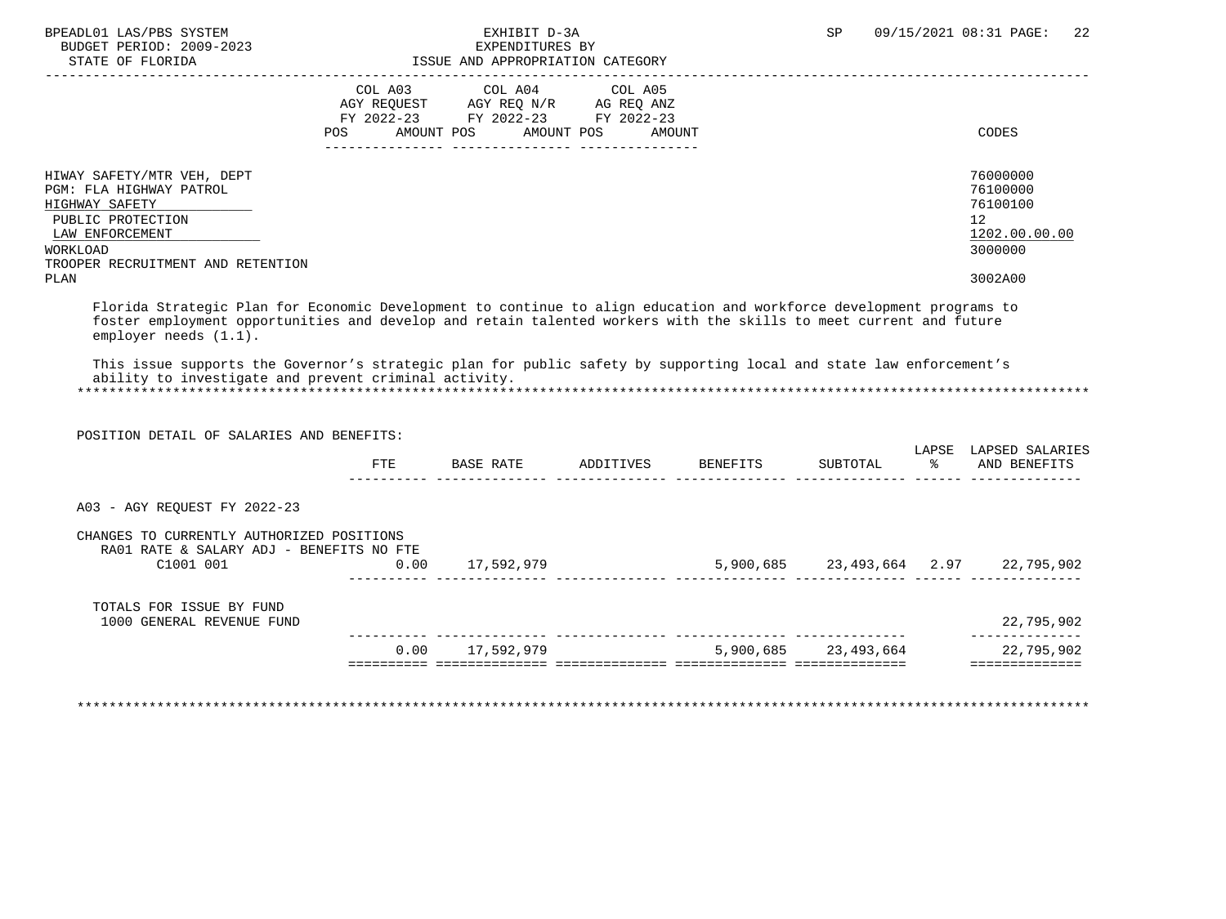| BPEADL01 LAS/PBS SYSTEM<br>BUDGET PERIOD: 2009-2023<br>STATE OF FLORIDA                                                                                                                                                                                                                                                                                                                                                                                                                          |                    | EXHIBIT D-3A<br>EXPENDITURES BY<br>ISSUE AND APPROPRIATION CATEGORY                                               |         | SP. | 09/15/2021 08:31 PAGE:<br>22                                                               |
|--------------------------------------------------------------------------------------------------------------------------------------------------------------------------------------------------------------------------------------------------------------------------------------------------------------------------------------------------------------------------------------------------------------------------------------------------------------------------------------------------|--------------------|-------------------------------------------------------------------------------------------------------------------|---------|-----|--------------------------------------------------------------------------------------------|
|                                                                                                                                                                                                                                                                                                                                                                                                                                                                                                  | COL A03<br>POS FOR | COL A04<br>AGY REQUEST AGY REQ N/R AG REQ ANZ<br>FY 2022-23 FY 2022-23 FY 2022-23<br>AMOUNT POS AMOUNT POS AMOUNT | COL A05 |     | CODES                                                                                      |
| HIWAY SAFETY/MTR VEH, DEPT<br>PGM: FLA HIGHWAY PATROL<br>HIGHWAY SAFETY<br>PUBLIC PROTECTION<br>LAW ENFORCEMENT<br>WORKLOAD<br>TROOPER RECRUITMENT AND RETENTION<br>PLAN                                                                                                                                                                                                                                                                                                                         |                    |                                                                                                                   |         |     | 76000000<br>76100000<br>76100100<br>12 <sup>°</sup><br>1202.00.00.00<br>3000000<br>3002A00 |
|                                                                                                                                                                                                                                                                                                                                                                                                                                                                                                  |                    |                                                                                                                   |         |     |                                                                                            |
| Florida Strategic Plan for Economic Development to continue to align education and workforce development programs to<br>foster employment opportunities and develop and retain talented workers with the skills to meet current and future<br>employer needs (1.1).<br>This issue supports the Governor's strategic plan for public safety by supporting local and state law enforcement's<br>ability to investigate and prevent criminal activity.<br>POSITION DETAIL OF SALARIES AND BENEFITS: |                    |                                                                                                                   |         |     | LAPSE LAPSED SALARIES                                                                      |
|                                                                                                                                                                                                                                                                                                                                                                                                                                                                                                  |                    | FTE BASE RATE ADDITIVES BENEFITS                                                                                  |         |     | SUBTOTAL % AND BENEFITS                                                                    |
| A03 - AGY REOUEST FY 2022-23                                                                                                                                                                                                                                                                                                                                                                                                                                                                     |                    |                                                                                                                   |         |     |                                                                                            |
| CHANGES TO CURRENTLY AUTHORIZED POSITIONS<br>RA01 RATE & SALARY ADJ - BENEFITS NO FTE<br>C1001 001                                                                                                                                                                                                                                                                                                                                                                                               |                    | 0.00 17,592,979                                                                                                   |         |     | 5,900,685 23,493,664 2.97 22,795,902                                                       |
| TOTALS FOR ISSUE BY FUND<br>1000 GENERAL REVENUE FUND                                                                                                                                                                                                                                                                                                                                                                                                                                            |                    |                                                                                                                   |         |     | 22,795,902<br>______________                                                               |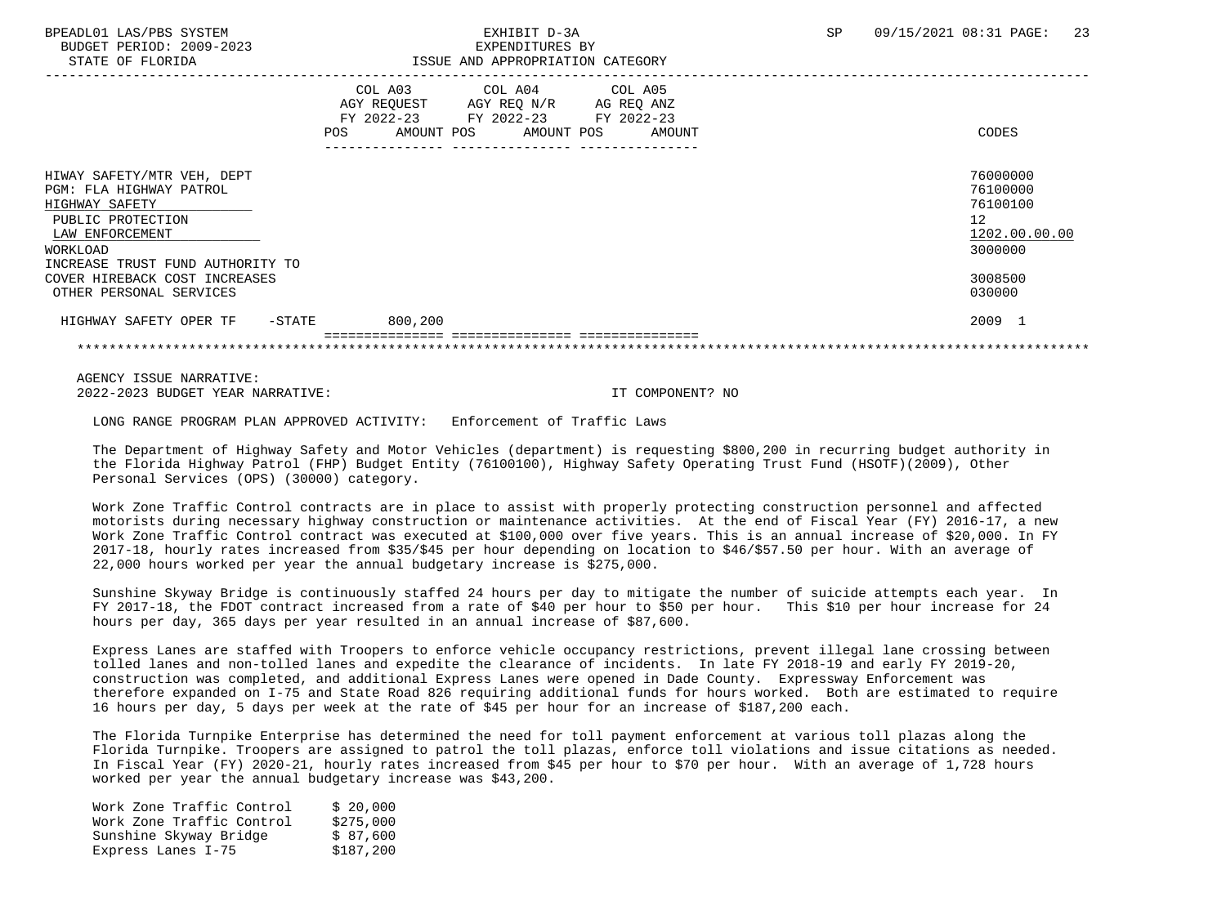# STATE OF FLORIDA ISSUE AND APPROPRIATION CATEGORY

| COL A03<br>AGY REOUEST<br>FY 2022-23<br><b>POS</b> | COL A04<br>AGY REQ N/R<br>FY 2022-23 | COL A05<br>AG REQ ANZ<br>FY 2022-23<br>AMOUNT | CODES                                                              |
|----------------------------------------------------|--------------------------------------|-----------------------------------------------|--------------------------------------------------------------------|
|                                                    |                                      |                                               | 76000000<br>76100000<br>76100100<br>12<br>1202.00.00.00<br>3000000 |
|                                                    |                                      |                                               | 3008500<br>030000                                                  |
| 800,200<br>$-$ STATE                               |                                      |                                               | 2009 1                                                             |
|                                                    |                                      | AMOUNT POS                                    | AMOUNT POS                                                         |

 AGENCY ISSUE NARRATIVE: 2022-2023 BUDGET YEAR NARRATIVE: IT COMPONENT? NO

LONG RANGE PROGRAM PLAN APPROVED ACTIVITY: Enforcement of Traffic Laws

 The Department of Highway Safety and Motor Vehicles (department) is requesting \$800,200 in recurring budget authority in the Florida Highway Patrol (FHP) Budget Entity (76100100), Highway Safety Operating Trust Fund (HSOTF)(2009), Other Personal Services (OPS) (30000) category.

 Work Zone Traffic Control contracts are in place to assist with properly protecting construction personnel and affected motorists during necessary highway construction or maintenance activities. At the end of Fiscal Year (FY) 2016-17, a new Work Zone Traffic Control contract was executed at \$100,000 over five years. This is an annual increase of \$20,000. In FY 2017-18, hourly rates increased from \$35/\$45 per hour depending on location to \$46/\$57.50 per hour. With an average of 22,000 hours worked per year the annual budgetary increase is \$275,000.

 Sunshine Skyway Bridge is continuously staffed 24 hours per day to mitigate the number of suicide attempts each year. In FY 2017-18, the FDOT contract increased from a rate of \$40 per hour to \$50 per hour. This \$10 per hour increase for 24 hours per day, 365 days per year resulted in an annual increase of \$87,600.

 Express Lanes are staffed with Troopers to enforce vehicle occupancy restrictions, prevent illegal lane crossing between tolled lanes and non-tolled lanes and expedite the clearance of incidents. In late FY 2018-19 and early FY 2019-20, construction was completed, and additional Express Lanes were opened in Dade County. Expressway Enforcement was therefore expanded on I-75 and State Road 826 requiring additional funds for hours worked. Both are estimated to require 16 hours per day, 5 days per week at the rate of \$45 per hour for an increase of \$187,200 each.

 The Florida Turnpike Enterprise has determined the need for toll payment enforcement at various toll plazas along the Florida Turnpike. Troopers are assigned to patrol the toll plazas, enforce toll violations and issue citations as needed. In Fiscal Year (FY) 2020-21, hourly rates increased from \$45 per hour to \$70 per hour. With an average of 1,728 hours worked per year the annual budgetary increase was \$43,200.

| Work Zone Traffic Control | \$20.000  |
|---------------------------|-----------|
| Work Zone Traffic Control | \$275.000 |
| Sunshine Skyway Bridge    | \$ 87,600 |
| Express Lanes I-75        | \$187,200 |
|                           |           |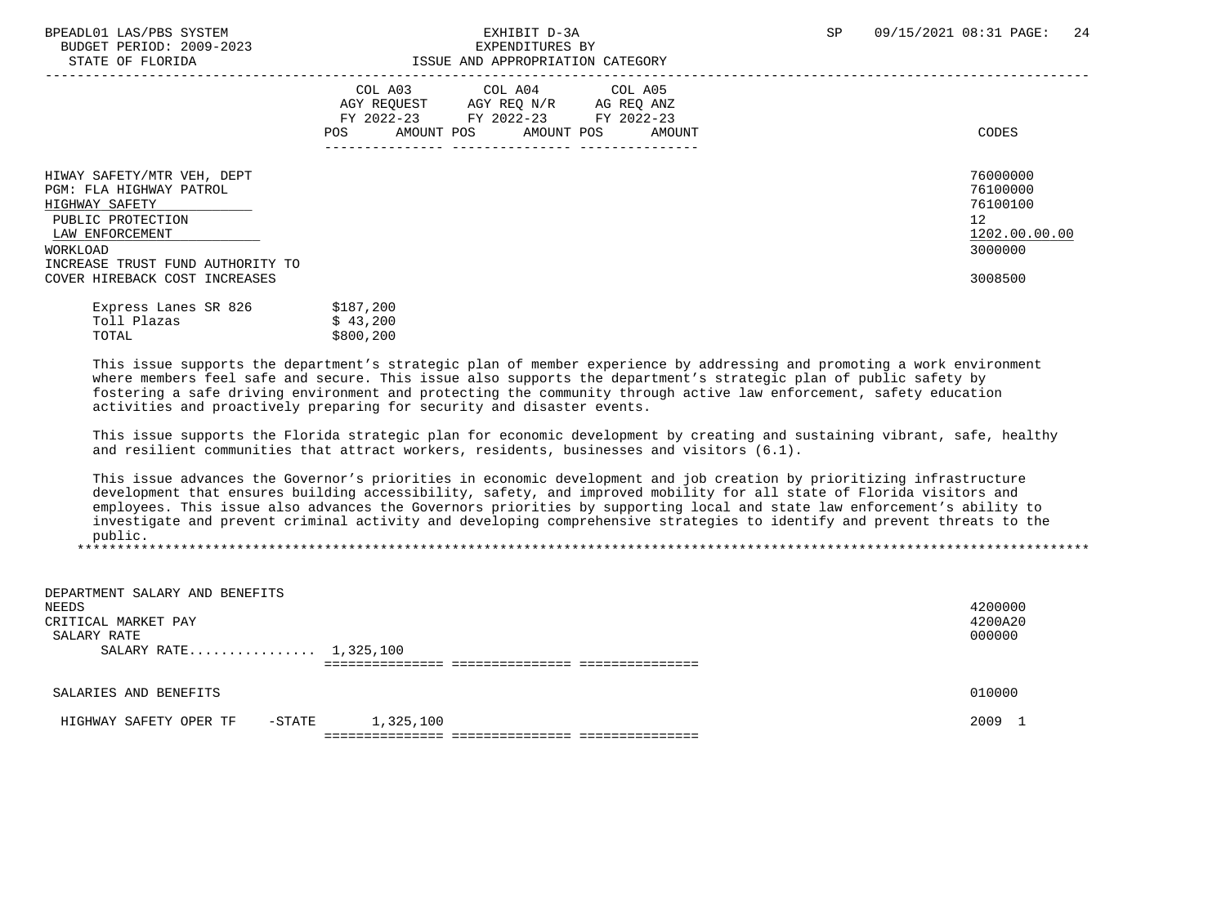## BPEADL01 LAS/PBS SYSTEM SALL RESOLUTE THE SEXHIBIT D-3A SP 09/15/2021 08:31 PAGE: 24 STATE OF FLORIDA ISSUE AND APPROPRIATION CATEGORY

| PIAIR OF FLORIDA                                                                                                                                                                                 | LOOUL AND APPROPRIAIION CAILGORI                                                                                                                           |                                                                               |
|--------------------------------------------------------------------------------------------------------------------------------------------------------------------------------------------------|------------------------------------------------------------------------------------------------------------------------------------------------------------|-------------------------------------------------------------------------------|
|                                                                                                                                                                                                  | COL A03<br>COL A04 COL A05<br>AGY REOUEST<br>AGY REQ N/R<br>AG REQ ANZ<br>FY 2022-23<br>FY 2022-23 FY 2022-23<br>AMOUNT POS<br>AMOUNT POS<br>POS<br>AMOUNT | CODES                                                                         |
| HIWAY SAFETY/MTR VEH, DEPT<br>PGM: FLA HIGHWAY PATROL<br>HIGHWAY SAFETY<br>PUBLIC PROTECTION<br>LAW ENFORCEMENT<br>WORKLOAD<br>INCREASE TRUST FUND AUTHORITY TO<br>COVER HIREBACK COST INCREASES |                                                                                                                                                            | 76000000<br>76100000<br>76100100<br>12<br>1202.00.00.00<br>3000000<br>3008500 |
|                                                                                                                                                                                                  | .                                                                                                                                                          |                                                                               |

| Express Lanes SR 826 | \$187,200 |
|----------------------|-----------|
| Toll Plazas          | \$43,200  |
| TOTAL                | \$800,200 |

 This issue supports the department's strategic plan of member experience by addressing and promoting a work environment where members feel safe and secure. This issue also supports the department's strategic plan of public safety by fostering a safe driving environment and protecting the community through active law enforcement, safety education activities and proactively preparing for security and disaster events.

 This issue supports the Florida strategic plan for economic development by creating and sustaining vibrant, safe, healthy and resilient communities that attract workers, residents, businesses and visitors (6.1).

 This issue advances the Governor's priorities in economic development and job creation by prioritizing infrastructure development that ensures building accessibility, safety, and improved mobility for all state of Florida visitors and employees. This issue also advances the Governors priorities by supporting local and state law enforcement's ability to investigate and prevent criminal activity and developing comprehensive strategies to identify and prevent threats to the public. \*\*\*\*\*\*\*\*\*\*\*\*\*\*\*\*\*\*\*\*\*\*\*\*\*\*\*\*\*\*\*\*\*\*\*\*\*\*\*\*\*\*\*\*\*\*\*\*\*\*\*\*\*\*\*\*\*\*\*\*\*\*\*\*\*\*\*\*\*\*\*\*\*\*\*\*\*\*\*\*\*\*\*\*\*\*\*\*\*\*\*\*\*\*\*\*\*\*\*\*\*\*\*\*\*\*\*\*\*\*\*\*\*\*\*\*\*\*\*\*\*\*\*\*\*\*\*

| DEPARTMENT SALARY AND BENEFITS   |           |         |
|----------------------------------|-----------|---------|
| NEEDS                            |           | 4200000 |
| CRITICAL MARKET PAY              |           | 4200A20 |
| SALARY RATE                      |           | 000000  |
| SALARY RATE 1,325,100            |           |         |
|                                  |           |         |
|                                  |           |         |
| SALARIES AND BENEFITS            |           | 010000  |
|                                  |           |         |
| -STATE<br>HIGHWAY SAFETY OPER TF | 1,325,100 | 2009 1  |
|                                  |           |         |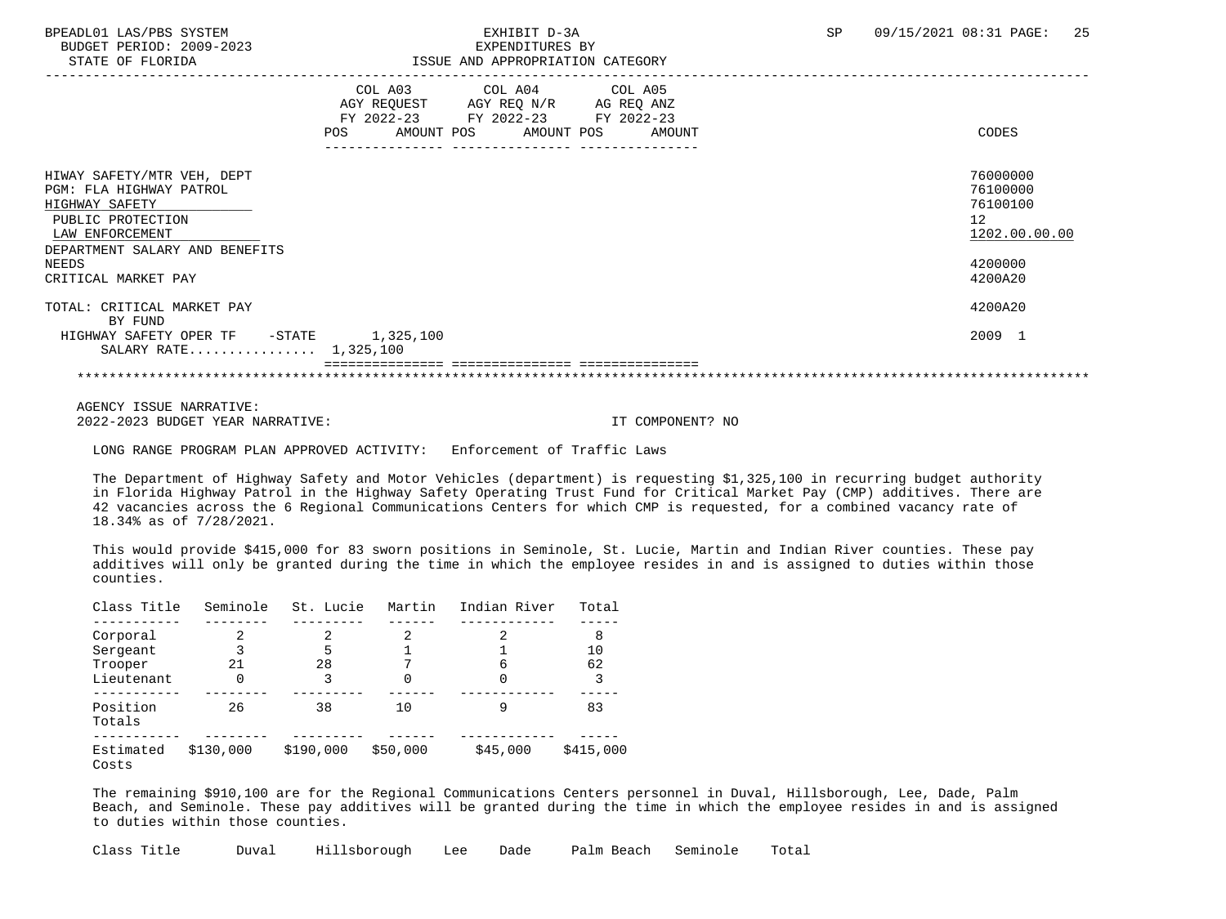BUDGET PERIOD: 2009-2023<br>
EXPENDITURES BY ELOPIDA

## BPEADL01 LAS/PBS SYSTEM SALL SALL STATE STATE STATE STATE STATE STATE STATE STATE STATE STATE STATE STATE STATE STATE STATE STATE STATE STATE STATE STATE STATE STATE STATE STATE STATE STATE STATE STATE STATE STATE STATE ST STATE OF FLORIDA ISSUE AND APPROPRIATION CATEGORY

| DIAIL OF FLORIDA                                                                                                                                                                  |     |                                                            | LOOUL AND APPROPRIAIION CAILGORI |            |                                                                               |
|-----------------------------------------------------------------------------------------------------------------------------------------------------------------------------------|-----|------------------------------------------------------------|----------------------------------|------------|-------------------------------------------------------------------------------|
|                                                                                                                                                                                   |     | COL A03<br>AGY REQUEST<br>FY 2022-23 FY 2022-23 FY 2022-23 | COL A04 COL A05<br>AGY REQ N/R   | AG REQ ANZ |                                                                               |
|                                                                                                                                                                                   | POS | AMOUNT POS                                                 | AMOUNT POS                       | AMOUNT     | CODES                                                                         |
| HIWAY SAFETY/MTR VEH, DEPT<br>PGM: FLA HIGHWAY PATROL<br>HIGHWAY SAFETY<br>PUBLIC PROTECTION<br>LAW ENFORCEMENT<br>DEPARTMENT SALARY AND BENEFITS<br>NEEDS<br>CRITICAL MARKET PAY |     |                                                            |                                  |            | 76000000<br>76100000<br>76100100<br>12<br>1202.00.00.00<br>4200000<br>4200A20 |
| TOTAL: CRITICAL MARKET PAY<br>BY FUND                                                                                                                                             |     |                                                            |                                  |            | 4200A20                                                                       |
| HIGHWAY SAFETY OPER TF -STATE<br>SALARY RATE 1,325,100                                                                                                                            |     | 1,325,100                                                  |                                  |            | 2009 1                                                                        |
|                                                                                                                                                                                   |     |                                                            |                                  |            |                                                                               |

 AGENCY ISSUE NARRATIVE: 2022-2023 BUDGET YEAR NARRATIVE: IT COMPONENT? NO

LONG RANGE PROGRAM PLAN APPROVED ACTIVITY: Enforcement of Traffic Laws

 The Department of Highway Safety and Motor Vehicles (department) is requesting \$1,325,100 in recurring budget authority in Florida Highway Patrol in the Highway Safety Operating Trust Fund for Critical Market Pay (CMP) additives. There are 42 vacancies across the 6 Regional Communications Centers for which CMP is requested, for a combined vacancy rate of 18.34% as of 7/28/2021.

 This would provide \$415,000 for 83 sworn positions in Seminole, St. Lucie, Martin and Indian River counties. These pay additives will only be granted during the time in which the employee resides in and is assigned to duties within those counties.

| Class Title        | Seminole  | St. Lucie | Martin   | Indian River | Total     |
|--------------------|-----------|-----------|----------|--------------|-----------|
|                    |           |           |          |              |           |
| Corporal           | 2         | 2         | 2        | 2            | 8         |
| Sergeant           |           | 5         |          |              | 10        |
| Trooper            | 21        | 28        |          | 6            | 62        |
| Lieutenant         | 0         | 3         |          | 0            |           |
|                    |           |           |          |              |           |
| Position<br>Totals | 26        | 38        | 10       | q            | 83        |
|                    |           |           |          |              |           |
| Estimated<br>Costs | \$130,000 | \$190,000 | \$50,000 | \$45,000     | \$415,000 |

 The remaining \$910,100 are for the Regional Communications Centers personnel in Duval, Hillsborough, Lee, Dade, Palm Beach, and Seminole. These pay additives will be granted during the time in which the employee resides in and is assigned to duties within those counties.

Class Title Duval Hillsborough Lee Dade Palm Beach Seminole Total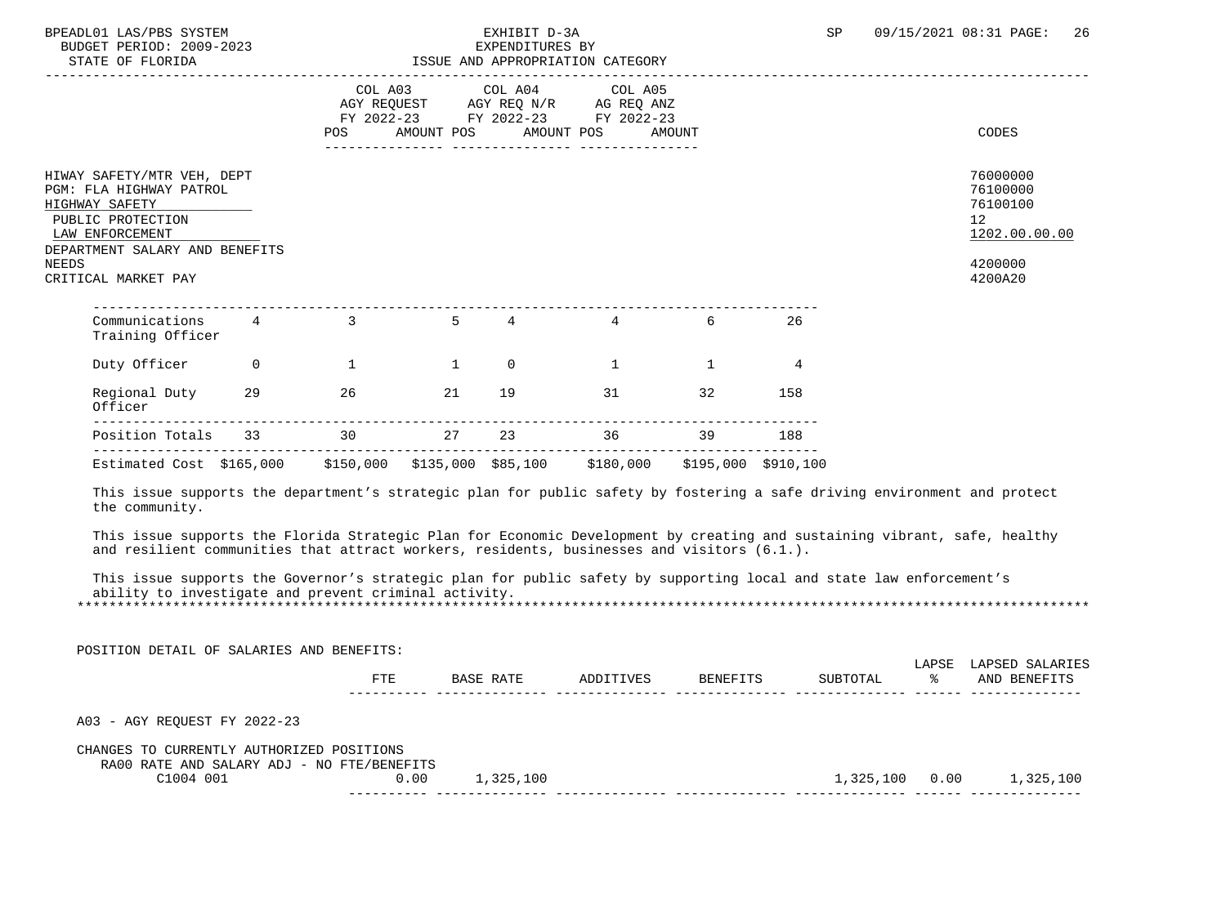| BUDGET PERIOD: 2009-2023<br>STATE OF FLORIDA                                                                                                                                                                                                                                                                                                                                                                                                                                                                                                              | BPEADL01 LAS/PBS SYSTEM |                                                    |       | EXHIBIT D-3A<br>EXPENDITURES BY          | ISSUE AND APPROPRIATION CATEGORY                                                  |                 |     | <b>SP</b> |    | 09/15/2021 08:31 PAGE:<br>26                            |
|-----------------------------------------------------------------------------------------------------------------------------------------------------------------------------------------------------------------------------------------------------------------------------------------------------------------------------------------------------------------------------------------------------------------------------------------------------------------------------------------------------------------------------------------------------------|-------------------------|----------------------------------------------------|-------|------------------------------------------|-----------------------------------------------------------------------------------|-----------------|-----|-----------|----|---------------------------------------------------------|
|                                                                                                                                                                                                                                                                                                                                                                                                                                                                                                                                                           |                         | <b>POS</b>                                         |       | COL A03 COL A04<br>AMOUNT POS AMOUNT POS | COL A05<br>AGY REQUEST AGY REQ N/R AG REQ ANZ<br>FY 2022-23 FY 2022-23 FY 2022-23 | AMOUNT          |     |           |    | CODES                                                   |
| HIWAY SAFETY/MTR VEH, DEPT<br>PGM: FLA HIGHWAY PATROL<br>HIGHWAY SAFETY<br>PUBLIC PROTECTION<br>LAW ENFORCEMENT                                                                                                                                                                                                                                                                                                                                                                                                                                           |                         |                                                    |       |                                          |                                                                                   |                 |     |           |    | 76000000<br>76100000<br>76100100<br>12<br>1202.00.00.00 |
| DEPARTMENT SALARY AND BENEFITS<br>NEEDS<br>CRITICAL MARKET PAY                                                                                                                                                                                                                                                                                                                                                                                                                                                                                            |                         |                                                    |       |                                          |                                                                                   |                 |     |           |    | 4200000<br>4200A20                                      |
| $\n  Communications 4 3 5 4 4\n  1$<br>Training Officer                                                                                                                                                                                                                                                                                                                                                                                                                                                                                                   |                         |                                                    |       |                                          |                                                                                   | 6 —             | 26  |           |    |                                                         |
| Duty Officer 0                                                                                                                                                                                                                                                                                                                                                                                                                                                                                                                                            |                         | $\begin{array}{ccccccc}\n1 & & & & 1\n\end{array}$ |       | $\overline{0}$                           | $\sim$ 1                                                                          | $\overline{1}$  | 4   |           |    |                                                         |
| Regional Duty 29 26<br>Officer                                                                                                                                                                                                                                                                                                                                                                                                                                                                                                                            |                         |                                                    | 21 19 |                                          | 31 32                                                                             |                 | 158 |           |    |                                                         |
| Position Totals 33 30 27 23 36 39 188                                                                                                                                                                                                                                                                                                                                                                                                                                                                                                                     |                         |                                                    |       |                                          |                                                                                   |                 |     |           |    |                                                         |
| Estimated Cost \$165,000 \$150,000 \$135,000 \$85,100 \$180,000 \$195,000 \$910,100                                                                                                                                                                                                                                                                                                                                                                                                                                                                       |                         |                                                    |       |                                          |                                                                                   |                 |     |           |    |                                                         |
|                                                                                                                                                                                                                                                                                                                                                                                                                                                                                                                                                           |                         |                                                    |       |                                          |                                                                                   |                 |     |           |    |                                                         |
| This issue supports the department's strategic plan for public safety by fostering a safe driving environment and protect<br>the community.<br>This issue supports the Florida Strategic Plan for Economic Development by creating and sustaining vibrant, safe, healthy<br>and resilient communities that attract workers, residents, businesses and visitors $(6.1.)$ .<br>This issue supports the Governor's strategic plan for public safety by supporting local and state law enforcement's<br>ability to investigate and prevent criminal activity. |                         |                                                    |       |                                          |                                                                                   |                 |     |           |    |                                                         |
| POSITION DETAIL OF SALARIES AND BENEFITS:                                                                                                                                                                                                                                                                                                                                                                                                                                                                                                                 |                         | <b>FTE</b>                                         |       | <b>BASE RATE</b>                         | ADDITIVES                                                                         | <b>BENEFITS</b> |     | SUBTOTAL  | ႜႂ | LAPSE LAPSED SALARIES<br>AND BENEFITS                   |
| A03 - AGY REOUEST FY 2022-23                                                                                                                                                                                                                                                                                                                                                                                                                                                                                                                              |                         |                                                    |       |                                          |                                                                                   |                 |     |           |    |                                                         |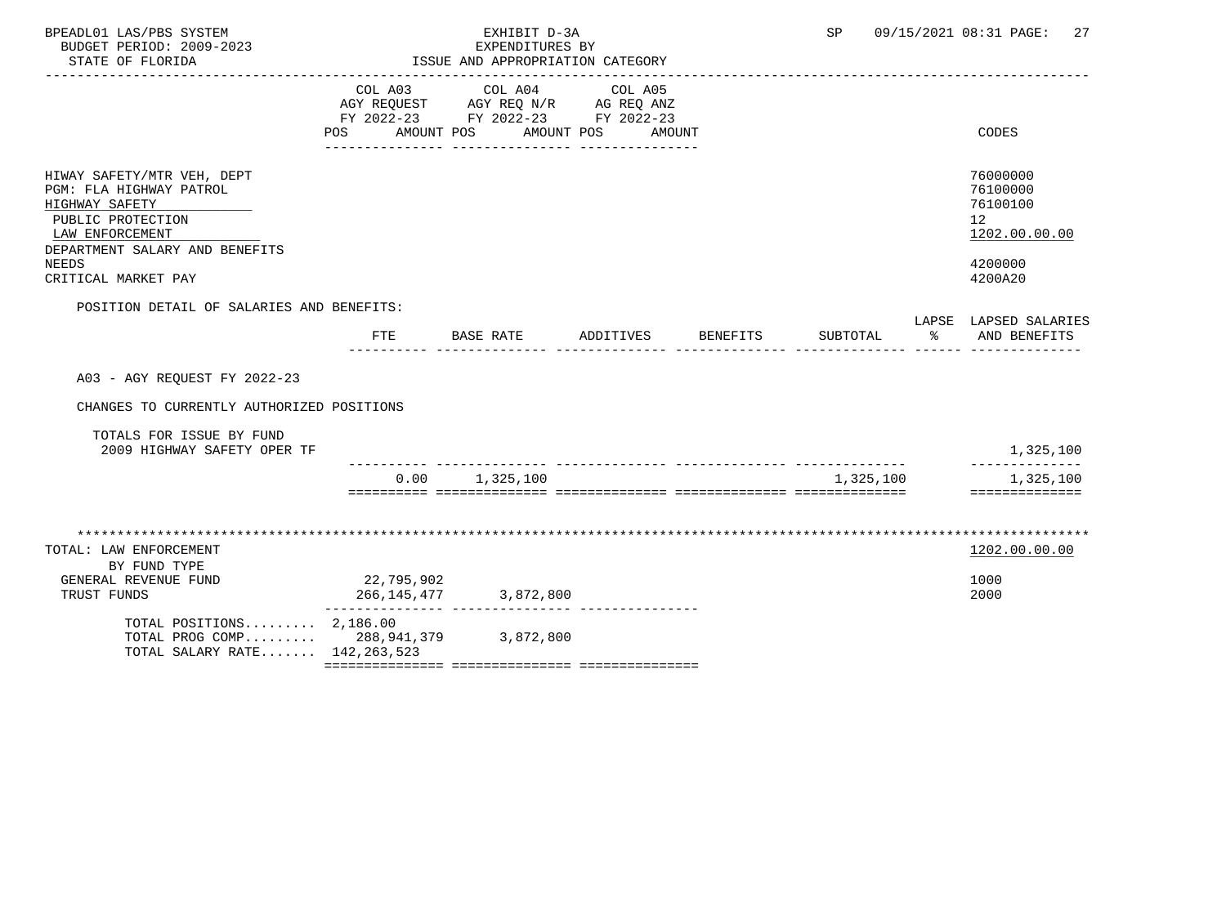| BPEADL01 LAS/PBS SYSTEM<br>BUDGET PERIOD: 2009-2023<br>STATE OF FLORIDA                                                                                                           |            | EXHIBIT D-3A<br>EXPENDITURES BY<br>ISSUE AND APPROPRIATION CATEGORY                                                |                   |          | SP        | 09/15/2021 08:31 PAGE:<br>27                                                               |
|-----------------------------------------------------------------------------------------------------------------------------------------------------------------------------------|------------|--------------------------------------------------------------------------------------------------------------------|-------------------|----------|-----------|--------------------------------------------------------------------------------------------|
|                                                                                                                                                                                   | POS DO     | COL A03 COL A04<br>AGY REQUEST AGY REQ N/R AG REQ ANZ<br>FY 2022-23 FY 2022-23 FY 2022-23<br>AMOUNT POS AMOUNT POS | COL A05<br>AMOUNT |          |           | CODES                                                                                      |
| HIWAY SAFETY/MTR VEH, DEPT<br>PGM: FLA HIGHWAY PATROL<br>HIGHWAY SAFETY<br>PUBLIC PROTECTION<br>LAW ENFORCEMENT<br>DEPARTMENT SALARY AND BENEFITS<br>NEEDS<br>CRITICAL MARKET PAY |            |                                                                                                                    |                   |          |           | 76000000<br>76100000<br>76100100<br>12 <sup>°</sup><br>1202.00.00.00<br>4200000<br>4200A20 |
| POSITION DETAIL OF SALARIES AND BENEFITS:                                                                                                                                         | FTE        | BASE RATE                                                                                                          | ADDITIVES         | BENEFITS | SUBTOTAL  | LAPSE LAPSED SALARIES<br>% AND BENEFITS                                                    |
| A03 - AGY REOUEST FY 2022-23                                                                                                                                                      |            |                                                                                                                    |                   |          |           |                                                                                            |
| CHANGES TO CURRENTLY AUTHORIZED POSITIONS                                                                                                                                         |            |                                                                                                                    |                   |          |           |                                                                                            |
| TOTALS FOR ISSUE BY FUND<br>2009 HIGHWAY SAFETY OPER TF                                                                                                                           |            |                                                                                                                    |                   |          |           | 1,325,100                                                                                  |
|                                                                                                                                                                                   |            | $0.00$ 1,325,100                                                                                                   |                   |          | 1,325,100 | 1,325,100<br>==============                                                                |
| TOTAL: LAW ENFORCEMENT<br>BY FUND TYPE                                                                                                                                            |            |                                                                                                                    |                   |          |           | 1202.00.00.00                                                                              |
| GENERAL REVENUE FUND<br>TRUST FUNDS                                                                                                                                               | 22,795,902 | 266, 145, 477 3, 872, 800                                                                                          |                   |          |           | 1000<br>2000                                                                               |
| TOTAL POSITIONS 2,186.00<br>TOTAL PROG COMP 288,941,379 3,872,800<br>TOTAL SALARY RATE 142, 263, 523                                                                              |            |                                                                                                                    |                   |          |           |                                                                                            |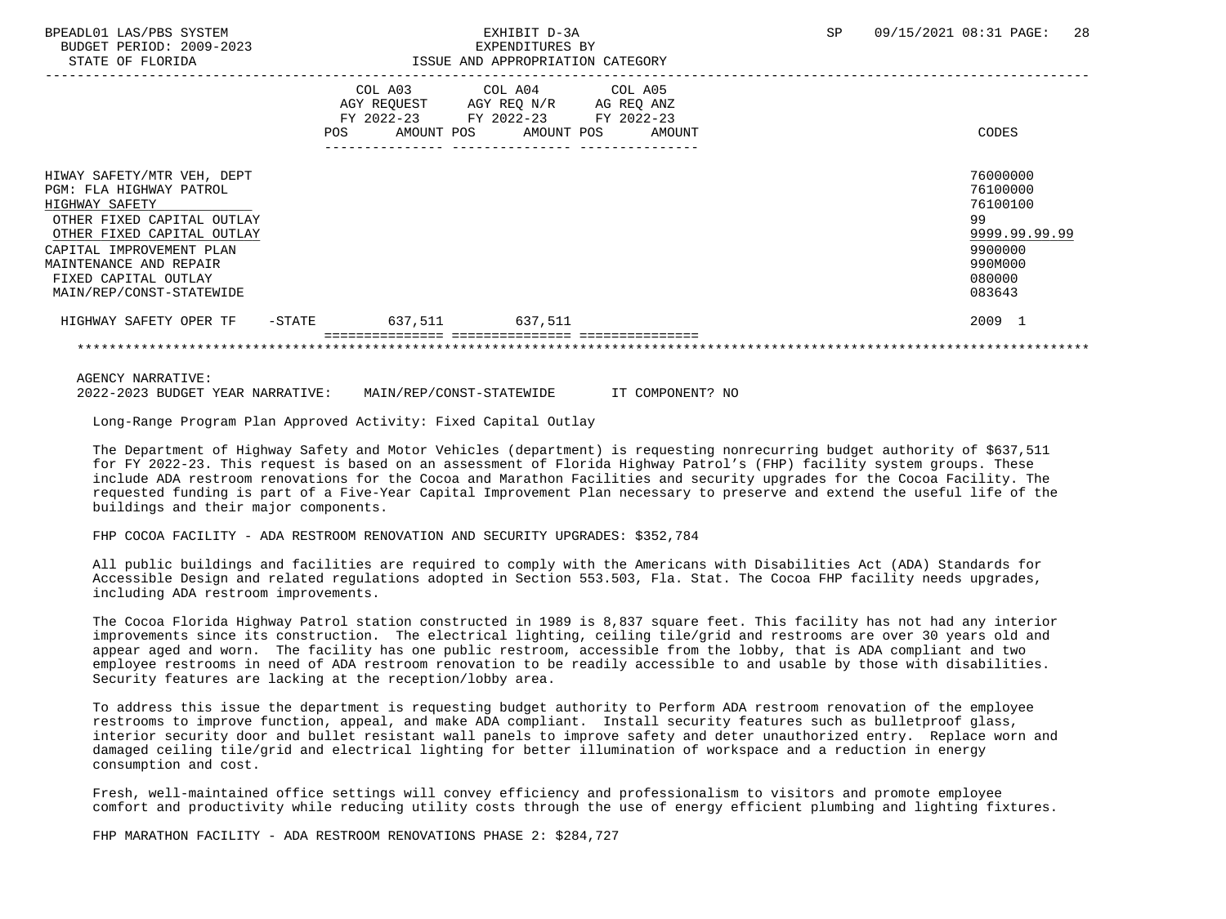| STATE OF FLORIDA                                                                                                                                                                                                                              |        |             | ISSUE AND APPROPRIATION CATEGORY                                                                               |        |                                                                                                   |
|-----------------------------------------------------------------------------------------------------------------------------------------------------------------------------------------------------------------------------------------------|--------|-------------|----------------------------------------------------------------------------------------------------------------|--------|---------------------------------------------------------------------------------------------------|
|                                                                                                                                                                                                                                               | POS    | AGY REOUEST | COL A03 COL A04 COL A05<br>AGY REQ N/R AG REQ ANZ<br>FY 2022-23 FY 2022-23 FY 2022-23<br>AMOUNT POS AMOUNT POS | AMOUNT | CODES                                                                                             |
| HIWAY SAFETY/MTR VEH, DEPT<br>PGM: FLA HIGHWAY PATROL<br>HIGHWAY SAFETY<br>OTHER FIXED CAPITAL OUTLAY<br>OTHER FIXED CAPITAL OUTLAY<br>CAPITAL IMPROVEMENT PLAN<br>MAINTENANCE AND REPAIR<br>FIXED CAPITAL OUTLAY<br>MAIN/REP/CONST-STATEWIDE |        |             |                                                                                                                |        | 76000000<br>76100000<br>76100100<br>99<br>9999.99.99.99<br>9900000<br>990M000<br>080000<br>083643 |
| HIGHWAY SAFETY OPER TF                                                                                                                                                                                                                        | -STATE | 637,511     | 637,511                                                                                                        |        | 2009 1                                                                                            |
|                                                                                                                                                                                                                                               |        |             |                                                                                                                |        |                                                                                                   |

AGENCY NARRATIVE:

2022-2023 BUDGET YEAR NARRATIVE: MAIN/REP/CONST-STATEWIDE IT COMPONENT? NO

Long-Range Program Plan Approved Activity: Fixed Capital Outlay

 The Department of Highway Safety and Motor Vehicles (department) is requesting nonrecurring budget authority of \$637,511 for FY 2022-23. This request is based on an assessment of Florida Highway Patrol's (FHP) facility system groups. These include ADA restroom renovations for the Cocoa and Marathon Facilities and security upgrades for the Cocoa Facility. The requested funding is part of a Five-Year Capital Improvement Plan necessary to preserve and extend the useful life of the buildings and their major components.

### FHP COCOA FACILITY - ADA RESTROOM RENOVATION AND SECURITY UPGRADES: \$352,784

 All public buildings and facilities are required to comply with the Americans with Disabilities Act (ADA) Standards for Accessible Design and related regulations adopted in Section 553.503, Fla. Stat. The Cocoa FHP facility needs upgrades, including ADA restroom improvements.

 The Cocoa Florida Highway Patrol station constructed in 1989 is 8,837 square feet. This facility has not had any interior improvements since its construction. The electrical lighting, ceiling tile/grid and restrooms are over 30 years old and appear aged and worn. The facility has one public restroom, accessible from the lobby, that is ADA compliant and two employee restrooms in need of ADA restroom renovation to be readily accessible to and usable by those with disabilities. Security features are lacking at the reception/lobby area.

 To address this issue the department is requesting budget authority to Perform ADA restroom renovation of the employee restrooms to improve function, appeal, and make ADA compliant. Install security features such as bulletproof glass, interior security door and bullet resistant wall panels to improve safety and deter unauthorized entry. Replace worn and damaged ceiling tile/grid and electrical lighting for better illumination of workspace and a reduction in energy consumption and cost.

 Fresh, well-maintained office settings will convey efficiency and professionalism to visitors and promote employee comfort and productivity while reducing utility costs through the use of energy efficient plumbing and lighting fixtures.

FHP MARATHON FACILITY - ADA RESTROOM RENOVATIONS PHASE 2: \$284,727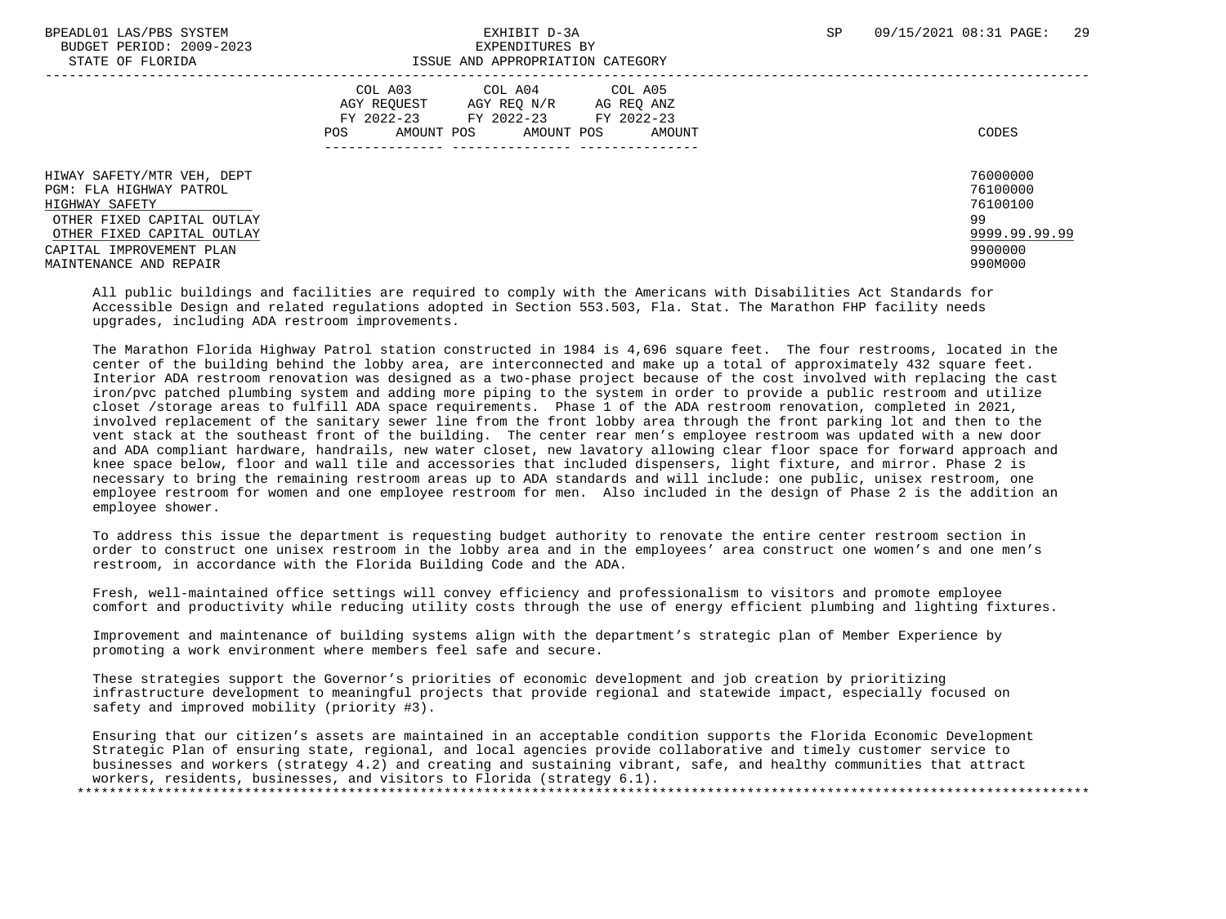## BPEADL01 LAS/PBS SYSTEM SALL RESOLUTE THE SEXHIBIT D-3A SP 09/15/2021 08:31 PAGE: 29 STATE OF FLORIDA ISSUE AND APPROPRIATION CATEGORY

| 011111 01 110111011                                                                                                                                                                       | TODON IND INTINOLIGIILLON CITTIOONI                                                                                                                  |                                                                               |
|-------------------------------------------------------------------------------------------------------------------------------------------------------------------------------------------|------------------------------------------------------------------------------------------------------------------------------------------------------|-------------------------------------------------------------------------------|
|                                                                                                                                                                                           | COL A03 COL A04 COL A05<br>AGY REOUEST<br>AGY REO N/R<br>AG REO ANZ<br>FY 2022-23 FY 2022-23 FY 2022-23<br>AMOUNT POS<br>AMOUNT POS<br>POS<br>AMOUNT | CODES                                                                         |
| HIWAY SAFETY/MTR VEH, DEPT<br>PGM: FLA HIGHWAY PATROL<br>HIGHWAY SAFETY<br>OTHER FIXED CAPITAL OUTLAY<br>OTHER FIXED CAPITAL OUTLAY<br>CAPITAL IMPROVEMENT PLAN<br>MAINTENANCE AND REPAIR |                                                                                                                                                      | 76000000<br>76100000<br>76100100<br>99<br>9999.99.99.99<br>9900000<br>990M000 |

 All public buildings and facilities are required to comply with the Americans with Disabilities Act Standards for Accessible Design and related regulations adopted in Section 553.503, Fla. Stat. The Marathon FHP facility needs upgrades, including ADA restroom improvements.

 The Marathon Florida Highway Patrol station constructed in 1984 is 4,696 square feet. The four restrooms, located in the center of the building behind the lobby area, are interconnected and make up a total of approximately 432 square feet. Interior ADA restroom renovation was designed as a two-phase project because of the cost involved with replacing the cast iron/pvc patched plumbing system and adding more piping to the system in order to provide a public restroom and utilize closet /storage areas to fulfill ADA space requirements. Phase 1 of the ADA restroom renovation, completed in 2021, involved replacement of the sanitary sewer line from the front lobby area through the front parking lot and then to the vent stack at the southeast front of the building. The center rear men's employee restroom was updated with a new door and ADA compliant hardware, handrails, new water closet, new lavatory allowing clear floor space for forward approach and knee space below, floor and wall tile and accessories that included dispensers, light fixture, and mirror. Phase 2 is necessary to bring the remaining restroom areas up to ADA standards and will include: one public, unisex restroom, one employee restroom for women and one employee restroom for men. Also included in the design of Phase 2 is the addition an employee shower.

 To address this issue the department is requesting budget authority to renovate the entire center restroom section in order to construct one unisex restroom in the lobby area and in the employees' area construct one women's and one men's restroom, in accordance with the Florida Building Code and the ADA.

 Fresh, well-maintained office settings will convey efficiency and professionalism to visitors and promote employee comfort and productivity while reducing utility costs through the use of energy efficient plumbing and lighting fixtures.

 Improvement and maintenance of building systems align with the department's strategic plan of Member Experience by promoting a work environment where members feel safe and secure.

 These strategies support the Governor's priorities of economic development and job creation by prioritizing infrastructure development to meaningful projects that provide regional and statewide impact, especially focused on safety and improved mobility (priority #3).

 Ensuring that our citizen's assets are maintained in an acceptable condition supports the Florida Economic Development Strategic Plan of ensuring state, regional, and local agencies provide collaborative and timely customer service to businesses and workers (strategy 4.2) and creating and sustaining vibrant, safe, and healthy communities that attract workers, residents, businesses, and visitors to Florida (strategy 6.1). \*\*\*\*\*\*\*\*\*\*\*\*\*\*\*\*\*\*\*\*\*\*\*\*\*\*\*\*\*\*\*\*\*\*\*\*\*\*\*\*\*\*\*\*\*\*\*\*\*\*\*\*\*\*\*\*\*\*\*\*\*\*\*\*\*\*\*\*\*\*\*\*\*\*\*\*\*\*\*\*\*\*\*\*\*\*\*\*\*\*\*\*\*\*\*\*\*\*\*\*\*\*\*\*\*\*\*\*\*\*\*\*\*\*\*\*\*\*\*\*\*\*\*\*\*\*\*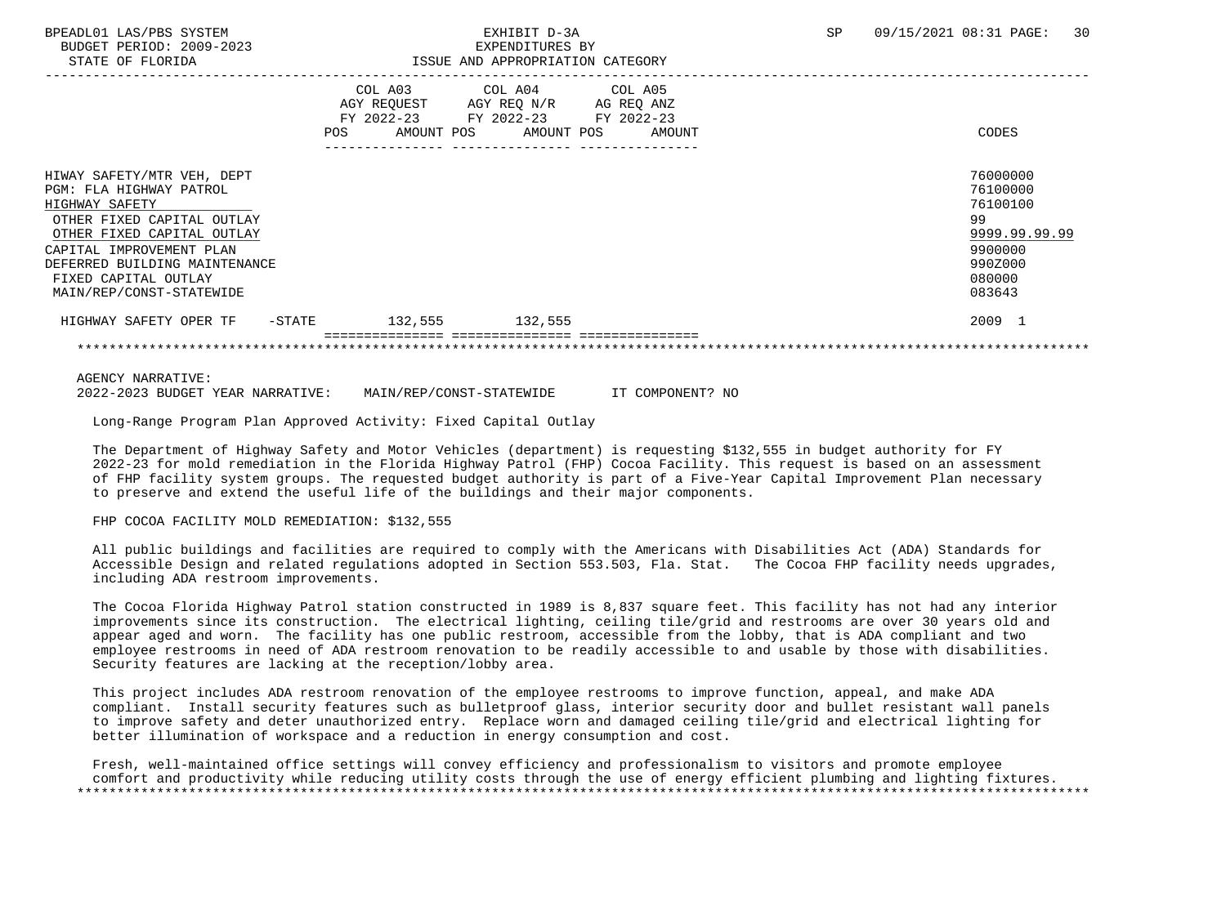## BPEADL01 LAS/PBS SYSTEM SALL RESOLUTE THE STATE OF SALL RESOLUTE TO A SP 09/15/2021 08:31 PAGE: 30 STATE OF FLORIDA ISSUE AND APPROPRIATION CATEGORY

| DIAID OF FUORIDA                                                                                                                                                                                                                                     |            |                                                    | TARGAT WAN WELMALIYA CUIRGANI                |            |                                    |                                                                                                   |
|------------------------------------------------------------------------------------------------------------------------------------------------------------------------------------------------------------------------------------------------------|------------|----------------------------------------------------|----------------------------------------------|------------|------------------------------------|---------------------------------------------------------------------------------------------------|
|                                                                                                                                                                                                                                                      | <b>POS</b> | COL A03<br>AGY REQUEST<br>FY 2022-23<br>AMOUNT POS | COL A04 COL A05<br>AGY REQ N/R<br>FY 2022-23 | AMOUNT POS | AG REQ ANZ<br>FY 2022-23<br>AMOUNT | <b>CODES</b>                                                                                      |
| HIWAY SAFETY/MTR VEH, DEPT<br>PGM: FLA HIGHWAY PATROL<br>HIGHWAY SAFETY<br>OTHER FIXED CAPITAL OUTLAY<br>OTHER FIXED CAPITAL OUTLAY<br>CAPITAL IMPROVEMENT PLAN<br>DEFERRED BUILDING MAINTENANCE<br>FIXED CAPITAL OUTLAY<br>MAIN/REP/CONST-STATEWIDE |            |                                                    |                                              |            |                                    | 76000000<br>76100000<br>76100100<br>99<br>9999.99.99.99<br>9900000<br>990Z000<br>080000<br>083643 |
| HIGHWAY SAFETY OPER TF<br>$-$ STATE                                                                                                                                                                                                                  |            | 132,555                                            | 132,555                                      |            |                                    | 2009 1                                                                                            |
|                                                                                                                                                                                                                                                      |            |                                                    |                                              |            |                                    |                                                                                                   |

AGENCY NARRATIVE:

2022-2023 BUDGET YEAR NARRATIVE: MAIN/REP/CONST-STATEWIDE IT COMPONENT? NO

Long-Range Program Plan Approved Activity: Fixed Capital Outlay

 The Department of Highway Safety and Motor Vehicles (department) is requesting \$132,555 in budget authority for FY 2022-23 for mold remediation in the Florida Highway Patrol (FHP) Cocoa Facility. This request is based on an assessment of FHP facility system groups. The requested budget authority is part of a Five-Year Capital Improvement Plan necessary to preserve and extend the useful life of the buildings and their major components.

### FHP COCOA FACILITY MOLD REMEDIATION: \$132,555

 All public buildings and facilities are required to comply with the Americans with Disabilities Act (ADA) Standards for Accessible Design and related regulations adopted in Section 553.503, Fla. Stat. The Cocoa FHP facility needs upgrades, including ADA restroom improvements.

 The Cocoa Florida Highway Patrol station constructed in 1989 is 8,837 square feet. This facility has not had any interior improvements since its construction. The electrical lighting, ceiling tile/grid and restrooms are over 30 years old and appear aged and worn. The facility has one public restroom, accessible from the lobby, that is ADA compliant and two employee restrooms in need of ADA restroom renovation to be readily accessible to and usable by those with disabilities. Security features are lacking at the reception/lobby area.

 This project includes ADA restroom renovation of the employee restrooms to improve function, appeal, and make ADA compliant. Install security features such as bulletproof glass, interior security door and bullet resistant wall panels to improve safety and deter unauthorized entry. Replace worn and damaged ceiling tile/grid and electrical lighting for better illumination of workspace and a reduction in energy consumption and cost.

 Fresh, well-maintained office settings will convey efficiency and professionalism to visitors and promote employee comfort and productivity while reducing utility costs through the use of energy efficient plumbing and lighting fixtures. \*\*\*\*\*\*\*\*\*\*\*\*\*\*\*\*\*\*\*\*\*\*\*\*\*\*\*\*\*\*\*\*\*\*\*\*\*\*\*\*\*\*\*\*\*\*\*\*\*\*\*\*\*\*\*\*\*\*\*\*\*\*\*\*\*\*\*\*\*\*\*\*\*\*\*\*\*\*\*\*\*\*\*\*\*\*\*\*\*\*\*\*\*\*\*\*\*\*\*\*\*\*\*\*\*\*\*\*\*\*\*\*\*\*\*\*\*\*\*\*\*\*\*\*\*\*\*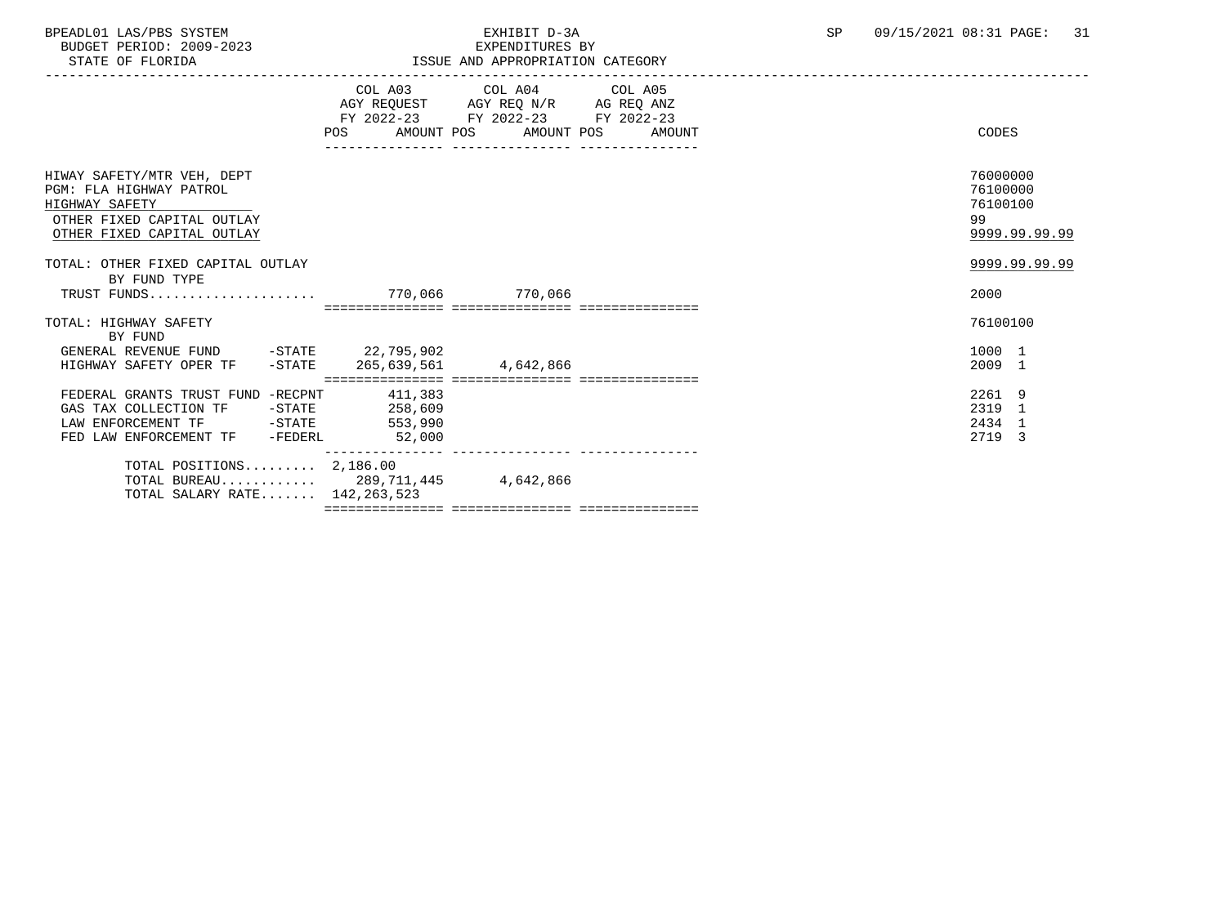BPEADL01 LAS/PBS SYSTEM EXHIBIT D-3A SP 09/15/2021 08:31 PAGE: 31 BUDGET PERIOD: 2009-2023

| STATE OF FLORIDA                                                                                                                                         |        | ISSUE AND APPROPRIATION CATEGORY                                                                                                  |                                                         |
|----------------------------------------------------------------------------------------------------------------------------------------------------------|--------|-----------------------------------------------------------------------------------------------------------------------------------|---------------------------------------------------------|
|                                                                                                                                                          | POS    | COL A03 COL A04 COL A05<br>AGY REQUEST AGY REQ N/R AG REQ ANZ<br>FY 2022-23 FY 2022-23 FY 2022-23<br>AMOUNT POS AMOUNT POS AMOUNT | CODES                                                   |
| HIWAY SAFETY/MTR VEH, DEPT<br>PGM: FLA HIGHWAY PATROL<br>HIGHWAY SAFETY<br>OTHER FIXED CAPITAL OUTLAY<br>OTHER FIXED CAPITAL OUTLAY                      |        |                                                                                                                                   | 76000000<br>76100000<br>76100100<br>99<br>9999.99.99.99 |
| TOTAL: OTHER FIXED CAPITAL OUTLAY<br>BY FUND TYPE                                                                                                        |        |                                                                                                                                   | 9999.99.99.99<br>2000                                   |
| TOTAL: HIGHWAY SAFETY<br>BY FUND<br>GENERAL REVENUE FUND -STATE 22,795,902<br>HIGHWAY SAFETY OPER TF -STATE 265,639,561 4,642,866                        |        |                                                                                                                                   | 76100100<br>1000 1<br>2009 1                            |
| FEDERAL GRANTS TRUST FUND -RECPNT 411,383<br>GAS TAX COLLECTION TF -STATE 258,609<br>LAW ENFORCEMENT TF -STATE 553,990<br>FED LAW ENFORCEMENT TF -FEDERL | 52,000 |                                                                                                                                   | 2261 9<br>2319 1<br>2434 1<br>2719 3                    |
| TOTAL POSITIONS $2,186.00$<br>TOTAL BUREAU 289,711,445 4,642,866<br>TOTAL SALARY RATE 142,263,523                                                        |        |                                                                                                                                   |                                                         |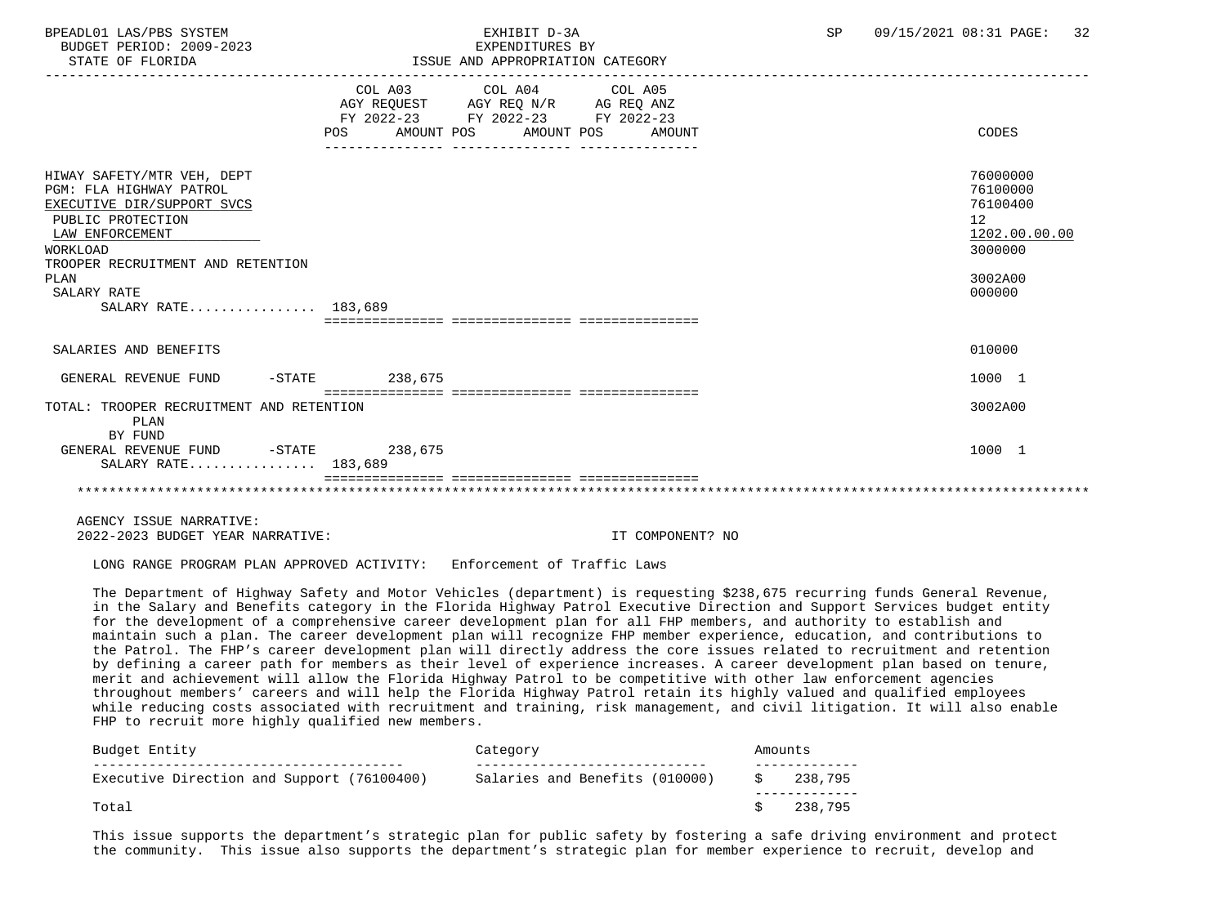BUDGET PERIOD: 2009-2023<br>
STATE OF FLORIDA<br>
STATE OF FLORIDA

## BPEADL01 LAS/PBS SYSTEM SALL SALL STATES TO A SP 09/15/2021 08:31 PAGE: 32 ISSUE AND APPROPRIATION CATEGORY

|                                                                                                                                                                                                                            | POS<br>______________________________________ | COL A03 COL A04 COL A05<br>$\begin{tabular}{lllllll} \bf AGY & \bf REQUEST & \bf AGY & \bf REQ & \bf N/R & \bf AG & \bf REQ & \bf ANZ \\ \end{tabular}$<br>FY 2022-23 FY 2022-23 FY 2022-23<br>AMOUNT POS AMOUNT POS AMOUNT | CODES                                                                                   |
|----------------------------------------------------------------------------------------------------------------------------------------------------------------------------------------------------------------------------|-----------------------------------------------|-----------------------------------------------------------------------------------------------------------------------------------------------------------------------------------------------------------------------------|-----------------------------------------------------------------------------------------|
| HIWAY SAFETY/MTR VEH, DEPT<br>PGM: FLA HIGHWAY PATROL<br>EXECUTIVE DIR/SUPPORT SVCS<br>PUBLIC PROTECTION<br>LAW ENFORCEMENT<br>WORKLOAD<br>TROOPER RECRUITMENT AND RETENTION<br>PLAN<br>SALARY RATE<br>SALARY RATE 183,689 |                                               |                                                                                                                                                                                                                             | 76000000<br>76100000<br>76100400<br>12<br>1202.00.00.00<br>3000000<br>3002A00<br>000000 |
|                                                                                                                                                                                                                            |                                               |                                                                                                                                                                                                                             |                                                                                         |
| SALARIES AND BENEFITS                                                                                                                                                                                                      |                                               |                                                                                                                                                                                                                             | 010000                                                                                  |
| GENERAL REVENUE FUND                                                                                                                                                                                                       | $-$ STATE 238,675                             |                                                                                                                                                                                                                             | 1000 1                                                                                  |
| TOTAL: TROOPER RECRUITMENT AND RETENTION<br>PLAN<br>BY FUND                                                                                                                                                                |                                               |                                                                                                                                                                                                                             | 3002A00                                                                                 |
| GENERAL REVENUE FUND -STATE 238,675<br>SALARY RATE 183,689                                                                                                                                                                 |                                               |                                                                                                                                                                                                                             | 1000 1                                                                                  |
|                                                                                                                                                                                                                            |                                               |                                                                                                                                                                                                                             |                                                                                         |

 AGENCY ISSUE NARRATIVE: 2022-2023 BUDGET YEAR NARRATIVE: IT COMPONENT? NO

LONG RANGE PROGRAM PLAN APPROVED ACTIVITY: Enforcement of Traffic Laws

 The Department of Highway Safety and Motor Vehicles (department) is requesting \$238,675 recurring funds General Revenue, in the Salary and Benefits category in the Florida Highway Patrol Executive Direction and Support Services budget entity for the development of a comprehensive career development plan for all FHP members, and authority to establish and maintain such a plan. The career development plan will recognize FHP member experience, education, and contributions to the Patrol. The FHP's career development plan will directly address the core issues related to recruitment and retention by defining a career path for members as their level of experience increases. A career development plan based on tenure, merit and achievement will allow the Florida Highway Patrol to be competitive with other law enforcement agencies throughout members' careers and will help the Florida Highway Patrol retain its highly valued and qualified employees while reducing costs associated with recruitment and training, risk management, and civil litigation. It will also enable FHP to recruit more highly qualified new members.

| Budget Entity                              | Category                       | Amounts |         |
|--------------------------------------------|--------------------------------|---------|---------|
| Executive Direction and Support (76100400) | Salaries and Benefits (010000) |         | 238,795 |
| Total                                      |                                |         | 238.795 |

 This issue supports the department's strategic plan for public safety by fostering a safe driving environment and protect the community. This issue also supports the department's strategic plan for member experience to recruit, develop and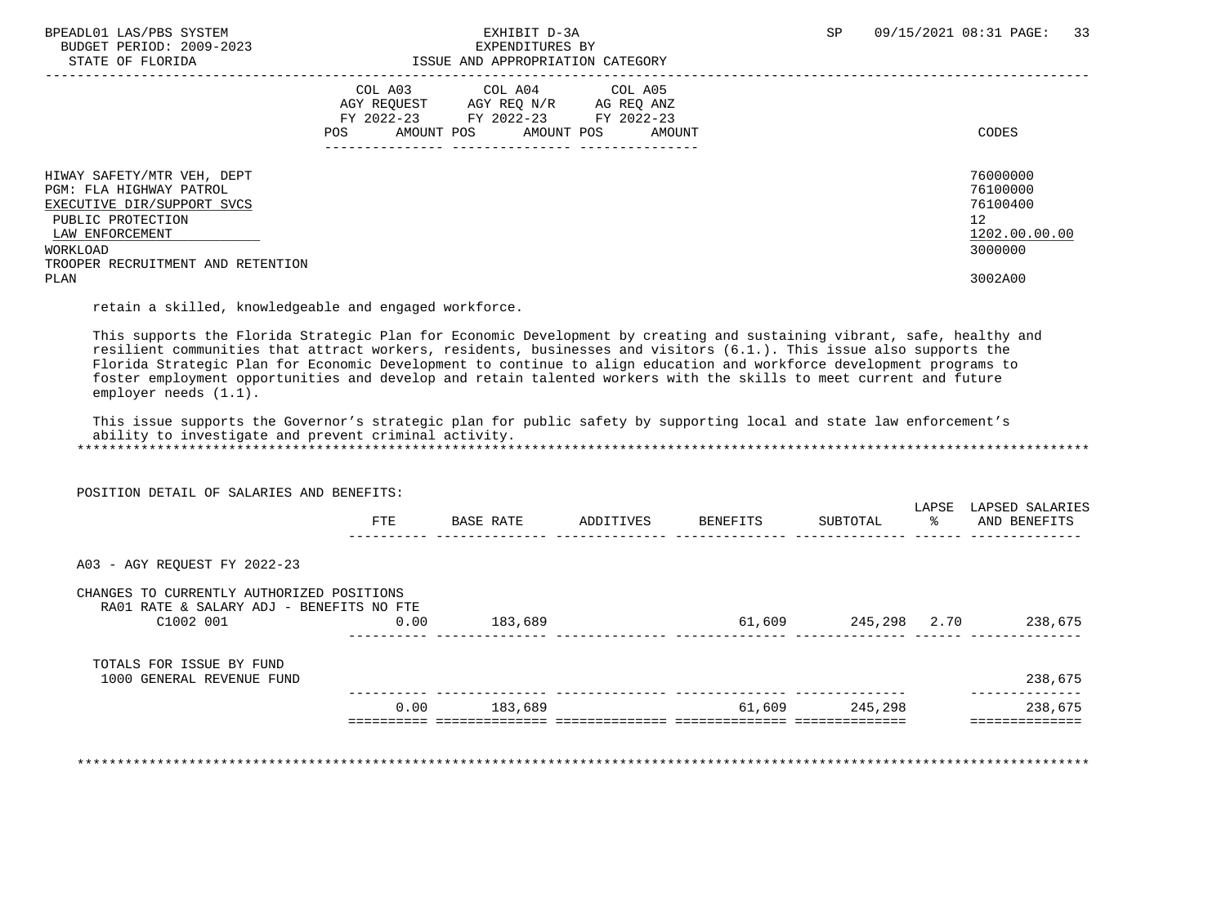BUDGET PERIOD: 2009-2023<br>STATE OF FLORIDA

## BPEADL01 LAS/PBS SYSTEM EXHIBIT D-3A SP 09/15/2021 08:31 PAGE: 33 ISSUE AND APPROPRIATION CATEGORY

|                                   | COL A03<br>AGY REOUEST<br>FY 2022-23 | COL A04<br>AGY REO N/R<br>FY 2022-23 | COL A05<br>AG REO ANZ<br>FY 2022-23 |               |
|-----------------------------------|--------------------------------------|--------------------------------------|-------------------------------------|---------------|
|                                   | AMOUNT POS<br>POS                    | AMOUNT POS                           | AMOUNT                              | CODES         |
|                                   |                                      |                                      |                                     |               |
| HIWAY SAFETY/MTR VEH, DEPT        |                                      |                                      |                                     | 76000000      |
| PGM: FLA HIGHWAY PATROL           |                                      |                                      |                                     | 76100000      |
| EXECUTIVE DIR/SUPPORT SVCS        |                                      |                                      |                                     | 76100400      |
| PUBLIC PROTECTION                 |                                      |                                      |                                     | 12            |
| LAW ENFORCEMENT                   |                                      |                                      |                                     | 1202.00.00.00 |
| WORKLOAD                          |                                      |                                      |                                     | 3000000       |
| TROOPER RECRUITMENT AND RETENTION |                                      |                                      |                                     |               |
| PLAN                              |                                      |                                      |                                     | 3002A00       |

retain a skilled, knowledgeable and engaged workforce.

 This supports the Florida Strategic Plan for Economic Development by creating and sustaining vibrant, safe, healthy and resilient communities that attract workers, residents, businesses and visitors (6.1.). This issue also supports the Florida Strategic Plan for Economic Development to continue to align education and workforce development programs to foster employment opportunities and develop and retain talented workers with the skills to meet current and future employer needs (1.1).

 This issue supports the Governor's strategic plan for public safety by supporting local and state law enforcement's ability to investigate and prevent criminal activity. \*\*\*\*\*\*\*\*\*\*\*\*\*\*\*\*\*\*\*\*\*\*\*\*\*\*\*\*\*\*\*\*\*\*\*\*\*\*\*\*\*\*\*\*\*\*\*\*\*\*\*\*\*\*\*\*\*\*\*\*\*\*\*\*\*\*\*\*\*\*\*\*\*\*\*\*\*\*\*\*\*\*\*\*\*\*\*\*\*\*\*\*\*\*\*\*\*\*\*\*\*\*\*\*\*\*\*\*\*\*\*\*\*\*\*\*\*\*\*\*\*\*\*\*\*\*\*

|                                                                                       | POSITION DETAIL OF SALARIES AND BENEFITS: |           |           |          |          |             |                                 |
|---------------------------------------------------------------------------------------|-------------------------------------------|-----------|-----------|----------|----------|-------------|---------------------------------|
|                                                                                       | FTE                                       | BASE RATE | ADDITIVES | BENEFITS | SUBTOTAL | LAPSE<br>ႜႂ | LAPSED SALARIES<br>AND BENEFITS |
| A03 - AGY REOUEST FY 2022-23                                                          |                                           |           |           |          |          |             |                                 |
| CHANGES TO CURRENTLY AUTHORIZED POSITIONS<br>RA01 RATE & SALARY ADJ - BENEFITS NO FTE |                                           |           |           |          |          |             |                                 |
| C1002 001                                                                             | 0.00                                      | 183,689   |           | 61,609   | 245,298  | 2.70        | 238,675                         |
|                                                                                       |                                           |           |           |          |          |             |                                 |
| TOTALS FOR ISSUE BY FUND                                                              |                                           |           |           |          |          |             |                                 |
| 1000 GENERAL REVENUE FUND                                                             |                                           |           |           |          |          |             | 238,675                         |

\*\*\*\*\*\*\*\*\*\*\*\*\*\*\*\*\*\*\*\*\*\*\*\*\*\*\*\*\*\*\*\*\*\*\*\*\*\*\*\*\*\*\*\*\*\*\*\*\*\*\*\*\*\*\*\*\*\*\*\*\*\*\*\*\*\*\*\*\*\*\*\*\*\*\*\*\*\*\*\*\*\*\*\*\*\*\*\*\*\*\*\*\*\*\*\*\*\*\*\*\*\*\*\*\*\*\*\*\*\*\*\*\*\*\*\*\*\*\*\*\*\*\*\*\*\*\*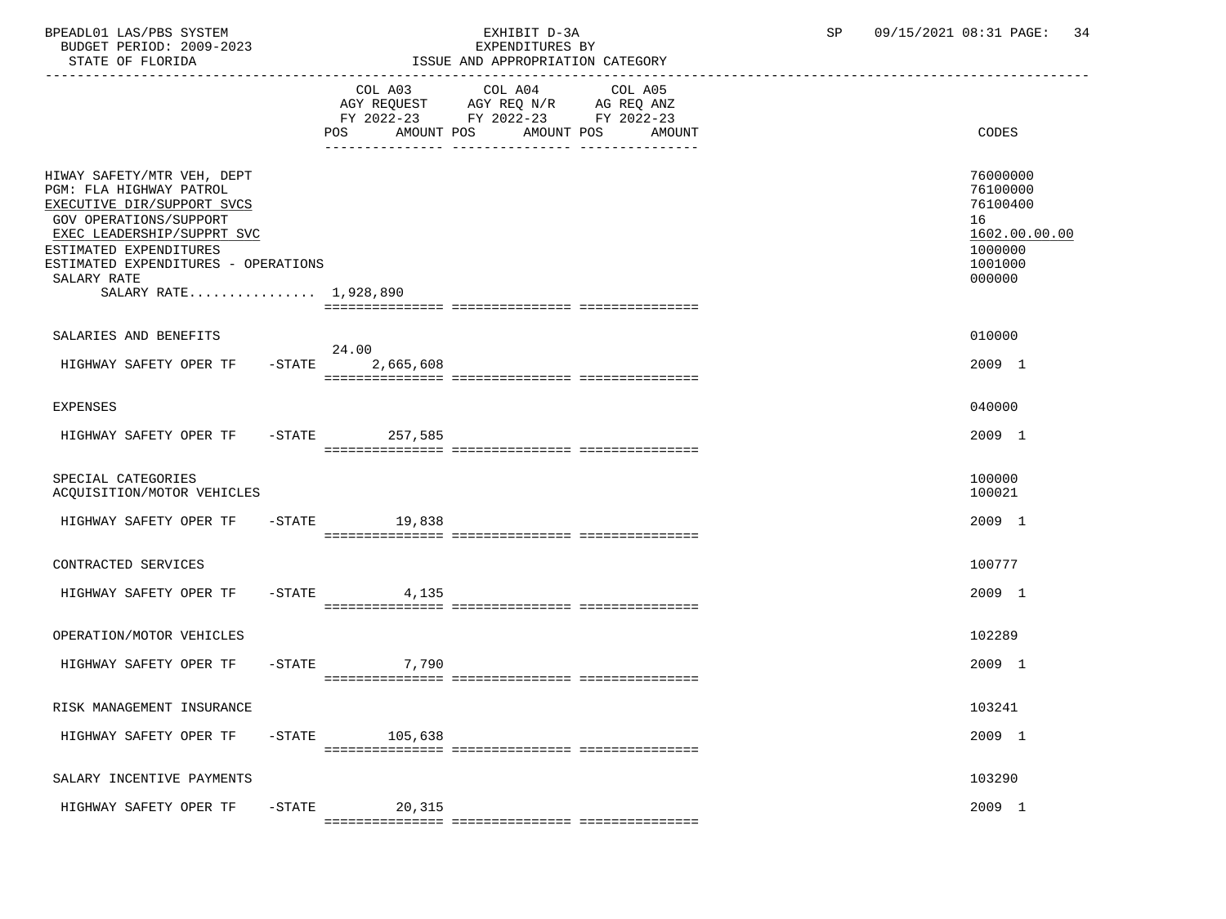BPEADL01 LAS/PBS SYSTEM EXHIBIT D-3A SP 09/15/2021 08:31 PAGE: 34 BUDGET PERIOD: 2009-2023

| ISSUE AND APPROPRIATION CATEGORY                             |                                            |                                                                                         |  |  |  |
|--------------------------------------------------------------|--------------------------------------------|-----------------------------------------------------------------------------------------|--|--|--|
| COL A03<br>POS                                               | COL A04<br>COL A05<br>AMOUNT POS<br>AMOUNT | CODES                                                                                   |  |  |  |
| ESTIMATED EXPENDITURES - OPERATIONS<br>SALARY RATE 1,928,890 |                                            | 76000000<br>76100000<br>76100400<br>16<br>1602.00.00.00<br>1000000<br>1001000<br>000000 |  |  |  |
|                                                              |                                            |                                                                                         |  |  |  |
|                                                              |                                            | 010000                                                                                  |  |  |  |
| $-$ STATE<br>2,665,608                                       |                                            | 2009 1                                                                                  |  |  |  |
|                                                              |                                            | 040000                                                                                  |  |  |  |
| HIGHWAY SAFETY OPER TF - STATE<br>257,585                    |                                            | 2009 1                                                                                  |  |  |  |
|                                                              |                                            | 100000<br>100021                                                                        |  |  |  |
| $-STATE$ 19,838                                              |                                            | 2009 1                                                                                  |  |  |  |
|                                                              |                                            | 100777                                                                                  |  |  |  |
| $-$ STATE 4, 135                                             |                                            | 2009 1                                                                                  |  |  |  |
|                                                              |                                            | 102289                                                                                  |  |  |  |
| $-STATE$<br>7,790                                            |                                            | 2009 1                                                                                  |  |  |  |
|                                                              |                                            | 103241                                                                                  |  |  |  |
| $-$ STATE 105,638                                            |                                            | 2009 1                                                                                  |  |  |  |
|                                                              |                                            | 103290                                                                                  |  |  |  |
| $-STATE$<br>20,315                                           |                                            | 2009 1                                                                                  |  |  |  |
|                                                              | 24.00                                      | AGY REQUEST AGY REQ N/R AG REQ ANZ<br>FY 2022-23 FY 2022-23 FY 2022-23<br>AMOUNT POS    |  |  |  |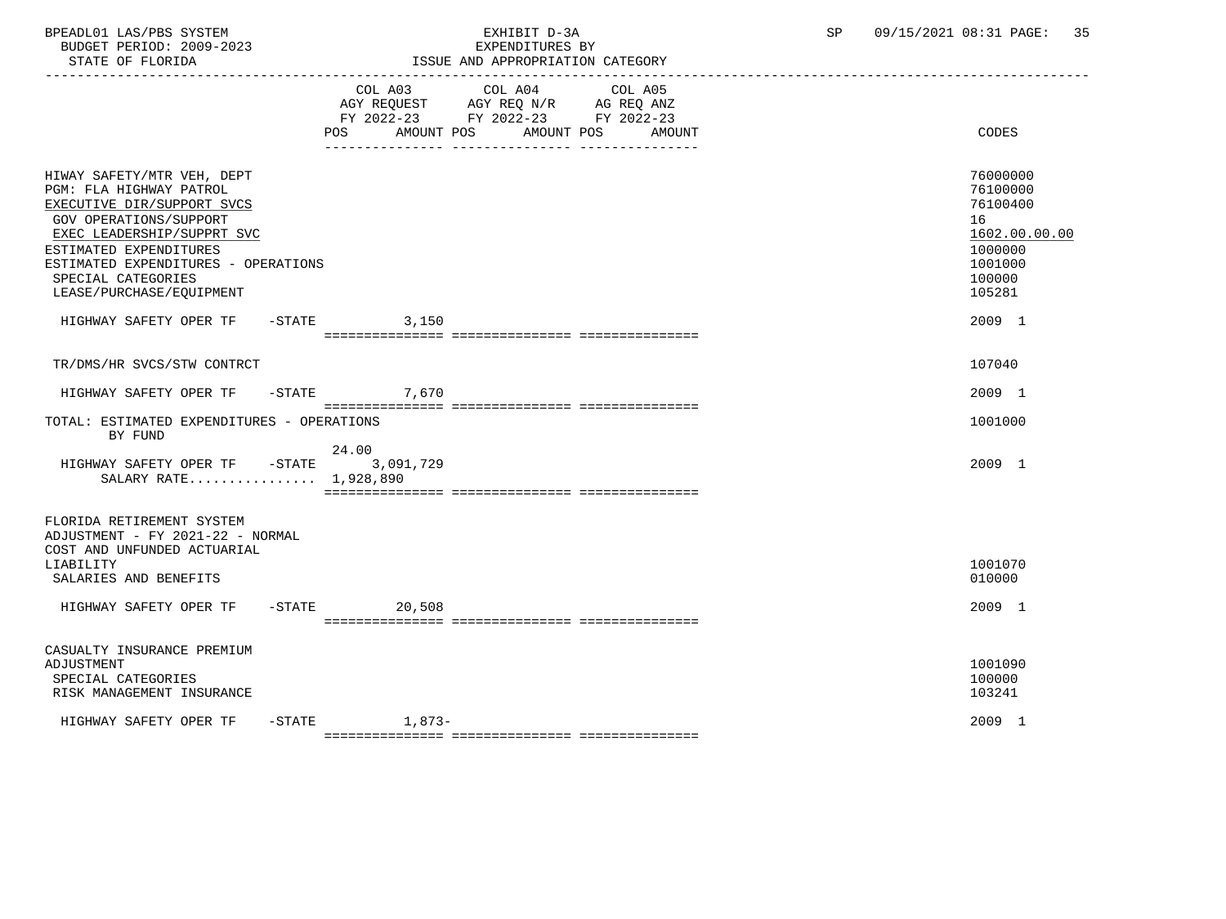| BPEADL01 LAS/PBS SYSTEM<br>BUDGET PERIOD: 2009-2023<br>STATE OF FLORIDA                                                                                                                                                                                        | EXPENDITURES BY<br>ISSUE AND APPROPRIATION CATEGORY                                                      | EXHIBIT D-3A<br>EXPENDITURES BY | SP | 09/15/2021 08:31 PAGE: 35                                                                         |
|----------------------------------------------------------------------------------------------------------------------------------------------------------------------------------------------------------------------------------------------------------------|----------------------------------------------------------------------------------------------------------|---------------------------------|----|---------------------------------------------------------------------------------------------------|
|                                                                                                                                                                                                                                                                | COL A03 COL A04 COL A05<br>AGY REQUEST AGY REQ N/R AG REQ ANZ<br>FY 2022-23 FY 2022-23 FY 2022-23<br>POS | AMOUNT POS AMOUNT POS AMOUNT    |    | CODES                                                                                             |
| HIWAY SAFETY/MTR VEH, DEPT<br>PGM: FLA HIGHWAY PATROL<br>EXECUTIVE DIR/SUPPORT SVCS<br>GOV OPERATIONS/SUPPORT<br>EXEC LEADERSHIP/SUPPRT SVC<br>ESTIMATED EXPENDITURES<br>ESTIMATED EXPENDITURES - OPERATIONS<br>SPECIAL CATEGORIES<br>LEASE/PURCHASE/EQUIPMENT |                                                                                                          |                                 |    | 76000000<br>76100000<br>76100400<br>16<br>1602.00.00.00<br>1000000<br>1001000<br>100000<br>105281 |
| HIGHWAY SAFETY OPER TF - STATE 3.150                                                                                                                                                                                                                           |                                                                                                          |                                 |    | 2009 1                                                                                            |
| TR/DMS/HR SVCS/STW CONTRCT                                                                                                                                                                                                                                     |                                                                                                          |                                 |    | 107040                                                                                            |
| HIGHWAY SAFETY OPER TF - STATE 7,670                                                                                                                                                                                                                           |                                                                                                          |                                 |    | 2009 1                                                                                            |
| TOTAL: ESTIMATED EXPENDITURES - OPERATIONS<br>BY FUND                                                                                                                                                                                                          |                                                                                                          |                                 |    | 1001000                                                                                           |
| HIGHWAY SAFETY OPER TF -STATE 3,091,729<br>SALARY RATE 1,928,890                                                                                                                                                                                               | 24.00                                                                                                    |                                 |    | 2009 1                                                                                            |

 FLORIDA RETIREMENT SYSTEM ADJUSTMENT - FY 2021-22 - NORMAL

| COST AND UNFUNDED ACTUARIAL |           |        |  |         |  |  |  |
|-----------------------------|-----------|--------|--|---------|--|--|--|
| LIABILITY                   |           |        |  | 1001070 |  |  |  |
| SALARIES AND BENEFITS       |           |        |  | 010000  |  |  |  |
| HIGHWAY SAFETY OPER TF      | $-$ STATE | 20,508 |  | 2009 1  |  |  |  |
|                             |           |        |  |         |  |  |  |

 CASUALTY INSURANCE PREMIUM ADJUSTMENT 1001090 SPECIAL CATEGORIES 100000 100000 POSTAGORIES 100000 POSTAGORIES 100000 POSTAGORIES 100000 POSTAGORIES 100000 POSTAGORIES 100000 POSTAGORIES 103241 RISK MANAGEMENT INSURANCE HIGHWAY SAFETY OPER TF -STATE 1,873-<br>
2009 1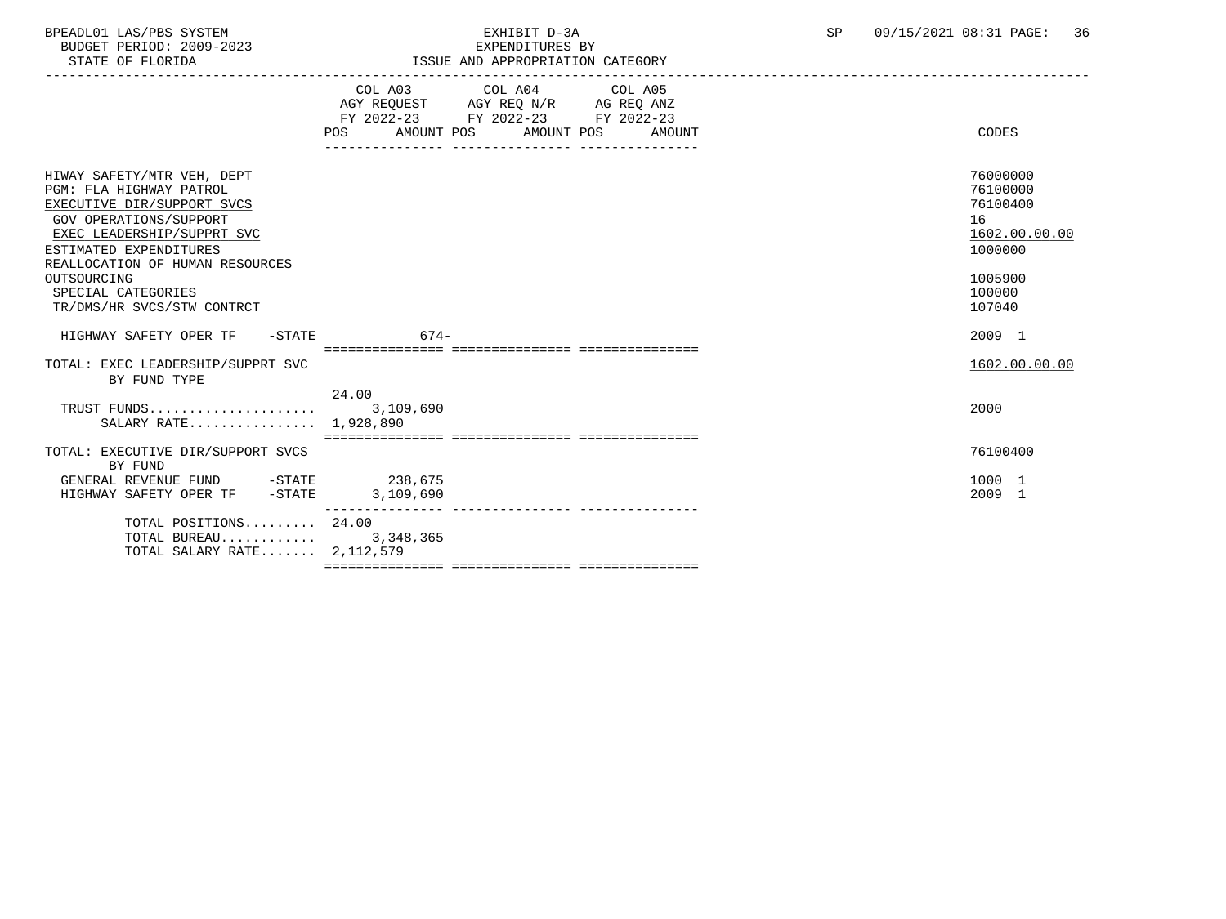BPEADL01 LAS/PBS SYSTEM EXHIBIT D-3A SP 09/15/2021 08:31 PAGE: 36 BUDGET PERIOD: 2009-2023<br>STATE OF FLORIDA

|  | ISSUE AND APPROPRIATION CATEGORY |  |
|--|----------------------------------|--|

|                                                                                                                                                                                                          | COL A03 COL A04 COL A05<br>AGY REQUEST AGY REQ N/R AG REQ ANZ<br>FY 2022-23 FY 2022-23 FY 2022-23<br>POS<br>AMOUNT POS<br>AMOUNT POS | AMOUNT | CODES                                                              |
|----------------------------------------------------------------------------------------------------------------------------------------------------------------------------------------------------------|--------------------------------------------------------------------------------------------------------------------------------------|--------|--------------------------------------------------------------------|
| HIWAY SAFETY/MTR VEH, DEPT<br>PGM: FLA HIGHWAY PATROL<br>EXECUTIVE DIR/SUPPORT SVCS<br>GOV OPERATIONS/SUPPORT<br>EXEC LEADERSHIP/SUPPRT SVC<br>ESTIMATED EXPENDITURES<br>REALLOCATION OF HUMAN RESOURCES |                                                                                                                                      |        | 76000000<br>76100000<br>76100400<br>16<br>1602.00.00.00<br>1000000 |
| OUTSOURCING<br>SPECIAL CATEGORIES<br>TR/DMS/HR SVCS/STW CONTRCT                                                                                                                                          |                                                                                                                                      |        | 1005900<br>100000<br>107040                                        |
| HIGHWAY SAFETY OPER TF - STATE                                                                                                                                                                           | $674-$                                                                                                                               |        | 2009 1                                                             |
| TOTAL: EXEC LEADERSHIP/SUPPRT SVC<br>BY FUND TYPE                                                                                                                                                        | ___________________________________                                                                                                  |        | 1602.00.00.00                                                      |
| SALARY RATE 1,928,890                                                                                                                                                                                    | 24.00                                                                                                                                |        | 2000                                                               |
| TOTAL: EXECUTIVE DIR/SUPPORT SVCS<br>BY FUND                                                                                                                                                             |                                                                                                                                      |        | 76100400                                                           |
| GENERAL REVENUE FUND -STATE<br>HIGHWAY SAFETY OPER TF -STATE                                                                                                                                             | 238,675<br>3,109,690                                                                                                                 |        | 1000 1<br>2009 1                                                   |
| TOTAL POSITIONS $24.00$<br>TOTAL BUREAU $3,348,365$<br>TOTAL SALARY RATE $2.112.579$                                                                                                                     |                                                                                                                                      |        |                                                                    |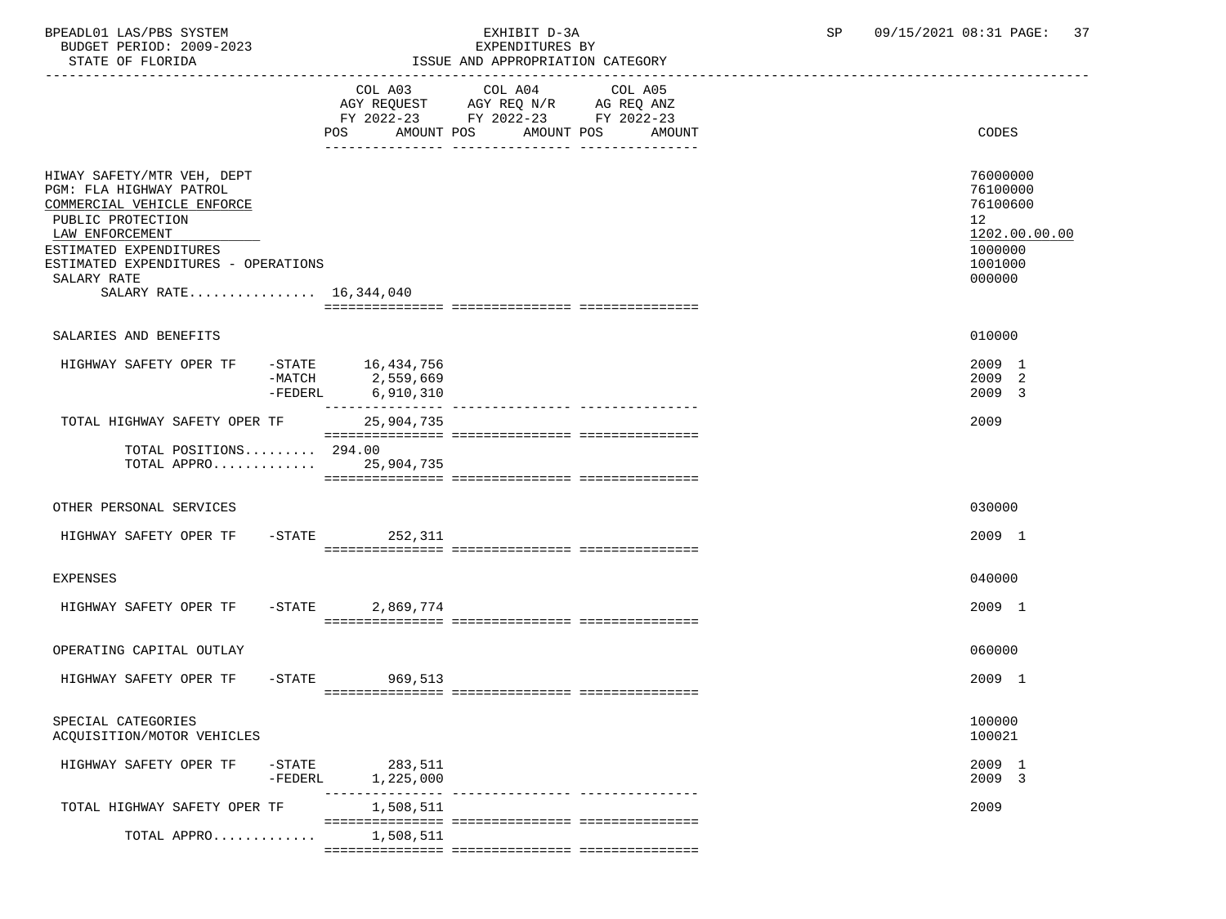BUDGET PERIOD: 2009-2023

## BPEADL01 LAS/PBS SYSTEM EXHIBIT D-3A SP 09/15/2021 08:31 PAGE: 37

| STATE OF FLORIDA                                                                                                                                                                                                                      |                        |                                                    | ISSUE AND APPROPRIATION CATEGORY                                                                |                                  |    |                                                                                   |
|---------------------------------------------------------------------------------------------------------------------------------------------------------------------------------------------------------------------------------------|------------------------|----------------------------------------------------|-------------------------------------------------------------------------------------------------|----------------------------------|----|-----------------------------------------------------------------------------------|
|                                                                                                                                                                                                                                       |                        | COL A03<br><b>POS</b>                              | COL A04<br>AGY REQUEST AGY REQ N/R AG REQ ANZ<br>FY 2022-23 FY 2022-23 FY 2022-23<br>AMOUNT POS | COL A05<br>AMOUNT POS<br>AMOUNT  |    | CODES                                                                             |
| HIWAY SAFETY/MTR VEH, DEPT<br>PGM: FLA HIGHWAY PATROL<br>COMMERCIAL VEHICLE ENFORCE<br>PUBLIC PROTECTION<br>LAW ENFORCEMENT<br>ESTIMATED EXPENDITURES<br>ESTIMATED EXPENDITURES - OPERATIONS<br>SALARY RATE<br>SALARY RATE 16,344,040 |                        |                                                    |                                                                                                 |                                  | 12 | 76000000<br>76100000<br>76100600<br>1202.00.00.00<br>1000000<br>1001000<br>000000 |
|                                                                                                                                                                                                                                       |                        |                                                    |                                                                                                 |                                  |    |                                                                                   |
| SALARIES AND BENEFITS<br>HIGHWAY SAFETY OPER TF                                                                                                                                                                                       | -FEDERL                | -STATE 16,434,756<br>-MATCH 2,559,669<br>6,910,310 |                                                                                                 |                                  |    | 010000<br>2009 1<br>2009 2<br>2009 3                                              |
| TOTAL HIGHWAY SAFETY OPER TF<br>TOTAL POSITIONS 294.00<br>TOTAL APPRO 25.904.735                                                                                                                                                      |                        | 25,904,735                                         |                                                                                                 |                                  |    | 2009                                                                              |
| OTHER PERSONAL SERVICES                                                                                                                                                                                                               |                        |                                                    |                                                                                                 |                                  |    | 030000                                                                            |
| HIGHWAY SAFETY OPER TF -STATE 252,311                                                                                                                                                                                                 |                        |                                                    |                                                                                                 |                                  |    | 2009 1                                                                            |
| EXPENSES                                                                                                                                                                                                                              |                        |                                                    |                                                                                                 |                                  |    | 040000                                                                            |
| HIGHWAY SAFETY OPER TF -STATE 2,869,774                                                                                                                                                                                               |                        |                                                    |                                                                                                 |                                  |    | 2009 1                                                                            |
| OPERATING CAPITAL OUTLAY                                                                                                                                                                                                              |                        |                                                    |                                                                                                 |                                  |    | 060000                                                                            |
| HIGHWAY SAFETY OPER TF                                                                                                                                                                                                                |                        | -STATE 969,513                                     |                                                                                                 |                                  |    | 2009 1                                                                            |
| SPECIAL CATEGORIES<br>ACQUISITION/MOTOR VEHICLES                                                                                                                                                                                      |                        |                                                    |                                                                                                 |                                  |    | 100000<br>100021                                                                  |
| HIGHWAY SAFETY OPER TF                                                                                                                                                                                                                | $-$ STATE<br>$-FEDERL$ | 283,511<br>1,225,000                               |                                                                                                 |                                  |    | 2009 1<br>2009 3                                                                  |
| TOTAL HIGHWAY SAFETY OPER TF                                                                                                                                                                                                          |                        | 1,508,511                                          |                                                                                                 | --------------- ---------------- |    | 2009                                                                              |
| TOTAL APPRO                                                                                                                                                                                                                           |                        | 1,508,511                                          |                                                                                                 |                                  |    |                                                                                   |

=============== =============== ===============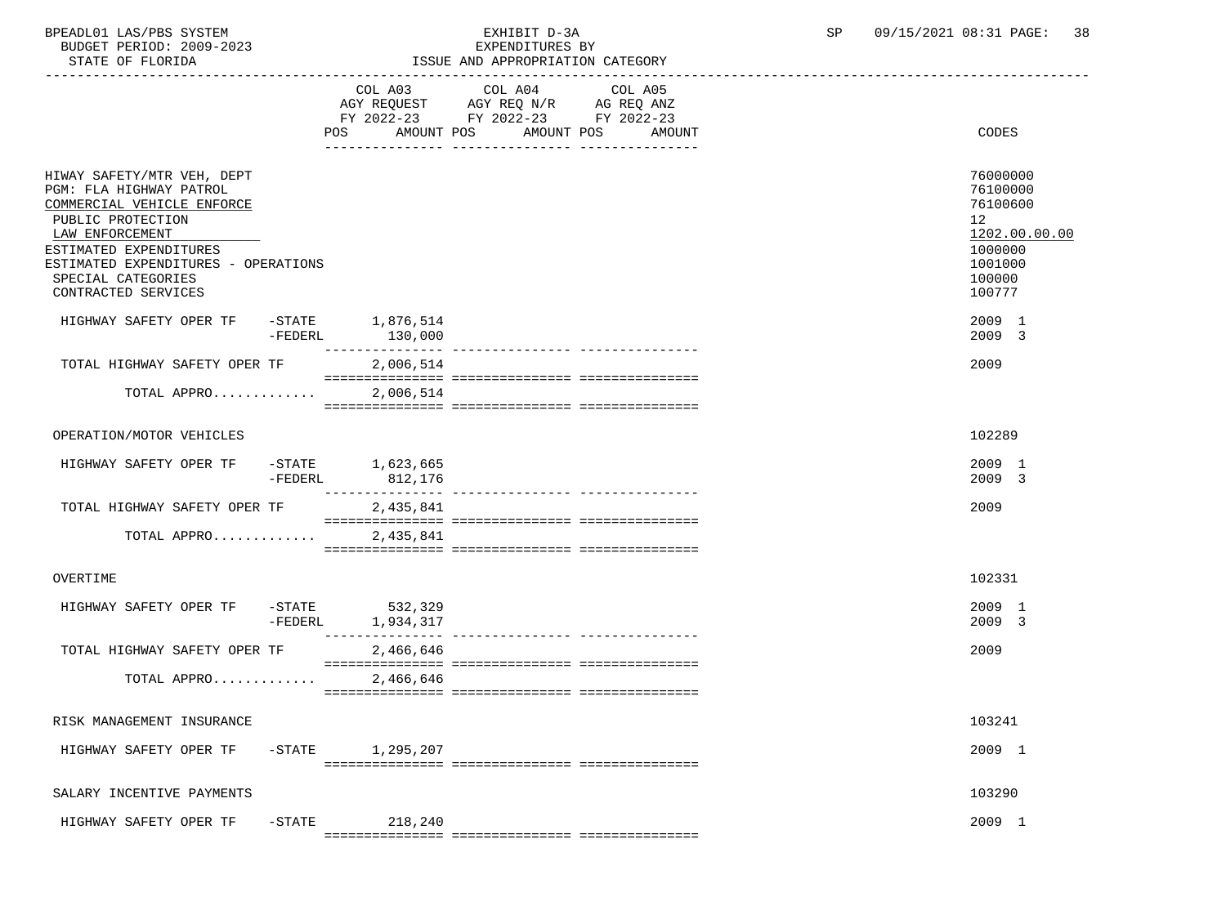BPEADL01 LAS/PBS SYSTEM EXHIBIT D-3A SP 09/15/2021 08:31 PAGE: 38 BUDGET PERIOD: 2009-2023

| STATE OF FLORIDA                                                                                                                                                                                                                          |           |                                    | ISSUE AND APPROPRIATION CATEGORY                                                                  |                                  |                                                                                                   |
|-------------------------------------------------------------------------------------------------------------------------------------------------------------------------------------------------------------------------------------------|-----------|------------------------------------|---------------------------------------------------------------------------------------------------|----------------------------------|---------------------------------------------------------------------------------------------------|
|                                                                                                                                                                                                                                           |           |                                    | COL A03 COL A04 COL A05<br>AGY REQUEST AGY REQ N/R AG REQ ANZ<br>FY 2022-23 FY 2022-23 FY 2022-23 | POS AMOUNT POS AMOUNT POS AMOUNT | CODES                                                                                             |
| HIWAY SAFETY/MTR VEH, DEPT<br>PGM: FLA HIGHWAY PATROL<br>COMMERCIAL VEHICLE ENFORCE<br>PUBLIC PROTECTION<br>LAW ENFORCEMENT<br>ESTIMATED EXPENDITURES<br>ESTIMATED EXPENDITURES - OPERATIONS<br>SPECIAL CATEGORIES<br>CONTRACTED SERVICES |           |                                    |                                                                                                   |                                  | 76000000<br>76100000<br>76100600<br>12<br>1202.00.00.00<br>1000000<br>1001000<br>100000<br>100777 |
| HIGHWAY SAFETY OPER TF                                                                                                                                                                                                                    | -FEDERL   | $-$ STATE $1, 876, 514$<br>130,000 |                                                                                                   |                                  | 2009 1<br>2009 3                                                                                  |
| TOTAL HIGHWAY SAFETY OPER TF                                                                                                                                                                                                              |           | 2,006,514                          |                                                                                                   |                                  | 2009                                                                                              |
| TOTAL APPRO                                                                                                                                                                                                                               |           | 2,006,514                          |                                                                                                   |                                  |                                                                                                   |
| OPERATION/MOTOR VEHICLES                                                                                                                                                                                                                  |           |                                    |                                                                                                   |                                  | 102289                                                                                            |
| HIGHWAY SAFETY OPER TF -STATE 1,623,665                                                                                                                                                                                                   | -FEDERL   | 812,176                            |                                                                                                   |                                  | 2009 1<br>2009 3                                                                                  |
| TOTAL HIGHWAY SAFETY OPER TF                                                                                                                                                                                                              |           | 2,435,841                          |                                                                                                   |                                  | 2009                                                                                              |
| TOTAL APPRO                                                                                                                                                                                                                               |           | 2,435,841                          |                                                                                                   |                                  |                                                                                                   |
| OVERTIME                                                                                                                                                                                                                                  |           |                                    |                                                                                                   |                                  | 102331                                                                                            |
| HIGHWAY SAFETY OPER TF                                                                                                                                                                                                                    | -FEDERL   | -STATE 532,329<br>1,934,317        |                                                                                                   |                                  | 2009 1<br>2009 3                                                                                  |
| TOTAL HIGHWAY SAFETY OPER TF                                                                                                                                                                                                              |           | 2,466,646                          |                                                                                                   |                                  | 2009                                                                                              |
| TOTAL APPRO                                                                                                                                                                                                                               |           | 2,466,646                          |                                                                                                   |                                  |                                                                                                   |
| RISK MANAGEMENT INSURANCE                                                                                                                                                                                                                 |           |                                    |                                                                                                   |                                  | 103241                                                                                            |
| HIGHWAY SAFETY OPER TF                                                                                                                                                                                                                    | $-$ STATE | 1,295,207                          |                                                                                                   |                                  | 2009 1                                                                                            |
| SALARY INCENTIVE PAYMENTS                                                                                                                                                                                                                 |           |                                    |                                                                                                   |                                  | 103290                                                                                            |
| HIGHWAY SAFETY OPER TF                                                                                                                                                                                                                    | $-$ STATE | 218,240                            |                                                                                                   |                                  | 2009 1                                                                                            |

=============== =============== ===============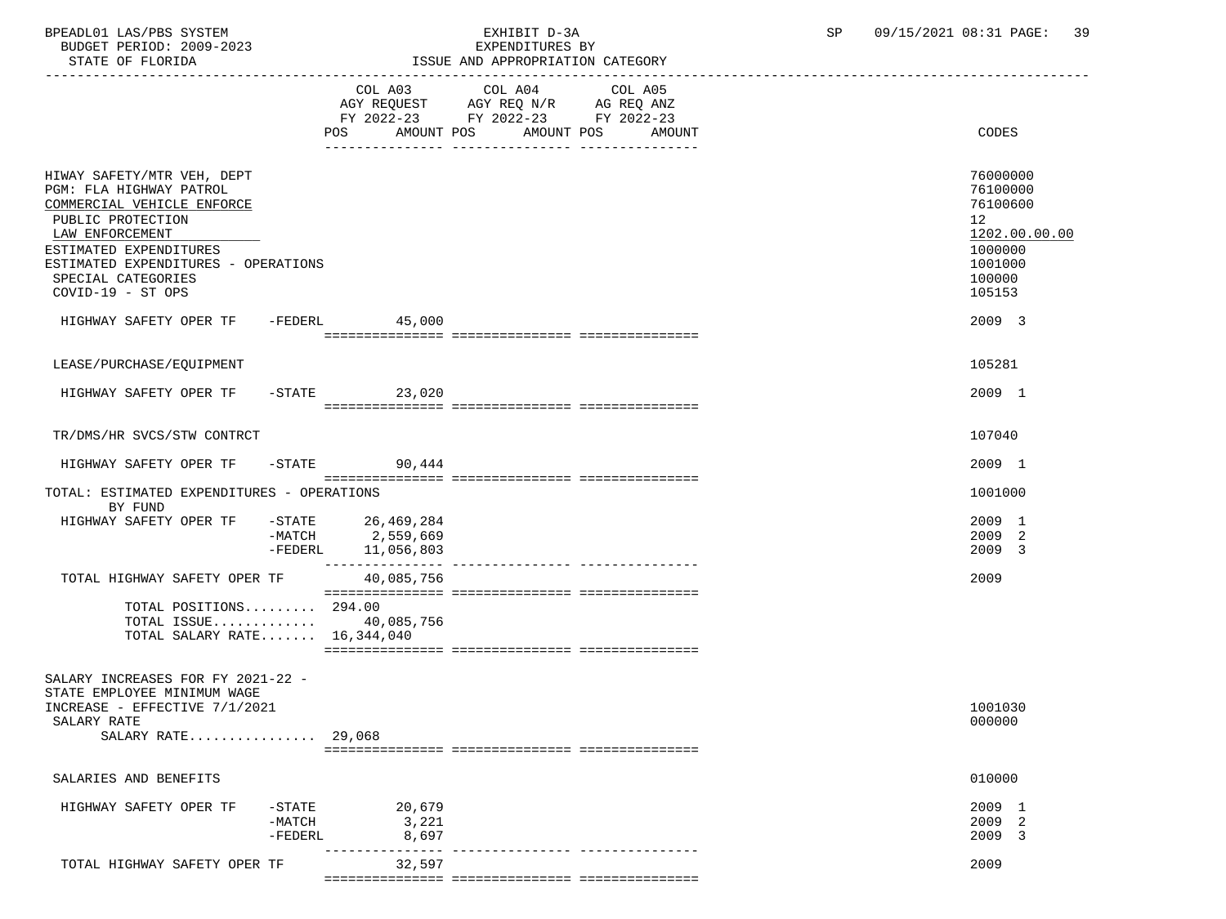BPEADL01 LAS/PBS SYSTEM EXHIBIT D-3A SP 09/15/2021 08:31 PAGE: 39 BUDGET PERIOD: 2009-2023

## STATE PRESERVE PROPRIATION CATEGORY

| STATE OF FLORIDA                                                                                                                                                                                                                        |                                    |                                                             | ISSUE AND APPROPRIATION CATEGORY                                                                                |        |                                                                                                   |
|-----------------------------------------------------------------------------------------------------------------------------------------------------------------------------------------------------------------------------------------|------------------------------------|-------------------------------------------------------------|-----------------------------------------------------------------------------------------------------------------|--------|---------------------------------------------------------------------------------------------------|
|                                                                                                                                                                                                                                         |                                    | AMOUNT POS<br>POS                                           | COL A03 COL A04 COL A05<br>AGY REQUEST AGY REQ N/R AG REQ ANZ<br>FY 2022-23 FY 2022-23 FY 2022-23<br>AMOUNT POS | AMOUNT | CODES                                                                                             |
| HIWAY SAFETY/MTR VEH, DEPT<br>PGM: FLA HIGHWAY PATROL<br>COMMERCIAL VEHICLE ENFORCE<br>PUBLIC PROTECTION<br>LAW ENFORCEMENT<br>ESTIMATED EXPENDITURES<br>ESTIMATED EXPENDITURES - OPERATIONS<br>SPECIAL CATEGORIES<br>COVID-19 - ST OPS |                                    |                                                             |                                                                                                                 |        | 76000000<br>76100000<br>76100600<br>12<br>1202.00.00.00<br>1000000<br>1001000<br>100000<br>105153 |
| HIGHWAY SAFETY OPER TF -FEDERL 45,000                                                                                                                                                                                                   |                                    |                                                             |                                                                                                                 |        | 2009 3                                                                                            |
| LEASE/PURCHASE/EOUIPMENT<br>HIGHWAY SAFETY OPER TF                                                                                                                                                                                      |                                    | $-STATE$ 23,020                                             |                                                                                                                 |        | 105281<br>2009 1                                                                                  |
| TR/DMS/HR SVCS/STW CONTRCT                                                                                                                                                                                                              |                                    |                                                             |                                                                                                                 |        | 107040                                                                                            |
| HIGHWAY SAFETY OPER TF -STATE 90,444                                                                                                                                                                                                    |                                    |                                                             |                                                                                                                 |        | 2009 1                                                                                            |
| TOTAL: ESTIMATED EXPENDITURES - OPERATIONS<br>BY FUND                                                                                                                                                                                   |                                    |                                                             |                                                                                                                 |        | 1001000                                                                                           |
| HIGHWAY SAFETY OPER TF                                                                                                                                                                                                                  |                                    | STATE 26,469,284 –<br>MATCH 2,559,669<br>-FEDERL 11,056,803 |                                                                                                                 |        | 2009 1<br>2009 2<br>2009 3                                                                        |
| TOTAL HIGHWAY SAFETY OPER TF                                                                                                                                                                                                            |                                    | 40,085,756                                                  |                                                                                                                 |        | 2009                                                                                              |
| TOTAL POSITIONS 294.00<br>TOTAL ISSUE 40,085,756<br>TOTAL SALARY RATE $16,344,040$                                                                                                                                                      |                                    |                                                             |                                                                                                                 |        |                                                                                                   |
| SALARY INCREASES FOR FY 2021-22 -<br>STATE EMPLOYEE MINIMUM WAGE<br>INCREASE - EFFECTIVE 7/1/2021<br>SALARY RATE<br>SALARY RATE 29,068                                                                                                  |                                    |                                                             |                                                                                                                 |        | 1001030<br>000000                                                                                 |
| SALARIES AND BENEFITS                                                                                                                                                                                                                   |                                    |                                                             |                                                                                                                 |        | 010000                                                                                            |
| HIGHWAY SAFETY OPER TF                                                                                                                                                                                                                  | $-$ STATE<br>$-MATCH$<br>$-FEDERL$ | 20,679<br>3,221<br>8,697                                    |                                                                                                                 |        | 2009 1<br>2009 2<br>2009 3                                                                        |

TOTAL HIGHWAY SAFETY OPER TF 32,597 2009 32,597 =============== =============== ===============

--------------- --------------- ---------------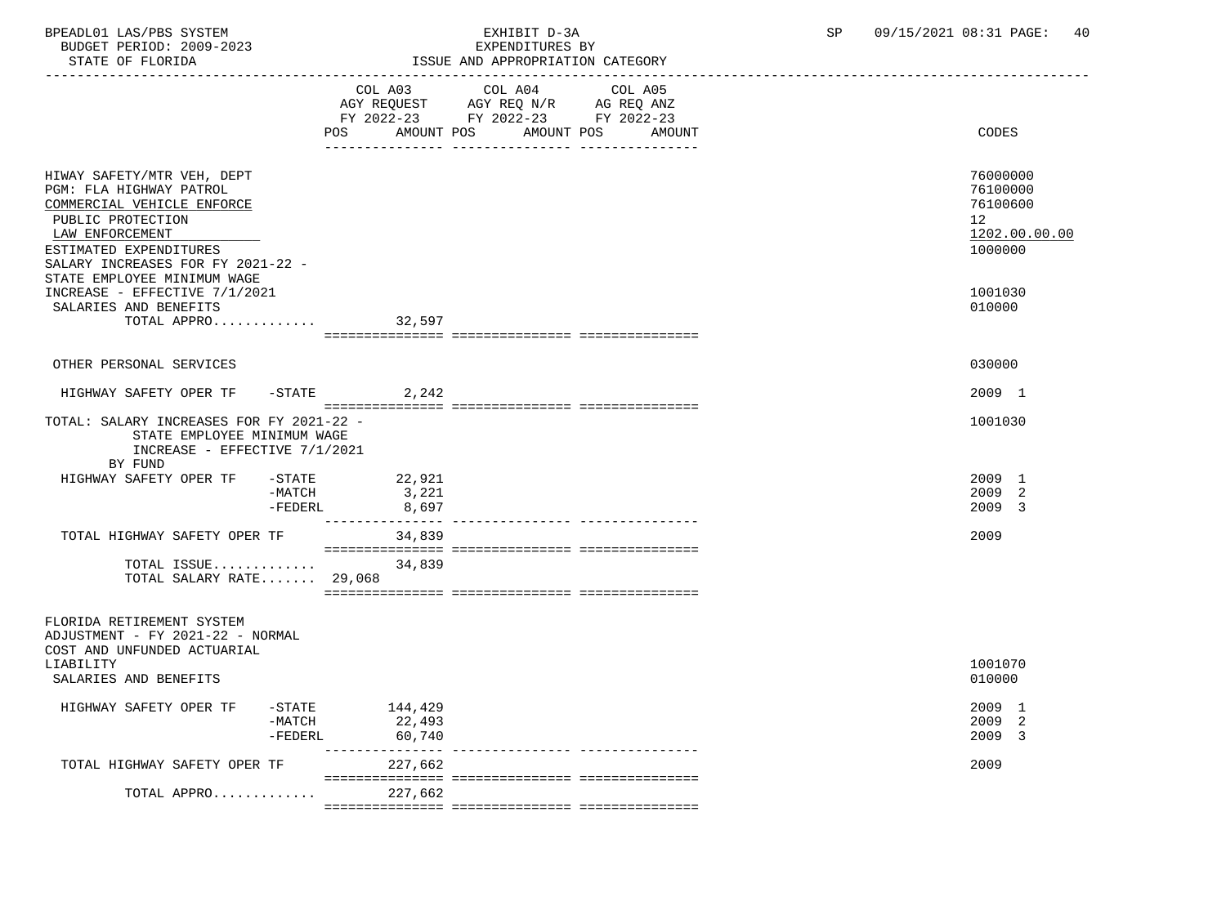| BPEADL01 LAS/PBS SYSTEM<br>BUDGET PERIOD: 2009-2023<br>STATE OF FLORIDA                                                                                                                                                   | EXHIBIT D-3A<br>EXPENDITURES BY<br>ISSUE AND APPROPRIATION CATEGORY                                                                         | SP<br>09/15/2021 08:31 PAGE:<br>40                                 |
|---------------------------------------------------------------------------------------------------------------------------------------------------------------------------------------------------------------------------|---------------------------------------------------------------------------------------------------------------------------------------------|--------------------------------------------------------------------|
|                                                                                                                                                                                                                           | COL A03 COL A04 COL A05<br>AGY REQUEST AGY REQ N/R AG REQ ANZ<br>FY 2022-23 FY 2022-23 FY 2022-23<br>POS<br>AMOUNT POS AMOUNT POS<br>AMOUNT | CODES                                                              |
| HIWAY SAFETY/MTR VEH, DEPT<br>PGM: FLA HIGHWAY PATROL<br>COMMERCIAL VEHICLE ENFORCE<br>PUBLIC PROTECTION<br>LAW ENFORCEMENT<br>ESTIMATED EXPENDITURES<br>SALARY INCREASES FOR FY 2021-22 -<br>STATE EMPLOYEE MINIMUM WAGE |                                                                                                                                             | 76000000<br>76100000<br>76100600<br>12<br>1202.00.00.00<br>1000000 |
| INCREASE - EFFECTIVE 7/1/2021<br>SALARIES AND BENEFITS<br>TOTAL APPRO                                                                                                                                                     | 32,597                                                                                                                                      | 1001030<br>010000                                                  |
| OTHER PERSONAL SERVICES                                                                                                                                                                                                   |                                                                                                                                             | 030000                                                             |

HIGHWAY SAFETY OPER TF -STATE 2,242 2009 1 =============== =============== =============== TOTAL: SALARY INCREASES FOR FY 2021-22 - 1001030 STATE EMPLOYEE MINIMUM WAGE INCREASE - EFFECTIVE 7/1/2021 BY FUND<br>HIGHWAY SAFETY OPER TF ابو المستخدم التي يتم المستخدم المستخدم المستخدم المستخدم المستخدم المستخدم المستخدم المستخدم المستخدم المستخد<br>12009 - 2009 12- 2009 12- 2009 12- 2009 12- 2009 12- 2009 12- 2009 12- 2009 12- 2009 12- 2009 12- 2009 12- 200  $-MATCH$   $3/221$   $2009$   $2$  $-$ FEDERL  $8\,$  , 697  $\,$  --------------- --------------- --------------- TOTAL HIGHWAY SAFETY OPER TF 34,839 2009 34,839 =============== =============== ===============

 TOTAL ISSUE............. 34,839 TOTAL SALARY RATE....... 29,068 =============== =============== ===============

### FLORIDA RETIREMENT SYSTEM

 ADJUSTMENT - FY 2021-22 - NORMAL COST AND UNFUNDED ACTUARIAL LIABILITY 1001070 SALARIES AND BENEFITS 010000 HIGHWAY SAFETY OPER TF -STATE 144,429 2009 1 -MATCH 22,493 2009 2 -FEDERL 60,740 2009 3 --------------- --------------- --------------- TOTAL HIGHWAY SAFETY OPER TF 227,662 2009 =============== =============== =============== TOTAL APPRO............ =============== =============== ===============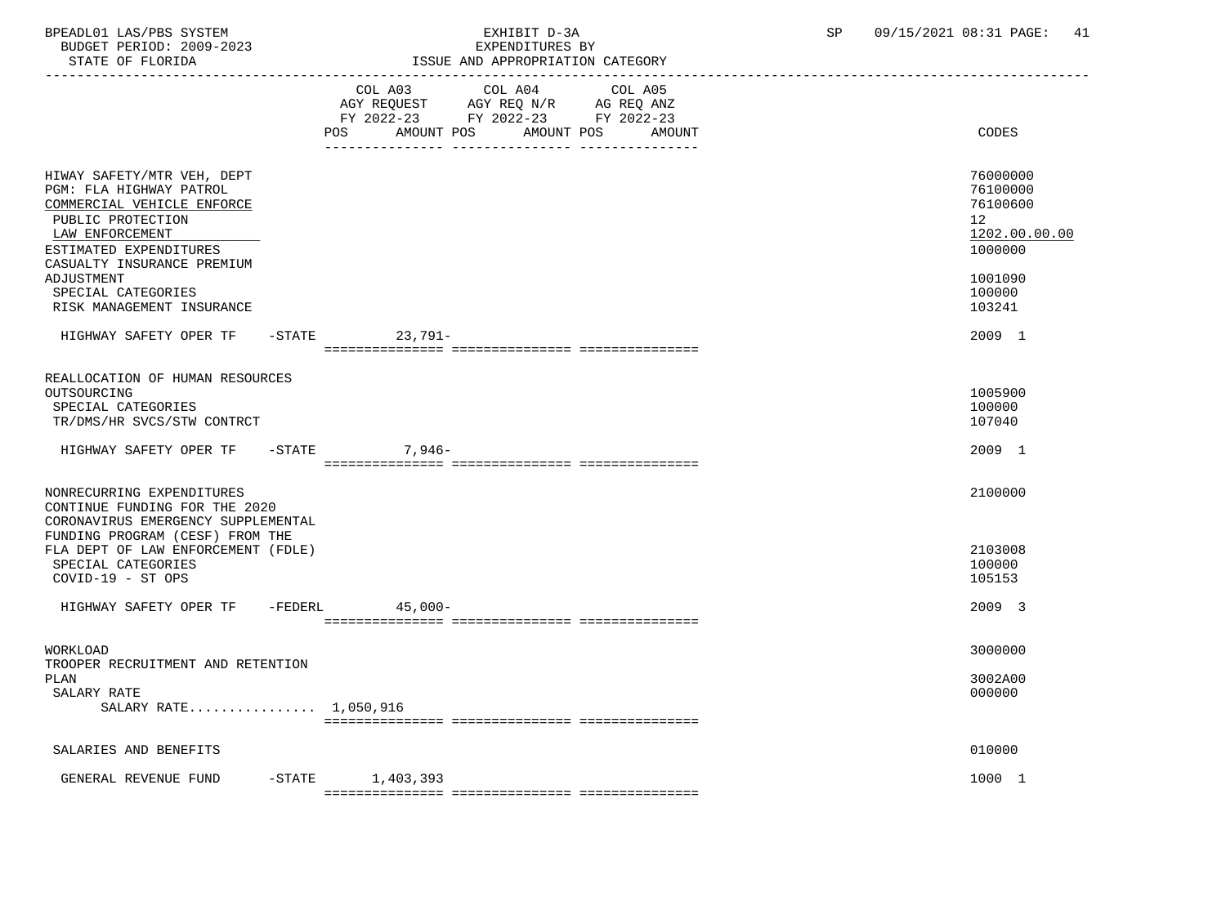BPEADL01 LAS/PBS SYSTEM EXHIBIT D-3A SP 09/15/2021 08:31 PAGE: 41 BUDGET PERIOD: 2009-2023<br>STATE OF FLORIDA

## STATE OF FLORIDA ISSUE AND APPROPRIATION CATEGORY

|                                                                                                                                                                                     | LOOUL AND APPROPRIATION CAILGORI                                                                                                                                                                                      |                                                                    |
|-------------------------------------------------------------------------------------------------------------------------------------------------------------------------------------|-----------------------------------------------------------------------------------------------------------------------------------------------------------------------------------------------------------------------|--------------------------------------------------------------------|
|                                                                                                                                                                                     | COL A03 COL A04<br>COL A05<br>$\begin{tabular}{lllllll} AGY & \texttt{REQUEST} & \texttt{AGY REQ N/R} & \texttt{AG REQ ANZ} \end{tabular}$<br>FY 2022-23 FY 2022-23 FY 2022-23<br>AMOUNT POS AMOUNT POS AMOUNT<br>POS | CODES                                                              |
|                                                                                                                                                                                     |                                                                                                                                                                                                                       |                                                                    |
| HIWAY SAFETY/MTR VEH, DEPT<br>PGM: FLA HIGHWAY PATROL<br>COMMERCIAL VEHICLE ENFORCE<br>PUBLIC PROTECTION<br>LAW ENFORCEMENT<br>ESTIMATED EXPENDITURES<br>CASUALTY INSURANCE PREMIUM |                                                                                                                                                                                                                       | 76000000<br>76100000<br>76100600<br>12<br>1202.00.00.00<br>1000000 |
| ADJUSTMENT<br>SPECIAL CATEGORIES<br>RISK MANAGEMENT INSURANCE                                                                                                                       |                                                                                                                                                                                                                       | 1001090<br>100000<br>103241                                        |
| HIGHWAY SAFETY OPER TF                                                                                                                                                              | $23,791-$<br>$-$ STATE                                                                                                                                                                                                | 2009 1                                                             |
|                                                                                                                                                                                     |                                                                                                                                                                                                                       |                                                                    |
| REALLOCATION OF HUMAN RESOURCES<br>OUTSOURCING<br>SPECIAL CATEGORIES<br>TR/DMS/HR SVCS/STW CONTRCT                                                                                  |                                                                                                                                                                                                                       | 1005900<br>100000<br>107040                                        |
| HIGHWAY SAFETY OPER TF -STATE                                                                                                                                                       | 7,946-                                                                                                                                                                                                                | 2009 1                                                             |
|                                                                                                                                                                                     |                                                                                                                                                                                                                       |                                                                    |
| NONRECURRING EXPENDITURES<br>CONTINUE FUNDING FOR THE 2020<br>CORONAVIRUS EMERGENCY SUPPLEMENTAL<br>FUNDING PROGRAM (CESF) FROM THE<br>FLA DEPT OF LAW ENFORCEMENT (FDLE)           |                                                                                                                                                                                                                       | 2100000<br>2103008                                                 |
| SPECIAL CATEGORIES                                                                                                                                                                  |                                                                                                                                                                                                                       | 100000                                                             |
| COVID-19 - ST OPS                                                                                                                                                                   |                                                                                                                                                                                                                       | 105153                                                             |
| HIGHWAY SAFETY OPER TF -FEDERL                                                                                                                                                      | 45,000-                                                                                                                                                                                                               | 2009 3                                                             |
|                                                                                                                                                                                     |                                                                                                                                                                                                                       |                                                                    |
| WORKLOAD<br>TROOPER RECRUITMENT AND RETENTION                                                                                                                                       |                                                                                                                                                                                                                       | 3000000                                                            |
| PLAN                                                                                                                                                                                |                                                                                                                                                                                                                       | 3002A00                                                            |
| SALARY RATE                                                                                                                                                                         |                                                                                                                                                                                                                       | 000000                                                             |
| SALARY RATE 1,050,916                                                                                                                                                               |                                                                                                                                                                                                                       |                                                                    |
|                                                                                                                                                                                     |                                                                                                                                                                                                                       |                                                                    |
| SALARIES AND BENEFITS                                                                                                                                                               |                                                                                                                                                                                                                       | 010000                                                             |
| GENERAL REVENUE FUND                                                                                                                                                                | $-STATE$ 1,403,393                                                                                                                                                                                                    | 1000 1                                                             |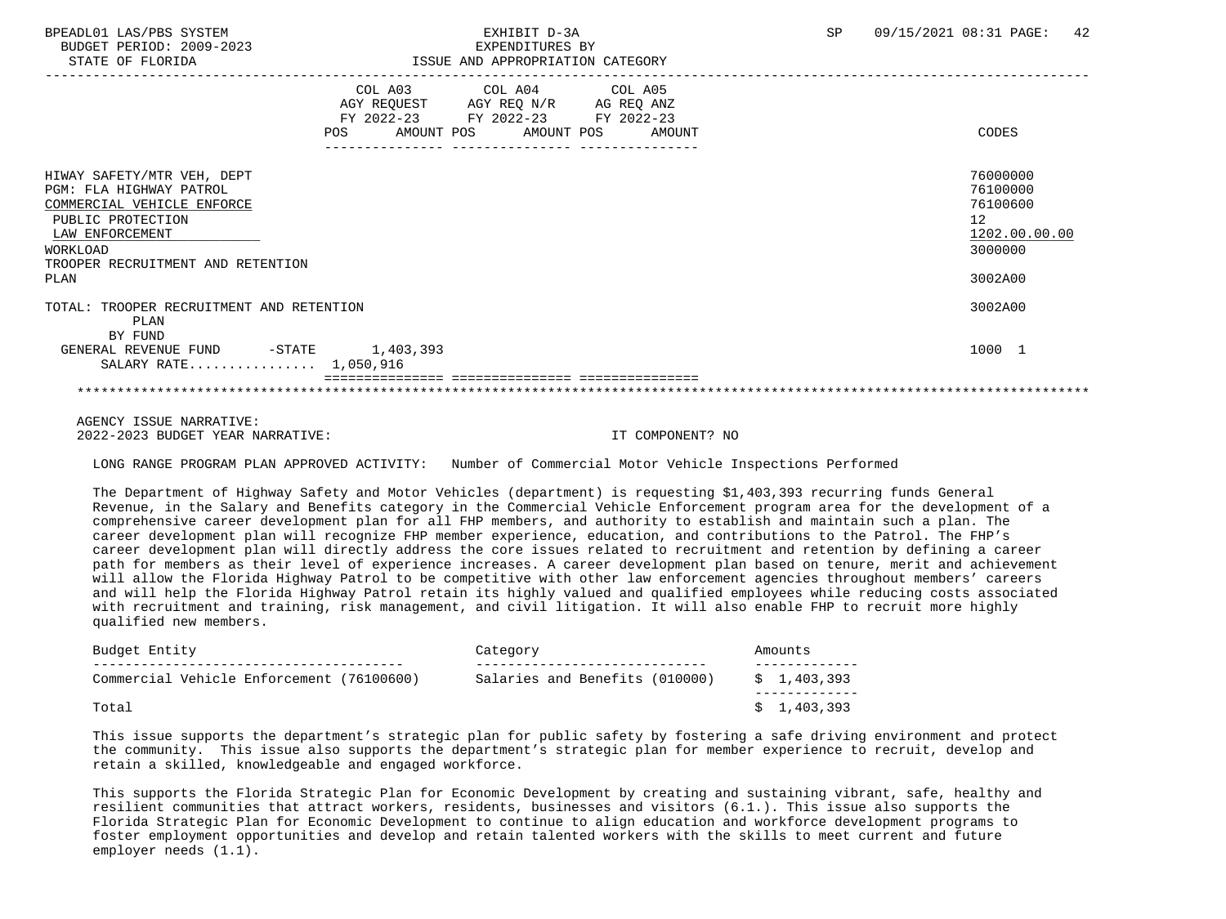BUDGET PERIOD: 2009-2023<br>
EXPENDITURES BY ELOPIDA

## STATE OF FLORIDA ISSUE AND APPROPRIATION CATEGORY

| DIAIL UP PLUAIDA                                                                                                                                                                     | LOOUL AND APPROPRIATION CATEGORI                                                                  |  |                                                                                            |
|--------------------------------------------------------------------------------------------------------------------------------------------------------------------------------------|---------------------------------------------------------------------------------------------------|--|--------------------------------------------------------------------------------------------|
|                                                                                                                                                                                      | COL A03 COL A04 COL A05<br>AGY REQUEST AGY REQ N/R AG REQ ANZ<br>FY 2022-23 FY 2022-23 FY 2022-23 |  |                                                                                            |
|                                                                                                                                                                                      | POS AMOUNT POS AMOUNT POS AMOUNT                                                                  |  | CODES                                                                                      |
| HIWAY SAFETY/MTR VEH, DEPT<br>PGM: FLA HIGHWAY PATROL<br>COMMERCIAL VEHICLE ENFORCE<br>PUBLIC PROTECTION<br>LAW ENFORCEMENT<br>WORKLOAD<br>TROOPER RECRUITMENT AND RETENTION<br>PLAN |                                                                                                   |  | 76000000<br>76100000<br>76100600<br>12 <sup>°</sup><br>1202.00.00.00<br>3000000<br>3002A00 |
| TOTAL: TROOPER RECRUITMENT AND RETENTION<br>PLAN                                                                                                                                     |                                                                                                   |  | 3002A00                                                                                    |
| BY FUND<br>GENERAL REVENUE FUND -STATE 1,403,393<br>SALARY RATE 1,050,916                                                                                                            |                                                                                                   |  | 1000 1                                                                                     |
|                                                                                                                                                                                      |                                                                                                   |  |                                                                                            |
| $\ldots$                                                                                                                                                                             |                                                                                                   |  |                                                                                            |

 AGENCY ISSUE NARRATIVE: 2022-2023 BUDGET YEAR NARRATIVE: IT COMPONENT? NO

LONG RANGE PROGRAM PLAN APPROVED ACTIVITY: Number of Commercial Motor Vehicle Inspections Performed

 The Department of Highway Safety and Motor Vehicles (department) is requesting \$1,403,393 recurring funds General Revenue, in the Salary and Benefits category in the Commercial Vehicle Enforcement program area for the development of a comprehensive career development plan for all FHP members, and authority to establish and maintain such a plan. The career development plan will recognize FHP member experience, education, and contributions to the Patrol. The FHP's career development plan will directly address the core issues related to recruitment and retention by defining a career path for members as their level of experience increases. A career development plan based on tenure, merit and achievement will allow the Florida Highway Patrol to be competitive with other law enforcement agencies throughout members' careers and will help the Florida Highway Patrol retain its highly valued and qualified employees while reducing costs associated with recruitment and training, risk management, and civil litigation. It will also enable FHP to recruit more highly qualified new members.

| Budget Entity                             | Category                       | Amounts     |
|-------------------------------------------|--------------------------------|-------------|
| Commercial Vehicle Enforcement (76100600) | Salaries and Benefits (010000) | \$1,403,393 |
| Total                                     |                                | \$1,403,393 |

 This issue supports the department's strategic plan for public safety by fostering a safe driving environment and protect the community. This issue also supports the department's strategic plan for member experience to recruit, develop and retain a skilled, knowledgeable and engaged workforce.

 This supports the Florida Strategic Plan for Economic Development by creating and sustaining vibrant, safe, healthy and resilient communities that attract workers, residents, businesses and visitors (6.1.). This issue also supports the Florida Strategic Plan for Economic Development to continue to align education and workforce development programs to foster employment opportunities and develop and retain talented workers with the skills to meet current and future employer needs (1.1).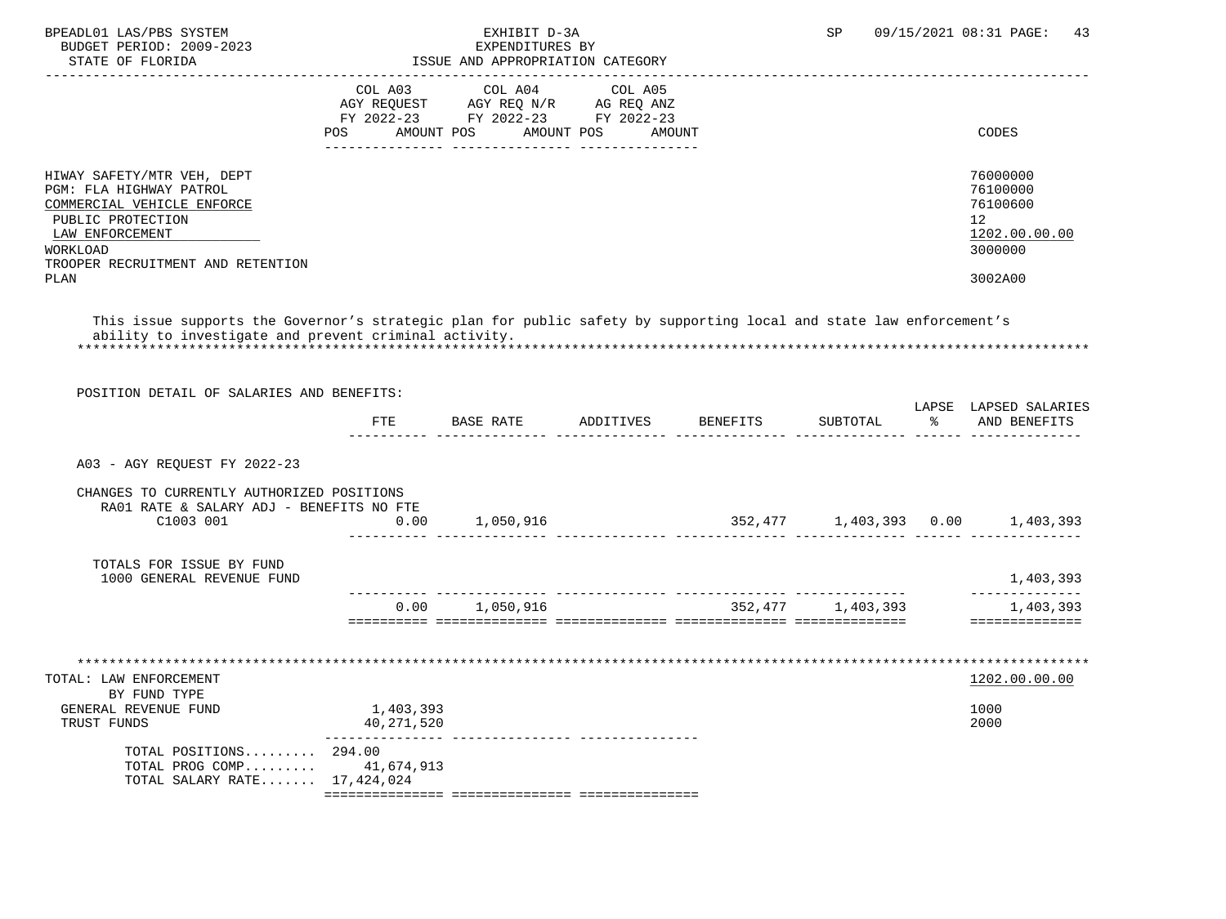| BPEADL01 LAS/PBS SYSTEM<br>BUDGET PERIOD: 2009-2023<br>STATE OF FLORIDA                                                                                                              |                         | EXHIBIT D-3A<br>EXPENDITURES BY<br>ISSUE AND APPROPRIATION CATEGORY                                                       |         | SP.               | 09/15/2021 08:31 PAGE:<br>43                                                  |
|--------------------------------------------------------------------------------------------------------------------------------------------------------------------------------------|-------------------------|---------------------------------------------------------------------------------------------------------------------------|---------|-------------------|-------------------------------------------------------------------------------|
|                                                                                                                                                                                      | <b>POS</b>              | COL A03 COL A04<br>AGY REQUEST AGY REQ N/R AG REQ ANZ<br>FY 2022-23 FY 2022-23 FY 2022-23<br>AMOUNT POS AMOUNT POS AMOUNT | COL A05 |                   | CODES                                                                         |
| HIWAY SAFETY/MTR VEH, DEPT<br>PGM: FLA HIGHWAY PATROL<br>COMMERCIAL VEHICLE ENFORCE<br>PUBLIC PROTECTION<br>LAW ENFORCEMENT<br>WORKLOAD<br>TROOPER RECRUITMENT AND RETENTION<br>PLAN |                         |                                                                                                                           |         |                   | 76000000<br>76100000<br>76100600<br>12<br>1202.00.00.00<br>3000000<br>3002A00 |
| This issue supports the Governor's strategic plan for public safety by supporting local and state law enforcement's<br>ability to investigate and prevent criminal activity.         |                         |                                                                                                                           |         |                   |                                                                               |
| POSITION DETAIL OF SALARIES AND BENEFITS:                                                                                                                                            | FTE                     | BASE RATE ADDITIVES BENEFITS                                                                                              |         | SUBTOTAL          | LAPSE LAPSED SALARIES<br>% AND BENEFITS                                       |
| A03 - AGY REQUEST FY 2022-23                                                                                                                                                         |                         |                                                                                                                           |         |                   |                                                                               |
| CHANGES TO CURRENTLY AUTHORIZED POSITIONS<br>RA01 RATE & SALARY ADJ - BENEFITS NO FTE<br>C1003 001                                                                                   | 0.00                    | 1,050,916                                                                                                                 |         |                   | $352,477$ 1,403,393 0.00 1,403,393                                            |
| TOTALS FOR ISSUE BY FUND<br>1000 GENERAL REVENUE FUND                                                                                                                                |                         |                                                                                                                           |         |                   | 1,403,393                                                                     |
|                                                                                                                                                                                      |                         | 0.00 1,050,916<br>soosoosoo aadoodoodooda aadoodoodooda aadoodoodooda aadoodoodoodo                                       |         | 352,477 1,403,393 | --------------<br>1,403,393<br>===============                                |
| TOTAL: LAW ENFORCEMENT<br>BY FUND TYPE                                                                                                                                               |                         |                                                                                                                           |         |                   | 1202.00.00.00                                                                 |
| GENERAL REVENUE FUND<br>TRUST FUNDS                                                                                                                                                  | 1,403,393<br>40,271,520 |                                                                                                                           |         |                   | 1000<br>2000                                                                  |

| TOTAL SALARY RATE 17,424,024 |  |  |  |  |
|------------------------------|--|--|--|--|
| TOTAL PROG COMP $41.674.913$ |  |  |  |  |
| TOTAL POSITIONS $294.00$     |  |  |  |  |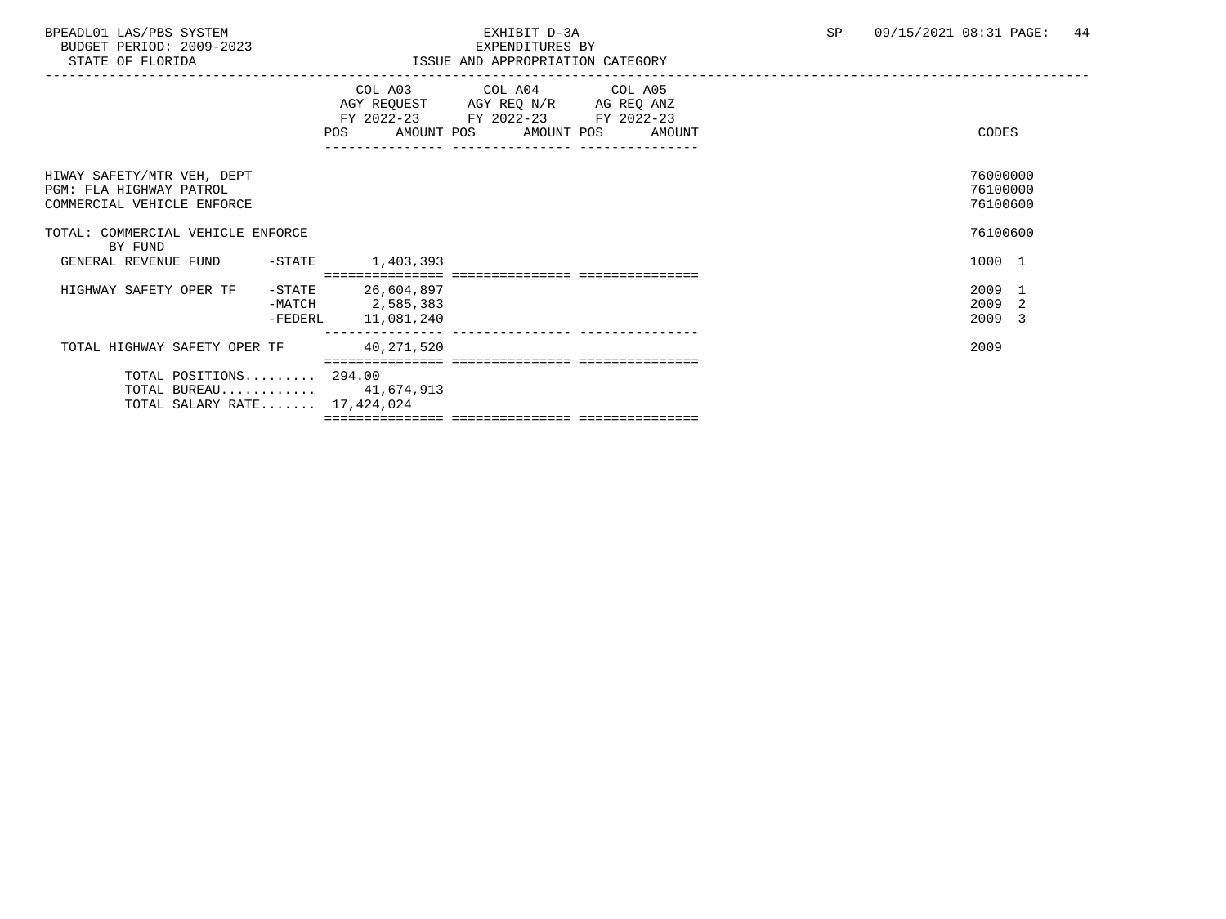BUDGET PERIOD: 2009-2023<br>STATE OF FLORIDA

| STATE OF FLORIDA                                                                      |           |                                                        | ISSUE AND APPROPRIATION CATEGORY                                                                                           |        |                                  |
|---------------------------------------------------------------------------------------|-----------|--------------------------------------------------------|----------------------------------------------------------------------------------------------------------------------------|--------|----------------------------------|
|                                                                                       |           | POS                                                    | COL A03 COL A04 COL A05<br>AGY REQUEST AGY REQ N/R AG REQ ANZ<br>FY 2022-23 FY 2022-23 FY 2022-23<br>AMOUNT POS AMOUNT POS | AMOUNT | CODES                            |
| HIWAY SAFETY/MTR VEH, DEPT<br>PGM: FLA HIGHWAY PATROL<br>COMMERCIAL VEHICLE ENFORCE   |           |                                                        |                                                                                                                            |        | 76000000<br>76100000<br>76100600 |
| TOTAL: COMMERCIAL VEHICLE ENFORCE<br>BY FUND                                          |           |                                                        |                                                                                                                            |        | 76100600                         |
| GENERAL REVENUE FUND -STATE                                                           |           | 1,403,393                                              | ___________________________________                                                                                        |        | 1000 1                           |
| HIGHWAY SAFETY OPER TF                                                                | $-$ STATE | 26,604,897<br>$-MATCH$ 2,585,383<br>-FEDERL 11,081,240 |                                                                                                                            |        | 2009 1<br>2009 2<br>2009 3       |
| TOTAL HIGHWAY SAFETY OPER TF                                                          |           | 40,271,520                                             |                                                                                                                            |        | 2009                             |
| TOTAL POSITIONS 294.00<br>TOTAL BUREAU $41,674,913$<br>TOTAL SALARY RATE $17,424,024$ |           |                                                        |                                                                                                                            |        |                                  |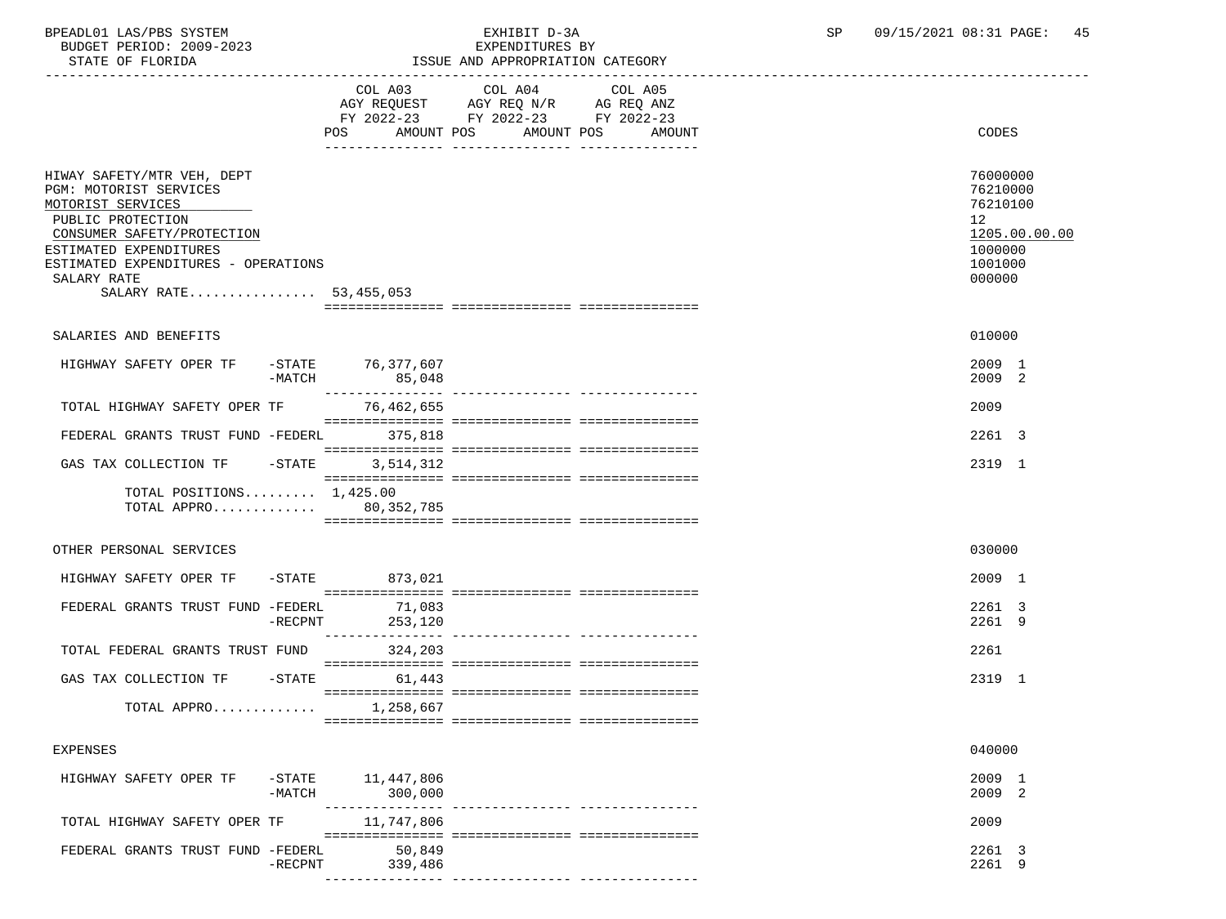| BUDGET PERIOD: 2009-2023<br>STATE OF FLORIDA                                                                                                                                                                                           |                             | EXPENDITURES BY<br>ISSUE AND APPROPRIATION CATEGORY                                                                  |                                                                                                      |
|----------------------------------------------------------------------------------------------------------------------------------------------------------------------------------------------------------------------------------------|-----------------------------|----------------------------------------------------------------------------------------------------------------------|------------------------------------------------------------------------------------------------------|
|                                                                                                                                                                                                                                        | COL A03<br>POS AMOUNT POS   | COL A04<br>COL A05<br>AGY REQUEST AGY REQ N/R AG REQ ANZ<br>FY 2022-23 FY 2022-23 FY 2022-23<br>AMOUNT POS<br>AMOUNT | CODES                                                                                                |
| HIWAY SAFETY/MTR VEH, DEPT<br>PGM: MOTORIST SERVICES<br>MOTORIST SERVICES<br>PUBLIC PROTECTION<br>CONSUMER SAFETY/PROTECTION<br>ESTIMATED EXPENDITURES<br>ESTIMATED EXPENDITURES - OPERATIONS<br>SALARY RATE<br>SALARY RATE 53,455,053 |                             |                                                                                                                      | 76000000<br>76210000<br>76210100<br>12 <sup>°</sup><br>1205.00.00.00<br>1000000<br>1001000<br>000000 |
| SALARIES AND BENEFITS                                                                                                                                                                                                                  |                             |                                                                                                                      | 010000                                                                                               |
| HIGHWAY SAFETY OPER TF<br>$-MATCH$                                                                                                                                                                                                     | -STATE 76,377,607<br>85,048 |                                                                                                                      | 2009 1<br>2009 2                                                                                     |
| TOTAL HIGHWAY SAFETY OPER TF                                                                                                                                                                                                           | 76,462,655                  |                                                                                                                      | 2009                                                                                                 |
| FEDERAL GRANTS TRUST FUND -FEDERL 375,818                                                                                                                                                                                              |                             |                                                                                                                      | 2261 3                                                                                               |
| GAS TAX COLLECTION TF -STATE                                                                                                                                                                                                           | 3,514,312                   |                                                                                                                      | 2319 1                                                                                               |
| TOTAL POSITIONS $1.425.00$<br>TOTAL APPRO 80,352,785                                                                                                                                                                                   |                             |                                                                                                                      |                                                                                                      |
| OTHER PERSONAL SERVICES                                                                                                                                                                                                                |                             |                                                                                                                      | 030000                                                                                               |
| HIGHWAY SAFETY OPER TF                                                                                                                                                                                                                 | -STATE 873,021              |                                                                                                                      | 2009 1                                                                                               |
| FEDERAL GRANTS TRUST FUND -FEDERL<br>$-RECPNT$                                                                                                                                                                                         | 71,083<br>253,120           |                                                                                                                      | 2261 3<br>2261 9                                                                                     |
| TOTAL FEDERAL GRANTS TRUST FUND                                                                                                                                                                                                        | 324,203                     |                                                                                                                      | 2261                                                                                                 |
| GAS TAX COLLECTION TF<br>$-$ STATE                                                                                                                                                                                                     | 61,443                      |                                                                                                                      | 2319 1                                                                                               |
| TOTAL APPRO                                                                                                                                                                                                                            | 1,258,667                   |                                                                                                                      |                                                                                                      |
| EXPENSES                                                                                                                                                                                                                               |                             |                                                                                                                      | 040000                                                                                               |

| HIGHWAY SAFETY OPER TF            | -STATE<br>-MATCH | 11,447,806<br>300,000 | 2009<br>2009 2   |  |
|-----------------------------------|------------------|-----------------------|------------------|--|
| TOTAL HIGHWAY SAFETY OPER TF      |                  | 11,747,806            | 2009             |  |
| FEDERAL GRANTS TRUST FUND -FEDERL | -RECPNT          | 50,849<br>339,486     | 2261 3<br>2261 9 |  |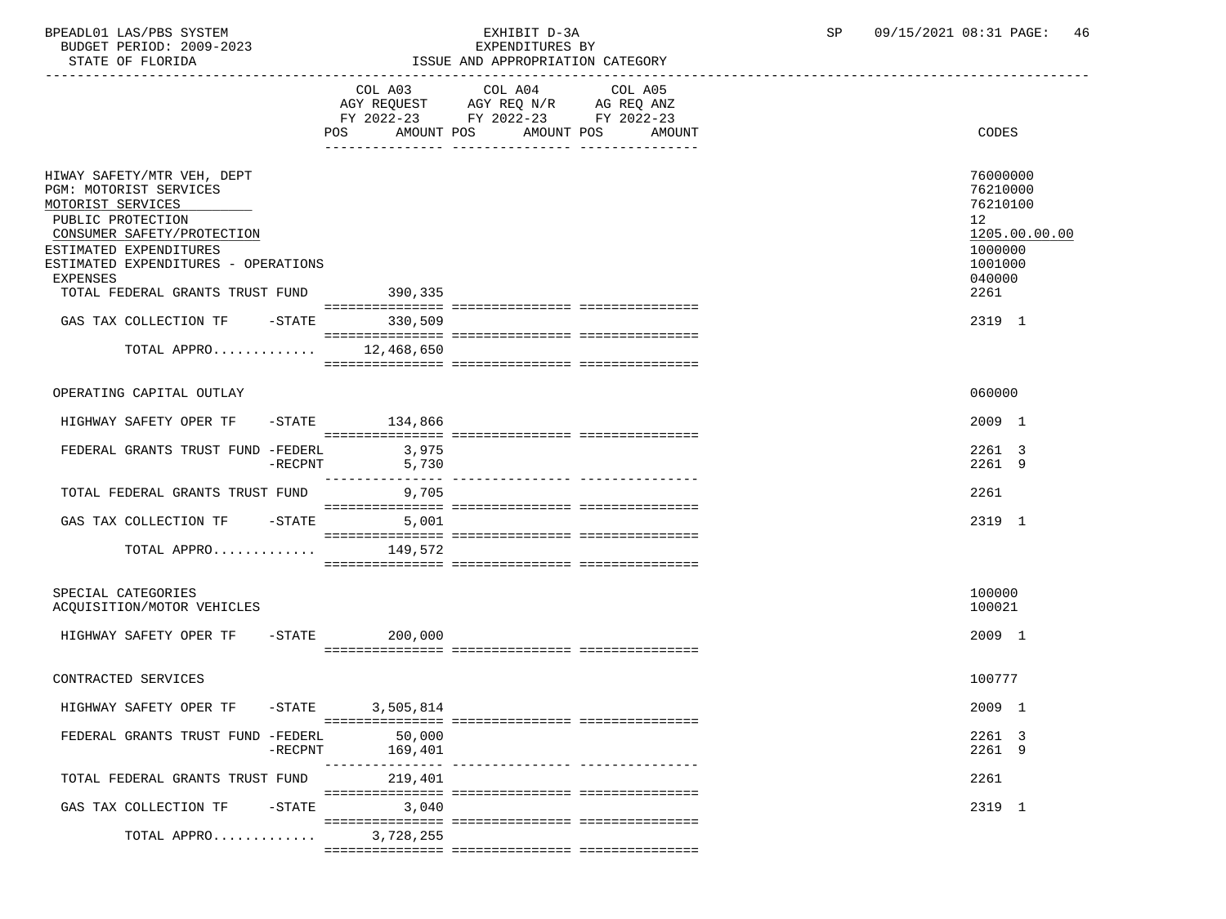BPEADL01 LAS/PBS SYSTEM EXHIBIT D-3A SP 09/15/2021 08:31 PAGE: 46 BUDGET PERIOD: 2009-2023

| STATE OF FLORIDA                                                                                                                                                                                                                                                                      | ISSUE AND APPROPRIATION CATEGORY     |                                                                                                                      |                                                                                                                        |  |  |  |
|---------------------------------------------------------------------------------------------------------------------------------------------------------------------------------------------------------------------------------------------------------------------------------------|--------------------------------------|----------------------------------------------------------------------------------------------------------------------|------------------------------------------------------------------------------------------------------------------------|--|--|--|
|                                                                                                                                                                                                                                                                                       | COL A03<br><b>POS</b><br>AMOUNT POS  | COL A04<br>COL A05<br>AGY REQUEST AGY REQ N/R AG REQ ANZ<br>FY 2022-23 FY 2022-23 FY 2022-23<br>AMOUNT POS<br>AMOUNT | CODES                                                                                                                  |  |  |  |
| HIWAY SAFETY/MTR VEH, DEPT<br>PGM: MOTORIST SERVICES<br>MOTORIST SERVICES<br>PUBLIC PROTECTION<br>CONSUMER SAFETY/PROTECTION<br>ESTIMATED EXPENDITURES<br>ESTIMATED EXPENDITURES - OPERATIONS<br>EXPENSES<br>TOTAL FEDERAL GRANTS TRUST FUND 390,335<br>GAS TAX COLLECTION TF - STATE | 330,509                              |                                                                                                                      | 76000000<br>76210000<br>76210100<br>12 <sup>°</sup><br>1205.00.00.00<br>1000000<br>1001000<br>040000<br>2261<br>2319 1 |  |  |  |
| TOTAL APPRO                                                                                                                                                                                                                                                                           | 12,468,650                           |                                                                                                                      |                                                                                                                        |  |  |  |
| OPERATING CAPITAL OUTLAY                                                                                                                                                                                                                                                              |                                      |                                                                                                                      | 060000                                                                                                                 |  |  |  |
| HIGHWAY SAFETY OPER TF                                                                                                                                                                                                                                                                | $-STATE$ 134,866                     |                                                                                                                      | 2009 1                                                                                                                 |  |  |  |
| FEDERAL GRANTS TRUST FUND -FEDERL<br>$-$ RECPNT                                                                                                                                                                                                                                       | 3,975<br>5,730<br>_________________  |                                                                                                                      | 2261 3<br>2261 9                                                                                                       |  |  |  |
| TOTAL FEDERAL GRANTS TRUST FUND                                                                                                                                                                                                                                                       | 9,705                                |                                                                                                                      | 2261                                                                                                                   |  |  |  |
| GAS TAX COLLECTION TF - STATE                                                                                                                                                                                                                                                         | 5,001                                |                                                                                                                      | 2319 1                                                                                                                 |  |  |  |
| TOTAL APPRO                                                                                                                                                                                                                                                                           | 149,572                              |                                                                                                                      |                                                                                                                        |  |  |  |
| SPECIAL CATEGORIES<br>ACQUISITION/MOTOR VEHICLES                                                                                                                                                                                                                                      |                                      |                                                                                                                      | 100000<br>100021                                                                                                       |  |  |  |
| HIGHWAY SAFETY OPER TF                                                                                                                                                                                                                                                                | $-$ STATE<br>200,000                 |                                                                                                                      | 2009 1                                                                                                                 |  |  |  |
| CONTRACTED SERVICES                                                                                                                                                                                                                                                                   |                                      |                                                                                                                      | 100777                                                                                                                 |  |  |  |
| HIGHWAY SAFETY OPER TF -STATE 3,505,814                                                                                                                                                                                                                                               |                                      |                                                                                                                      | 2009 1                                                                                                                 |  |  |  |
| FEDERAL GRANTS TRUST FUND -FEDERL<br>$-$ RECPNT                                                                                                                                                                                                                                       | 50,000<br>169,401<br>--------------- |                                                                                                                      | 2261 3<br>2261 9                                                                                                       |  |  |  |
| TOTAL FEDERAL GRANTS TRUST FUND                                                                                                                                                                                                                                                       | 219,401                              |                                                                                                                      | 2261                                                                                                                   |  |  |  |
| GAS TAX COLLECTION TF<br>$-$ STATE                                                                                                                                                                                                                                                    | 3,040                                |                                                                                                                      | 2319 1                                                                                                                 |  |  |  |
| TOTAL APPRO                                                                                                                                                                                                                                                                           | 3,728,255                            |                                                                                                                      |                                                                                                                        |  |  |  |

=============== =============== ===============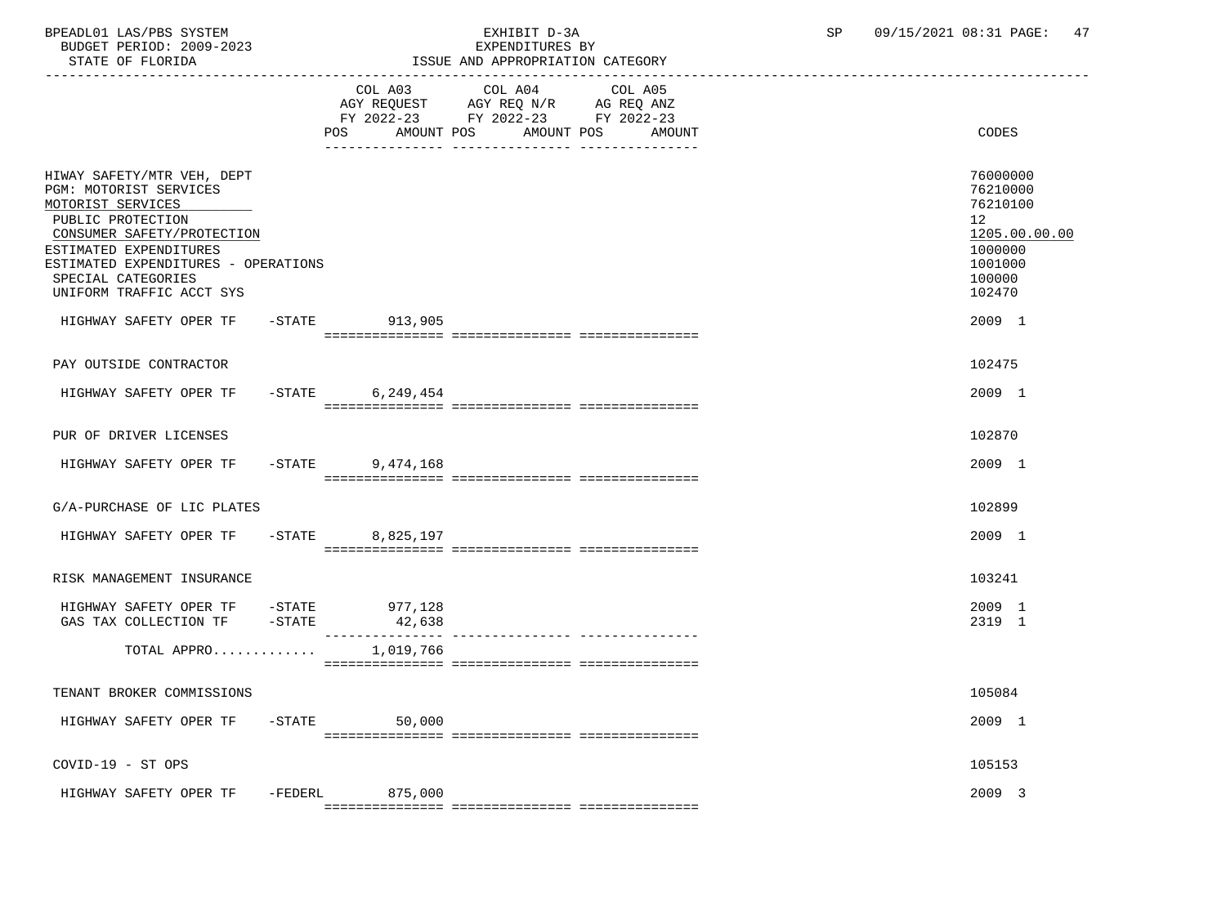BPEADL01 LAS/PBS SYSTEM EXHIBIT D-3A SP 09/15/2021 08:31 PAGE: 47 BUDGET PERIOD: 2009-2023<br>STATE OF FLORIDA

# STATE OF FLORIDA ISSUE AND APPROPRIATION CATEGORY

| DIAIB UP PIURIDA                                                                                                                                                                                                                                |           |                        | LOOUL AND APPROPRIATION CAILGORI                                                                        |                          |                                                                                                   |
|-------------------------------------------------------------------------------------------------------------------------------------------------------------------------------------------------------------------------------------------------|-----------|------------------------|---------------------------------------------------------------------------------------------------------|--------------------------|---------------------------------------------------------------------------------------------------|
|                                                                                                                                                                                                                                                 |           | POS AMOUNT POS         | COL A03 COL A04<br>AGY REQUEST AGY REQ N/R AG REQ ANZ<br>FY 2022-23 FY 2022-23 FY 2022-23<br>AMOUNT POS | COL A05<br><b>AMOUNT</b> | CODES                                                                                             |
| HIWAY SAFETY/MTR VEH, DEPT<br>PGM: MOTORIST SERVICES<br>MOTORIST SERVICES<br>PUBLIC PROTECTION<br>CONSUMER SAFETY/PROTECTION<br>ESTIMATED EXPENDITURES<br>ESTIMATED EXPENDITURES - OPERATIONS<br>SPECIAL CATEGORIES<br>UNIFORM TRAFFIC ACCT SYS |           |                        |                                                                                                         |                          | 76000000<br>76210000<br>76210100<br>12<br>1205.00.00.00<br>1000000<br>1001000<br>100000<br>102470 |
| HIGHWAY SAFETY OPER TF - STATE 913,905                                                                                                                                                                                                          |           |                        |                                                                                                         |                          | 2009 1                                                                                            |
| PAY OUTSIDE CONTRACTOR                                                                                                                                                                                                                          |           |                        |                                                                                                         |                          | 102475                                                                                            |
| HIGHWAY SAFETY OPER TF                                                                                                                                                                                                                          |           | $-STATE$ 6, 249, 454   |                                                                                                         |                          | 2009 1                                                                                            |
|                                                                                                                                                                                                                                                 |           |                        |                                                                                                         |                          |                                                                                                   |
| PUR OF DRIVER LICENSES                                                                                                                                                                                                                          |           |                        |                                                                                                         |                          | 102870                                                                                            |
| HIGHWAY SAFETY OPER TF                                                                                                                                                                                                                          |           | $-$ STATE<br>9,474,168 |                                                                                                         |                          | 2009 1                                                                                            |
| G/A-PURCHASE OF LIC PLATES                                                                                                                                                                                                                      |           |                        |                                                                                                         |                          | 102899                                                                                            |
| HIGHWAY SAFETY OPER TF                                                                                                                                                                                                                          |           | -STATE 8,825,197       |                                                                                                         |                          | 2009 1                                                                                            |
| RISK MANAGEMENT INSURANCE                                                                                                                                                                                                                       |           |                        |                                                                                                         |                          | 103241                                                                                            |
| HIGHWAY SAFETY OPER TF -STATE 977,128<br>GAS TAX COLLECTION TF                                                                                                                                                                                  | $-$ STATE | 42,638                 |                                                                                                         |                          | 2009 1<br>2319 1                                                                                  |
| TOTAL APPRO                                                                                                                                                                                                                                     |           | 1,019,766              |                                                                                                         |                          |                                                                                                   |
| TENANT BROKER COMMISSIONS                                                                                                                                                                                                                       |           |                        |                                                                                                         |                          | 105084                                                                                            |
| HIGHWAY SAFETY OPER TF -STATE                                                                                                                                                                                                                   |           | 50,000                 |                                                                                                         |                          | 2009 1                                                                                            |
| $COVID-19 - ST OPS$                                                                                                                                                                                                                             |           |                        |                                                                                                         |                          | 105153                                                                                            |

HIGHWAY SAFETY OPER TF -FEDERL 875,000 =============== =============== ===============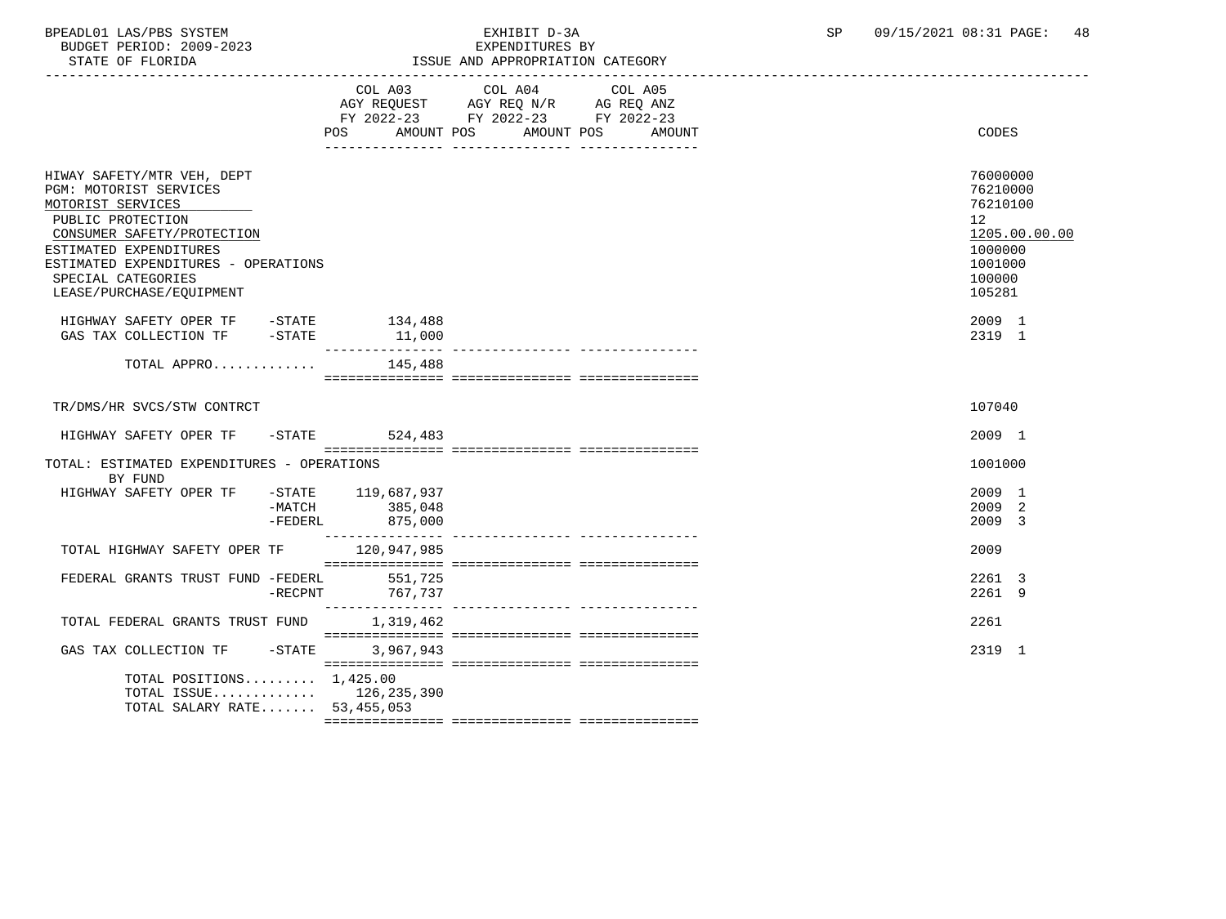BPEADL01 LAS/PBS SYSTEM  $\overline{B}$  EXHIBIT D-3A SP 09/15/2021 08:31 PAGE: 48 BUDGET PERIOD: 2009-2023

| BUDGEI FERIOD: 2009-2023<br>STATE OF FLORIDA                                                                                                                                                                                                    |                           |                                          | PVL PMATIONES DI<br>ISSUE AND APPROPRIATION CATEGORY                                              |            |        |                                                                                  |               |
|-------------------------------------------------------------------------------------------------------------------------------------------------------------------------------------------------------------------------------------------------|---------------------------|------------------------------------------|---------------------------------------------------------------------------------------------------|------------|--------|----------------------------------------------------------------------------------|---------------|
|                                                                                                                                                                                                                                                 |                           | POS AMOUNT POS                           | COL A03 COL A04 COL A05<br>AGY REQUEST AGY REQ N/R AG REQ ANZ<br>FY 2022-23 FY 2022-23 FY 2022-23 | AMOUNT POS | AMOUNT | <b>CODES</b>                                                                     |               |
| HIWAY SAFETY/MTR VEH, DEPT<br>PGM: MOTORIST SERVICES<br>MOTORIST SERVICES<br>PUBLIC PROTECTION<br>CONSUMER SAFETY/PROTECTION<br>ESTIMATED EXPENDITURES<br>ESTIMATED EXPENDITURES - OPERATIONS<br>SPECIAL CATEGORIES<br>LEASE/PURCHASE/EOUIPMENT |                           |                                          |                                                                                                   |            |        | 76000000<br>76210000<br>76210100<br>12<br>1000000<br>1001000<br>100000<br>105281 | 1205.00.00.00 |
| HIGHWAY SAFETY OPER TF -STATE 134,488<br>GAS TAX COLLECTION TF -STATE                                                                                                                                                                           |                           | 11,000                                   |                                                                                                   |            |        | 2009 1<br>2319 1                                                                 |               |
| TOTAL APPRO $145,488$                                                                                                                                                                                                                           |                           |                                          |                                                                                                   |            |        |                                                                                  |               |
| TR/DMS/HR SVCS/STW CONTRCT                                                                                                                                                                                                                      |                           |                                          |                                                                                                   |            |        | 107040                                                                           |               |
| HIGHWAY SAFETY OPER TF                                                                                                                                                                                                                          |                           | $-STATE$ 524,483                         |                                                                                                   |            |        | 2009 1                                                                           |               |
| TOTAL: ESTIMATED EXPENDITURES - OPERATIONS<br>BY FUND                                                                                                                                                                                           |                           |                                          |                                                                                                   |            |        | 1001000                                                                          |               |
| HIGHWAY SAFETY OPER TF                                                                                                                                                                                                                          | -MATCH<br>$-{\tt FEDERL}$ | -STATE 119,687,937<br>385,048<br>875,000 |                                                                                                   |            |        | 2009 1<br>2009 2<br>2009 3                                                       |               |
| TOTAL HIGHWAY SAFETY OPER TF 120,947,985                                                                                                                                                                                                        |                           |                                          |                                                                                                   |            |        | 2009                                                                             |               |
| FEDERAL GRANTS TRUST FUND -FEDERL 551,725                                                                                                                                                                                                       | $-$ RECPNT                | 767,737                                  |                                                                                                   |            |        | 2261 3<br>2261 9                                                                 |               |
| TOTAL FEDERAL GRANTS TRUST FUND 1,319,462                                                                                                                                                                                                       |                           |                                          |                                                                                                   |            |        | 2261                                                                             |               |
| GAS TAX COLLECTION TF                                                                                                                                                                                                                           | $-STATE$                  | 3,967,943                                |                                                                                                   |            |        | 2319 1                                                                           |               |
| TOTAL POSITIONS $1,425.00$<br>TOTAL ISSUE $126, 235, 390$<br>TOTAL SALARY RATE 53,455,053                                                                                                                                                       |                           |                                          |                                                                                                   |            |        |                                                                                  |               |

=============== =============== ===============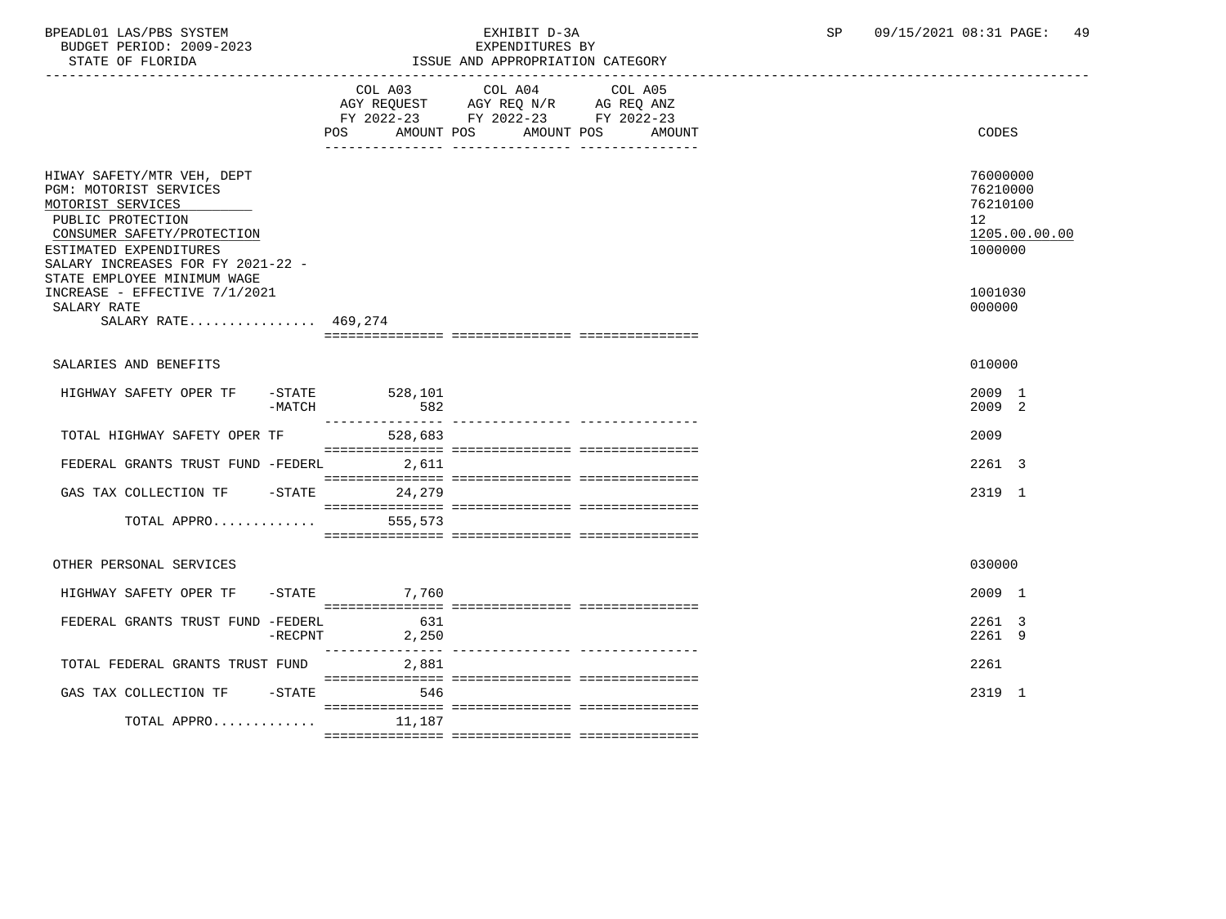BUDGET PERIOD: 2009-2023 EXPENDITURES BY

## BPEADL01 LAS/PBS SYSTEM EXHIBIT D-3A SP 09/15/2021 08:31 PAGE: 49

| DUDGEI PERIOD, 2002-2023<br>STATE OF FLORIDA                                                                                                                                                                               |            | DYLEMNIINUES DI<br>ISSUE AND APPROPRIATION CATEGORY |                                                                                                   |                              |  |                                                                    |  |
|----------------------------------------------------------------------------------------------------------------------------------------------------------------------------------------------------------------------------|------------|-----------------------------------------------------|---------------------------------------------------------------------------------------------------|------------------------------|--|--------------------------------------------------------------------|--|
|                                                                                                                                                                                                                            |            | POS                                                 | COL A03 COL A04 COL A05<br>AGY REQUEST AGY REQ N/R AG REQ ANZ<br>FY 2022-23 FY 2022-23 FY 2022-23 | AMOUNT POS AMOUNT POS AMOUNT |  | <b>CODES</b>                                                       |  |
| HIWAY SAFETY/MTR VEH, DEPT<br>PGM: MOTORIST SERVICES<br>MOTORIST SERVICES<br>PUBLIC PROTECTION<br>CONSUMER SAFETY/PROTECTION<br>ESTIMATED EXPENDITURES<br>SALARY INCREASES FOR FY 2021-22 -<br>STATE EMPLOYEE MINIMUM WAGE |            |                                                     |                                                                                                   |                              |  | 76000000<br>76210000<br>76210100<br>12<br>1205.00.00.00<br>1000000 |  |
| INCREASE - EFFECTIVE 7/1/2021<br>SALARY RATE<br>SALARY RATE 469,274                                                                                                                                                        |            |                                                     |                                                                                                   |                              |  | 1001030<br>000000                                                  |  |
| SALARIES AND BENEFITS                                                                                                                                                                                                      |            |                                                     |                                                                                                   |                              |  | 010000                                                             |  |
| HIGHWAY SAFETY OPER TF                                                                                                                                                                                                     | $-MATCH$   | $-$ STATE 528, 101<br>582                           |                                                                                                   |                              |  | 2009 1<br>2009 2                                                   |  |
| TOTAL HIGHWAY SAFETY OPER TF                                                                                                                                                                                               |            | 528,683                                             |                                                                                                   |                              |  | 2009                                                               |  |
| FEDERAL GRANTS TRUST FUND -FEDERL                                                                                                                                                                                          |            | 2,611                                               |                                                                                                   |                              |  | 2261 3                                                             |  |
| GAS TAX COLLECTION TF - STATE                                                                                                                                                                                              |            | 24,279                                              |                                                                                                   |                              |  | 2319 1                                                             |  |
| TOTAL APPRO                                                                                                                                                                                                                |            | 555,573                                             |                                                                                                   |                              |  |                                                                    |  |
| OTHER PERSONAL SERVICES                                                                                                                                                                                                    |            |                                                     |                                                                                                   |                              |  | 030000                                                             |  |
| HIGHWAY SAFETY OPER TF -STATE 7,760                                                                                                                                                                                        |            |                                                     |                                                                                                   |                              |  | 2009 1                                                             |  |
| FEDERAL GRANTS TRUST FUND -FEDERL                                                                                                                                                                                          | $-$ RECPNT | 631<br>2,250                                        |                                                                                                   |                              |  | 2261 3<br>2261 9                                                   |  |
| TOTAL FEDERAL GRANTS TRUST FUND                                                                                                                                                                                            |            | 2,881                                               |                                                                                                   |                              |  | 2261                                                               |  |
| GAS TAX COLLECTION TF                                                                                                                                                                                                      | $-$ STATE  | 546                                                 |                                                                                                   |                              |  | 2319 1                                                             |  |
| TOTAL APPRO $11,187$                                                                                                                                                                                                       |            |                                                     |                                                                                                   |                              |  |                                                                    |  |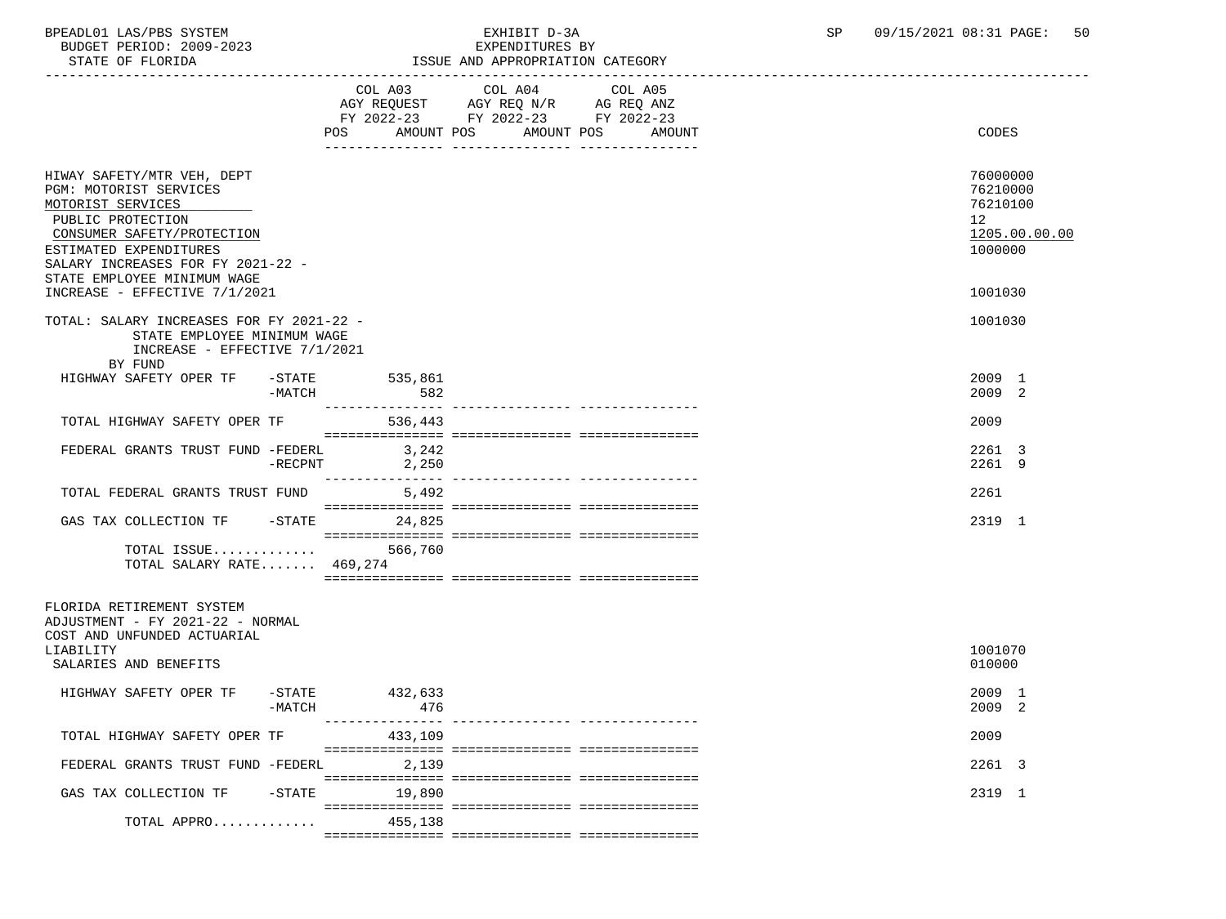BUDGET PERIOD: 2009-2023

TOTAL APPRO............. 455,138

## BPEADL01 LAS/PBS SYSTEM EXHIBIT D-3A SP 09/15/2021 08:31 PAGE: 50

| --<br>פים שיפ | $TATG$ ת ד $TATG$        |                    |  |  |
|---------------|--------------------------|--------------------|--|--|
|               | $\Delta$ $\Omega$<br>ി∩⊤ | A05<br>$\cap$ ot . |  |  |

AGY REQUEST AGY REQ N/R AG REQ ANZ FY 2022-23 FY 2022-23 FY 2022-23 POS AMOUNT POS AMOUNT POS AMOUNT CODES --------------- --------------- --------------- HIWAY SAFETY/MTR VEH, DEPT 76000000 PGM: MOTORIST SERVICES 76210000<br>MOTORIST SERVICES 76210100 MOTORIST SERVICES 76210100 \_\_\_\_\_\_\_\_\_\_\_\_\_\_\_\_\_\_\_\_\_\_\_\_\_\_ PUBLIC PROTECTION 12<br>
CONSUMER SAFETY/PROTECTION 1205.00.00 CONSUMER SAFETY/PROTECTION  $\frac{1205.00}{1000000}$ ESTIMATED EXPENDITURES SALARY INCREASES FOR FY 2021-22 - STATE EMPLOYEE MINIMUM WAGE INCREASE - EFFECTIVE 7/1/2021 1001030 TOTAL: SALARY INCREASES FOR FY 2021-22 - 1001030 STATE EMPLOYEE MINIMUM WAGE INCREASE - EFFECTIVE 7/1/2021 BY FUND HIGHWAY SAFETY OPER TF -STATE 535,861 2009 1<br>2009 2 - AATCH 582 - MATCH 582 2009 2 --------------- --------------- --------------- TOTAL HIGHWAY SAFETY OPER TF 536,443 2009 =============== =============== =============== FEDERAL GRANTS TRUST FUND -FEDERL 3,242<br>-RECPNT 2,250 2261 3 -RECPNT 2,250 2261 9 --------------- --------------- --------------- TOTAL FEDERAL GRANTS TRUST FUND 5,492 2261 =============== =============== =============== GAS TAX COLLECTION TF -STATE 24,825 2319 1 =============== =============== =============== TOTAL ISSUE............. 566,760 TOTAL SALARY RATE....... 469,274 =============== =============== =============== FLORIDA RETIREMENT SYSTEM ADJUSTMENT - FY 2021-22 - NORMAL COST AND UNFUNDED ACTUARIAL LIABILITY 1001070 SALARIES AND BENEFITS ON A SALARIES AND SENEFITS ON A SALARIES AND SENEFITS ON A SALARIES AND SENEFITS ON A SALARIES AND SENEFITS SALARIES AND SENEFITS SALARIES AND SENEFITS SALARIES AND SENEFITS SALARIES AND SENEFITS SALA HIGHWAY SAFETY OPER TF -STATE 432,633 2009 1 - MATCH 2009 2 --------------- --------------- --------------- TOTAL HIGHWAY SAFETY OPER TF 433,109 2009 =============== =============== =============== FEDERAL GRANTS TRUST FUND -FEDERL 2,139 2261 3 =============== =============== =============== GAS TAX COLLECTION TF -STATE 19,890 2319 1 =============== =============== ===============

=============== =============== ===============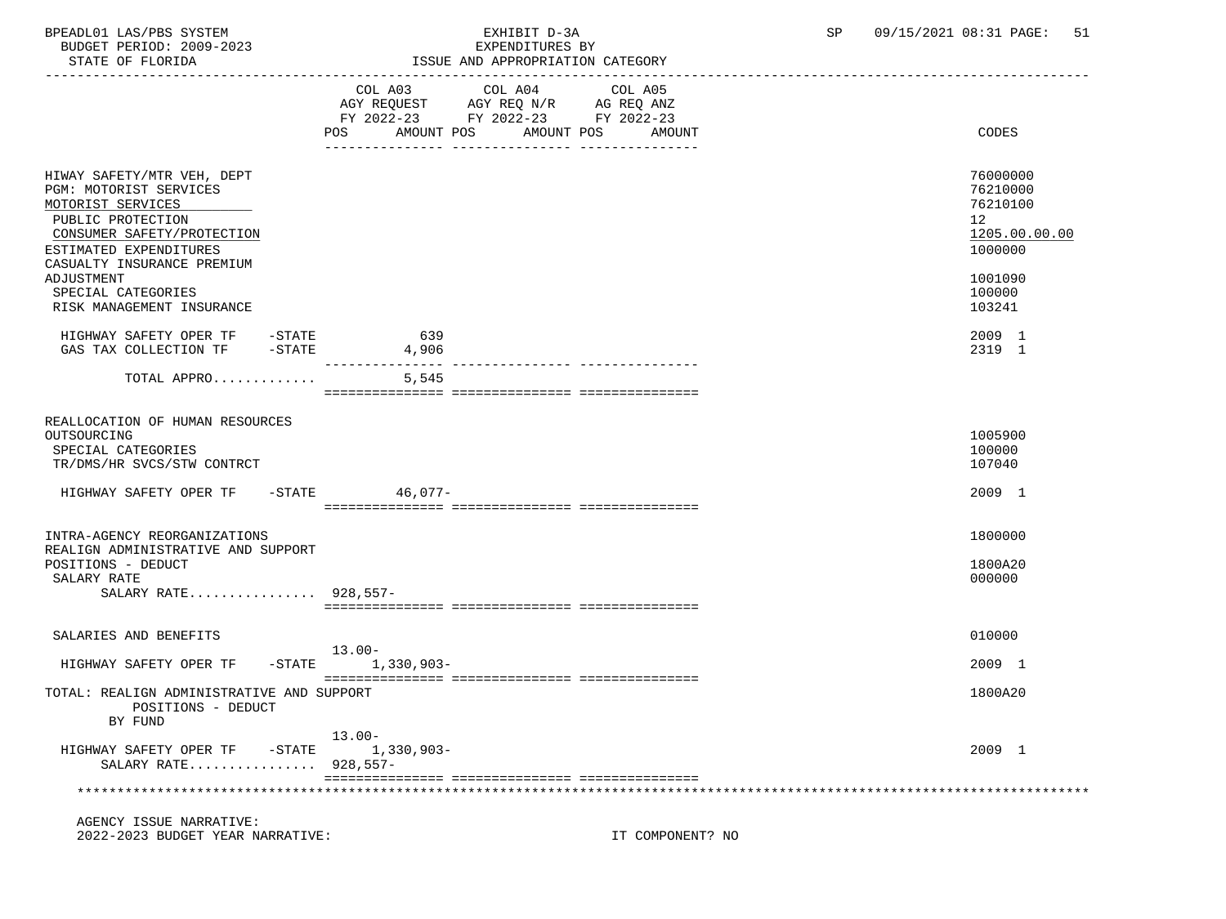| BPEADL01 LAS/PBS SYSTEM<br>BUDGET PERIOD: 2009-2023<br>STATE OF FLORIDA                                                                                                              | EXHIBIT D-3A<br>EXPENDITURES BY<br>ISSUE AND APPROPRIATION CATEGORY                                                                            | SP<br>09/15/2021 08:31 PAGE: | 51                                                                 |
|--------------------------------------------------------------------------------------------------------------------------------------------------------------------------------------|------------------------------------------------------------------------------------------------------------------------------------------------|------------------------------|--------------------------------------------------------------------|
|                                                                                                                                                                                      | COL A03 COL A04 COL A05<br>AGY REQUEST AGY REQ N/R AG REQ ANZ<br>FY 2022-23 FY 2022-23 FY 2022-23<br>POS<br>AMOUNT POS<br>AMOUNT POS<br>AMOUNT |                              | CODES                                                              |
| HIWAY SAFETY/MTR VEH, DEPT<br>PGM: MOTORIST SERVICES<br>MOTORIST SERVICES<br>PUBLIC PROTECTION<br>CONSUMER SAFETY/PROTECTION<br>ESTIMATED EXPENDITURES<br>CASUALTY INSURANCE PREMIUM |                                                                                                                                                |                              | 76000000<br>76210000<br>76210100<br>12<br>1205.00.00.00<br>1000000 |
| ADJUSTMENT<br>SPECIAL CATEGORIES<br>RISK MANAGEMENT INSURANCE                                                                                                                        |                                                                                                                                                |                              | 1001090<br>100000<br>103241                                        |
| HIGHWAY SAFETY OPER TF - STATE<br>GAS TAX COLLECTION TF -STATE                                                                                                                       | 639<br>4,906                                                                                                                                   |                              | 2009 1<br>2319 1                                                   |
| TOTAL APPRO                                                                                                                                                                          | 5,545                                                                                                                                          |                              |                                                                    |
| REALLOCATION OF HUMAN RESOURCES<br>OUTSOURCING<br>SPECIAL CATEGORIES<br>TR/DMS/HR SVCS/STW CONTRCT                                                                                   |                                                                                                                                                |                              | 1005900<br>100000<br>107040                                        |
| HIGHWAY SAFETY OPER TF -STATE 46,077-                                                                                                                                                |                                                                                                                                                |                              | 2009 1                                                             |
| INTRA-AGENCY REORGANIZATIONS<br>REALIGN ADMINISTRATIVE AND SUPPORT<br>POSITIONS - DEDUCT<br>SALARY RATE<br>SALARY RATE 928,557-                                                      |                                                                                                                                                |                              | 1800000<br>1800A20<br>000000                                       |
| SALARIES AND BENEFITS                                                                                                                                                                | $13.00 -$                                                                                                                                      |                              | 010000                                                             |
| HIGHWAY SAFETY OPER TF                                                                                                                                                               | -STATE 1,330,903-                                                                                                                              |                              | 2009 1                                                             |
| TOTAL: REALIGN ADMINISTRATIVE AND SUPPORT<br>POSITIONS - DEDUCT                                                                                                                      |                                                                                                                                                |                              | 1800A20                                                            |

HIGHWAY SAFETY OPER TF -STATE 1,330,903- 2009 1

\*\*\*\*\*\*\*\*\*\*\*\*\*\*\*\*\*\*\*\*\*\*\*\*\*\*\*\*\*\*\*\*\*\*\*\*\*\*\*\*\*\*\*\*\*\*\*\*\*\*\*\*\*\*\*\*\*\*\*\*\*\*\*\*\*\*\*\*\*\*\*\*\*\*\*\*\*\*\*\*\*\*\*\*\*\*\*\*\*\*\*\*\*\*\*\*\*\*\*\*\*\*\*\*\*\*\*\*\*\*\*\*\*\*\*\*\*\*\*\*\*\*\*\*\*\*\*

=============== =============== ===============

AGENCY ISSUE NARRATIVE:

BY FUND

2022-2023 BUDGET YEAR NARRATIVE: IT COMPONENT? NO

SALARY RATE................ 928,557-

13.00-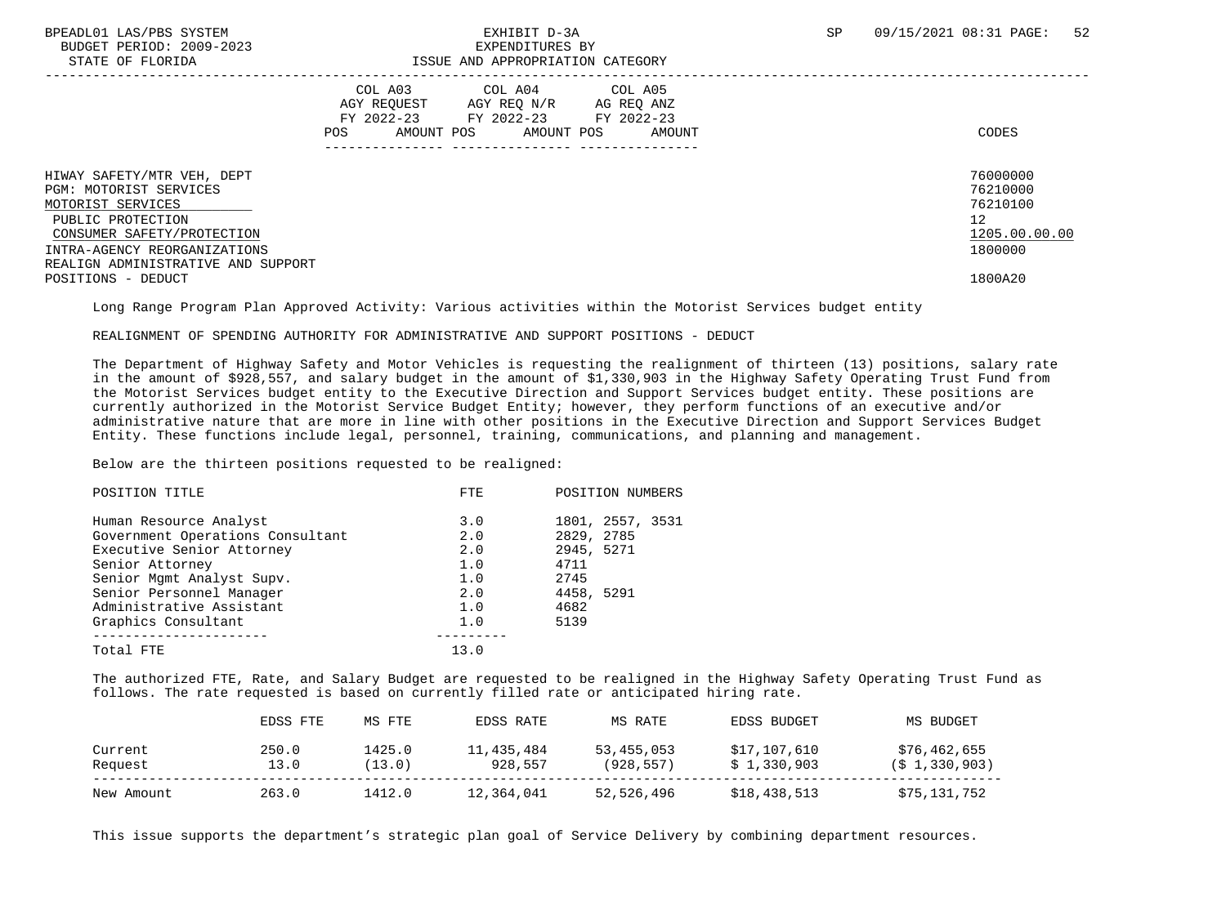BUDGET PERIOD: 2009-2023<br>
STATE OF FLORIDA<br>
STATE OF FLORIDA

### BPEADL01 LAS/PBS SYSTEM SALL SALL SALL SEXHIBIT D-3A SP 09/15/2021 08:31 PAGE: 52 ISSUE AND APPROPRIATION CATEGORY

|                                                                                                                                                                                                    | COL A03<br>AGY REOUEST<br>FY 2022-23<br>AMOUNT POS<br>POS | COL A04<br>AGY REO N/R<br>FY 2022-23<br>AMOUNT POS | COL A05<br>AG REQ ANZ<br>FY 2022-23<br>AMOUNT | CODES                                                              |
|----------------------------------------------------------------------------------------------------------------------------------------------------------------------------------------------------|-----------------------------------------------------------|----------------------------------------------------|-----------------------------------------------|--------------------------------------------------------------------|
| HIWAY SAFETY/MTR VEH, DEPT<br>PGM: MOTORIST SERVICES<br>MOTORIST SERVICES<br>PUBLIC PROTECTION<br>CONSUMER SAFETY/PROTECTION<br>INTRA-AGENCY REORGANIZATIONS<br>REALIGN ADMINISTRATIVE AND SUPPORT |                                                           |                                                    |                                               | 76000000<br>76210000<br>76210100<br>12<br>1205.00.00.00<br>1800000 |
| POSITIONS - DEDUCT                                                                                                                                                                                 |                                                           |                                                    |                                               | 1800A20                                                            |

Long Range Program Plan Approved Activity: Various activities within the Motorist Services budget entity

REALIGNMENT OF SPENDING AUTHORITY FOR ADMINISTRATIVE AND SUPPORT POSITIONS - DEDUCT

 The Department of Highway Safety and Motor Vehicles is requesting the realignment of thirteen (13) positions, salary rate in the amount of \$928,557, and salary budget in the amount of \$1,330,903 in the Highway Safety Operating Trust Fund from the Motorist Services budget entity to the Executive Direction and Support Services budget entity. These positions are currently authorized in the Motorist Service Budget Entity; however, they perform functions of an executive and/or administrative nature that are more in line with other positions in the Executive Direction and Support Services Budget Entity. These functions include legal, personnel, training, communications, and planning and management.

Below are the thirteen positions requested to be realigned:

| POSITION NUMBERS |
|------------------|
| 1801, 2557, 3531 |
| 2829, 2785       |
| 2945, 5271       |
| 4711             |
| 2745             |
| 4458, 5291       |
| 4682             |
| 5139             |
|                  |
|                  |
|                  |

 The authorized FTE, Rate, and Salary Budget are requested to be realigned in the Highway Safety Operating Trust Fund as follows. The rate requested is based on currently filled rate or anticipated hiring rate.

|            | EDSS FTE | MS FTE | EDSS RATE  | MS RATE    | EDSS BUDGET  | MS BUDGET         |
|------------|----------|--------|------------|------------|--------------|-------------------|
| Current    | 250.0    | 1425.0 | 11,435,484 | 53,455,053 | \$17,107,610 | \$76,462,655      |
| Request    | 13.0     | (13.0) | 928,557    | (928, 557) | \$1,330,903  | $(S_1, 330, 903)$ |
| New Amount | 263.0    | 1412.0 | 12,364,041 | 52,526,496 | \$18,438,513 | \$75,131,752      |

This issue supports the department's strategic plan goal of Service Delivery by combining department resources.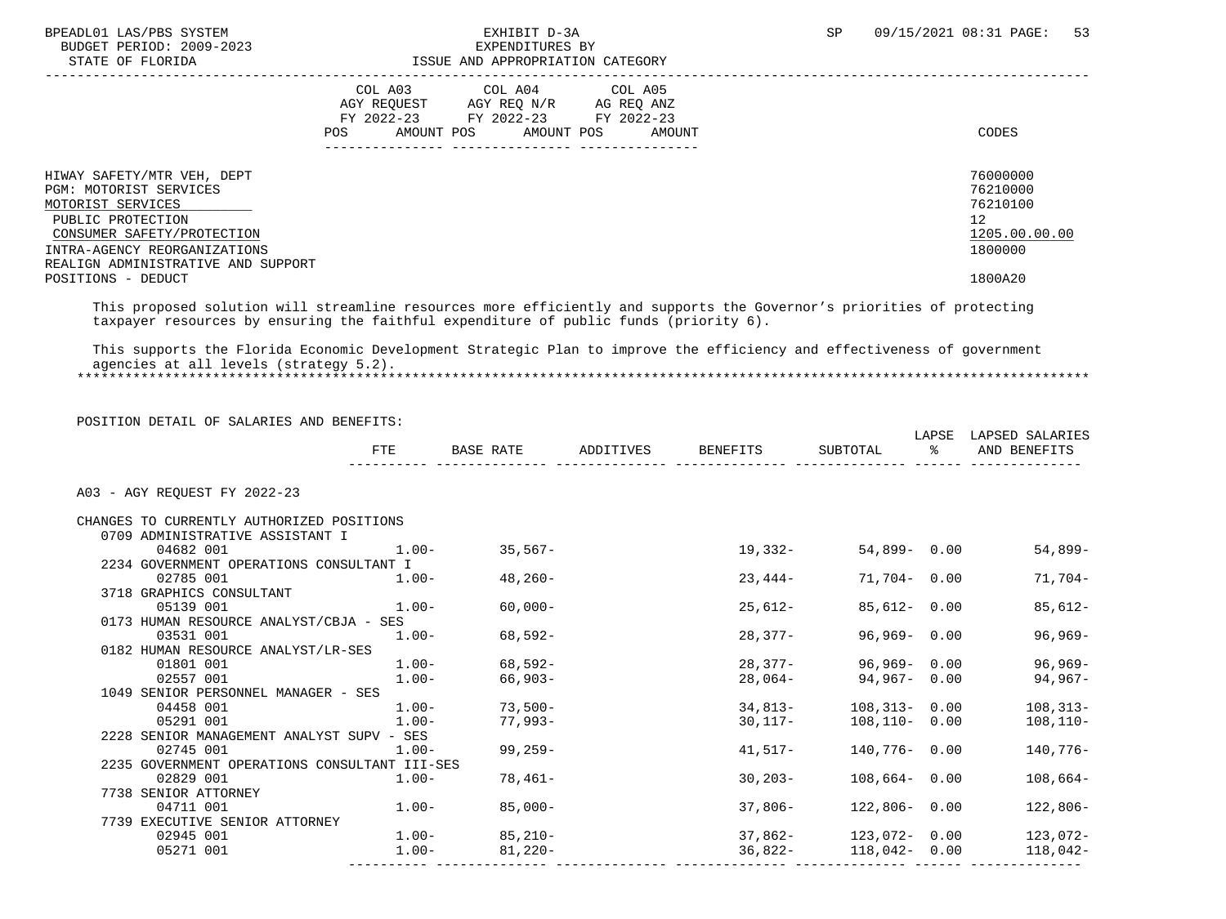BUDGET PERIOD: 2009-2023<br>STATE OF FLORIDA

### BPEADL01 LAS/PBS SYSTEM EXHIBIT D-3A SP 09/15/2021 08:31 PAGE: 53 ISSUE AND APPROPRIATION CATEGORY

|                                                                                                                                                                                                    | COL A03<br>AGY REOUEST<br>FY 2022-23<br>AMOUNT POS<br>POS | COL A04<br>AGY REO N/R<br>FY 2022-23 FY 2022-23<br>AMOUNT POS | COL A05<br>AG REO ANZ<br>AMOUNT | CODES                                                              |
|----------------------------------------------------------------------------------------------------------------------------------------------------------------------------------------------------|-----------------------------------------------------------|---------------------------------------------------------------|---------------------------------|--------------------------------------------------------------------|
| HIWAY SAFETY/MTR VEH, DEPT<br>PGM: MOTORIST SERVICES<br>MOTORIST SERVICES<br>PUBLIC PROTECTION<br>CONSUMER SAFETY/PROTECTION<br>INTRA-AGENCY REORGANIZATIONS<br>REALIGN ADMINISTRATIVE AND SUPPORT |                                                           |                                                               |                                 | 76000000<br>76210000<br>76210100<br>12<br>1205.00.00.00<br>1800000 |
| POSITIONS - DEDUCT                                                                                                                                                                                 |                                                           |                                                               |                                 | 1800A20                                                            |

 This proposed solution will streamline resources more efficiently and supports the Governor's priorities of protecting taxpayer resources by ensuring the faithful expenditure of public funds (priority 6).

 This supports the Florida Economic Development Strategic Plan to improve the efficiency and effectiveness of government agencies at all levels (strategy 5.2). \*\*\*\*\*\*\*\*\*\*\*\*\*\*\*\*\*\*\*\*\*\*\*\*\*\*\*\*\*\*\*\*\*\*\*\*\*\*\*\*\*\*\*\*\*\*\*\*\*\*\*\*\*\*\*\*\*\*\*\*\*\*\*\*\*\*\*\*\*\*\*\*\*\*\*\*\*\*\*\*\*\*\*\*\*\*\*\*\*\*\*\*\*\*\*\*\*\*\*\*\*\*\*\*\*\*\*\*\*\*\*\*\*\*\*\*\*\*\*\*\*\*\*\*\*\*\*

| POSITION DETAIL OF SALARIES AND BENEFITS:     | FTE      | BASE RATE         | ADDITIVES | BENEFITS  | SUBTOTAL                  | ႜႂ | LAPSE LAPSED SALARIES<br>AND BENEFITS |
|-----------------------------------------------|----------|-------------------|-----------|-----------|---------------------------|----|---------------------------------------|
|                                               |          |                   |           |           |                           |    |                                       |
| A03 - AGY REOUEST FY 2022-23                  |          |                   |           |           |                           |    |                                       |
| CHANGES TO CURRENTLY AUTHORIZED POSITIONS     |          |                   |           |           |                           |    |                                       |
| 0709 ADMINISTRATIVE ASSISTANT I               |          |                   |           |           |                           |    |                                       |
| 04682 001                                     | $1.00 -$ | $35,567-$         |           | 19,332-   | 54,899- 0.00              |    | 54,899-                               |
| 2234 GOVERNMENT OPERATIONS CONSULTANT I       |          |                   |           |           |                           |    |                                       |
| 02785 001                                     |          | $1.00 - 48,260 -$ |           | 23,444-   | 71,704- 0.00              |    | 71,704-                               |
| 3718 GRAPHICS CONSULTANT                      |          |                   |           |           |                           |    |                                       |
| 05139 001                                     | $1.00 -$ | $60,000-$         |           | 25,612-   | 85,612- 0.00              |    | $85,612-$                             |
| 0173 HUMAN RESOURCE ANALYST/CBJA - SES        |          |                   |           |           |                           |    |                                       |
| 03531 001                                     | $1.00-$  | 68,592-           |           | 28,377-   | $96,969 - 0.00$           |    | $96,969-$                             |
| 0182 HUMAN RESOURCE ANALYST/LR-SES            |          |                   |           |           |                           |    |                                       |
| 01801 001                                     |          | $1.00 - 68.592 -$ |           | 28,377-   | 96,969-0.00               |    | 96,969-                               |
| 02557 001                                     | $1.00-$  | $66,903-$         |           | 28,064-   | 94,967- 0.00              |    | 94,967-                               |
| 1049 SENIOR PERSONNEL MANAGER - SES           |          |                   |           |           |                           |    |                                       |
| 04458 001                                     | $1.00-$  | $73.500 -$        |           | $34.813-$ | 108,313-0.00              |    | $108, 313 -$                          |
| 05291 001                                     | $1.00 -$ | 77,993-           |           | 30,117-   | 108,110- 0.00             |    | $108, 110 -$                          |
| 2228 SENIOR MANAGEMENT ANALYST SUPV - SES     |          |                   |           |           |                           |    |                                       |
| 02745 001                                     | $1.00 -$ | 99,259-           |           | 41,517-   | 140,776- 0.00             |    | 140,776-                              |
| 2235 GOVERNMENT OPERATIONS CONSULTANT III-SES |          |                   |           |           |                           |    |                                       |
| 02829 001                                     | $1.00-$  | 78,461-           |           | $30,203-$ | $108,664 - 0.00$          |    | $108,664-$                            |
| 7738 SENIOR ATTORNEY                          |          |                   |           |           |                           |    |                                       |
| 04711 001                                     |          | $1.00 - 85,000 -$ |           | 37,806-   | 122,806- 0.00             |    | $122,806-$                            |
| 7739 EXECUTIVE SENIOR ATTORNEY                |          |                   |           |           |                           |    |                                       |
| 02945 001                                     |          | $1.00 - 85,210 -$ |           |           | $37,862 - 123,072 - 0.00$ |    | 123,072-                              |
| 05271 001                                     | $1.00-$  | $81,220-$         |           |           | 36,822- 118,042- 0.00     |    | 118,042-                              |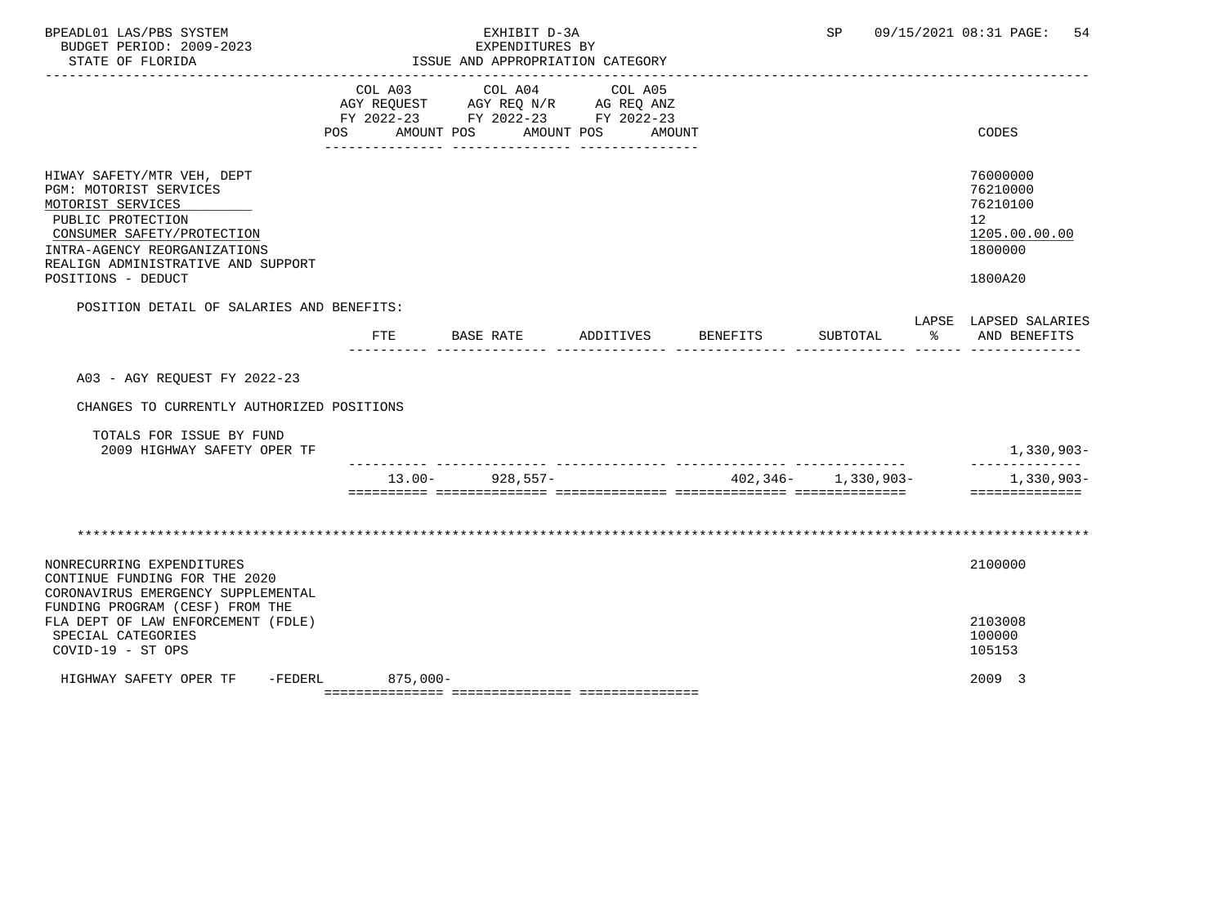| BPEADL01 LAS/PBS SYSTEM<br>BUDGET PERIOD: 2009-2023<br>STATE OF FLORIDA                                                                                                                                                  |                       | EXHIBIT D-3A<br>EXPENDITURES BY<br>ISSUE AND APPROPRIATION CATEGORY                             |                                 | SP                      | 54<br>09/15/2021 08:31 PAGE:                                                                 |
|--------------------------------------------------------------------------------------------------------------------------------------------------------------------------------------------------------------------------|-----------------------|-------------------------------------------------------------------------------------------------|---------------------------------|-------------------------|----------------------------------------------------------------------------------------------|
|                                                                                                                                                                                                                          | COL A03<br><b>POS</b> | COL A04<br>AGY REQUEST AGY REQ N/R AG REQ ANZ<br>FY 2022-23 FY 2022-23 FY 2022-23<br>AMOUNT POS | COL A05<br>AMOUNT POS<br>AMOUNT |                         | CODES                                                                                        |
| HIWAY SAFETY/MTR VEH, DEPT<br>PGM: MOTORIST SERVICES<br>MOTORIST SERVICES<br>PUBLIC PROTECTION<br>CONSUMER SAFETY/PROTECTION<br>INTRA-AGENCY REORGANIZATIONS<br>REALIGN ADMINISTRATIVE AND SUPPORT<br>POSITIONS - DEDUCT |                       |                                                                                                 |                                 |                         | 76000000<br>76210000<br>76210100<br>$12 \overline{ }$<br>1205.00.00.00<br>1800000<br>1800A20 |
| POSITION DETAIL OF SALARIES AND BENEFITS:                                                                                                                                                                                | FTE                   | BASE RATE                                                                                       | ADDITIVES BENEFITS              | SUBTOTAL                | LAPSE LAPSED SALARIES<br>% AND BENEFITS                                                      |
| A03 - AGY REOUEST FY 2022-23<br>CHANGES TO CURRENTLY AUTHORIZED POSITIONS                                                                                                                                                |                       |                                                                                                 |                                 |                         |                                                                                              |
| TOTALS FOR ISSUE BY FUND<br>2009 HIGHWAY SAFETY OPER TF                                                                                                                                                                  |                       |                                                                                                 |                                 |                         | 1,330,903-                                                                                   |
|                                                                                                                                                                                                                          |                       | $13.00 - 928.557 -$                                                                             |                                 | $402,346 - 1,330,903 -$ | ------------<br>$1,330,903-$<br>==============                                               |
|                                                                                                                                                                                                                          |                       |                                                                                                 |                                 |                         |                                                                                              |
| NONRECURRING EXPENDITURES<br>CONTINUE FUNDING FOR THE 2020<br>CORONAVIRUS EMERGENCY SUPPLEMENTAL                                                                                                                         |                       |                                                                                                 |                                 |                         | 2100000                                                                                      |
| FUNDING PROGRAM (CESF) FROM THE<br>FLA DEPT OF LAW ENFORCEMENT (FDLE)<br>SPECIAL CATEGORIES<br>COVID-19 - ST OPS                                                                                                         |                       |                                                                                                 |                                 |                         | 2103008<br>100000<br>105153                                                                  |
| HIGHWAY SAFETY OPER TF -FEDERL                                                                                                                                                                                           | $875,000-$            |                                                                                                 |                                 |                         | 2009 3                                                                                       |

=============== =============== ===============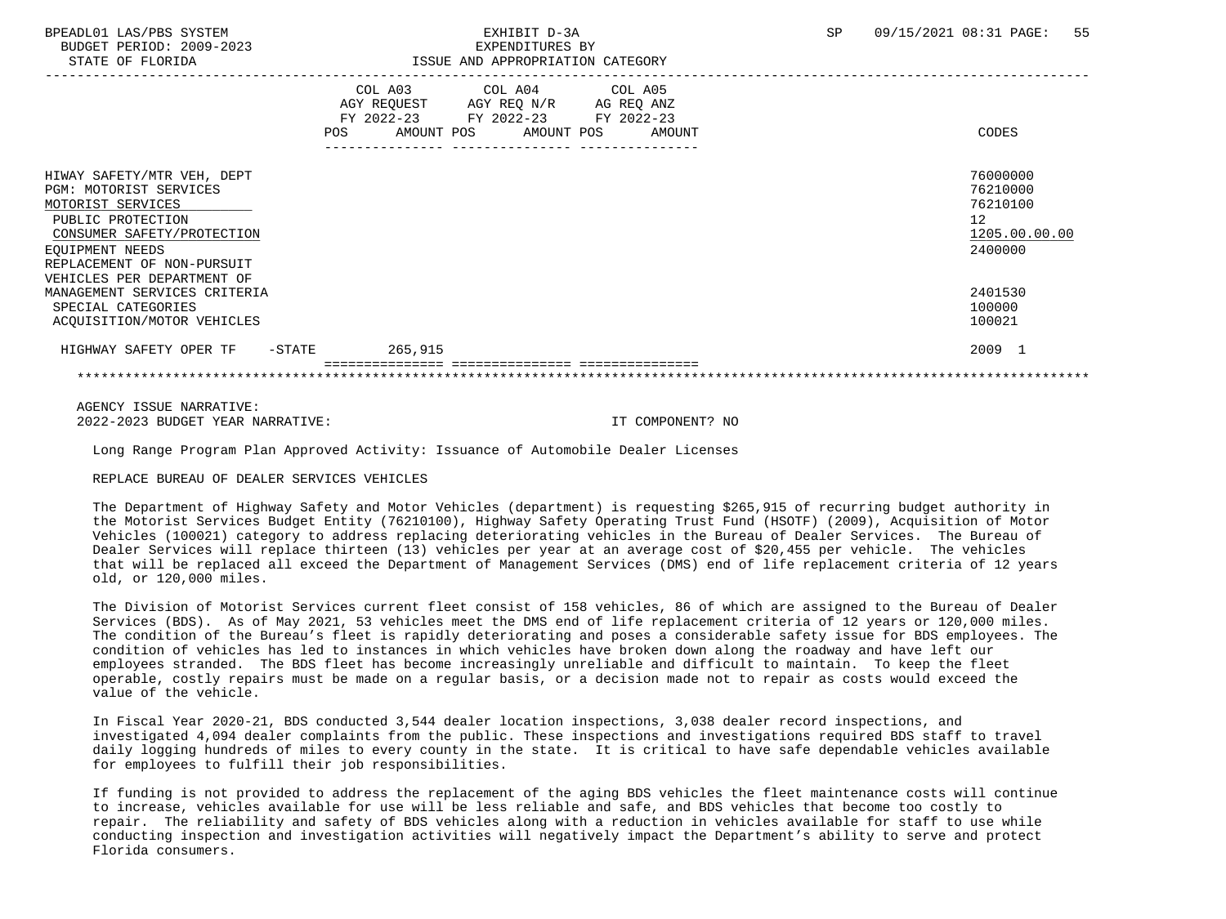BUDGET PERIOD: 2009-2023 EXPENDITURES BY

### BPEADL01 LAS/PBS SYSTEM SALL SERVICES TO THE STATE OF THE SERVICES OF SP 09/15/2021 08:31 PAGE: 55 STATE OF FLORIDA ISSUE AND APPROPRIATION CATEGORY

| DIAIE OF FEORIDA                                                                                                                                                              | TOOOD AND AFFIVOFRIATION CAIDOORI |                                                                          |  |                                      |  |                                 |                                                                    |
|-------------------------------------------------------------------------------------------------------------------------------------------------------------------------------|-----------------------------------|--------------------------------------------------------------------------|--|--------------------------------------|--|---------------------------------|--------------------------------------------------------------------|
|                                                                                                                                                                               | <b>POS</b>                        | COL A03<br>AGY REOUEST<br>FY 2022-23 FY 2022-23 FY 2022-23<br>AMOUNT POS |  | COL A04<br>AGY REQ N/R<br>AMOUNT POS |  | COL A05<br>AG REQ ANZ<br>AMOUNT | <b>CODES</b>                                                       |
| HIWAY SAFETY/MTR VEH, DEPT<br>PGM: MOTORIST SERVICES<br>MOTORIST SERVICES<br>PUBLIC PROTECTION<br>CONSUMER SAFETY/PROTECTION<br>EQUIPMENT NEEDS<br>REPLACEMENT OF NON-PURSUIT |                                   |                                                                          |  |                                      |  |                                 | 76000000<br>76210000<br>76210100<br>12<br>1205.00.00.00<br>2400000 |
| VEHICLES PER DEPARTMENT OF<br>MANAGEMENT SERVICES CRITERIA<br>SPECIAL CATEGORIES<br>ACQUISITION/MOTOR VEHICLES                                                                |                                   |                                                                          |  |                                      |  |                                 | 2401530<br>100000<br>100021                                        |
| HIGHWAY SAFETY OPER TF<br>$-$ STATE                                                                                                                                           |                                   | 265,915                                                                  |  |                                      |  |                                 | 2009 1                                                             |
|                                                                                                                                                                               |                                   |                                                                          |  |                                      |  |                                 |                                                                    |

 AGENCY ISSUE NARRATIVE: 2022-2023 BUDGET YEAR NARRATIVE: IT COMPONENT? NO

Long Range Program Plan Approved Activity: Issuance of Automobile Dealer Licenses

REPLACE BUREAU OF DEALER SERVICES VEHICLES

 The Department of Highway Safety and Motor Vehicles (department) is requesting \$265,915 of recurring budget authority in the Motorist Services Budget Entity (76210100), Highway Safety Operating Trust Fund (HSOTF) (2009), Acquisition of Motor Vehicles (100021) category to address replacing deteriorating vehicles in the Bureau of Dealer Services. The Bureau of Dealer Services will replace thirteen (13) vehicles per year at an average cost of \$20,455 per vehicle. The vehicles that will be replaced all exceed the Department of Management Services (DMS) end of life replacement criteria of 12 years old, or 120,000 miles.

 The Division of Motorist Services current fleet consist of 158 vehicles, 86 of which are assigned to the Bureau of Dealer Services (BDS). As of May 2021, 53 vehicles meet the DMS end of life replacement criteria of 12 years or 120,000 miles. The condition of the Bureau's fleet is rapidly deteriorating and poses a considerable safety issue for BDS employees. The condition of vehicles has led to instances in which vehicles have broken down along the roadway and have left our employees stranded. The BDS fleet has become increasingly unreliable and difficult to maintain. To keep the fleet operable, costly repairs must be made on a regular basis, or a decision made not to repair as costs would exceed the value of the vehicle.

 In Fiscal Year 2020-21, BDS conducted 3,544 dealer location inspections, 3,038 dealer record inspections, and investigated 4,094 dealer complaints from the public. These inspections and investigations required BDS staff to travel daily logging hundreds of miles to every county in the state. It is critical to have safe dependable vehicles available for employees to fulfill their job responsibilities.

 If funding is not provided to address the replacement of the aging BDS vehicles the fleet maintenance costs will continue to increase, vehicles available for use will be less reliable and safe, and BDS vehicles that become too costly to repair. The reliability and safety of BDS vehicles along with a reduction in vehicles available for staff to use while conducting inspection and investigation activities will negatively impact the Department's ability to serve and protect Florida consumers.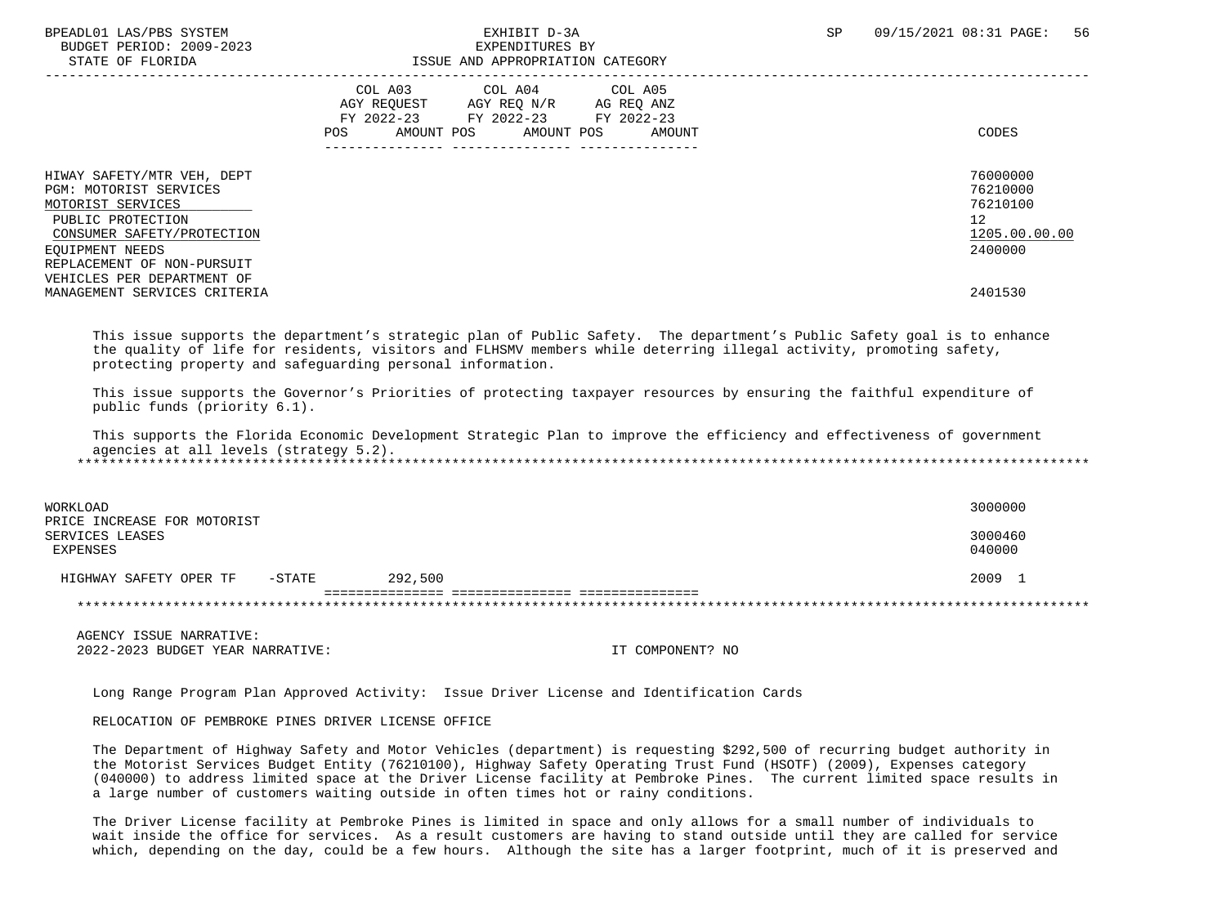BUDGET PERIOD: 2009-2023<br>
STATE OF FLORIDA<br>
STATE OF FLORIDA

# ISSUE AND APPROPRIATION CATEGORY

|                                                                                                                                                                                                                                             | COL A03<br>AGY REOUEST<br>FY 2022-23<br>AMOUNT POS<br><b>POS</b> | COL A04<br>AGY REQ N/R<br>FY 2022-23 FY 2022-23<br>AMOUNT POS | COL A05<br>AG REQ ANZ<br>AMOUNT | CODES                                                                         |
|---------------------------------------------------------------------------------------------------------------------------------------------------------------------------------------------------------------------------------------------|------------------------------------------------------------------|---------------------------------------------------------------|---------------------------------|-------------------------------------------------------------------------------|
| HIWAY SAFETY/MTR VEH, DEPT<br>PGM: MOTORIST SERVICES<br>MOTORIST SERVICES<br>PUBLIC PROTECTION<br>CONSUMER SAFETY/PROTECTION<br>EOUIPMENT NEEDS<br>REPLACEMENT OF NON-PURSUIT<br>VEHICLES PER DEPARTMENT OF<br>MANAGEMENT SERVICES CRITERIA |                                                                  |                                                               |                                 | 76000000<br>76210000<br>76210100<br>12<br>1205.00.00.00<br>2400000<br>2401530 |

 This issue supports the department's strategic plan of Public Safety. The department's Public Safety goal is to enhance the quality of life for residents, visitors and FLHSMV members while deterring illegal activity, promoting safety, protecting property and safeguarding personal information.

 This issue supports the Governor's Priorities of protecting taxpayer resources by ensuring the faithful expenditure of public funds (priority 6.1).

 This supports the Florida Economic Development Strategic Plan to improve the efficiency and effectiveness of government agencies at all levels (strategy 5.2). \*\*\*\*\*\*\*\*\*\*\*\*\*\*\*\*\*\*\*\*\*\*\*\*\*\*\*\*\*\*\*\*\*\*\*\*\*\*\*\*\*\*\*\*\*\*\*\*\*\*\*\*\*\*\*\*\*\*\*\*\*\*\*\*\*\*\*\*\*\*\*\*\*\*\*\*\*\*\*\*\*\*\*\*\*\*\*\*\*\*\*\*\*\*\*\*\*\*\*\*\*\*\*\*\*\*\*\*\*\*\*\*\*\*\*\*\*\*\*\*\*\*\*\*\*\*\*

| WORKLOAD                                                   | 3000000 |                   |
|------------------------------------------------------------|---------|-------------------|
| PRICE INCREASE FOR MOTORIST<br>SERVICES LEASES<br>EXPENSES |         | 3000460<br>040000 |
| $-$ STATE<br>HIGHWAY SAFETY OPER TF                        | 292,500 | 2009              |
|                                                            |         |                   |

 AGENCY ISSUE NARRATIVE: 2022-2023 BUDGET YEAR NARRATIVE: IT COMPONENT? NO

Long Range Program Plan Approved Activity: Issue Driver License and Identification Cards

### RELOCATION OF PEMBROKE PINES DRIVER LICENSE OFFICE

 The Department of Highway Safety and Motor Vehicles (department) is requesting \$292,500 of recurring budget authority in the Motorist Services Budget Entity (76210100), Highway Safety Operating Trust Fund (HSOTF) (2009), Expenses category (040000) to address limited space at the Driver License facility at Pembroke Pines. The current limited space results in a large number of customers waiting outside in often times hot or rainy conditions.

 The Driver License facility at Pembroke Pines is limited in space and only allows for a small number of individuals to wait inside the office for services. As a result customers are having to stand outside until they are called for service which, depending on the day, could be a few hours. Although the site has a larger footprint, much of it is preserved and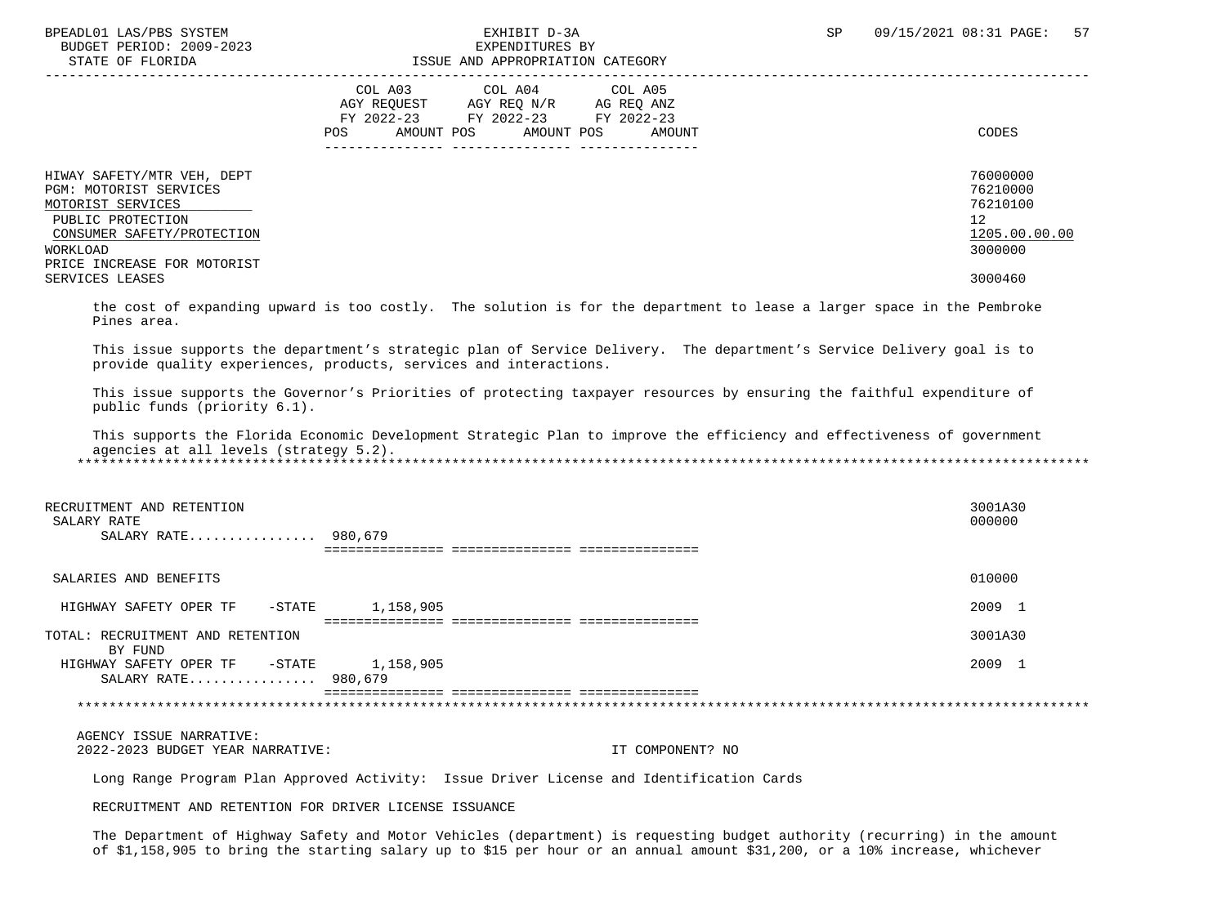BUDGET PERIOD: 2009-2023<br>
STATE OF FLORIDA<br>
STATE OF FLORIDA

# ISSUE AND APPROPRIATION CATEGORY

| $0.11111$ $0.1$ $1.001$                                                                                                                                                 | toog mo minimum and chapter                                                                                                                                |                                                                    |
|-------------------------------------------------------------------------------------------------------------------------------------------------------------------------|------------------------------------------------------------------------------------------------------------------------------------------------------------|--------------------------------------------------------------------|
|                                                                                                                                                                         | COL A03<br>COL A04 COL A05<br>AGY REOUEST<br>AGY REO N/R<br>AG REO ANZ<br>FY 2022-23<br>FY 2022-23 FY 2022-23<br>AMOUNT POS<br>AMOUNT POS<br>AMOUNT<br>POS | CODES                                                              |
| HIWAY SAFETY/MTR VEH, DEPT<br>PGM: MOTORIST SERVICES<br>MOTORIST SERVICES<br>PUBLIC PROTECTION<br>CONSUMER SAFETY/PROTECTION<br>WORKLOAD<br>PRICE INCREASE FOR MOTORIST |                                                                                                                                                            | 76000000<br>76210000<br>76210100<br>12<br>1205.00.00.00<br>3000000 |
| SERVICES LEASES                                                                                                                                                         |                                                                                                                                                            | 3000460                                                            |

 the cost of expanding upward is too costly. The solution is for the department to lease a larger space in the Pembroke Pines area.

 This issue supports the department's strategic plan of Service Delivery. The department's Service Delivery goal is to provide quality experiences, products, services and interactions.

 This issue supports the Governor's Priorities of protecting taxpayer resources by ensuring the faithful expenditure of public funds (priority 6.1).

 This supports the Florida Economic Development Strategic Plan to improve the efficiency and effectiveness of government agencies at all levels (strategy 5.2). \*\*\*\*\*\*\*\*\*\*\*\*\*\*\*\*\*\*\*\*\*\*\*\*\*\*\*\*\*\*\*\*\*\*\*\*\*\*\*\*\*\*\*\*\*\*\*\*\*\*\*\*\*\*\*\*\*\*\*\*\*\*\*\*\*\*\*\*\*\*\*\*\*\*\*\*\*\*\*\*\*\*\*\*\*\*\*\*\*\*\*\*\*\*\*\*\*\*\*\*\*\*\*\*\*\*\*\*\*\*\*\*\*\*\*\*\*\*\*\*\*\*\*\*\*\*\*

| RECRUITMENT AND RETENTION<br>SALARY RATE<br>SALARY RATE 980,679 |           | 3001A30<br>000000 |
|-----------------------------------------------------------------|-----------|-------------------|
| SALARIES AND BENEFITS                                           |           | 010000            |
| $-\mathtt{STATE}$<br>HIGHWAY SAFETY OPER TF                     | 1,158,905 | 2009 1            |
| TOTAL: RECRUITMENT AND RETENTION<br>BY FUND                     |           | 3001A30           |
| HIGHWAY SAFETY OPER TF - STATE<br>SALARY RATE 980,679           | 1,158,905 | 2009 1            |
|                                                                 |           |                   |

### AGENCY ISSUE NARRATIVE:

2022-2023 BUDGET YEAR NARRATIVE: IT COMPONENT? NO

Long Range Program Plan Approved Activity: Issue Driver License and Identification Cards

### RECRUITMENT AND RETENTION FOR DRIVER LICENSE ISSUANCE

 The Department of Highway Safety and Motor Vehicles (department) is requesting budget authority (recurring) in the amount of \$1,158,905 to bring the starting salary up to \$15 per hour or an annual amount \$31,200, or a 10% increase, whichever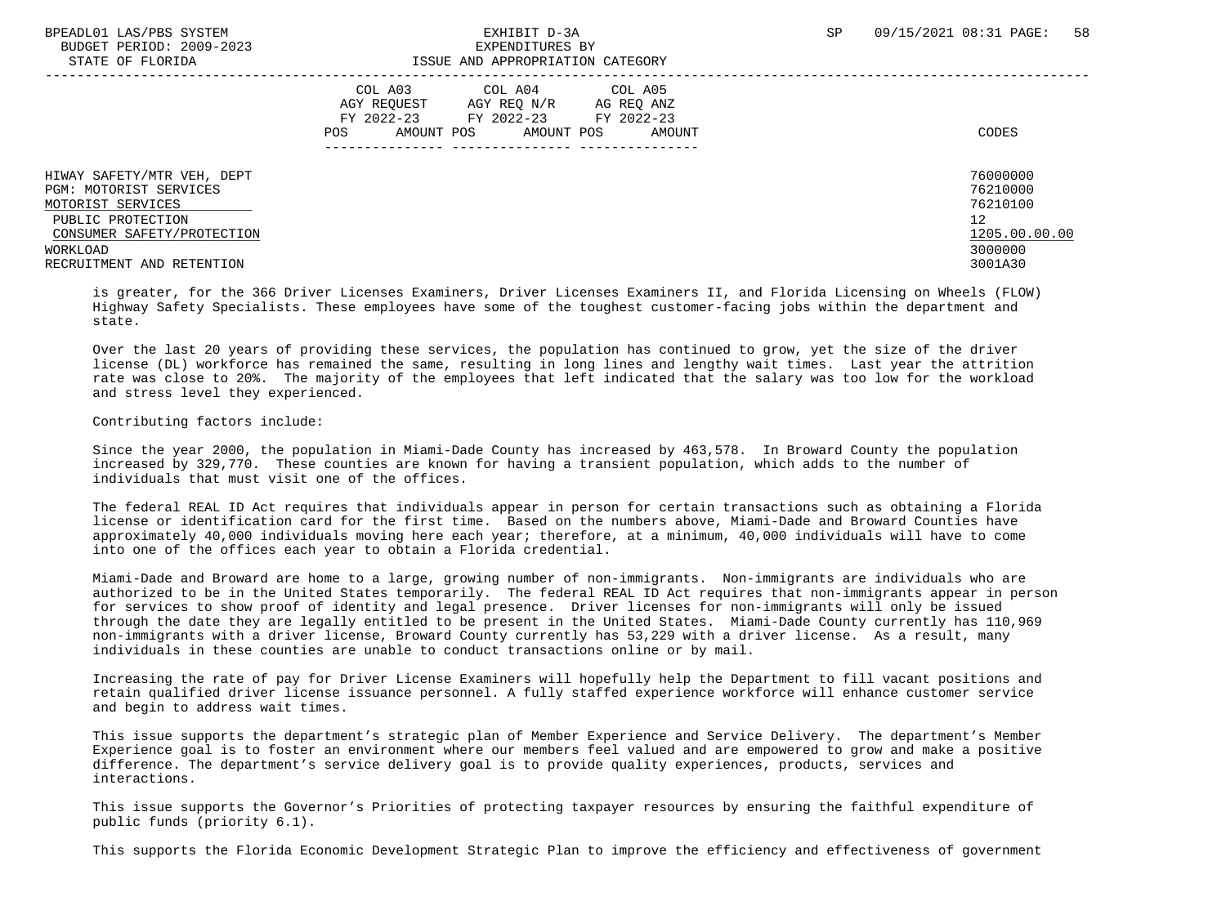BUDGET PERIOD: 2009-2023<br>
EXPENDITURES BY ELOPIDA

## STATE OF FLORIDA ISSUE AND APPROPRIATION CATEGORY

| DIAIL OF FLORIDA                                                                                                             | TOOOD AND AFFROFRIAIION CAIBGORI                                                                                                                              |                                                         |
|------------------------------------------------------------------------------------------------------------------------------|---------------------------------------------------------------------------------------------------------------------------------------------------------------|---------------------------------------------------------|
|                                                                                                                              | COL A03<br>COL A04<br>COL A05<br>AGY REOUEST<br>AGY REO N/R<br>AG REO ANZ<br>FY 2022-23<br>FY 2022-23 FY 2022-23<br>AMOUNT POS<br>AMOUNT POS<br>POS<br>AMOUNT | CODES                                                   |
| HIWAY SAFETY/MTR VEH, DEPT<br>PGM: MOTORIST SERVICES<br>MOTORIST SERVICES<br>PUBLIC PROTECTION<br>CONSUMER SAFETY/PROTECTION |                                                                                                                                                               | 76000000<br>76210000<br>76210100<br>12<br>1205.00.00.00 |
| WORKLOAD<br>RECRUITMENT AND RETENTION                                                                                        |                                                                                                                                                               | 3000000<br>3001A30                                      |
|                                                                                                                              |                                                                                                                                                               |                                                         |

 is greater, for the 366 Driver Licenses Examiners, Driver Licenses Examiners II, and Florida Licensing on Wheels (FLOW) Highway Safety Specialists. These employees have some of the toughest customer-facing jobs within the department and state.

 Over the last 20 years of providing these services, the population has continued to grow, yet the size of the driver license (DL) workforce has remained the same, resulting in long lines and lengthy wait times. Last year the attrition rate was close to 20%. The majority of the employees that left indicated that the salary was too low for the workload and stress level they experienced.

### Contributing factors include:

 Since the year 2000, the population in Miami-Dade County has increased by 463,578. In Broward County the population increased by 329,770. These counties are known for having a transient population, which adds to the number of individuals that must visit one of the offices.

 The federal REAL ID Act requires that individuals appear in person for certain transactions such as obtaining a Florida license or identification card for the first time. Based on the numbers above, Miami-Dade and Broward Counties have approximately 40,000 individuals moving here each year; therefore, at a minimum, 40,000 individuals will have to come into one of the offices each year to obtain a Florida credential.

 Miami-Dade and Broward are home to a large, growing number of non-immigrants. Non-immigrants are individuals who are authorized to be in the United States temporarily. The federal REAL ID Act requires that non-immigrants appear in person for services to show proof of identity and legal presence. Driver licenses for non-immigrants will only be issued through the date they are legally entitled to be present in the United States. Miami-Dade County currently has 110,969 non-immigrants with a driver license, Broward County currently has 53,229 with a driver license. As a result, many individuals in these counties are unable to conduct transactions online or by mail.

 Increasing the rate of pay for Driver License Examiners will hopefully help the Department to fill vacant positions and retain qualified driver license issuance personnel. A fully staffed experience workforce will enhance customer service and begin to address wait times.

 This issue supports the department's strategic plan of Member Experience and Service Delivery. The department's Member Experience goal is to foster an environment where our members feel valued and are empowered to grow and make a positive difference. The department's service delivery goal is to provide quality experiences, products, services and interactions.

 This issue supports the Governor's Priorities of protecting taxpayer resources by ensuring the faithful expenditure of public funds (priority 6.1).

This supports the Florida Economic Development Strategic Plan to improve the efficiency and effectiveness of government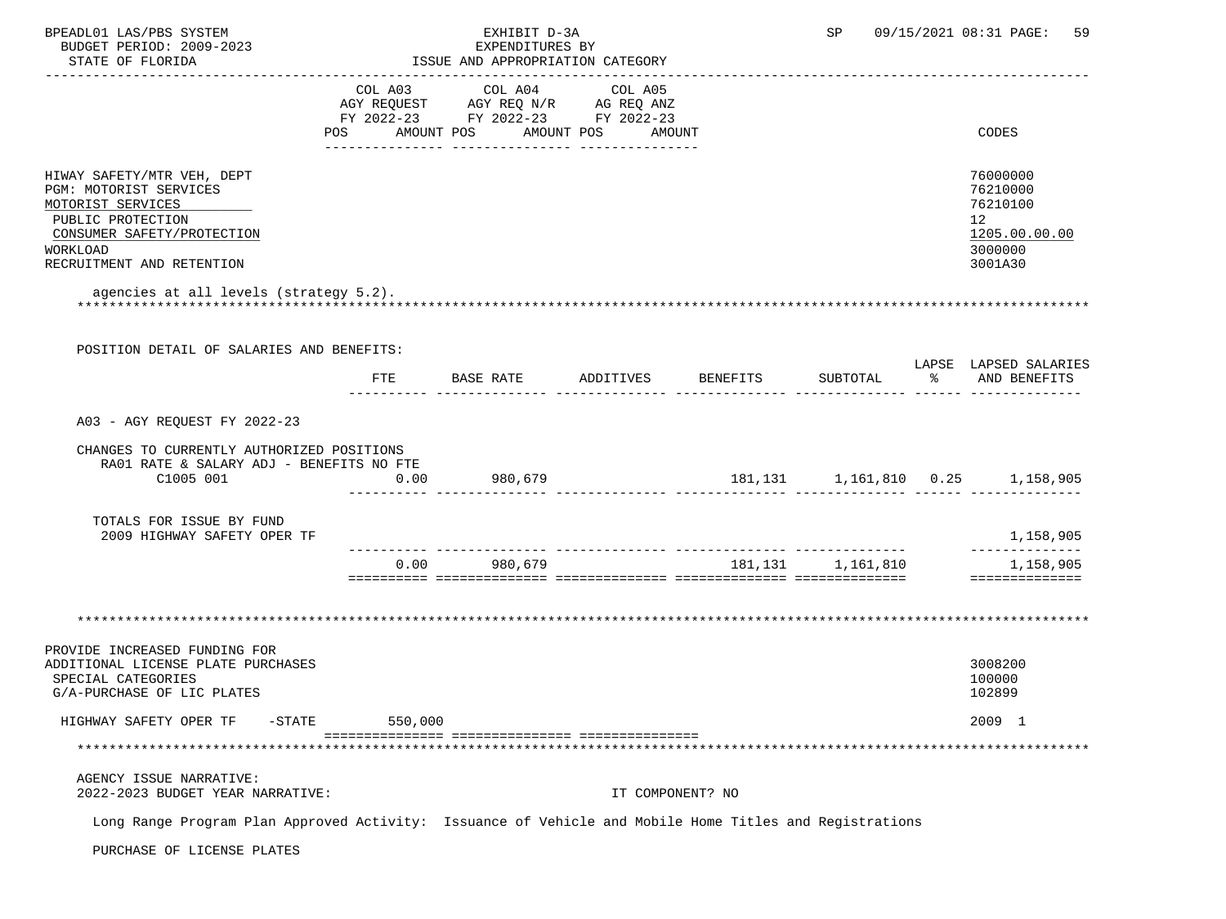| BPEADL01 LAS/PBS SYSTEM<br>BUDGET PERIOD: 2009-2023                                                                                                                   |         | EXHIBIT D-3A<br>EXPENDITURES BY                                                                                       |         |                  | SP                | 09/15/2021 08:31 PAGE: 59                                                                   |
|-----------------------------------------------------------------------------------------------------------------------------------------------------------------------|---------|-----------------------------------------------------------------------------------------------------------------------|---------|------------------|-------------------|---------------------------------------------------------------------------------------------|
| STATE OF FLORIDA                                                                                                                                                      |         | ISSUE AND APPROPRIATION CATEGORY                                                                                      |         |                  |                   |                                                                                             |
|                                                                                                                                                                       | COL A03 | COL A04<br>AGY REQUEST AGY REQ N/R AG REQ ANZ<br>FY 2022-23 FY 2022-23 FY 2022-23<br>POS AMOUNT POS AMOUNT POS AMOUNT | COL A05 |                  |                   | CODES                                                                                       |
| HIWAY SAFETY/MTR VEH, DEPT<br>PGM: MOTORIST SERVICES<br>MOTORIST SERVICES<br>PUBLIC PROTECTION<br>CONSUMER SAFETY/PROTECTION<br>WORKLOAD<br>RECRUITMENT AND RETENTION |         |                                                                                                                       |         |                  |                   | 76000000<br>76210000<br>76210100<br>12 <sup>12</sup><br>1205.00.00.00<br>3000000<br>3001A30 |
| agencies at all levels (strategy 5.2).                                                                                                                                |         |                                                                                                                       |         |                  |                   |                                                                                             |
| POSITION DETAIL OF SALARIES AND BENEFITS:                                                                                                                             | FTE     |                                                                                                                       |         |                  |                   | LAPSE LAPSED SALARIES                                                                       |
|                                                                                                                                                                       |         |                                                                                                                       |         |                  |                   |                                                                                             |
| A03 - AGY REOUEST FY 2022-23                                                                                                                                          |         |                                                                                                                       |         |                  |                   |                                                                                             |
| CHANGES TO CURRENTLY AUTHORIZED POSITIONS<br>RA01 RATE & SALARY ADJ - BENEFITS NO FTE<br>C1005 001                                                                    | 0.00    | 980,679                                                                                                               |         |                  |                   |                                                                                             |
| TOTALS FOR ISSUE BY FUND<br>2009 HIGHWAY SAFETY OPER TF                                                                                                               |         |                                                                                                                       |         |                  |                   | 1,158,905                                                                                   |
|                                                                                                                                                                       | 0.00    | 980,679                                                                                                               |         |                  | 181,131 1,161,810 | 1,158,905<br>==============                                                                 |
|                                                                                                                                                                       |         |                                                                                                                       |         |                  |                   |                                                                                             |
| PROVIDE INCREASED FUNDING FOR<br>ADDITIONAL LICENSE PLATE PURCHASES<br>SPECIAL CATEGORIES<br>G/A-PURCHASE OF LIC PLATES                                               |         |                                                                                                                       |         |                  |                   | 3008200<br>100000<br>102899                                                                 |
| HIGHWAY SAFETY OPER TF<br>$-$ STATE                                                                                                                                   | 550,000 |                                                                                                                       |         |                  |                   | 2009 1                                                                                      |
|                                                                                                                                                                       |         |                                                                                                                       |         |                  |                   |                                                                                             |
| AGENCY ISSUE NARRATIVE:<br>2022-2023 BUDGET YEAR NARRATIVE:                                                                                                           |         |                                                                                                                       |         | IT COMPONENT? NO |                   |                                                                                             |
| Long Range Program Plan Approved Activity: Issuance of Vehicle and Mobile Home Titles and Registrations                                                               |         |                                                                                                                       |         |                  |                   |                                                                                             |
| PURCHASE OF LICENSE PLATES                                                                                                                                            |         |                                                                                                                       |         |                  |                   |                                                                                             |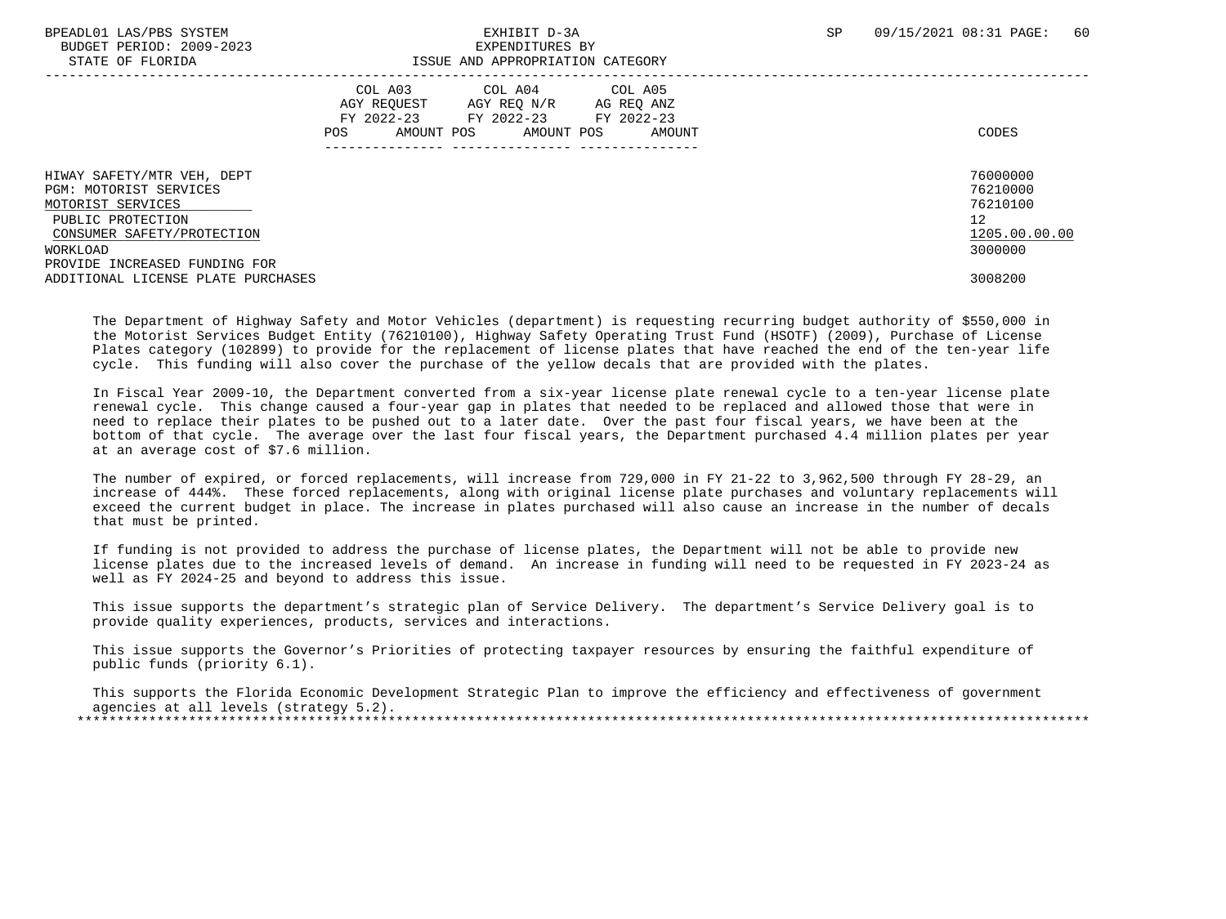BUDGET PERIOD: 2009-2023 EXPENDITURES BY

| DIAIB OF FEORIDA                                                                                                                         | TOOG UND ULLIVERIITON CUIBOORI                                                                                                                                             |                                                                    |
|------------------------------------------------------------------------------------------------------------------------------------------|----------------------------------------------------------------------------------------------------------------------------------------------------------------------------|--------------------------------------------------------------------|
|                                                                                                                                          | COL A03<br>COL A04 COL A05<br>AGY REOUEST<br>AGY REO N/R<br>AG REO ANZ<br>FY 2022-23 FY 2022-23 FY 2022-23<br>AMOUNT POS<br>AMOUNT POS<br>POS<br>AMOUNT<br>--------------- | CODES                                                              |
| HIWAY SAFETY/MTR VEH, DEPT<br>PGM: MOTORIST SERVICES<br>MOTORIST SERVICES<br>PUBLIC PROTECTION<br>CONSUMER SAFETY/PROTECTION<br>WORKLOAD |                                                                                                                                                                            | 76000000<br>76210000<br>76210100<br>12<br>1205.00.00.00<br>3000000 |
| PROVIDE INCREASED FUNDING FOR<br>ADDITIONAL LICENSE PLATE PURCHASES                                                                      |                                                                                                                                                                            | 3008200                                                            |

 The Department of Highway Safety and Motor Vehicles (department) is requesting recurring budget authority of \$550,000 in the Motorist Services Budget Entity (76210100), Highway Safety Operating Trust Fund (HSOTF) (2009), Purchase of License Plates category (102899) to provide for the replacement of license plates that have reached the end of the ten-year life cycle. This funding will also cover the purchase of the yellow decals that are provided with the plates.

 In Fiscal Year 2009-10, the Department converted from a six-year license plate renewal cycle to a ten-year license plate renewal cycle. This change caused a four-year gap in plates that needed to be replaced and allowed those that were in need to replace their plates to be pushed out to a later date. Over the past four fiscal years, we have been at the bottom of that cycle. The average over the last four fiscal years, the Department purchased 4.4 million plates per year at an average cost of \$7.6 million.

 The number of expired, or forced replacements, will increase from 729,000 in FY 21-22 to 3,962,500 through FY 28-29, an increase of 444%. These forced replacements, along with original license plate purchases and voluntary replacements will exceed the current budget in place. The increase in plates purchased will also cause an increase in the number of decals that must be printed.

 If funding is not provided to address the purchase of license plates, the Department will not be able to provide new license plates due to the increased levels of demand. An increase in funding will need to be requested in FY 2023-24 as well as FY 2024-25 and beyond to address this issue.

 This issue supports the department's strategic plan of Service Delivery. The department's Service Delivery goal is to provide quality experiences, products, services and interactions.

 This issue supports the Governor's Priorities of protecting taxpayer resources by ensuring the faithful expenditure of public funds (priority 6.1).

 This supports the Florida Economic Development Strategic Plan to improve the efficiency and effectiveness of government agencies at all levels (strategy 5.2). \*\*\*\*\*\*\*\*\*\*\*\*\*\*\*\*\*\*\*\*\*\*\*\*\*\*\*\*\*\*\*\*\*\*\*\*\*\*\*\*\*\*\*\*\*\*\*\*\*\*\*\*\*\*\*\*\*\*\*\*\*\*\*\*\*\*\*\*\*\*\*\*\*\*\*\*\*\*\*\*\*\*\*\*\*\*\*\*\*\*\*\*\*\*\*\*\*\*\*\*\*\*\*\*\*\*\*\*\*\*\*\*\*\*\*\*\*\*\*\*\*\*\*\*\*\*\*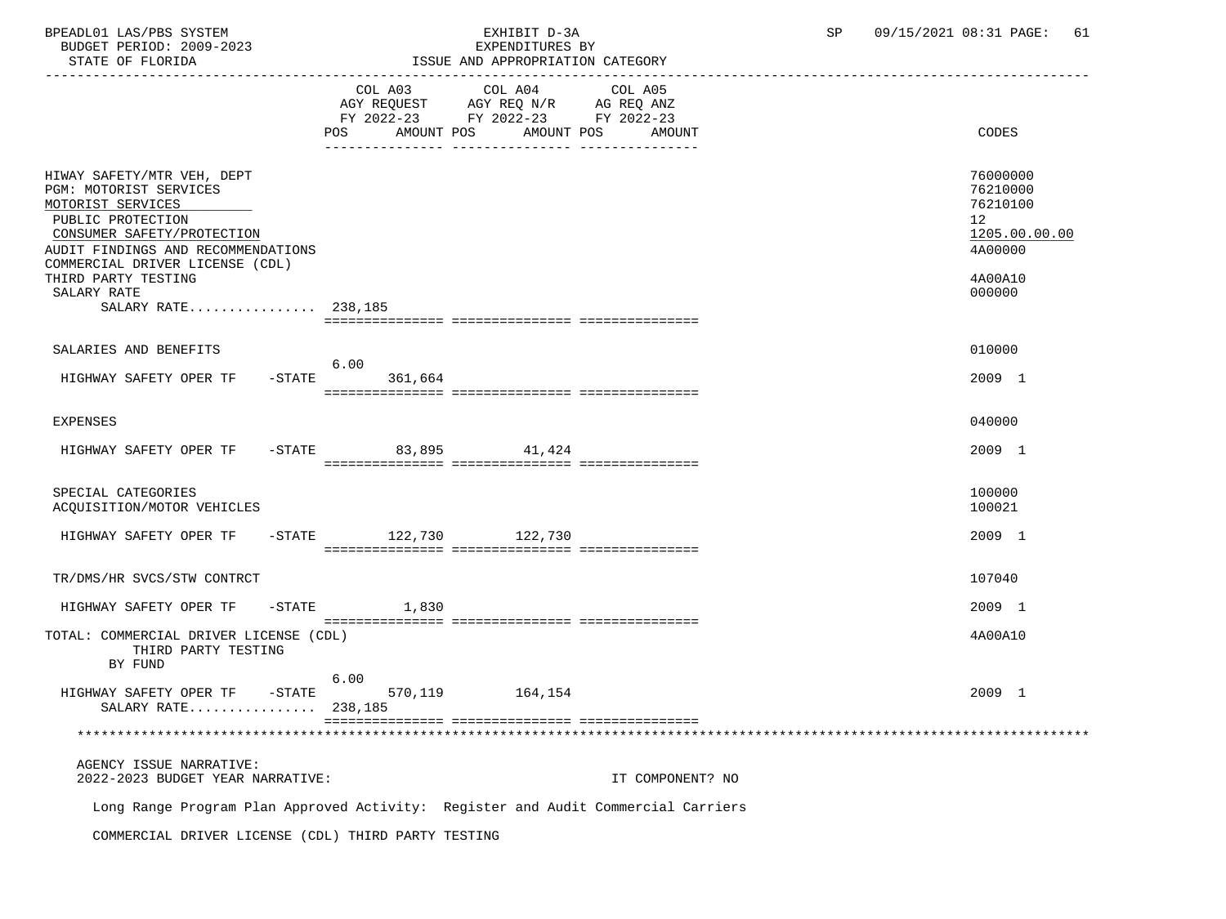BUDGET PERIOD: 2009-2023

## BPEADL01 LAS/PBS SYSTEM  $\blacksquare$  EXHIBIT D-3A SP 09/15/2021 08:31 PAGE: 61

| STATE OF FLORIDA                                                                                                                                                                                                                                                   | ------------------------------ | ISSUE AND APPROPRIATION CATEGORY                                                  |                                 |                                                                                         |
|--------------------------------------------------------------------------------------------------------------------------------------------------------------------------------------------------------------------------------------------------------------------|--------------------------------|-----------------------------------------------------------------------------------|---------------------------------|-----------------------------------------------------------------------------------------|
|                                                                                                                                                                                                                                                                    | COL A03<br>POS<br>AMOUNT POS   | COL A04<br>AGY REQUEST AGY REQ N/R AG REQ ANZ<br>FY 2022-23 FY 2022-23 FY 2022-23 | COL A05<br>AMOUNT POS<br>AMOUNT | CODES                                                                                   |
| HIWAY SAFETY/MTR VEH, DEPT<br>PGM: MOTORIST SERVICES<br>MOTORIST SERVICES<br>PUBLIC PROTECTION<br>CONSUMER SAFETY/PROTECTION<br>AUDIT FINDINGS AND RECOMMENDATIONS<br>COMMERCIAL DRIVER LICENSE (CDL)<br>THIRD PARTY TESTING<br>SALARY RATE<br>SALARY RATE 238,185 |                                |                                                                                   |                                 | 76000000<br>76210000<br>76210100<br>12<br>1205.00.00.00<br>4A00000<br>4A00A10<br>000000 |
| SALARIES AND BENEFITS                                                                                                                                                                                                                                              |                                |                                                                                   |                                 | 010000                                                                                  |
| HIGHWAY SAFETY OPER TF                                                                                                                                                                                                                                             | 6.00<br>$-STATE$<br>361,664    |                                                                                   |                                 | 2009 1                                                                                  |
| <b>EXPENSES</b>                                                                                                                                                                                                                                                    |                                |                                                                                   |                                 | 040000                                                                                  |
| HIGHWAY SAFETY OPER TF -STATE 83,895 41,424                                                                                                                                                                                                                        |                                |                                                                                   |                                 | 2009 1                                                                                  |
| SPECIAL CATEGORIES<br>ACQUISITION/MOTOR VEHICLES                                                                                                                                                                                                                   |                                |                                                                                   |                                 | 100000<br>100021                                                                        |
| HIGHWAY SAFETY OPER TF                                                                                                                                                                                                                                             | -STATE 122,730 122,730         |                                                                                   |                                 | 2009 1                                                                                  |
| TR/DMS/HR SVCS/STW CONTRCT                                                                                                                                                                                                                                         |                                |                                                                                   |                                 | 107040                                                                                  |
| HIGHWAY SAFETY OPER TF - STATE                                                                                                                                                                                                                                     | 1,830                          |                                                                                   |                                 | 2009 1                                                                                  |
| TOTAL: COMMERCIAL DRIVER LICENSE (CDL)<br>THIRD PARTY TESTING<br>BY FUND                                                                                                                                                                                           | 6.00                           |                                                                                   |                                 | 4A00A10                                                                                 |
| HIGHWAY SAFETY OPER TF -STATE<br>SALARY RATE 238,185                                                                                                                                                                                                               |                                | 570, 119 164, 154                                                                 |                                 | 2009 1                                                                                  |
|                                                                                                                                                                                                                                                                    |                                |                                                                                   |                                 |                                                                                         |
| AGENCY ISSUE NARRATIVE:<br>2022-2023 BUDGET YEAR NARRATIVE:                                                                                                                                                                                                        |                                |                                                                                   | IT COMPONENT? NO                |                                                                                         |

Long Range Program Plan Approved Activity: Register and Audit Commercial Carriers

COMMERCIAL DRIVER LICENSE (CDL) THIRD PARTY TESTING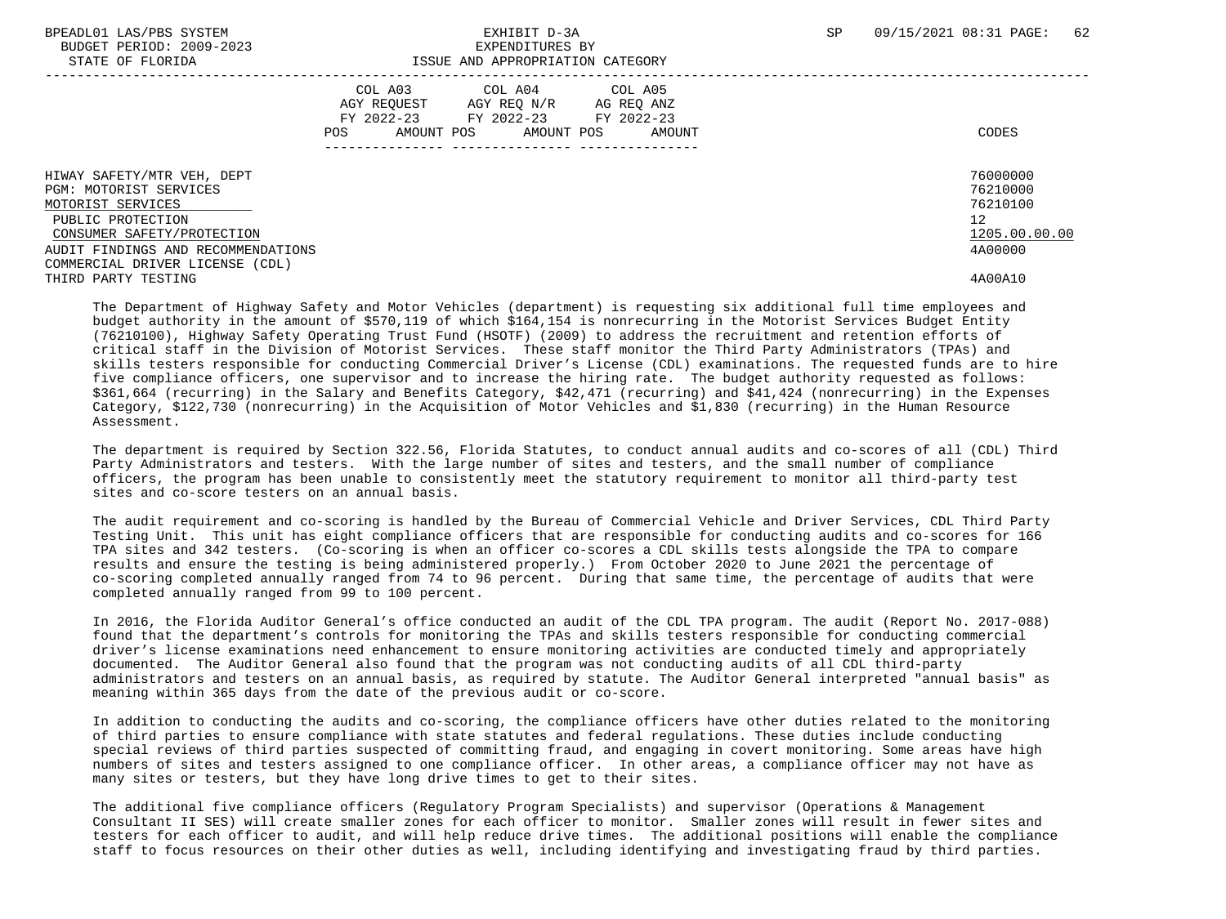BUDGET PERIOD: 2009-2023<br>
STATE OF FLORIDA<br>
STATE OF FLORIDA

### BPEADL01 LAS/PBS SYSTEM EXHIBIT D-3A SP 09/15/2021 08:31 PAGE: 62 ISSUE AND APPROPRIATION CATEGORY

|                                                                                                |                                                           | toog mo minimum and chapter                                           |                      |                                        |
|------------------------------------------------------------------------------------------------|-----------------------------------------------------------|-----------------------------------------------------------------------|----------------------|----------------------------------------|
|                                                                                                | COL A03<br>AGY REOUEST<br>FY 2022-23<br>AMOUNT POS<br>POS | COL A04 COL A05<br>AGY REO N/R<br>FY 2022-23 FY 2022-23<br>AMOUNT POS | AG REO ANZ<br>AMOUNT | CODES                                  |
| HIWAY SAFETY/MTR VEH, DEPT<br>PGM: MOTORIST SERVICES<br>MOTORIST SERVICES<br>PUBLIC PROTECTION |                                                           |                                                                       |                      | 76000000<br>76210000<br>76210100<br>12 |
| CONSUMER SAFETY/PROTECTION<br>AUDIT FINDINGS AND RECOMMENDATIONS                               |                                                           |                                                                       |                      | 1205.00.00.00<br>4A00000               |
| COMMERCIAL DRIVER LICENSE (CDL)<br>THIRD PARTY TESTING                                         |                                                           |                                                                       |                      | 4A00A10                                |

 The Department of Highway Safety and Motor Vehicles (department) is requesting six additional full time employees and budget authority in the amount of \$570,119 of which \$164,154 is nonrecurring in the Motorist Services Budget Entity (76210100), Highway Safety Operating Trust Fund (HSOTF) (2009) to address the recruitment and retention efforts of critical staff in the Division of Motorist Services. These staff monitor the Third Party Administrators (TPAs) and skills testers responsible for conducting Commercial Driver's License (CDL) examinations. The requested funds are to hire five compliance officers, one supervisor and to increase the hiring rate. The budget authority requested as follows: \$361,664 (recurring) in the Salary and Benefits Category, \$42,471 (recurring) and \$41,424 (nonrecurring) in the Expenses Category, \$122,730 (nonrecurring) in the Acquisition of Motor Vehicles and \$1,830 (recurring) in the Human Resource Assessment.

 The department is required by Section 322.56, Florida Statutes, to conduct annual audits and co-scores of all (CDL) Third Party Administrators and testers. With the large number of sites and testers, and the small number of compliance officers, the program has been unable to consistently meet the statutory requirement to monitor all third-party test sites and co-score testers on an annual basis.

 The audit requirement and co-scoring is handled by the Bureau of Commercial Vehicle and Driver Services, CDL Third Party Testing Unit. This unit has eight compliance officers that are responsible for conducting audits and co-scores for 166 TPA sites and 342 testers. (Co-scoring is when an officer co-scores a CDL skills tests alongside the TPA to compare results and ensure the testing is being administered properly.) From October 2020 to June 2021 the percentage of co-scoring completed annually ranged from 74 to 96 percent. During that same time, the percentage of audits that were completed annually ranged from 99 to 100 percent.

 In 2016, the Florida Auditor General's office conducted an audit of the CDL TPA program. The audit (Report No. 2017-088) found that the department's controls for monitoring the TPAs and skills testers responsible for conducting commercial driver's license examinations need enhancement to ensure monitoring activities are conducted timely and appropriately documented. The Auditor General also found that the program was not conducting audits of all CDL third-party administrators and testers on an annual basis, as required by statute. The Auditor General interpreted "annual basis" as meaning within 365 days from the date of the previous audit or co-score.

 In addition to conducting the audits and co-scoring, the compliance officers have other duties related to the monitoring of third parties to ensure compliance with state statutes and federal regulations. These duties include conducting special reviews of third parties suspected of committing fraud, and engaging in covert monitoring. Some areas have high numbers of sites and testers assigned to one compliance officer. In other areas, a compliance officer may not have as many sites or testers, but they have long drive times to get to their sites.

 The additional five compliance officers (Regulatory Program Specialists) and supervisor (Operations & Management Consultant II SES) will create smaller zones for each officer to monitor. Smaller zones will result in fewer sites and testers for each officer to audit, and will help reduce drive times. The additional positions will enable the compliance staff to focus resources on their other duties as well, including identifying and investigating fraud by third parties.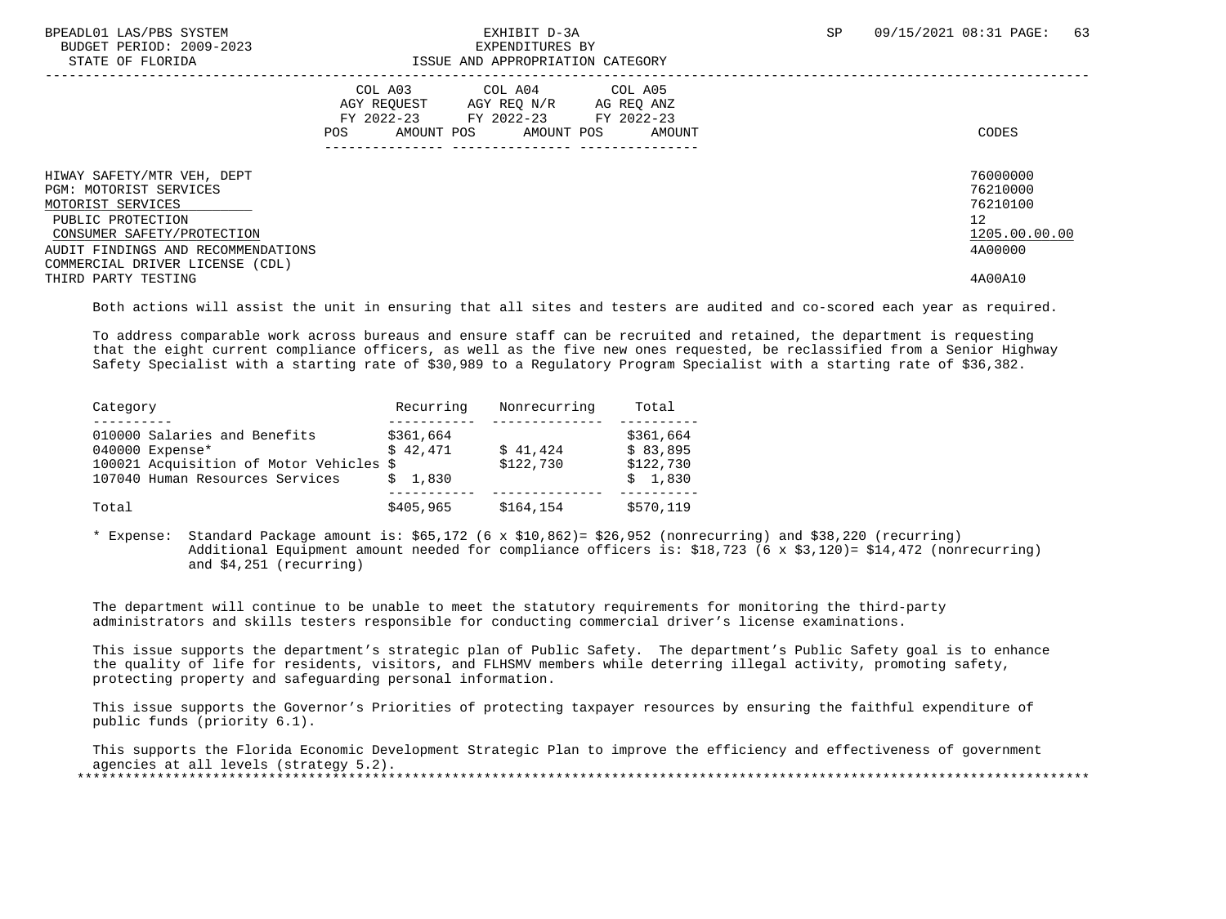| BPEADL01 LAS/PBS SYSTEM |                  |                          |
|-------------------------|------------------|--------------------------|
|                         |                  | BUDGET PERIOD: 2009-2023 |
|                         | גרד סתות החמידים |                          |

### BUDGET PERIOD: 2009-2023 EXPENDITURES BY STATE OF FLORIDA ISSUE AND APPROPRIATION CATEGORY

| DIAIB OF FEORIDA                                                                                                                                                                                      |                                             | TANG UMU ULLIYALIYIN CUTANGILI                                                   |                      |                                                                    |
|-------------------------------------------------------------------------------------------------------------------------------------------------------------------------------------------------------|---------------------------------------------|----------------------------------------------------------------------------------|----------------------|--------------------------------------------------------------------|
|                                                                                                                                                                                                       | COL A03<br>AGY REOUEST<br>AMOUNT POS<br>POS | COL A04 COL A05<br>AGY REO N/R<br>FY 2022-23 FY 2022-23 FY 2022-23<br>AMOUNT POS | AG REO ANZ<br>AMOUNT | CODES                                                              |
| HIWAY SAFETY/MTR VEH, DEPT<br>PGM: MOTORIST SERVICES<br>MOTORIST SERVICES<br>PUBLIC PROTECTION<br>CONSUMER SAFETY/PROTECTION<br>AUDIT FINDINGS AND RECOMMENDATIONS<br>COMMERCIAL DRIVER LICENSE (CDL) |                                             |                                                                                  |                      | 76000000<br>76210000<br>76210100<br>12<br>1205.00.00.00<br>4A00000 |
| THIRD PARTY TESTING                                                                                                                                                                                   |                                             |                                                                                  |                      | 4A00A10                                                            |

Both actions will assist the unit in ensuring that all sites and testers are audited and co-scored each year as required.

 To address comparable work across bureaus and ensure staff can be recruited and retained, the department is requesting that the eight current compliance officers, as well as the five new ones requested, be reclassified from a Senior Highway Safety Specialist with a starting rate of \$30,989 to a Regulatory Program Specialist with a starting rate of \$36,382.

| Category                                | Recurring | Nonrecurring | Total     |
|-----------------------------------------|-----------|--------------|-----------|
|                                         |           |              |           |
| 010000 Salaries and Benefits            | \$361,664 |              | \$361,664 |
| 040000 Expense*                         | \$42.471  | \$41,424     | \$83,895  |
| 100021 Acquisition of Motor Vehicles \$ |           | \$122,730    | \$122,730 |
| 107040 Human Resources Services         | \$1.830   |              | \$1.830   |
|                                         |           |              |           |
| Total                                   | \$405,965 | \$164,154    | \$570,119 |

 \* Expense: Standard Package amount is: \$65,172 (6 x \$10,862)= \$26,952 (nonrecurring) and \$38,220 (recurring) Additional Equipment amount needed for compliance officers is: \$18,723 (6 x \$3,120)= \$14,472 (nonrecurring) and \$4,251 (recurring)

 The department will continue to be unable to meet the statutory requirements for monitoring the third-party administrators and skills testers responsible for conducting commercial driver's license examinations.

 This issue supports the department's strategic plan of Public Safety. The department's Public Safety goal is to enhance the quality of life for residents, visitors, and FLHSMV members while deterring illegal activity, promoting safety, protecting property and safeguarding personal information.

 This issue supports the Governor's Priorities of protecting taxpayer resources by ensuring the faithful expenditure of public funds (priority 6.1).

 This supports the Florida Economic Development Strategic Plan to improve the efficiency and effectiveness of government agencies at all levels (strategy 5.2). \*\*\*\*\*\*\*\*\*\*\*\*\*\*\*\*\*\*\*\*\*\*\*\*\*\*\*\*\*\*\*\*\*\*\*\*\*\*\*\*\*\*\*\*\*\*\*\*\*\*\*\*\*\*\*\*\*\*\*\*\*\*\*\*\*\*\*\*\*\*\*\*\*\*\*\*\*\*\*\*\*\*\*\*\*\*\*\*\*\*\*\*\*\*\*\*\*\*\*\*\*\*\*\*\*\*\*\*\*\*\*\*\*\*\*\*\*\*\*\*\*\*\*\*\*\*\*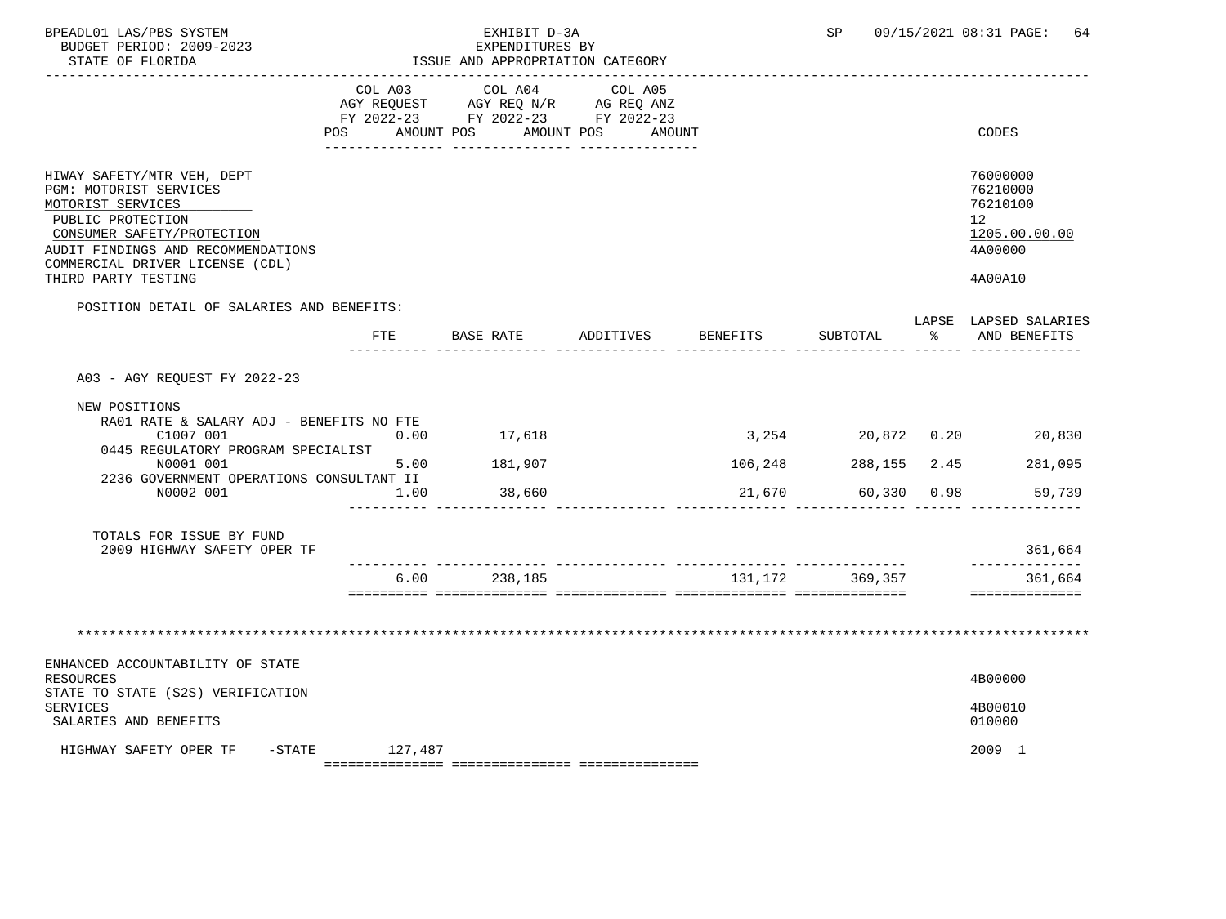| BPEADL01 LAS/PBS SYSTEM<br>BUDGET PERIOD: 2009-2023<br>STATE OF FLORIDA                                                                                                                                                      |              | EXHIBIT D-3A<br>EXPENDITURES BY<br>ISSUE AND APPROPRIATION CATEGORY<br>___________________________________ |                                             |         | <b>SP</b>         | 09/15/2021 08:31 PAGE:<br>64                                                  |
|------------------------------------------------------------------------------------------------------------------------------------------------------------------------------------------------------------------------------|--------------|------------------------------------------------------------------------------------------------------------|---------------------------------------------|---------|-------------------|-------------------------------------------------------------------------------|
|                                                                                                                                                                                                                              | COL A03      | COL A04<br>AGY REQUEST AGY REQ N/R AG REQ ANZ<br>FY 2022-23 FY 2022-23 FY 2022-23                          | COL A05<br>POS AMOUNT POS AMOUNT POS AMOUNT |         |                   | CODES                                                                         |
| HIWAY SAFETY/MTR VEH, DEPT<br>PGM: MOTORIST SERVICES<br>MOTORIST SERVICES<br>PUBLIC PROTECTION<br>CONSUMER SAFETY/PROTECTION<br>AUDIT FINDINGS AND RECOMMENDATIONS<br>COMMERCIAL DRIVER LICENSE (CDL)<br>THIRD PARTY TESTING |              |                                                                                                            |                                             |         |                   | 76000000<br>76210000<br>76210100<br>12<br>1205.00.00.00<br>4A00000<br>4A00A10 |
| POSITION DETAIL OF SALARIES AND BENEFITS:                                                                                                                                                                                    |              |                                                                                                            |                                             |         | SUBTOTAL          | LAPSE LAPSED SALARIES<br>% AND BENEFITS                                       |
| A03 - AGY REQUEST FY 2022-23<br>NEW POSITIONS<br>RA01 RATE & SALARY ADJ - BENEFITS NO FTE<br>C1007 001<br>0445 REGULATORY PROGRAM SPECIALIST<br>N0001 001<br>2236 GOVERNMENT OPERATIONS CONSULTANT II<br>N0002 001           | 0.00<br>1.00 | 17,618<br>5.00 181,907<br>38,660                                                                           |                                             | 106,248 | 21,670 60,330     | 3,254 20,872 0.20 20,830<br>288,155 2.45 281,095<br>0.98<br>59,739            |
| TOTALS FOR ISSUE BY FUND<br>2009 HIGHWAY SAFETY OPER TF                                                                                                                                                                      |              |                                                                                                            |                                             |         |                   | 361,664                                                                       |
|                                                                                                                                                                                                                              |              | 6.00 238,185                                                                                               |                                             |         | 131, 172 369, 357 | 361,664<br>==============                                                     |
|                                                                                                                                                                                                                              |              |                                                                                                            |                                             |         |                   |                                                                               |
| ENHANCED ACCOUNTABILITY OF STATE<br>RESOURCES<br>STATE TO STATE (S2S) VERIFICATION<br>SERVICES<br>SALARIES AND BENEFITS                                                                                                      |              |                                                                                                            |                                             |         |                   | 4B00000<br>4B00010<br>010000                                                  |
| HIGHWAY SAFETY OPER TF -STATE 127,487                                                                                                                                                                                        |              |                                                                                                            |                                             |         |                   | 2009 1                                                                        |

 ${\tt 2} = {\tt 2} = {\tt 2} = {\tt 2} = {\tt 2} = {\tt 2} = {\tt 2} = {\tt 2} = {\tt 2} = {\tt 2} = {\tt 2} = {\tt 2} = {\tt 2} = {\tt 2} = {\tt 2} = {\tt 2} = {\tt 2} = {\tt 2} = {\tt 2} = {\tt 2} = {\tt 2} = {\tt 2} = {\tt 2} = {\tt 2} = {\tt 2} = {\tt 2} = {\tt 2} = {\tt 2} = {\tt 2} = {\tt 2} = {\tt 2} = {\tt 2} = {\tt 2} = {\tt 2} = {\tt 2} = {\tt 2} = {\tt 2$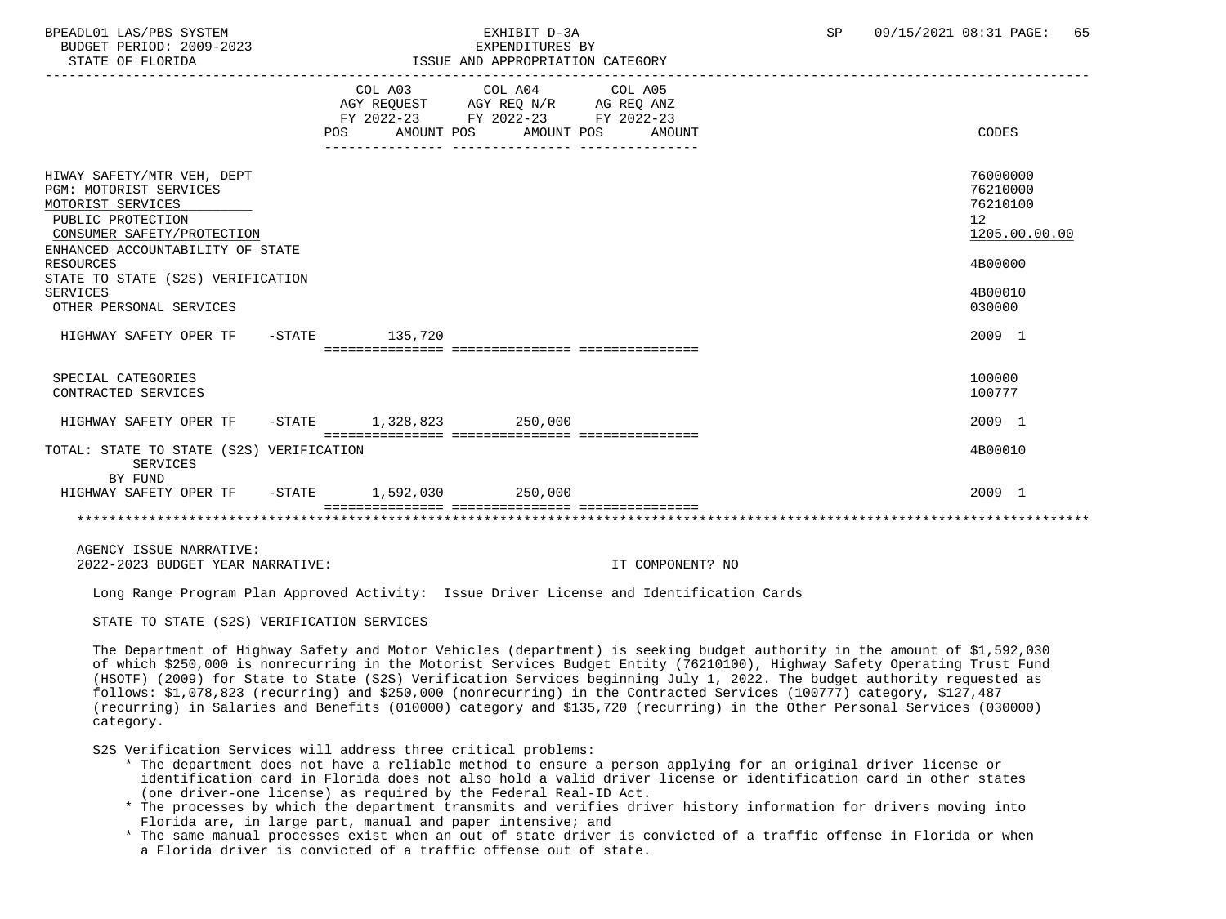BUDGET PERIOD: 2009-2023<br>
STATE OF FLORIDA<br>
STATE OF FLORIDA

### BPEADL01 LAS/PBS SYSTEM SALL RESOLUTE THE STATE OF SALL RESOLUTE TO A SP 09/15/2021 08:31 PAGE: 65 ISSUE AND APPROPRIATION CATEGORY

|                                                                                                                                                                         | POS | COL A03 COL A04 COL A05<br>AGY REQUEST AGY REQ N/R AG REQ ANZ<br>FY 2022-23 FY 2022-23 FY 2022-23<br>AMOUNT POS AMOUNT POS AMOUNT | CODES                                                   |
|-------------------------------------------------------------------------------------------------------------------------------------------------------------------------|-----|-----------------------------------------------------------------------------------------------------------------------------------|---------------------------------------------------------|
| HIWAY SAFETY/MTR VEH, DEPT<br><b>PGM: MOTORIST SERVICES</b><br>MOTORIST SERVICES<br>PUBLIC PROTECTION<br>CONSUMER SAFETY/PROTECTION<br>ENHANCED ACCOUNTABILITY OF STATE |     |                                                                                                                                   | 76000000<br>76210000<br>76210100<br>12<br>1205.00.00.00 |
| <b>RESOURCES</b><br>STATE TO STATE (S2S) VERIFICATION                                                                                                                   |     |                                                                                                                                   | 4B00000                                                 |
| SERVICES<br>OTHER PERSONAL SERVICES                                                                                                                                     |     |                                                                                                                                   | 4B00010<br>030000                                       |
| HIGHWAY SAFETY OPER TF -STATE 135,720                                                                                                                                   |     | ================================                                                                                                  | 2009 1                                                  |
| SPECIAL CATEGORIES<br>CONTRACTED SERVICES                                                                                                                               |     |                                                                                                                                   | 100000<br>100777                                        |
| HIGHWAY SAFETY OPER TF -STATE 1,328,823 250,000                                                                                                                         |     |                                                                                                                                   | 2009 1                                                  |
| TOTAL: STATE TO STATE (S2S) VERIFICATION<br>SERVICES<br>BY FUND                                                                                                         |     |                                                                                                                                   | 4B00010                                                 |
| HIGHWAY SAFETY OPER TF -STATE 1,592,030 250,000                                                                                                                         |     |                                                                                                                                   | 2009 1                                                  |
|                                                                                                                                                                         |     |                                                                                                                                   |                                                         |

 AGENCY ISSUE NARRATIVE: 2022-2023 BUDGET YEAR NARRATIVE: IT COMPONENT? NO

Long Range Program Plan Approved Activity: Issue Driver License and Identification Cards

STATE TO STATE (S2S) VERIFICATION SERVICES

 The Department of Highway Safety and Motor Vehicles (department) is seeking budget authority in the amount of \$1,592,030 of which \$250,000 is nonrecurring in the Motorist Services Budget Entity (76210100), Highway Safety Operating Trust Fund (HSOTF) (2009) for State to State (S2S) Verification Services beginning July 1, 2022. The budget authority requested as follows: \$1,078,823 (recurring) and \$250,000 (nonrecurring) in the Contracted Services (100777) category, \$127,487 (recurring) in Salaries and Benefits (010000) category and \$135,720 (recurring) in the Other Personal Services (030000) category.

S2S Verification Services will address three critical problems:

- \* The department does not have a reliable method to ensure a person applying for an original driver license or identification card in Florida does not also hold a valid driver license or identification card in other states (one driver-one license) as required by the Federal Real-ID Act.
- \* The processes by which the department transmits and verifies driver history information for drivers moving into Florida are, in large part, manual and paper intensive; and
- \* The same manual processes exist when an out of state driver is convicted of a traffic offense in Florida or when a Florida driver is convicted of a traffic offense out of state.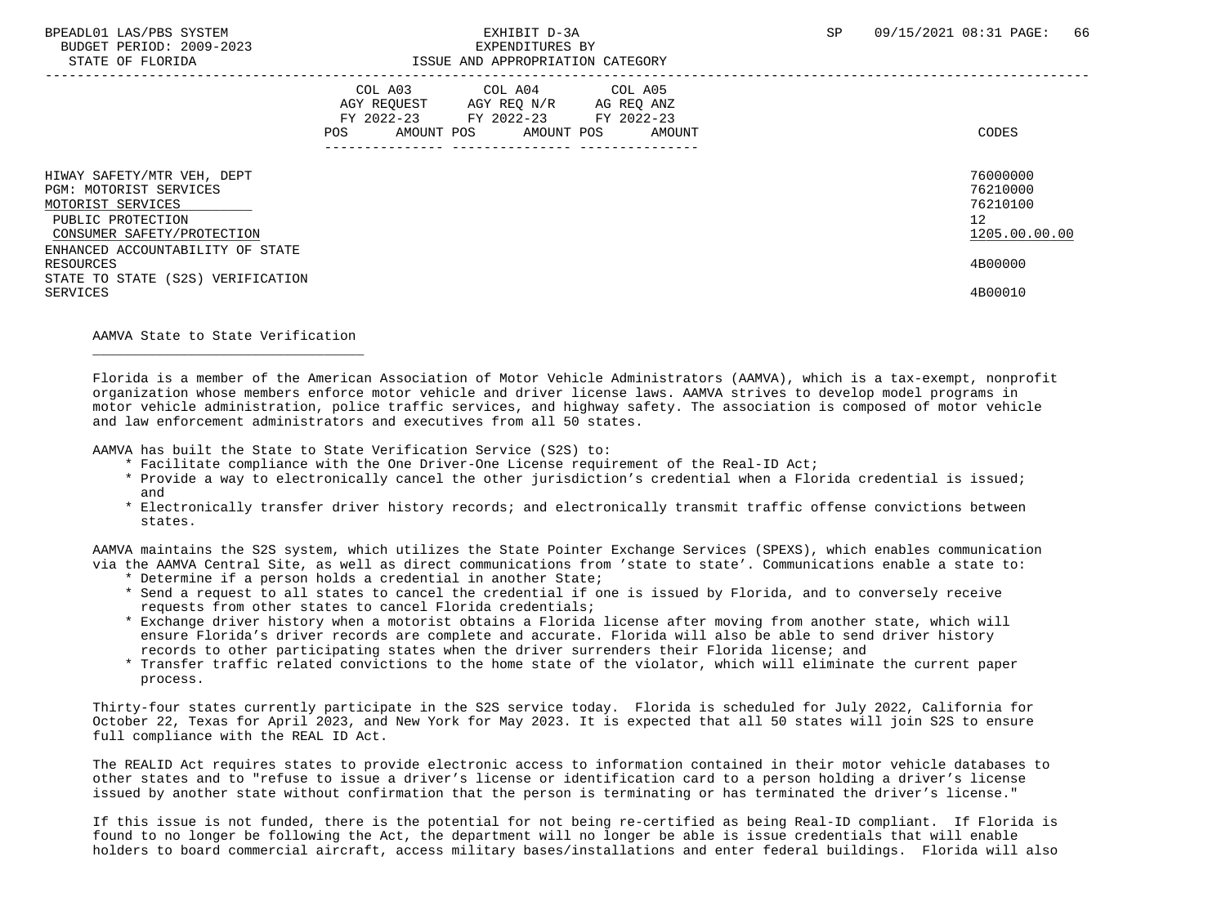BUDGET PERIOD: 2009-2023 EXPENDITURES BY

| DIAIB UP PUURIDA                                                                                                                                                 | TOONA AND APPROPRIATION CAILGORI                                                                                                               |                                                         |
|------------------------------------------------------------------------------------------------------------------------------------------------------------------|------------------------------------------------------------------------------------------------------------------------------------------------|---------------------------------------------------------|
|                                                                                                                                                                  | COL A03 COL A04 COL A05<br>AGY REOUEST AGY REO N/R AG REO ANZ<br>FY 2022-23 FY 2022-23 FY 2022-23<br>AMOUNT POS<br>AMOUNT POS<br>AMOUNT<br>POS | CODES                                                   |
| HIWAY SAFETY/MTR VEH, DEPT<br>PGM: MOTORIST SERVICES<br>MOTORIST SERVICES<br>PUBLIC PROTECTION<br>CONSUMER SAFETY/PROTECTION<br>ENHANCED ACCOUNTABILITY OF STATE |                                                                                                                                                | 76000000<br>76210000<br>76210100<br>12<br>1205.00.00.00 |
| RESOURCES<br>STATE TO STATE (S2S) VERIFICATION<br>SERVICES                                                                                                       |                                                                                                                                                | 4B00000<br>4B00010                                      |

AAMVA State to State Verification

 $\overline{\phantom{a}}$  ,  $\overline{\phantom{a}}$  ,  $\overline{\phantom{a}}$  ,  $\overline{\phantom{a}}$  ,  $\overline{\phantom{a}}$  ,  $\overline{\phantom{a}}$  ,  $\overline{\phantom{a}}$  ,  $\overline{\phantom{a}}$  ,  $\overline{\phantom{a}}$  ,  $\overline{\phantom{a}}$  ,  $\overline{\phantom{a}}$  ,  $\overline{\phantom{a}}$  ,  $\overline{\phantom{a}}$  ,  $\overline{\phantom{a}}$  ,  $\overline{\phantom{a}}$  ,  $\overline{\phantom{a}}$ 

 Florida is a member of the American Association of Motor Vehicle Administrators (AAMVA), which is a tax-exempt, nonprofit organization whose members enforce motor vehicle and driver license laws. AAMVA strives to develop model programs in motor vehicle administration, police traffic services, and highway safety. The association is composed of motor vehicle and law enforcement administrators and executives from all 50 states.

AAMVA has built the State to State Verification Service (S2S) to:

- \* Facilitate compliance with the One Driver-One License requirement of the Real-ID Act;
- \* Provide a way to electronically cancel the other jurisdiction's credential when a Florida credential is issued; and
- \* Electronically transfer driver history records; and electronically transmit traffic offense convictions between states.

 AAMVA maintains the S2S system, which utilizes the State Pointer Exchange Services (SPEXS), which enables communication via the AAMVA Central Site, as well as direct communications from 'state to state'. Communications enable a state to:

- \* Determine if a person holds a credential in another State;
- \* Send a request to all states to cancel the credential if one is issued by Florida, and to conversely receive requests from other states to cancel Florida credentials;
- \* Exchange driver history when a motorist obtains a Florida license after moving from another state, which will ensure Florida's driver records are complete and accurate. Florida will also be able to send driver history records to other participating states when the driver surrenders their Florida license; and
- \* Transfer traffic related convictions to the home state of the violator, which will eliminate the current paper process.

 Thirty-four states currently participate in the S2S service today. Florida is scheduled for July 2022, California for October 22, Texas for April 2023, and New York for May 2023. It is expected that all 50 states will join S2S to ensure full compliance with the REAL ID Act.

 The REALID Act requires states to provide electronic access to information contained in their motor vehicle databases to other states and to "refuse to issue a driver's license or identification card to a person holding a driver's license issued by another state without confirmation that the person is terminating or has terminated the driver's license."

 If this issue is not funded, there is the potential for not being re-certified as being Real-ID compliant. If Florida is found to no longer be following the Act, the department will no longer be able is issue credentials that will enable holders to board commercial aircraft, access military bases/installations and enter federal buildings. Florida will also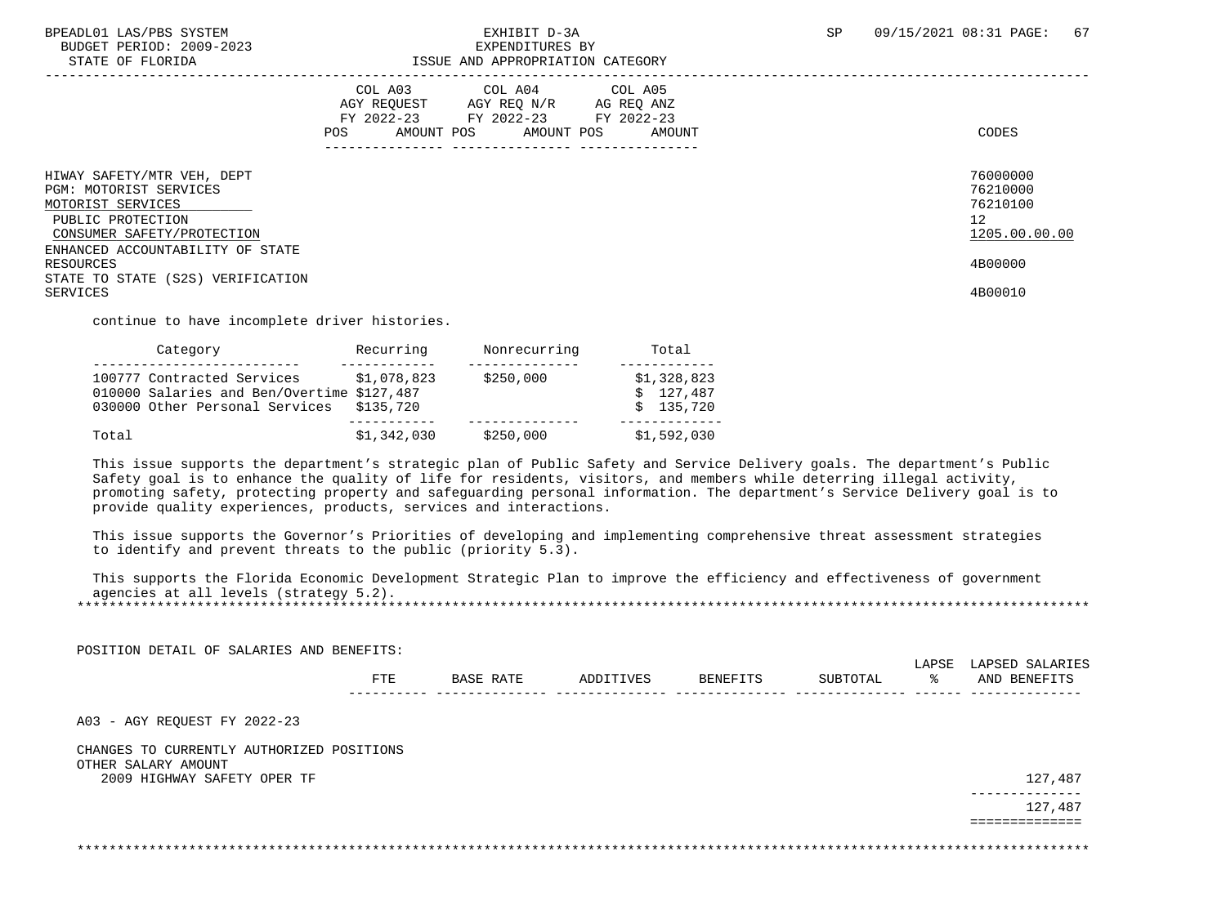BUDGET PERIOD: 2009-2023<br>STATE OF FLORIDA

### BPEADL01 LAS/PBS SYSTEM  $\blacksquare$  EXHIBIT D-3A SP 09/15/2021 08:31 PAGE: 67<br>BUDGET PERIOD: 2009-2023 SXPENDITURES BY ISSUE AND APPROPRIATION CATEGORY

|                                                                                                                              | COL A03<br>AGY REOUEST<br>FY 2022-23<br>AMOUNT POS<br><b>POS</b> | COL A04<br>AGY REO N/R<br>FY 2022-23<br>AMOUNT POS | COL A05<br>AG REO ANZ<br>FY 2022-23<br>AMOUNT | CODES                                                   |
|------------------------------------------------------------------------------------------------------------------------------|------------------------------------------------------------------|----------------------------------------------------|-----------------------------------------------|---------------------------------------------------------|
| HIWAY SAFETY/MTR VEH, DEPT<br>PGM: MOTORIST SERVICES<br>MOTORIST SERVICES<br>PUBLIC PROTECTION<br>CONSUMER SAFETY/PROTECTION |                                                                  |                                                    |                                               | 76000000<br>76210000<br>76210100<br>12<br>1205.00.00.00 |
| ENHANCED ACCOUNTABILITY OF STATE<br>RESOURCES<br>STATE TO STATE (S2S) VERIFICATION<br>SERVICES                               |                                                                  |                                                    |                                               | 4B00000<br>4B00010                                      |

continue to have incomplete driver histories.

| Category                                                                                                   | Recurring                | Nonrecurring | Total                                 |
|------------------------------------------------------------------------------------------------------------|--------------------------|--------------|---------------------------------------|
| 100777 Contracted Services<br>010000 Salaries and Ben/Overtime \$127,487<br>030000 Other Personal Services | \$1,078,823<br>\$135,720 | \$250,000    | \$1,328,823<br>\$127.487<br>\$135.720 |
| Total                                                                                                      | \$1,342,030              | \$250,000    | \$1,592,030                           |

 This issue supports the department's strategic plan of Public Safety and Service Delivery goals. The department's Public Safety goal is to enhance the quality of life for residents, visitors, and members while deterring illegal activity, promoting safety, protecting property and safeguarding personal information. The department's Service Delivery goal is to provide quality experiences, products, services and interactions.

 This issue supports the Governor's Priorities of developing and implementing comprehensive threat assessment strategies to identify and prevent threats to the public (priority 5.3).

 This supports the Florida Economic Development Strategic Plan to improve the efficiency and effectiveness of government agencies at all levels (strategy 5.2). \*\*\*\*\*\*\*\*\*\*\*\*\*\*\*\*\*\*\*\*\*\*\*\*\*\*\*\*\*\*\*\*\*\*\*\*\*\*\*\*\*\*\*\*\*\*\*\*\*\*\*\*\*\*\*\*\*\*\*\*\*\*\*\*\*\*\*\*\*\*\*\*\*\*\*\*\*\*\*\*\*\*\*\*\*\*\*\*\*\*\*\*\*\*\*\*\*\*\*\*\*\*\*\*\*\*\*\*\*\*\*\*\*\*\*\*\*\*\*\*\*\*\*\*\*\*\*

| POSITION DETAIL OF SALARIES AND BENEFITS:                        | <b>FTE</b> | BASE RATE | ADDITIVES | BENEFITS | SUBTOTAL | LAPSE<br>ႜ | LAPSED SALARIES<br>AND BENEFITS |
|------------------------------------------------------------------|------------|-----------|-----------|----------|----------|------------|---------------------------------|
| A03 - AGY REQUEST FY 2022-23                                     |            |           |           |          |          |            |                                 |
| CHANGES TO CURRENTLY AUTHORIZED POSITIONS<br>OTHER SALARY AMOUNT |            |           |           |          |          |            |                                 |
| 2009 HIGHWAY SAFETY OPER TF                                      |            |           |           |          |          |            | 127,487<br>---------            |
|                                                                  |            |           |           |          |          |            | 127,487<br>===========          |
|                                                                  |            |           |           |          |          |            |                                 |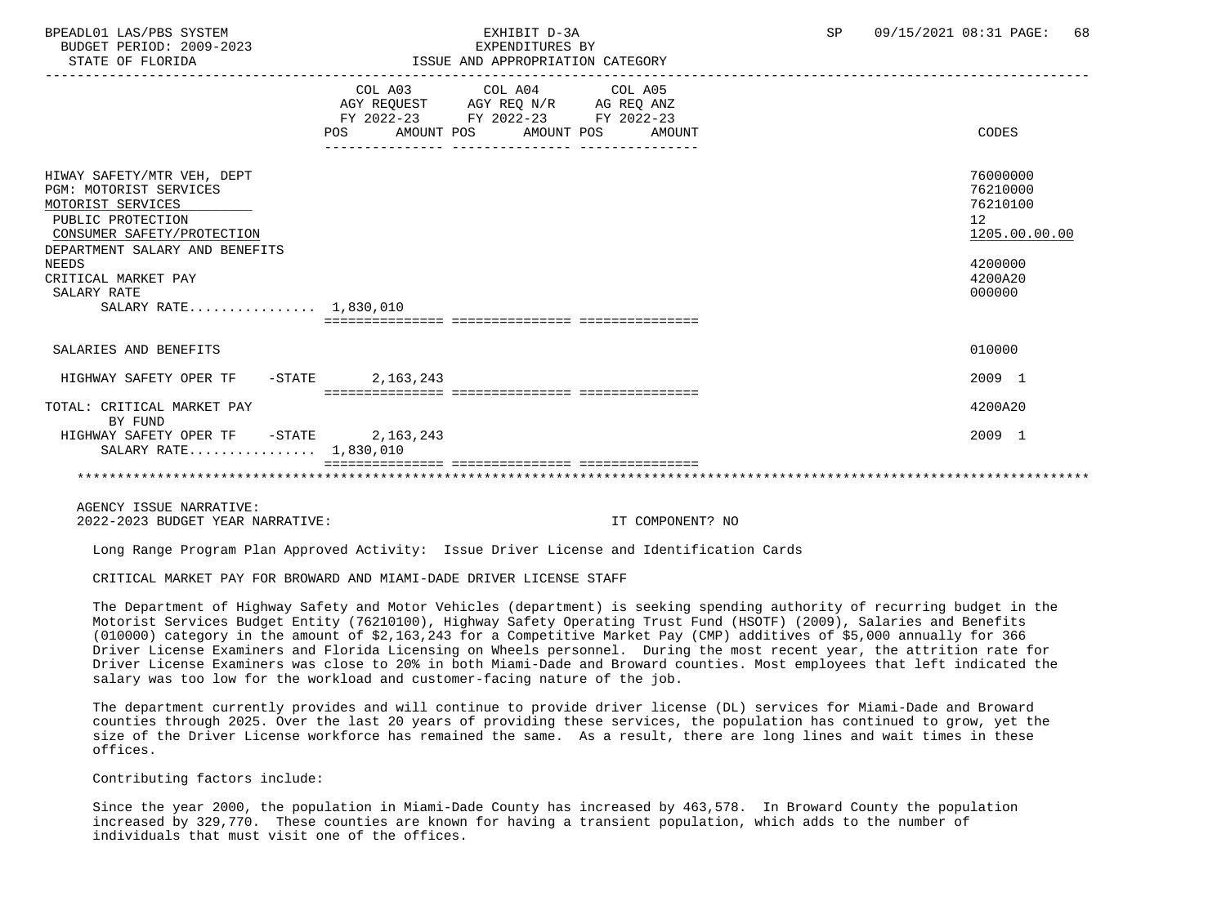BUDGET PERIOD: 2009-2023<br>
EXPENDITURES BY ELOPIDA

### BPEADL01 LAS/PBS SYSTEM SALL RESOLUTE THE SEXHIBIT D-3A SP 09/15/2021 08:31 PAGE: 68 STATE OF FLORIDA ISSUE AND APPROPRIATION CATEGORY

| DIAIL UP PLUAIDA                                                                                                                                                                                                                       | LOOG AND APPROPRIATION CAILGORI                                                                                                             |                                                                                         |
|----------------------------------------------------------------------------------------------------------------------------------------------------------------------------------------------------------------------------------------|---------------------------------------------------------------------------------------------------------------------------------------------|-----------------------------------------------------------------------------------------|
|                                                                                                                                                                                                                                        | COL A03 COL A04 COL A05<br>AGY REQUEST AGY REQ N/R AG REQ ANZ<br>FY 2022-23 FY 2022-23 FY 2022-23<br>AMOUNT POS AMOUNT POS<br>POS<br>AMOUNT | CODES                                                                                   |
| HIWAY SAFETY/MTR VEH, DEPT<br>PGM: MOTORIST SERVICES<br>MOTORIST SERVICES<br>PUBLIC PROTECTION<br>CONSUMER SAFETY/PROTECTION<br>DEPARTMENT SALARY AND BENEFITS<br>NEEDS<br>CRITICAL MARKET PAY<br>SALARY RATE<br>SALARY RATE 1,830,010 | eessaassa assaassas                                                                                                                         | 76000000<br>76210000<br>76210100<br>12<br>1205.00.00.00<br>4200000<br>4200A20<br>000000 |
| SALARIES AND BENEFITS                                                                                                                                                                                                                  |                                                                                                                                             | 010000                                                                                  |
| HIGHWAY SAFETY OPER TF<br>$-\mathtt{STATE}$                                                                                                                                                                                            | 2,163,243<br>.============================                                                                                                  | 2009 1                                                                                  |
| TOTAL: CRITICAL MARKET PAY<br>BY FUND                                                                                                                                                                                                  |                                                                                                                                             | 4200A20                                                                                 |
| HIGHWAY SAFETY OPER TF - STATE<br>SALARY RATE 1,830,010                                                                                                                                                                                | 2, 163, 243                                                                                                                                 | 2009 1                                                                                  |
|                                                                                                                                                                                                                                        |                                                                                                                                             |                                                                                         |

 AGENCY ISSUE NARRATIVE: 2022-2023 BUDGET YEAR NARRATIVE: IT COMPONENT? NO

Long Range Program Plan Approved Activity: Issue Driver License and Identification Cards

CRITICAL MARKET PAY FOR BROWARD AND MIAMI-DADE DRIVER LICENSE STAFF

 The Department of Highway Safety and Motor Vehicles (department) is seeking spending authority of recurring budget in the Motorist Services Budget Entity (76210100), Highway Safety Operating Trust Fund (HSOTF) (2009), Salaries and Benefits (010000) category in the amount of \$2,163,243 for a Competitive Market Pay (CMP) additives of \$5,000 annually for 366 Driver License Examiners and Florida Licensing on Wheels personnel. During the most recent year, the attrition rate for Driver License Examiners was close to 20% in both Miami-Dade and Broward counties. Most employees that left indicated the salary was too low for the workload and customer-facing nature of the job.

 The department currently provides and will continue to provide driver license (DL) services for Miami-Dade and Broward counties through 2025. Over the last 20 years of providing these services, the population has continued to grow, yet the size of the Driver License workforce has remained the same. As a result, there are long lines and wait times in these offices.

Contributing factors include:

 Since the year 2000, the population in Miami-Dade County has increased by 463,578. In Broward County the population increased by 329,770. These counties are known for having a transient population, which adds to the number of individuals that must visit one of the offices.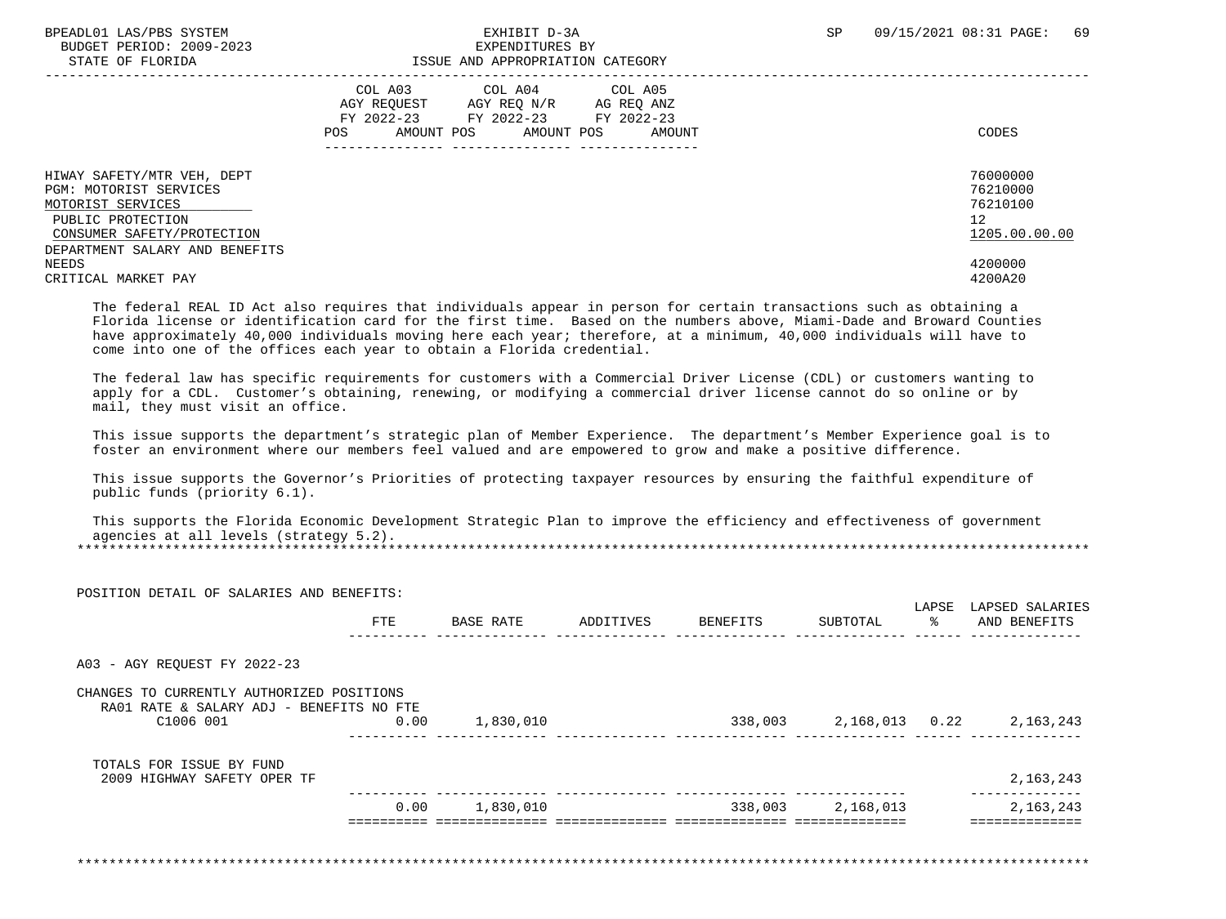BUDGET PERIOD: 2009-2023<br>
STATE OF FLORIDA<br>
STATE OF FLORIDA

# ISSUE AND APPROPRIATION CATEGORY

|                                                                                                                                                                | COL A03<br>COL A04<br>COL A05<br>AGY REOUEST<br>AGY REO N/R<br>AG REO ANZ<br>FY 2022-23<br>FY 2022-23<br>FY 2022-23<br>AMOUNT POS<br><b>POS</b><br>AMOUNT POS<br>AMOUNT | CODES                                                   |
|----------------------------------------------------------------------------------------------------------------------------------------------------------------|-------------------------------------------------------------------------------------------------------------------------------------------------------------------------|---------------------------------------------------------|
| HIWAY SAFETY/MTR VEH, DEPT<br>PGM: MOTORIST SERVICES<br>MOTORIST SERVICES<br>PUBLIC PROTECTION<br>CONSUMER SAFETY/PROTECTION<br>DEPARTMENT SALARY AND BENEFITS |                                                                                                                                                                         | 76000000<br>76210000<br>76210100<br>12<br>1205.00.00.00 |
| NEEDS<br>CRITICAL MARKET PAY                                                                                                                                   |                                                                                                                                                                         | 4200000<br>4200A20                                      |

 The federal REAL ID Act also requires that individuals appear in person for certain transactions such as obtaining a Florida license or identification card for the first time. Based on the numbers above, Miami-Dade and Broward Counties have approximately 40,000 individuals moving here each year; therefore, at a minimum, 40,000 individuals will have to come into one of the offices each year to obtain a Florida credential.

 The federal law has specific requirements for customers with a Commercial Driver License (CDL) or customers wanting to apply for a CDL. Customer's obtaining, renewing, or modifying a commercial driver license cannot do so online or by mail, they must visit an office.

 This issue supports the department's strategic plan of Member Experience. The department's Member Experience goal is to foster an environment where our members feel valued and are empowered to grow and make a positive difference.

 This issue supports the Governor's Priorities of protecting taxpayer resources by ensuring the faithful expenditure of public funds (priority 6.1).

 This supports the Florida Economic Development Strategic Plan to improve the efficiency and effectiveness of government agencies at all levels (strategy 5.2). \*\*\*\*\*\*\*\*\*\*\*\*\*\*\*\*\*\*\*\*\*\*\*\*\*\*\*\*\*\*\*\*\*\*\*\*\*\*\*\*\*\*\*\*\*\*\*\*\*\*\*\*\*\*\*\*\*\*\*\*\*\*\*\*\*\*\*\*\*\*\*\*\*\*\*\*\*\*\*\*\*\*\*\*\*\*\*\*\*\*\*\*\*\*\*\*\*\*\*\*\*\*\*\*\*\*\*\*\*\*\*\*\*\*\*\*\*\*\*\*\*\*\*\*\*\*\*

| POSITION DETAIL OF SALARIES AND BENEFITS:                                                          | <b>FTE</b> | BASE RATE | ADDITIVES | BENEFITS | SUBTOTAL | LAPSE<br>$rac{1}{\sqrt{2}}$ | LAPSED SALARIES<br>AND BENEFITS  |
|----------------------------------------------------------------------------------------------------|------------|-----------|-----------|----------|----------|-----------------------------|----------------------------------|
| A03 - AGY REOUEST FY 2022-23                                                                       |            |           |           |          |          |                             |                                  |
| CHANGES TO CURRENTLY AUTHORIZED POSITIONS<br>RA01 RATE & SALARY ADJ - BENEFITS NO FTE<br>C1006 001 | 0.00       | 1,830,010 |           |          |          |                             | 338,003 2,168,013 0.22 2,163,243 |
| TOTALS FOR ISSUE BY FUND                                                                           |            |           |           |          |          |                             | 2,163,243                        |
| 2009 HIGHWAY SAFETY OPER TF                                                                        |            |           |           |          |          |                             |                                  |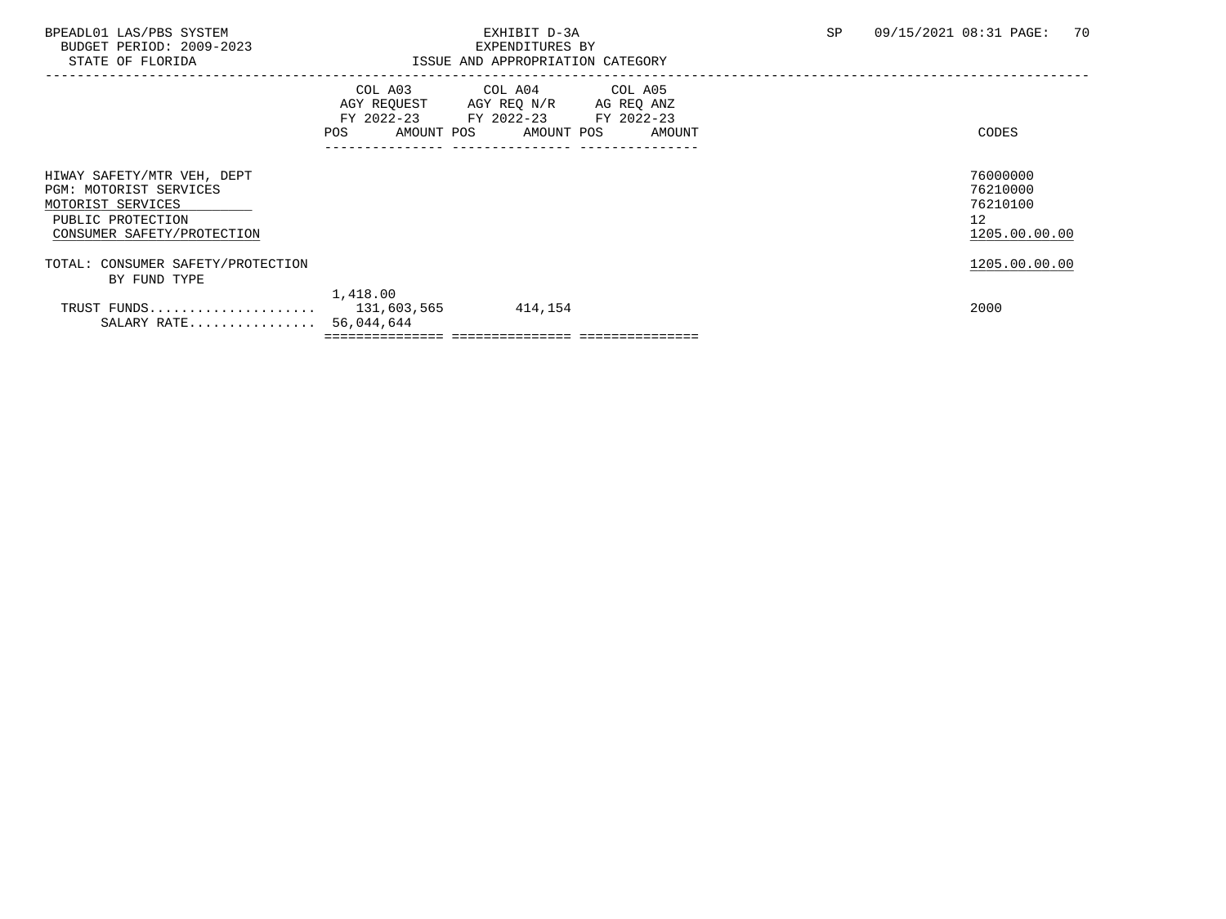BUDGET PERIOD: 2009-2023<br>STATE OF FLORIDA

### BPEADL01 LAS/PBS SYSTEM EXHIBIT D-3A SP 09/15/2021 08:31 PAGE: 70 ISSUE AND APPROPRIATION CATEGORY

|                                                                                                                              | AGY REQUEST<br>AMOUNT POS<br>POS. | COL A03 COL A04 COL A05<br>AGY REQ N/R AG REQ ANZ<br>FY 2022-23 FY 2022-23 FY 2022-23<br>AMOUNT POS | AMOUNT | CODES                                                   |
|------------------------------------------------------------------------------------------------------------------------------|-----------------------------------|-----------------------------------------------------------------------------------------------------|--------|---------------------------------------------------------|
| HIWAY SAFETY/MTR VEH, DEPT<br>PGM: MOTORIST SERVICES<br>MOTORIST SERVICES<br>PUBLIC PROTECTION<br>CONSUMER SAFETY/PROTECTION |                                   |                                                                                                     |        | 76000000<br>76210000<br>76210100<br>12<br>1205.00.00.00 |
| TOTAL: CONSUMER SAFETY/PROTECTION<br>BY FUND TYPE                                                                            |                                   |                                                                                                     |        | 1205.00.00.00                                           |
| TRUST FUNDS<br>SALARY RATE 56,044,644                                                                                        | 1,418.00<br>131,603,565           | 414,154                                                                                             |        | 2000                                                    |
|                                                                                                                              |                                   |                                                                                                     |        |                                                         |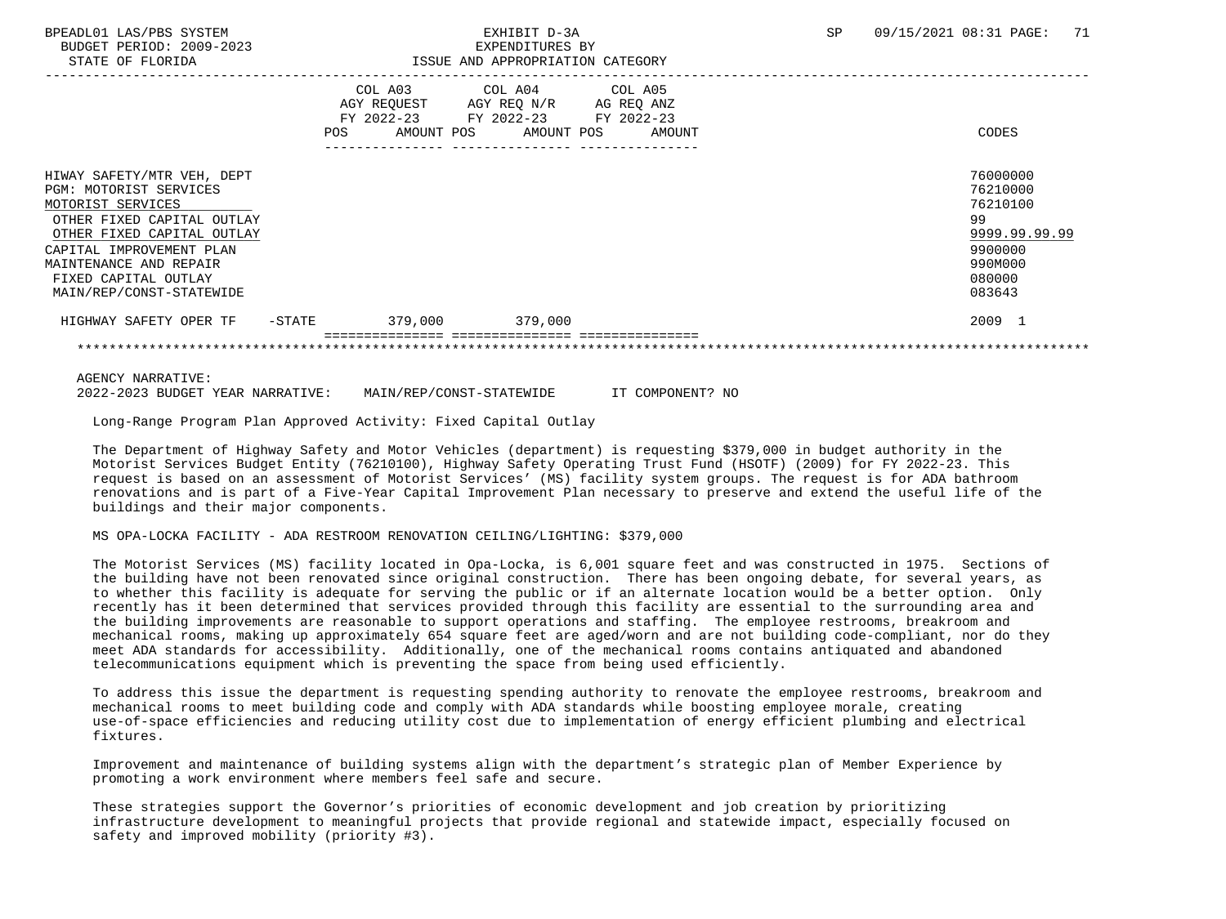BUDGET PERIOD: 2009-2023 EXPENDITURES BY

## BPEADL01 LAS/PBS SYSTEM SALL TO A STATIST D-3A SP 09/15/2021 08:31 PAGE: 71

| STATE OF FLORIDA                                                                                                                                                                                                                                | ISSUE AND APPROPRIATION CATEGORY |                                                                                                   |                       |  |  |  |        |                                                                                                   |
|-------------------------------------------------------------------------------------------------------------------------------------------------------------------------------------------------------------------------------------------------|----------------------------------|---------------------------------------------------------------------------------------------------|-----------------------|--|--|--|--------|---------------------------------------------------------------------------------------------------|
|                                                                                                                                                                                                                                                 | POS                              | COL A03 COL A04 COL A05<br>AGY REQUEST AGY REQ N/R AG REQ ANZ<br>FY 2022-23 FY 2022-23 FY 2022-23 | AMOUNT POS AMOUNT POS |  |  |  | AMOUNT | CODES                                                                                             |
| HIWAY SAFETY/MTR VEH, DEPT<br>PGM: MOTORIST SERVICES<br>MOTORIST SERVICES<br>OTHER FIXED CAPITAL OUTLAY<br>OTHER FIXED CAPITAL OUTLAY<br>CAPITAL IMPROVEMENT PLAN<br>MAINTENANCE AND REPAIR<br>FIXED CAPITAL OUTLAY<br>MAIN/REP/CONST-STATEWIDE |                                  |                                                                                                   |                       |  |  |  |        | 76000000<br>76210000<br>76210100<br>99<br>9999.99.99.99<br>9900000<br>990M000<br>080000<br>083643 |
| HIGHWAY SAFETY OPER TF                                                                                                                                                                                                                          | $-$ STATE                        | 379,000                                                                                           | 379.000               |  |  |  |        | 2009 1                                                                                            |

AGENCY NARRATIVE:

2022-2023 BUDGET YEAR NARRATIVE: MAIN/REP/CONST-STATEWIDE IT COMPONENT? NO

Long-Range Program Plan Approved Activity: Fixed Capital Outlay

 The Department of Highway Safety and Motor Vehicles (department) is requesting \$379,000 in budget authority in the Motorist Services Budget Entity (76210100), Highway Safety Operating Trust Fund (HSOTF) (2009) for FY 2022-23. This request is based on an assessment of Motorist Services' (MS) facility system groups. The request is for ADA bathroom renovations and is part of a Five-Year Capital Improvement Plan necessary to preserve and extend the useful life of the buildings and their major components.

### MS OPA-LOCKA FACILITY - ADA RESTROOM RENOVATION CEILING/LIGHTING: \$379,000

 The Motorist Services (MS) facility located in Opa-Locka, is 6,001 square feet and was constructed in 1975. Sections of the building have not been renovated since original construction. There has been ongoing debate, for several years, as to whether this facility is adequate for serving the public or if an alternate location would be a better option. Only recently has it been determined that services provided through this facility are essential to the surrounding area and the building improvements are reasonable to support operations and staffing. The employee restrooms, breakroom and mechanical rooms, making up approximately 654 square feet are aged/worn and are not building code-compliant, nor do they meet ADA standards for accessibility. Additionally, one of the mechanical rooms contains antiquated and abandoned telecommunications equipment which is preventing the space from being used efficiently.

 To address this issue the department is requesting spending authority to renovate the employee restrooms, breakroom and mechanical rooms to meet building code and comply with ADA standards while boosting employee morale, creating use-of-space efficiencies and reducing utility cost due to implementation of energy efficient plumbing and electrical fixtures.

 Improvement and maintenance of building systems align with the department's strategic plan of Member Experience by promoting a work environment where members feel safe and secure.

 These strategies support the Governor's priorities of economic development and job creation by prioritizing infrastructure development to meaningful projects that provide regional and statewide impact, especially focused on safety and improved mobility (priority #3).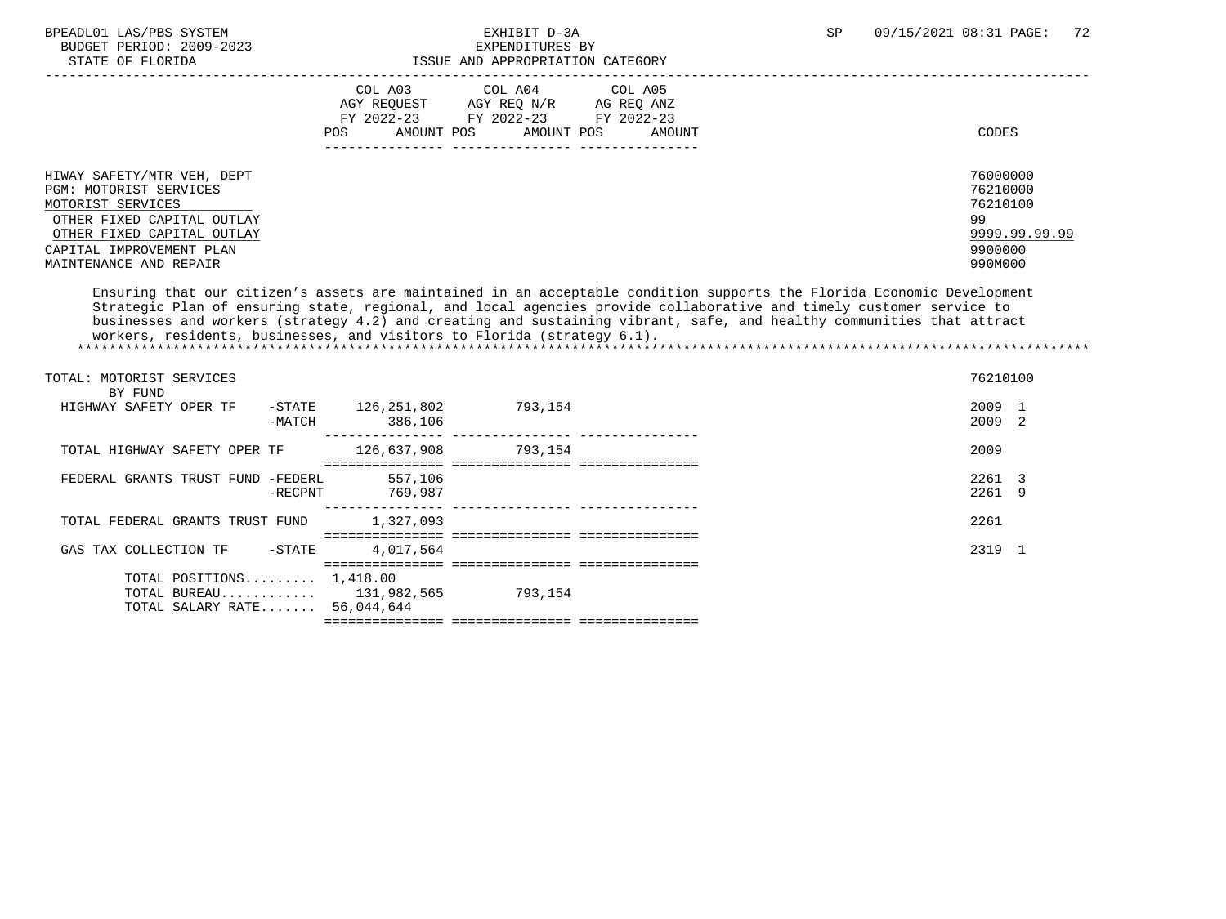| BPEADL01 LAS/PBS SYSTEM |                  |                          | EXHIBIT D-3A                     |  |
|-------------------------|------------------|--------------------------|----------------------------------|--|
|                         |                  | BUDGET PERIOD: 2009-2023 | EXPENDITURES BY                  |  |
|                         | STATE OF FLORIDA |                          | ISSUE AND APPROPRIATION CATEGORY |  |

# EXPENDITURES BY

|                                                                                                                                                                                             | COL A03<br>COL A05<br>COL A04<br>AGY REO N/R<br>AGY REOUEST<br>AG REO ANZ<br>FY 2022-23<br>FY 2022-23<br>FY 2022-23<br>AMOUNT POS<br>AMOUNT POS<br>POS<br>AMOUNT | CODES                                                                         |
|---------------------------------------------------------------------------------------------------------------------------------------------------------------------------------------------|------------------------------------------------------------------------------------------------------------------------------------------------------------------|-------------------------------------------------------------------------------|
| HIWAY SAFETY/MTR VEH, DEPT<br>PGM: MOTORIST SERVICES<br>MOTORIST SERVICES<br>OTHER FIXED CAPITAL OUTLAY<br>OTHER FIXED CAPITAL OUTLAY<br>CAPITAL IMPROVEMENT PLAN<br>MAINTENANCE AND REPAIR |                                                                                                                                                                  | 76000000<br>76210000<br>76210100<br>99<br>9999.99.99.99<br>9900000<br>990M000 |

 Ensuring that our citizen's assets are maintained in an acceptable condition supports the Florida Economic Development Strategic Plan of ensuring state, regional, and local agencies provide collaborative and timely customer service to businesses and workers (strategy 4.2) and creating and sustaining vibrant, safe, and healthy communities that attract workers, residents, businesses, and visitors to Florida (strategy 6.1). \*\*\*\*\*\*\*\*\*\*\*\*\*\*\*\*\*\*\*\*\*\*\*\*\*\*\*\*\*\*\*\*\*\*\*\*\*\*\*\*\*\*\*\*\*\*\*\*\*\*\*\*\*\*\*\*\*\*\*\*\*\*\*\*\*\*\*\*\*\*\*\*\*\*\*\*\*\*\*\*\*\*\*\*\*\*\*\*\*\*\*\*\*\*\*\*\*\*\*\*\*\*\*\*\*\*\*\*\*\*\*\*\*\*\*\*\*\*\*\*\*\*\*\*\*\*\*

| TOTAL: MOTORIST SERVICES<br>BY FUND                                                        |                  |                        |                                                |  | 76210100         |  |
|--------------------------------------------------------------------------------------------|------------------|------------------------|------------------------------------------------|--|------------------|--|
| HIGHWAY SAFETY OPER TF                                                                     | -STATE<br>-MATCH | 126,251,802<br>386,106 | 793.154                                        |  | 2009 1<br>2009 2 |  |
| TOTAL HIGHWAY SAFETY OPER TF                                                               |                  | 126,637,908            | 793.154<br>====== ================ =========== |  | 2009             |  |
| FEDERAL GRANTS TRUST FUND -FEDERL                                                          | $-$ RECPNT       | 557,106<br>769,987     |                                                |  | 2261 3<br>2261 9 |  |
| TOTAL FEDERAL GRANTS TRUST FUND                                                            |                  | 1,327,093              |                                                |  | 2261             |  |
| GAS TAX COLLECTION TF -STATE                                                               |                  | 4,017,564              |                                                |  | 2319 1           |  |
| TOTAL POSITIONS $1,418.00$<br>TOTAL BUREAU $131,982,565$<br>TOTAL SALARY RATE $56,044,644$ |                  |                        | 793.154                                        |  |                  |  |
|                                                                                            |                  |                        |                                                |  |                  |  |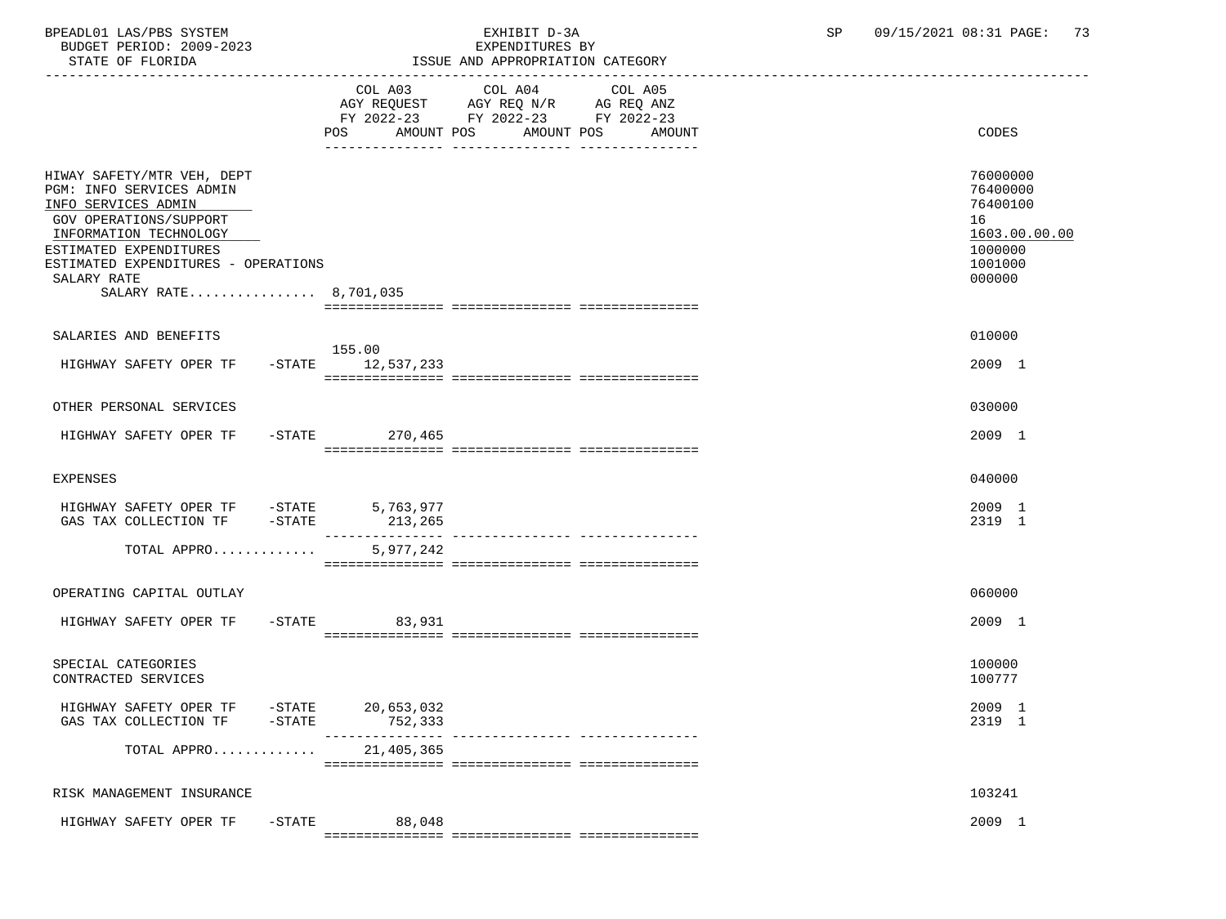| BUDGET PERIOD: 2009-2023<br>STATE OF FLORIDA                                                                                                                                                                                                      | EXPENDITURES BY<br>ISSUE AND APPROPRIATION CATEGORY                                                                                               |                                                                                         |
|---------------------------------------------------------------------------------------------------------------------------------------------------------------------------------------------------------------------------------------------------|---------------------------------------------------------------------------------------------------------------------------------------------------|-----------------------------------------------------------------------------------------|
|                                                                                                                                                                                                                                                   | COL A03<br>COL A04<br>COL A05<br>AGY REQUEST AGY REQ N/R AG REQ ANZ<br>FY 2022-23 FY 2022-23 FY 2022-23<br>POS AMOUNT POS<br>AMOUNT POS<br>AMOUNT | <b>CODES</b>                                                                            |
| HIWAY SAFETY/MTR VEH, DEPT<br>PGM: INFO SERVICES ADMIN<br>INFO SERVICES ADMIN<br><b>GOV OPERATIONS/SUPPORT</b><br>INFORMATION TECHNOLOGY<br>ESTIMATED EXPENDITURES<br>ESTIMATED EXPENDITURES - OPERATIONS<br>SALARY RATE<br>SALARY RATE 8,701,035 |                                                                                                                                                   | 76000000<br>76400000<br>76400100<br>16<br>1603.00.00.00<br>1000000<br>1001000<br>000000 |
| SALARIES AND BENEFITS                                                                                                                                                                                                                             |                                                                                                                                                   | 010000                                                                                  |
| HIGHWAY SAFETY OPER TF                                                                                                                                                                                                                            | 155.00<br>$-STATE$ 12,537,233                                                                                                                     | 2009 1                                                                                  |
| OTHER PERSONAL SERVICES                                                                                                                                                                                                                           |                                                                                                                                                   | 030000                                                                                  |
| HIGHWAY SAFETY OPER TF                                                                                                                                                                                                                            | $-STATE$ 270,465                                                                                                                                  | 2009 1                                                                                  |
| <b>EXPENSES</b>                                                                                                                                                                                                                                   |                                                                                                                                                   | 040000                                                                                  |
| HIGHWAY SAFETY OPER TF - STATE<br>GAS TAX COLLECTION TF -STATE 213,265                                                                                                                                                                            | 5,763,977                                                                                                                                         | 2009 1<br>2319 1                                                                        |
| TOTAL APPRO                                                                                                                                                                                                                                       | 5,977,242                                                                                                                                         |                                                                                         |
| OPERATING CAPITAL OUTLAY                                                                                                                                                                                                                          |                                                                                                                                                   | 060000                                                                                  |
| HIGHWAY SAFETY OPER TF                                                                                                                                                                                                                            | $-$ STATE<br>83,931                                                                                                                               | 2009 1                                                                                  |
| SPECIAL CATEGORIES<br>CONTRACTED SERVICES                                                                                                                                                                                                         |                                                                                                                                                   | 100000<br>100777                                                                        |
| HIGHWAY SAFETY OPER TF -STATE 20,653,032<br>$-$ STATE<br>GAS TAX COLLECTION TF                                                                                                                                                                    | 752,333<br>________                                                                                                                               | 2009 1<br>2319 1                                                                        |
| TOTAL APPRO                                                                                                                                                                                                                                       | 21,405,365                                                                                                                                        |                                                                                         |

RISK MANAGEMENT INSURANCE 103241 HIGHWAY SAFETY OPER TF -STATE 88,048 2009 1 =============== =============== ===============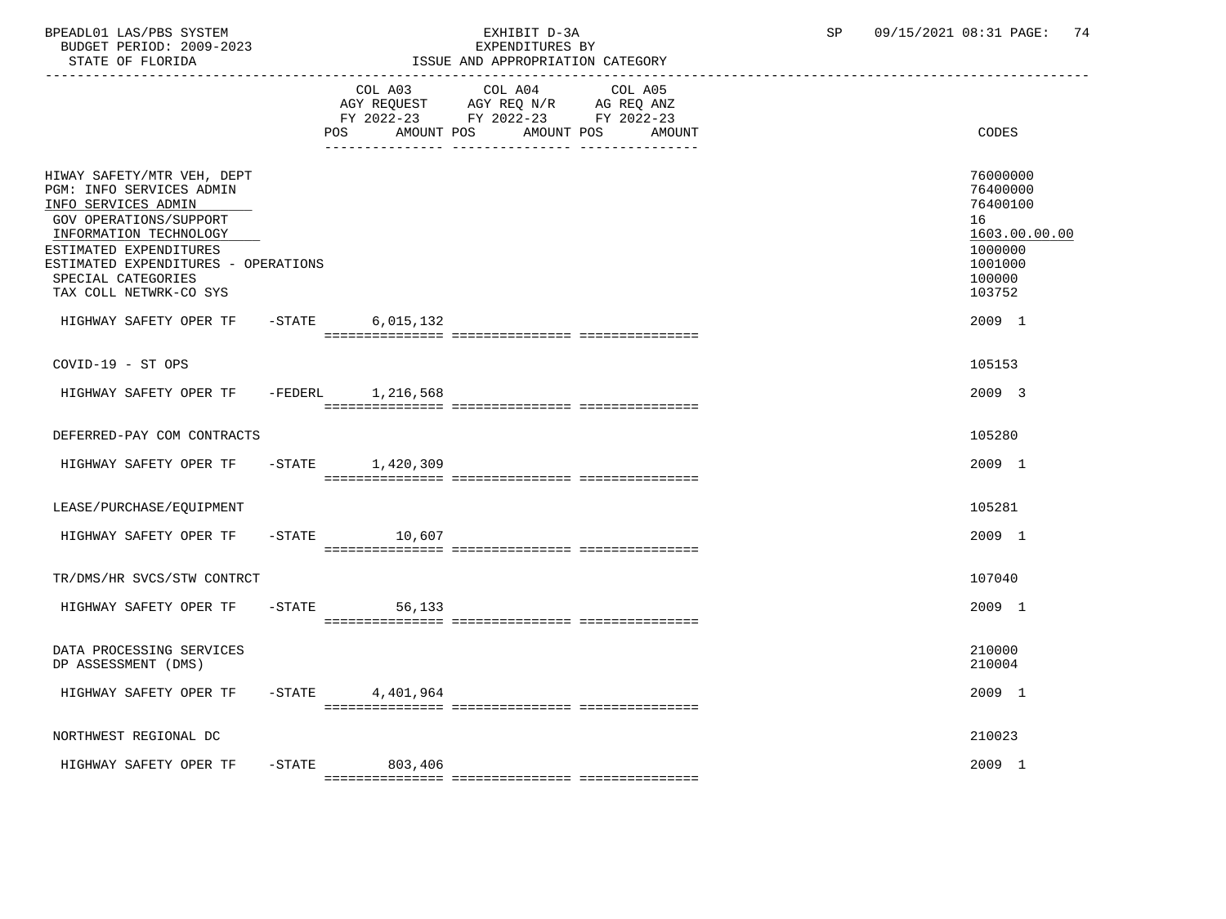BPEADL01 LAS/PBS SYSTEM EXHIBIT D-3A SP 09/15/2021 08:31 PAGE: 74 BUDGET PERIOD: 2009-2023

| STATE OF FLORIDA                                                                                                                                                                                                                                                                     | ISSUE AND APPROPRIATION CATEGORY                                                                                                                     |                                                                                                             |
|--------------------------------------------------------------------------------------------------------------------------------------------------------------------------------------------------------------------------------------------------------------------------------------|------------------------------------------------------------------------------------------------------------------------------------------------------|-------------------------------------------------------------------------------------------------------------|
|                                                                                                                                                                                                                                                                                      | COL A03<br>COL A04<br>COL A05<br>AGY REQUEST AGY REQ N/R AG REQ ANZ<br>FY 2022-23 FY 2022-23 FY 2022-23<br>POS<br>AMOUNT POS<br>AMOUNT POS<br>AMOUNT | CODES                                                                                                       |
| HIWAY SAFETY/MTR VEH, DEPT<br>PGM: INFO SERVICES ADMIN<br>INFO SERVICES ADMIN<br>GOV OPERATIONS/SUPPORT<br>INFORMATION TECHNOLOGY<br>ESTIMATED EXPENDITURES<br>ESTIMATED EXPENDITURES - OPERATIONS<br>SPECIAL CATEGORIES<br>TAX COLL NETWRK-CO SYS<br>HIGHWAY SAFETY OPER TF - STATE | 6,015,132                                                                                                                                            | 76000000<br>76400000<br>76400100<br>16<br>1603.00.00.00<br>1000000<br>1001000<br>100000<br>103752<br>2009 1 |
| COVID-19 - ST OPS                                                                                                                                                                                                                                                                    |                                                                                                                                                      | 105153                                                                                                      |
| HIGHWAY SAFETY OPER TF -FEDERL 1,216,568                                                                                                                                                                                                                                             |                                                                                                                                                      | 2009 3                                                                                                      |
| DEFERRED-PAY COM CONTRACTS                                                                                                                                                                                                                                                           |                                                                                                                                                      | 105280                                                                                                      |
| HIGHWAY SAFETY OPER TF -STATE 1,420,309                                                                                                                                                                                                                                              |                                                                                                                                                      | 2009 1                                                                                                      |
| LEASE/PURCHASE/EOUIPMENT                                                                                                                                                                                                                                                             |                                                                                                                                                      | 105281                                                                                                      |
| HIGHWAY SAFETY OPER TF                                                                                                                                                                                                                                                               | $-STATE$ 10,607                                                                                                                                      | 2009 1                                                                                                      |
| TR/DMS/HR SVCS/STW CONTRCT                                                                                                                                                                                                                                                           |                                                                                                                                                      | 107040                                                                                                      |
| HIGHWAY SAFETY OPER TF                                                                                                                                                                                                                                                               | $-STATE$<br>56,133                                                                                                                                   | 2009 1                                                                                                      |
| DATA PROCESSING SERVICES<br>DP ASSESSMENT (DMS)                                                                                                                                                                                                                                      |                                                                                                                                                      | 210000<br>210004                                                                                            |
| HIGHWAY SAFETY OPER TF -STATE 4,401,964                                                                                                                                                                                                                                              |                                                                                                                                                      | 2009 1                                                                                                      |
| NORTHWEST REGIONAL DC                                                                                                                                                                                                                                                                |                                                                                                                                                      | 210023                                                                                                      |
| HIGHWAY SAFETY OPER TF -STATE                                                                                                                                                                                                                                                        | 803,406                                                                                                                                              | 2009 1                                                                                                      |

=============== =============== ===============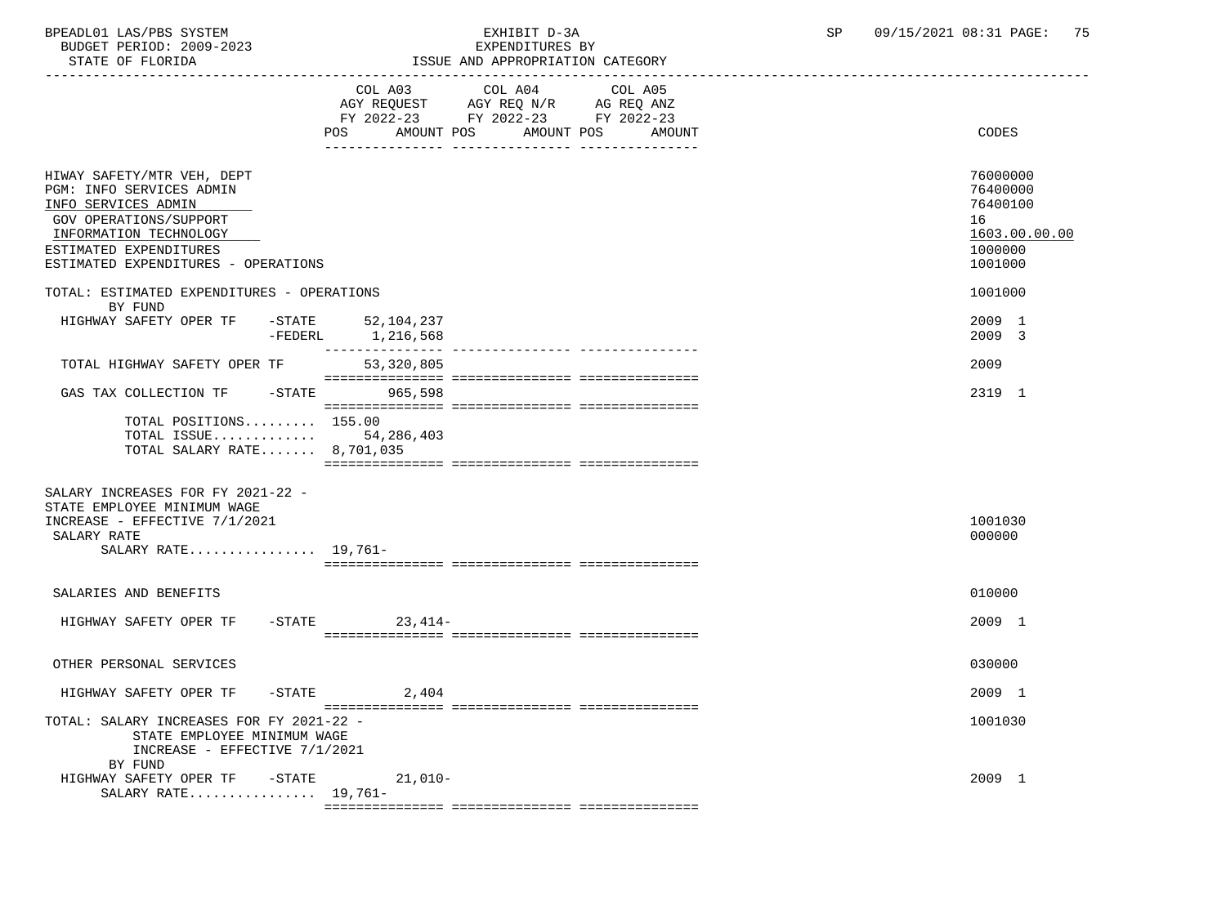BPEADL01 LAS/PBS SYSTEM EXHIBIT D-3A SP 09/15/2021 08:31 PAGE: 75 BUDGET PERIOD: 2009-2023<br>STATE OF FLORIDA

ISSUE AND APPROPRIATION CATEGORY

|                                                                                                                                                                                                    | COL A03<br>AGY REQUEST AGY REQ N/R AG REQ ANZ<br>FY 2022-23 FY 2022-23 FY 2022-23 | COL A04    | COL A05 |                                                                               |
|----------------------------------------------------------------------------------------------------------------------------------------------------------------------------------------------------|-----------------------------------------------------------------------------------|------------|---------|-------------------------------------------------------------------------------|
|                                                                                                                                                                                                    | AMOUNT POS<br>POS                                                                 | AMOUNT POS | AMOUNT  | CODES                                                                         |
| HIWAY SAFETY/MTR VEH, DEPT<br>PGM: INFO SERVICES ADMIN<br>INFO SERVICES ADMIN<br>GOV OPERATIONS/SUPPORT<br>INFORMATION TECHNOLOGY<br>ESTIMATED EXPENDITURES<br>ESTIMATED EXPENDITURES - OPERATIONS |                                                                                   |            |         | 76000000<br>76400000<br>76400100<br>16<br>1603.00.00.00<br>1000000<br>1001000 |
| TOTAL: ESTIMATED EXPENDITURES - OPERATIONS<br>BY FUND                                                                                                                                              |                                                                                   |            |         | 1001000                                                                       |
| HIGHWAY SAFETY OPER TF<br>-FEDERL                                                                                                                                                                  | -STATE 52,104,237<br>1,216,568                                                    |            |         | 2009 1<br>2009 3                                                              |
| TOTAL HIGHWAY SAFETY OPER TF                                                                                                                                                                       | 53,320,805                                                                        |            |         | 2009                                                                          |
| GAS TAX COLLECTION TF -STATE 965,598                                                                                                                                                               |                                                                                   |            |         | 2319 1                                                                        |
| TOTAL POSITIONS 155.00<br>TOTAL ISSUE 54,286,403<br>TOTAL SALARY RATE 8,701,035                                                                                                                    |                                                                                   |            |         |                                                                               |
| SALARY INCREASES FOR FY 2021-22 -<br>STATE EMPLOYEE MINIMUM WAGE<br>INCREASE - EFFECTIVE 7/1/2021<br>SALARY RATE<br>SALARY RATE 19,761-                                                            |                                                                                   |            |         | 1001030<br>000000                                                             |
| SALARIES AND BENEFITS                                                                                                                                                                              |                                                                                   |            |         | 010000                                                                        |
| HIGHWAY SAFETY OPER TF                                                                                                                                                                             | $-STATE$<br>$23,414-$                                                             |            |         | 2009 1                                                                        |
| OTHER PERSONAL SERVICES                                                                                                                                                                            |                                                                                   |            |         | 030000                                                                        |
| HIGHWAY SAFETY OPER TF - STATE                                                                                                                                                                     | 2,404                                                                             |            |         | 2009 1                                                                        |
| TOTAL: SALARY INCREASES FOR FY 2021-22 -<br>STATE EMPLOYEE MINIMUM WAGE<br>INCREASE - EFFECTIVE 7/1/2021<br>BY FUND                                                                                |                                                                                   |            |         | 1001030                                                                       |
| HIGHWAY SAFETY OPER TF -STATE<br>SALARY RATE $19,761-$                                                                                                                                             | $21,010-$                                                                         |            |         | 2009 1                                                                        |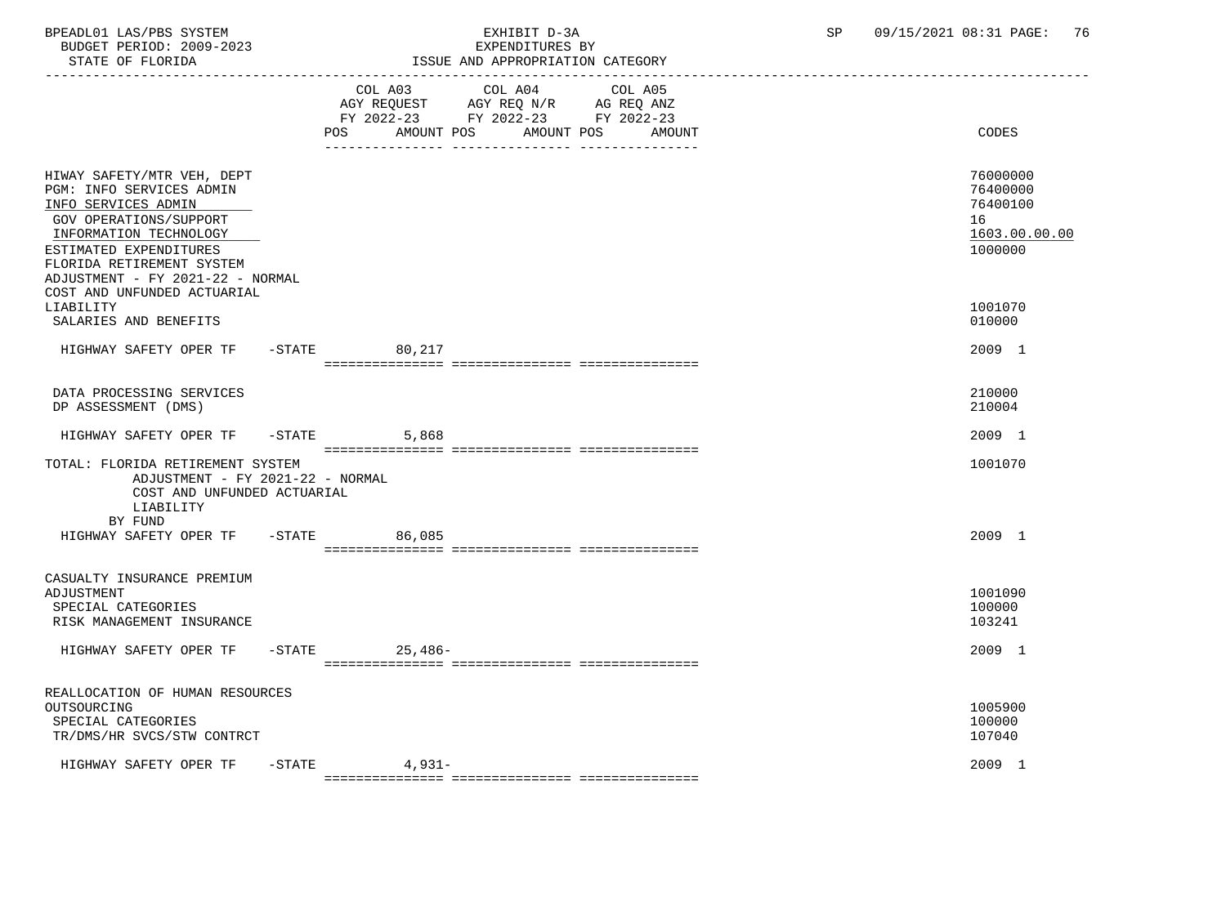STATE OF FLORIDA **ISSUE AND APPROPRIATION CATEGORY**  ----------------------------------------------------------------------------------------------------------------------------------- COL A03 COL A04 COL A05 AGY REQUEST AGY REQ N/R AG REQ ANZ FY 2022-23 FY 2022-23 FY 2022-23 POS AMOUNT POS AMOUNT POS AMOUNT CODES --------------- --------------- --------------- HIWAY SAFETY/MTR VEH, DEPT 76000000<br>PGM: INFO SERVICES ADMIN 76400000 PGM: INFO SERVICES ADMIN 76400000<br>TNFO SERVICES ADMIN 76400100 76400100 INFO SERVICES ADMIN GOV OPERATIONS/SUPPORT 16  $\frac{\text{INFORMATION Technology}}{\text{IOD1} \text{IOD} } \text{IOD} \text{IOD} \text{IOD} \text{IOD} \text{IOD} \text{IOD} \text{IOD} \text{IOD} \text{IOD} \text{IOD} \text{IOD} \text{IOD} \text{IOD} \text{IOD} \text{IOD} \text{IOD} \text{IOD} \text{IOD} \text{IOD} \text{IOD} \text{IOD} \text{IOD} \text{IOD} \text{IOD} \text{IOD} \text{IOD} \text{IOD} \text{IOD} \text{IOD} \text{IOD} \text{IOD} \text{IOD} \text{IOD$ ESTIMATED EXPENDITURES FLORIDA RETIREMENT SYSTEM ADJUSTMENT - FY 2021-22 - NORMAL COST AND UNFUNDED ACTUARIAL LIABILITY 1001070 SALARIES AND BENEFITS 010000 HIGHWAY SAFETY OPER TF -STATE 80,217 2009 1 =============== =============== =============== DATA PROCESSING SERVICES 210000 PROCESSING SERVICES 210000 PROCESSING SERVICES 210000 PROCESSING SERVICES 210000 PROCESSING SERVICES 210004 DP ASSESSMENT (DMS) HIGHWAY SAFETY OPER TF -STATE 5,868 2009 1 =============== =============== =============== TOTAL: FLORIDA RETIREMENT SYSTEM 1001070 ADJUSTMENT - FY 2021-22 - NORMAL COST AND UNFUNDED ACTUARIAL LIABILITY BY FUND HIGHWAY SAFETY OPER TF -STATE 86,085 2009 1 =============== =============== =============== CASUALTY INSURANCE PREMIUM ADJUSTMENT 1001090 SPECIAL CATEGORIES 100000 PHOTOS SERVICES AND SERVICES AND SERVICES AND SERVICES AND SERVICES AND SERVICES AND SERVICES AND SERVICES AND SERVICE SERVICES AND SERVICE SERVICES AND SERVICES AND SERVICE SERVICES AND SERVICE S RISK MANAGEMENT INSURANCE HIGHWAY SAFETY OPER TF -STATE 25,486-<br>
2009 1 =============== =============== =============== REALLOCATION OF HUMAN RESOURCES OUTSOURCING 1005900 SPECIAL CATEGORIES 100000 TR/DMS/HR SVCS/STW CONTRCT 107040 HIGHWAY SAFETY OPER TF -STATE 4,931- 2009 1

=============== =============== ===============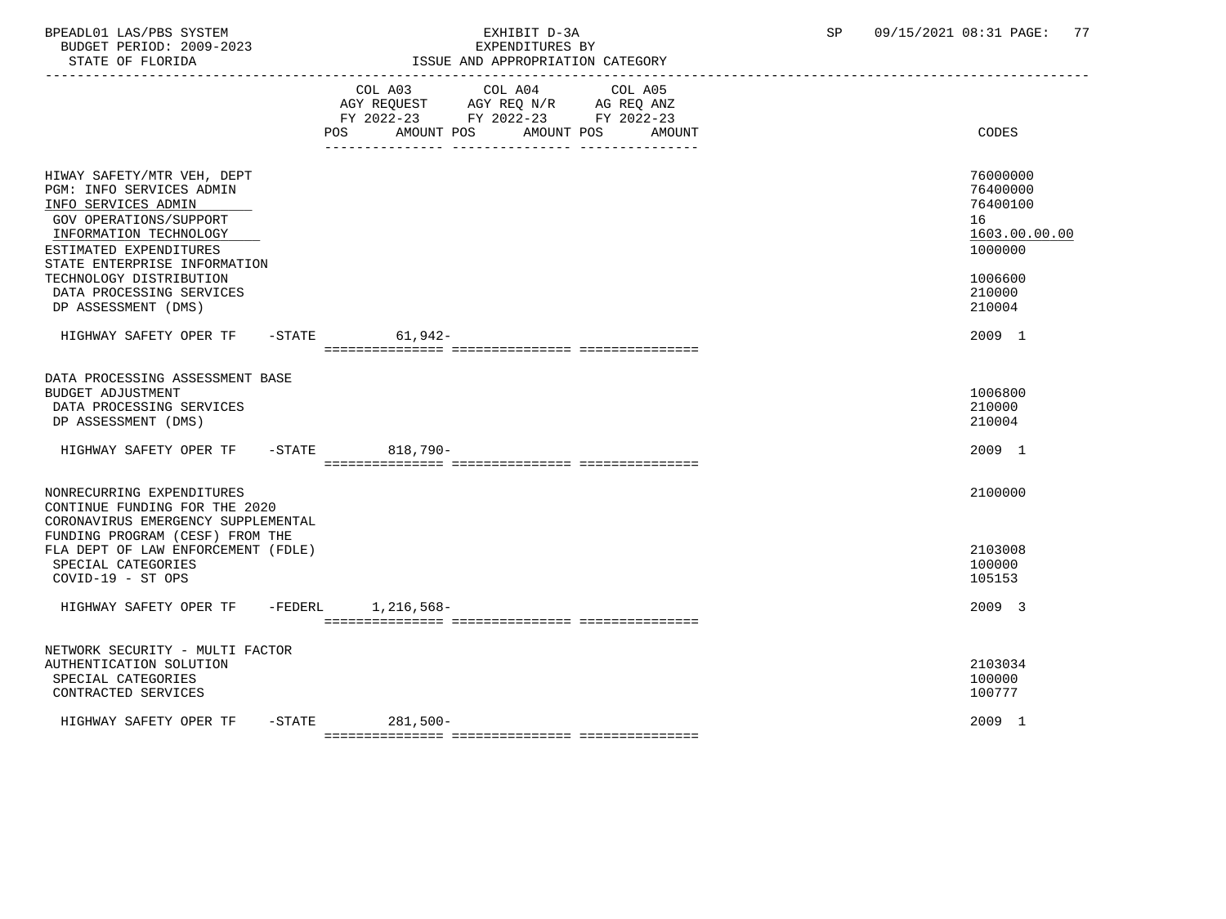BUDGET PERIOD: 2009-2023

# BPEADL01 LAS/PBS SYSTEM EXHIBIT D-3A SP 09/15/2021 08:31 PAGE: 77

| STATE OF FLORIDA                                                                                                                                                                                                                                   | ISSUE AND APPROPRIATION CATEGORY                                                                                                                  |                                                                                         |  |  |  |
|----------------------------------------------------------------------------------------------------------------------------------------------------------------------------------------------------------------------------------------------------|---------------------------------------------------------------------------------------------------------------------------------------------------|-----------------------------------------------------------------------------------------|--|--|--|
|                                                                                                                                                                                                                                                    | COL A03<br>COL A04<br>COL A05<br>AGY REQUEST AGY REQ N/R AG REQ ANZ<br>FY 2022-23 FY 2022-23 FY 2022-23<br>POS AMOUNT POS<br>AMOUNT POS<br>AMOUNT | <b>CODES</b>                                                                            |  |  |  |
| HIWAY SAFETY/MTR VEH, DEPT<br>PGM: INFO SERVICES ADMIN<br>INFO SERVICES ADMIN<br>GOV OPERATIONS/SUPPORT<br>INFORMATION TECHNOLOGY<br>ESTIMATED EXPENDITURES<br>STATE ENTERPRISE INFORMATION<br>TECHNOLOGY DISTRIBUTION<br>DATA PROCESSING SERVICES |                                                                                                                                                   | 76000000<br>76400000<br>76400100<br>16<br>1603.00.00.00<br>1000000<br>1006600<br>210000 |  |  |  |
| DP ASSESSMENT (DMS)                                                                                                                                                                                                                                |                                                                                                                                                   | 210004                                                                                  |  |  |  |
| HIGHWAY SAFETY OPER TF -STATE 61,942-                                                                                                                                                                                                              |                                                                                                                                                   | 2009 1                                                                                  |  |  |  |
| DATA PROCESSING ASSESSMENT BASE<br><b>BUDGET ADJUSTMENT</b><br>DATA PROCESSING SERVICES<br>DP ASSESSMENT (DMS)                                                                                                                                     |                                                                                                                                                   | 1006800<br>210000<br>210004                                                             |  |  |  |
| HIGHWAY SAFETY OPER TF -STATE 818,790-                                                                                                                                                                                                             |                                                                                                                                                   | 2009 1                                                                                  |  |  |  |
| NONRECURRING EXPENDITURES<br>CONTINUE FUNDING FOR THE 2020<br>CORONAVIRUS EMERGENCY SUPPLEMENTAL<br>FUNDING PROGRAM (CESF) FROM THE                                                                                                                |                                                                                                                                                   | 2100000                                                                                 |  |  |  |
| FLA DEPT OF LAW ENFORCEMENT (FDLE)<br>SPECIAL CATEGORIES<br>COVID-19 - ST OPS                                                                                                                                                                      |                                                                                                                                                   | 2103008<br>100000<br>105153                                                             |  |  |  |
| HIGHWAY SAFETY OPER TF -FEDERL 1,216,568-                                                                                                                                                                                                          |                                                                                                                                                   | 2009 3                                                                                  |  |  |  |
| NETWORK SECURITY - MULTI FACTOR<br>AUTHENTICATION SOLUTION<br>SPECIAL CATEGORIES<br>CONTRACTED SERVICES                                                                                                                                            |                                                                                                                                                   | 2103034<br>100000<br>100777                                                             |  |  |  |
| $-$ STATE<br>HIGHWAY SAFETY OPER TF                                                                                                                                                                                                                | 281,500-                                                                                                                                          | 2009 1                                                                                  |  |  |  |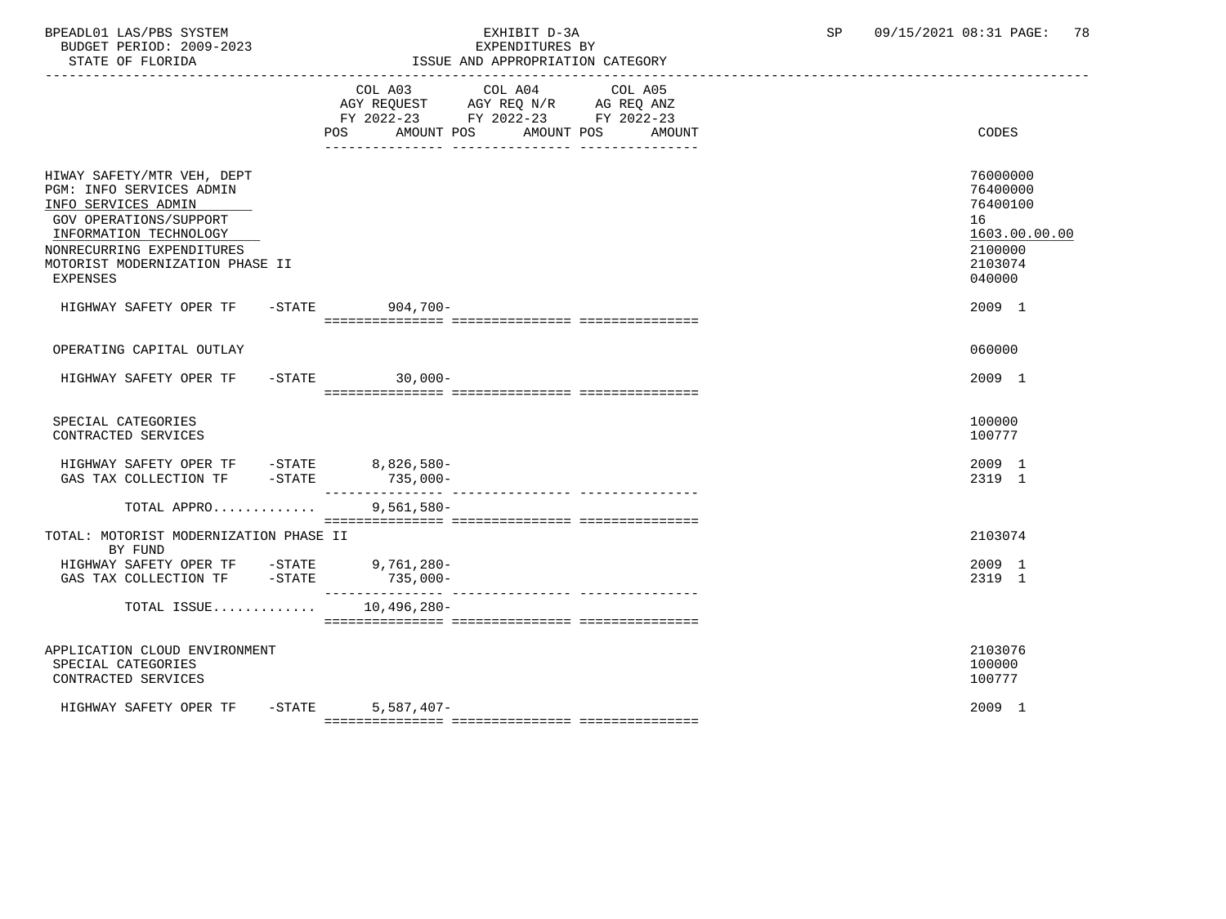BPEADL01 LAS/PBS SYSTEM EXHIBIT D-3A SP 09/15/2021 08:31 PAGE: 78 BUDGET PERIOD: 2009-2023

| STATE OF FLORIDA                                                                                                                                                                                                     |                           | ISSUE AND APPROPRIATION CATEGORY                                                                                     |                                                                                         |
|----------------------------------------------------------------------------------------------------------------------------------------------------------------------------------------------------------------------|---------------------------|----------------------------------------------------------------------------------------------------------------------|-----------------------------------------------------------------------------------------|
|                                                                                                                                                                                                                      | COL A03<br>POS AMOUNT POS | COL A04<br>COL A05<br>AGY REQUEST AGY REQ N/R AG REQ ANZ<br>FY 2022-23 FY 2022-23 FY 2022-23<br>AMOUNT POS<br>AMOUNT | <b>CODES</b>                                                                            |
| HIWAY SAFETY/MTR VEH, DEPT<br>PGM: INFO SERVICES ADMIN<br>INFO SERVICES ADMIN<br>GOV OPERATIONS/SUPPORT<br>INFORMATION TECHNOLOGY<br>NONRECURRING EXPENDITURES<br>MOTORIST MODERNIZATION PHASE II<br><b>EXPENSES</b> |                           |                                                                                                                      | 76000000<br>76400000<br>76400100<br>16<br>1603.00.00.00<br>2100000<br>2103074<br>040000 |
| HIGHWAY SAFETY OPER TF                                                                                                                                                                                               | -STATE 904,700-           |                                                                                                                      | 2009 1                                                                                  |
| OPERATING CAPITAL OUTLAY                                                                                                                                                                                             |                           |                                                                                                                      | 060000                                                                                  |
| HIGHWAY SAFETY OPER TF                                                                                                                                                                                               | $-STATE$ 30,000-          |                                                                                                                      | 2009 1                                                                                  |
| SPECIAL CATEGORIES<br>CONTRACTED SERVICES                                                                                                                                                                            |                           |                                                                                                                      | 100000<br>100777                                                                        |
| HIGHWAY SAFETY OPER TF -STATE 8,826,580-<br>$-$ STATE<br>GAS TAX COLLECTION TF                                                                                                                                       | $735,000-$                |                                                                                                                      | 2009 1<br>2319 1                                                                        |
| TOTAL APPRO                                                                                                                                                                                                          | $9,561,580-$              |                                                                                                                      |                                                                                         |
| TOTAL: MOTORIST MODERNIZATION PHASE II<br>BY FUND                                                                                                                                                                    |                           |                                                                                                                      | 2103074                                                                                 |
| HIGHWAY SAFETY OPER TF -STATE 9,761,280-<br>GAS TAX COLLECTION TF -STATE                                                                                                                                             | $735,000-$                |                                                                                                                      | 2009 1<br>2319 1                                                                        |
| TOTAL ISSUE                                                                                                                                                                                                          | 10,496,280-               |                                                                                                                      |                                                                                         |
| APPLICATION CLOUD ENVIRONMENT<br>SPECIAL CATEGORIES<br>CONTRACTED SERVICES                                                                                                                                           |                           |                                                                                                                      | 2103076<br>100000<br>100777                                                             |
| HIGHWAY SAFETY OPER TF -STATE                                                                                                                                                                                        | $5,587,407-$              |                                                                                                                      | 2009 1                                                                                  |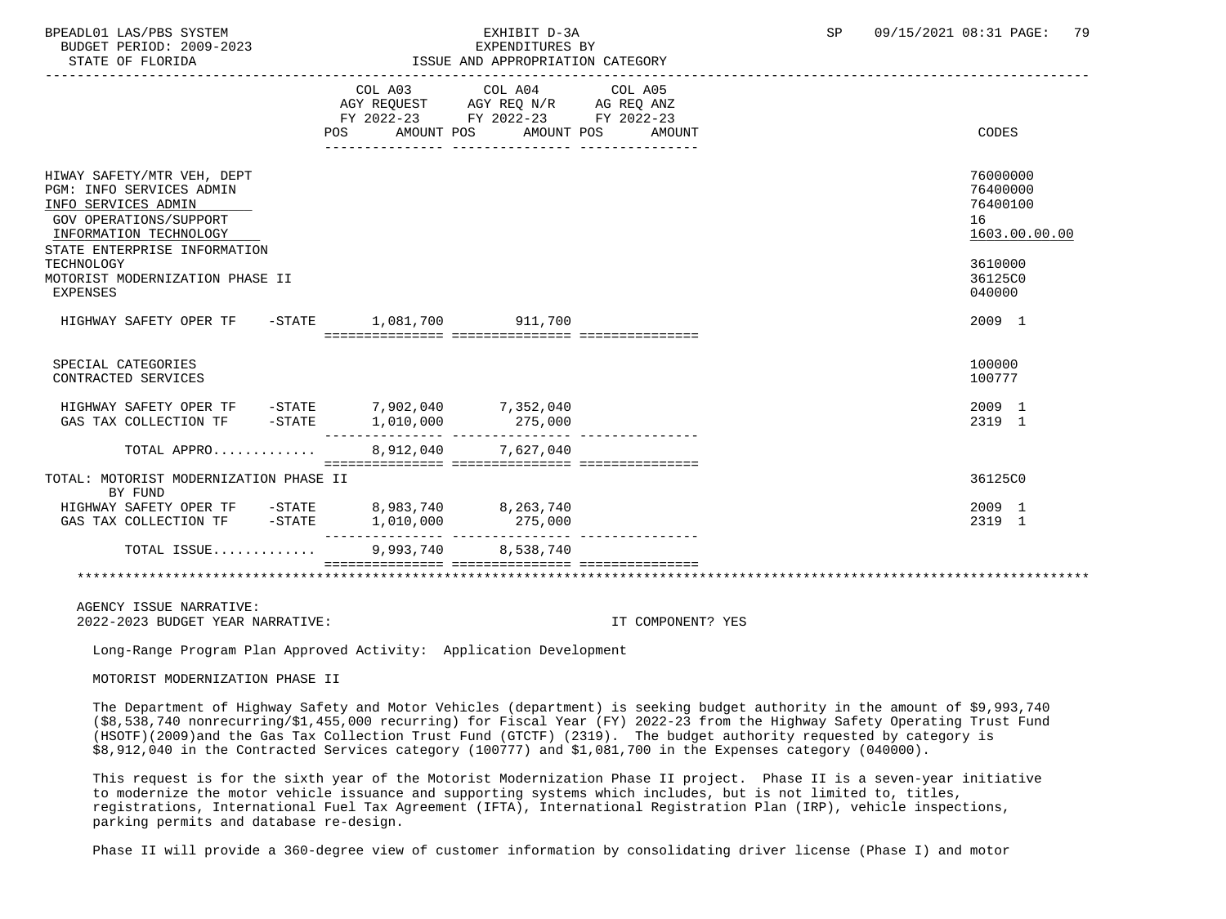BUDGET PERIOD: 2009-2023

# BPEADL01 LAS/PBS SYSTEM  $\blacksquare$  EXHIBIT D-3A SP 09/15/2021 08:31 PAGE: 79

| STATE OF FLORIDA                                                                                                                                                                                                                      |                   | ISSUE AND APPROPRIATION CATEGORY                                                                                |                   |                                                                                         |
|---------------------------------------------------------------------------------------------------------------------------------------------------------------------------------------------------------------------------------------|-------------------|-----------------------------------------------------------------------------------------------------------------|-------------------|-----------------------------------------------------------------------------------------|
|                                                                                                                                                                                                                                       | AMOUNT POS<br>POS | COL A03 COL A04 COL A05<br>AGY REQUEST AGY REQ N/R AG REQ ANZ<br>FY 2022-23 FY 2022-23 FY 2022-23<br>AMOUNT POS | AMOUNT            | CODES                                                                                   |
| HIWAY SAFETY/MTR VEH, DEPT<br>PGM: INFO SERVICES ADMIN<br>INFO SERVICES ADMIN<br>GOV OPERATIONS/SUPPORT<br>INFORMATION TECHNOLOGY<br>STATE ENTERPRISE INFORMATION<br>TECHNOLOGY<br>MOTORIST MODERNIZATION PHASE II<br><b>EXPENSES</b> |                   |                                                                                                                 |                   | 76000000<br>76400000<br>76400100<br>16<br>1603.00.00.00<br>3610000<br>36125C0<br>040000 |
| HIGHWAY SAFETY OPER TF - STATE 1,081,700 911,700                                                                                                                                                                                      |                   |                                                                                                                 |                   | 2009 1                                                                                  |
| SPECIAL CATEGORIES<br>CONTRACTED SERVICES                                                                                                                                                                                             |                   |                                                                                                                 |                   | 100000<br>100777                                                                        |
| HIGHWAY SAFETY OPER TF -STATE 7,902,040 7,352,040<br>GAS TAX COLLECTION TF -STATE 1,010,000 275,000                                                                                                                                   |                   |                                                                                                                 |                   | 2009 1<br>2319 1                                                                        |
| TOTAL APPRO                                                                                                                                                                                                                           |                   | 8,912,040 7,627,040                                                                                             |                   |                                                                                         |
| TOTAL: MOTORIST MODERNIZATION PHASE II<br>BY FUND                                                                                                                                                                                     |                   |                                                                                                                 |                   | 36125C0                                                                                 |
| $\begin{tabular}{lcccccc} HIGHWAY SAFETY OPER TF & -STATE & 8,983,740 & 8,263,740 \\ GAS TAX COLLECTION TF & -STATE & 1,010,000 & 275,000 \end{tabular}$                                                                              |                   |                                                                                                                 |                   | 2009 1<br>2319 1                                                                        |
| TOTAL ISSUE                                                                                                                                                                                                                           |                   | 9,993,740 8,538,740                                                                                             |                   |                                                                                         |
|                                                                                                                                                                                                                                       |                   |                                                                                                                 |                   |                                                                                         |
| AGENCY ISSUE NARRATIVE:<br>2022-2023 BUDGET YEAR NARRATIVE:                                                                                                                                                                           |                   |                                                                                                                 | IT COMPONENT? YES |                                                                                         |

Long-Range Program Plan Approved Activity: Application Development

MOTORIST MODERNIZATION PHASE II

 The Department of Highway Safety and Motor Vehicles (department) is seeking budget authority in the amount of \$9,993,740 (\$8,538,740 nonrecurring/\$1,455,000 recurring) for Fiscal Year (FY) 2022-23 from the Highway Safety Operating Trust Fund (HSOTF)(2009)and the Gas Tax Collection Trust Fund (GTCTF) (2319). The budget authority requested by category is \$8,912,040 in the Contracted Services category (100777) and \$1,081,700 in the Expenses category (040000).

 This request is for the sixth year of the Motorist Modernization Phase II project. Phase II is a seven-year initiative to modernize the motor vehicle issuance and supporting systems which includes, but is not limited to, titles, registrations, International Fuel Tax Agreement (IFTA), International Registration Plan (IRP), vehicle inspections, parking permits and database re-design.

Phase II will provide a 360-degree view of customer information by consolidating driver license (Phase I) and motor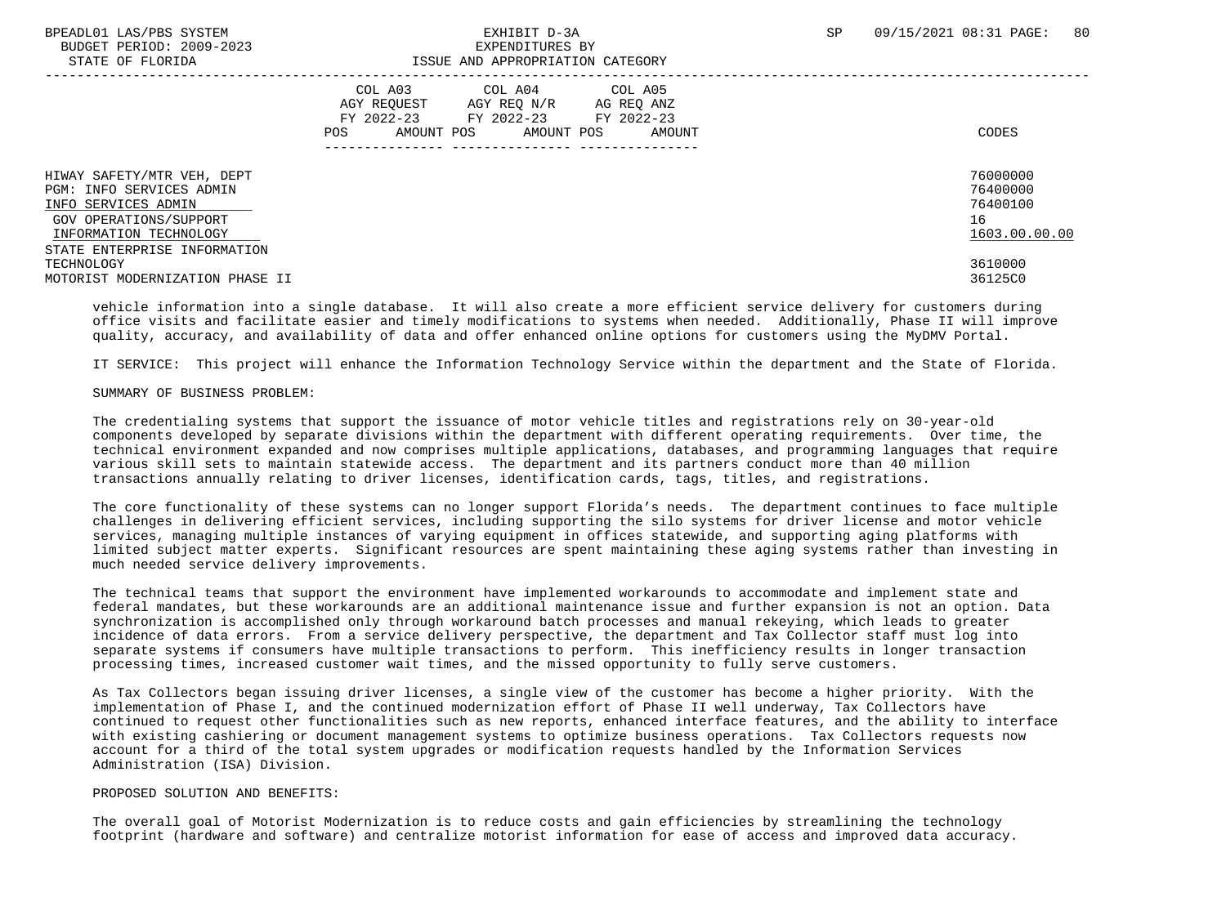BUDGET PERIOD: 2009-2023<br>
EXPENDITURES BY ELOPIDA

# STATE OF FLORIDA ISSUE AND APPROPRIATION CATEGORY

| DIAIB OF FEORIDA                                                                                                                                                  | TANG UNI ULLIVIITITI VIIDUVII                                                                                                                                 |                                                         |
|-------------------------------------------------------------------------------------------------------------------------------------------------------------------|---------------------------------------------------------------------------------------------------------------------------------------------------------------|---------------------------------------------------------|
|                                                                                                                                                                   | COL A04 COL A05<br>COL A03<br>AGY REOUEST<br>AGY REO N/R<br>AG REQ ANZ<br>FY 2022-23<br>FY 2022-23<br>FY 2022-23<br>AMOUNT POS<br>AMOUNT POS<br>POS<br>AMOUNT | CODES                                                   |
| HIWAY SAFETY/MTR VEH, DEPT<br>PGM: INFO SERVICES ADMIN<br>INFO SERVICES ADMIN<br>GOV OPERATIONS/SUPPORT<br>INFORMATION TECHNOLOGY<br>STATE ENTERPRISE INFORMATION |                                                                                                                                                               | 76000000<br>76400000<br>76400100<br>16<br>1603.00.00.00 |
| TECHNOLOGY<br>MOTORIST MODERNIZATION PHASE II                                                                                                                     |                                                                                                                                                               | 3610000<br>36125C0                                      |

 vehicle information into a single database. It will also create a more efficient service delivery for customers during office visits and facilitate easier and timely modifications to systems when needed. Additionally, Phase II will improve quality, accuracy, and availability of data and offer enhanced online options for customers using the MyDMV Portal.

IT SERVICE: This project will enhance the Information Technology Service within the department and the State of Florida.

### SUMMARY OF BUSINESS PROBLEM:

 The credentialing systems that support the issuance of motor vehicle titles and registrations rely on 30-year-old components developed by separate divisions within the department with different operating requirements. Over time, the technical environment expanded and now comprises multiple applications, databases, and programming languages that require various skill sets to maintain statewide access. The department and its partners conduct more than 40 million transactions annually relating to driver licenses, identification cards, tags, titles, and registrations.

 The core functionality of these systems can no longer support Florida's needs. The department continues to face multiple challenges in delivering efficient services, including supporting the silo systems for driver license and motor vehicle services, managing multiple instances of varying equipment in offices statewide, and supporting aging platforms with limited subject matter experts. Significant resources are spent maintaining these aging systems rather than investing in much needed service delivery improvements.

 The technical teams that support the environment have implemented workarounds to accommodate and implement state and federal mandates, but these workarounds are an additional maintenance issue and further expansion is not an option. Data synchronization is accomplished only through workaround batch processes and manual rekeying, which leads to greater incidence of data errors. From a service delivery perspective, the department and Tax Collector staff must log into separate systems if consumers have multiple transactions to perform. This inefficiency results in longer transaction processing times, increased customer wait times, and the missed opportunity to fully serve customers.

 As Tax Collectors began issuing driver licenses, a single view of the customer has become a higher priority. With the implementation of Phase I, and the continued modernization effort of Phase II well underway, Tax Collectors have continued to request other functionalities such as new reports, enhanced interface features, and the ability to interface with existing cashiering or document management systems to optimize business operations. Tax Collectors requests now account for a third of the total system upgrades or modification requests handled by the Information Services Administration (ISA) Division.

#### PROPOSED SOLUTION AND BENEFITS:

 The overall goal of Motorist Modernization is to reduce costs and gain efficiencies by streamlining the technology footprint (hardware and software) and centralize motorist information for ease of access and improved data accuracy.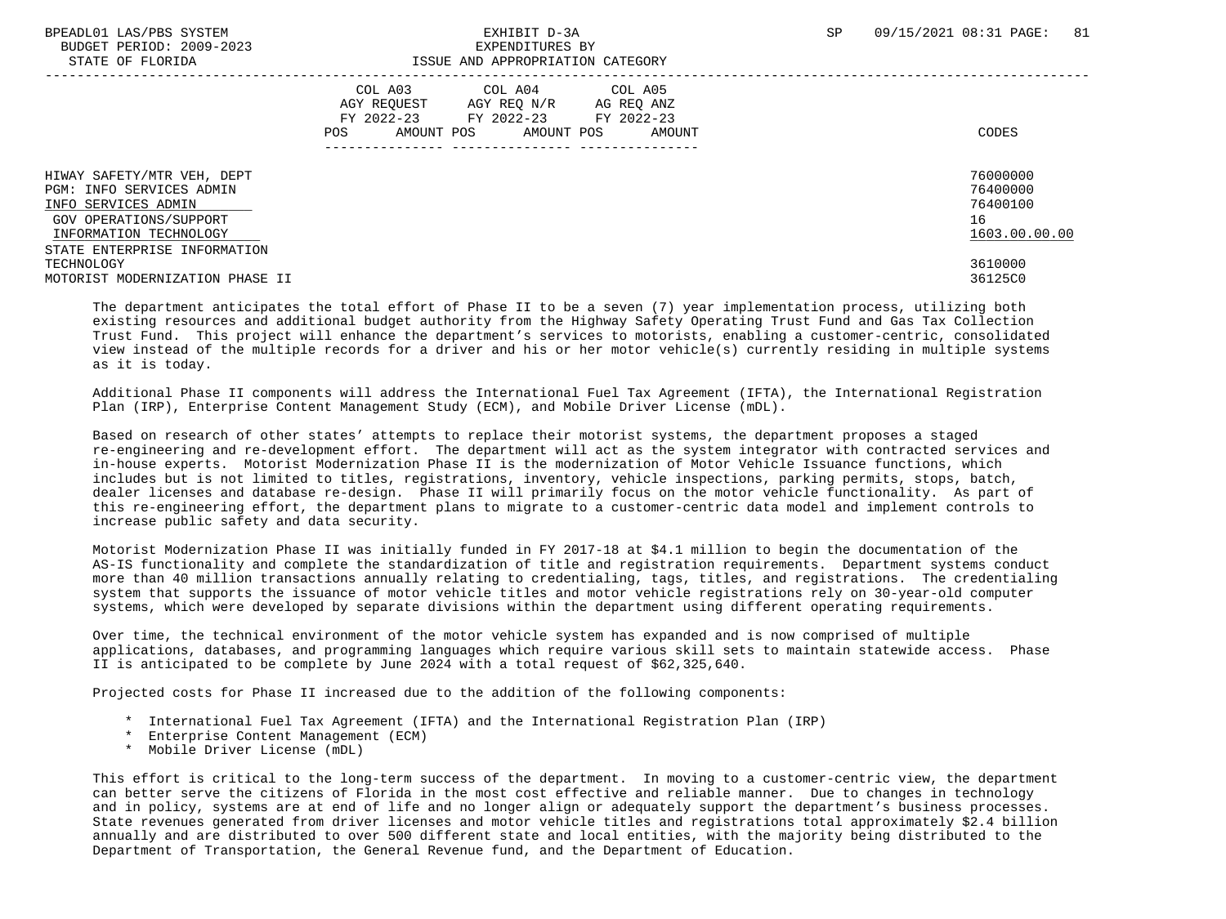| DIAIL OF FIORIDA                                                                 | TOOOD AND AFFROFRIAIION CAIBGORI                                                                                                                              |                                  |
|----------------------------------------------------------------------------------|---------------------------------------------------------------------------------------------------------------------------------------------------------------|----------------------------------|
|                                                                                  | COL A05<br>COL A03<br>COL A04<br>AGY REOUEST<br>AGY REO N/R<br>AG REO ANZ<br>FY 2022-23<br>FY 2022-23 FY 2022-23<br>AMOUNT POS<br>AMOUNT POS<br>AMOUNT<br>POS | CODES                            |
| HIWAY SAFETY/MTR VEH, DEPT<br>PGM: INFO SERVICES ADMIN<br>INFO SERVICES ADMIN    |                                                                                                                                                               | 76000000<br>76400000<br>76400100 |
| GOV OPERATIONS/SUPPORT<br>INFORMATION TECHNOLOGY<br>STATE ENTERPRISE INFORMATION |                                                                                                                                                               | 16<br>1603.00.00.00              |
| TECHNOLOGY<br>MOTORIST MODERNIZATION PHASE II                                    |                                                                                                                                                               | 3610000<br>36125C0               |

 The department anticipates the total effort of Phase II to be a seven (7) year implementation process, utilizing both existing resources and additional budget authority from the Highway Safety Operating Trust Fund and Gas Tax Collection Trust Fund. This project will enhance the department's services to motorists, enabling a customer-centric, consolidated view instead of the multiple records for a driver and his or her motor vehicle(s) currently residing in multiple systems as it is today.

 Additional Phase II components will address the International Fuel Tax Agreement (IFTA), the International Registration Plan (IRP), Enterprise Content Management Study (ECM), and Mobile Driver License (mDL).

 Based on research of other states' attempts to replace their motorist systems, the department proposes a staged re-engineering and re-development effort. The department will act as the system integrator with contracted services and in-house experts. Motorist Modernization Phase II is the modernization of Motor Vehicle Issuance functions, which includes but is not limited to titles, registrations, inventory, vehicle inspections, parking permits, stops, batch, dealer licenses and database re-design. Phase II will primarily focus on the motor vehicle functionality. As part of this re-engineering effort, the department plans to migrate to a customer-centric data model and implement controls to increase public safety and data security.

 Motorist Modernization Phase II was initially funded in FY 2017-18 at \$4.1 million to begin the documentation of the AS-IS functionality and complete the standardization of title and registration requirements. Department systems conduct more than 40 million transactions annually relating to credentialing, tags, titles, and registrations. The credentialing system that supports the issuance of motor vehicle titles and motor vehicle registrations rely on 30-year-old computer systems, which were developed by separate divisions within the department using different operating requirements.

 Over time, the technical environment of the motor vehicle system has expanded and is now comprised of multiple applications, databases, and programming languages which require various skill sets to maintain statewide access. Phase II is anticipated to be complete by June 2024 with a total request of \$62,325,640.

Projected costs for Phase II increased due to the addition of the following components:

- \* International Fuel Tax Agreement (IFTA) and the International Registration Plan (IRP)
- \* Enterprise Content Management (ECM)
- \* Mobile Driver License (mDL)

This effort is critical to the long-term success of the department. In moving to a customer-centric view, the department can better serve the citizens of Florida in the most cost effective and reliable manner. Due to changes in technology and in policy, systems are at end of life and no longer align or adequately support the department's business processes. State revenues generated from driver licenses and motor vehicle titles and registrations total approximately \$2.4 billion annually and are distributed to over 500 different state and local entities, with the majority being distributed to the Department of Transportation, the General Revenue fund, and the Department of Education.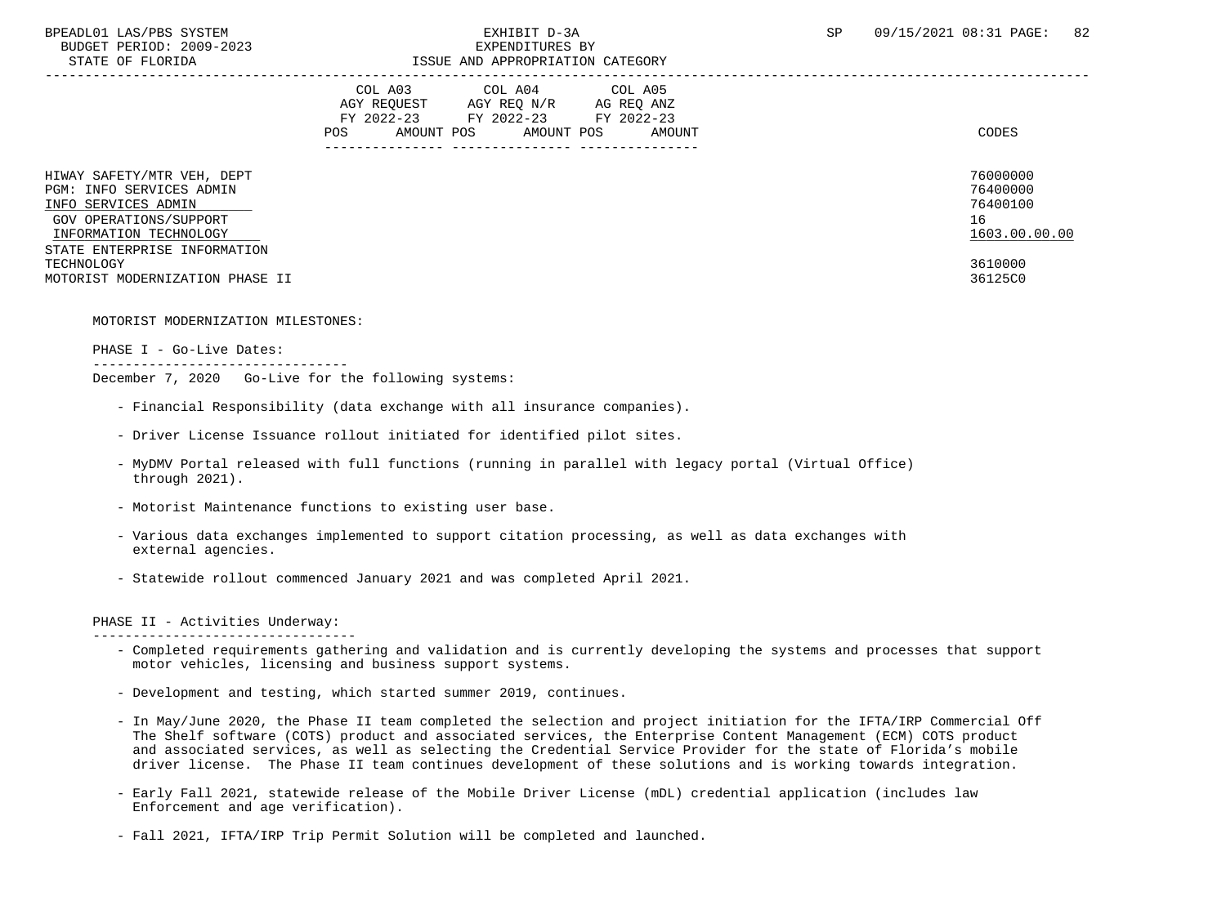## BPEADL01 LAS/PBS SYSTEM SALL BOOK CONTROL CONTROLLER TO A SP 09/15/2021 08:31 PAGE: 82 STATE OF FLORIDA **ISSUE AND APPROPRIATION CATEGORY**

|                                                                                                                                                                   | COL A03<br>COL A05<br>COL A04<br>AGY REOUEST<br>AGY REO N/R<br>AG REO ANZ<br>FY 2022-23<br>FY 2022-23 FY 2022-23<br>AMOUNT POS<br>AMOUNT POS<br>POS<br>AMOUNT | CODES                                                   |
|-------------------------------------------------------------------------------------------------------------------------------------------------------------------|---------------------------------------------------------------------------------------------------------------------------------------------------------------|---------------------------------------------------------|
| HIWAY SAFETY/MTR VEH, DEPT<br>PGM: INFO SERVICES ADMIN<br>INFO SERVICES ADMIN<br>GOV OPERATIONS/SUPPORT<br>INFORMATION TECHNOLOGY<br>STATE ENTERPRISE INFORMATION |                                                                                                                                                               | 76000000<br>76400000<br>76400100<br>16<br>1603.00.00.00 |
| TECHNOLOGY<br>MOTORIST MODERNIZATION PHASE II                                                                                                                     |                                                                                                                                                               | 3610000<br>36125C0                                      |

MOTORIST MODERNIZATION MILESTONES:

--------------------------------

PHASE I - Go-Live Dates:

December 7, 2020 Go-Live for the following systems:

- Financial Responsibility (data exchange with all insurance companies).
- Driver License Issuance rollout initiated for identified pilot sites.
- MyDMV Portal released with full functions (running in parallel with legacy portal (Virtual Office) through 2021).
- Motorist Maintenance functions to existing user base.
- Various data exchanges implemented to support citation processing, as well as data exchanges with external agencies.
- Statewide rollout commenced January 2021 and was completed April 2021.

#### PHASE II - Activities Underway:

---------------------------------

- Completed requirements gathering and validation and is currently developing the systems and processes that support motor vehicles, licensing and business support systems.
- Development and testing, which started summer 2019, continues.
- In May/June 2020, the Phase II team completed the selection and project initiation for the IFTA/IRP Commercial Off The Shelf software (COTS) product and associated services, the Enterprise Content Management (ECM) COTS product and associated services, as well as selecting the Credential Service Provider for the state of Florida's mobile driver license. The Phase II team continues development of these solutions and is working towards integration.
- Early Fall 2021, statewide release of the Mobile Driver License (mDL) credential application (includes law Enforcement and age verification).
- Fall 2021, IFTA/IRP Trip Permit Solution will be completed and launched.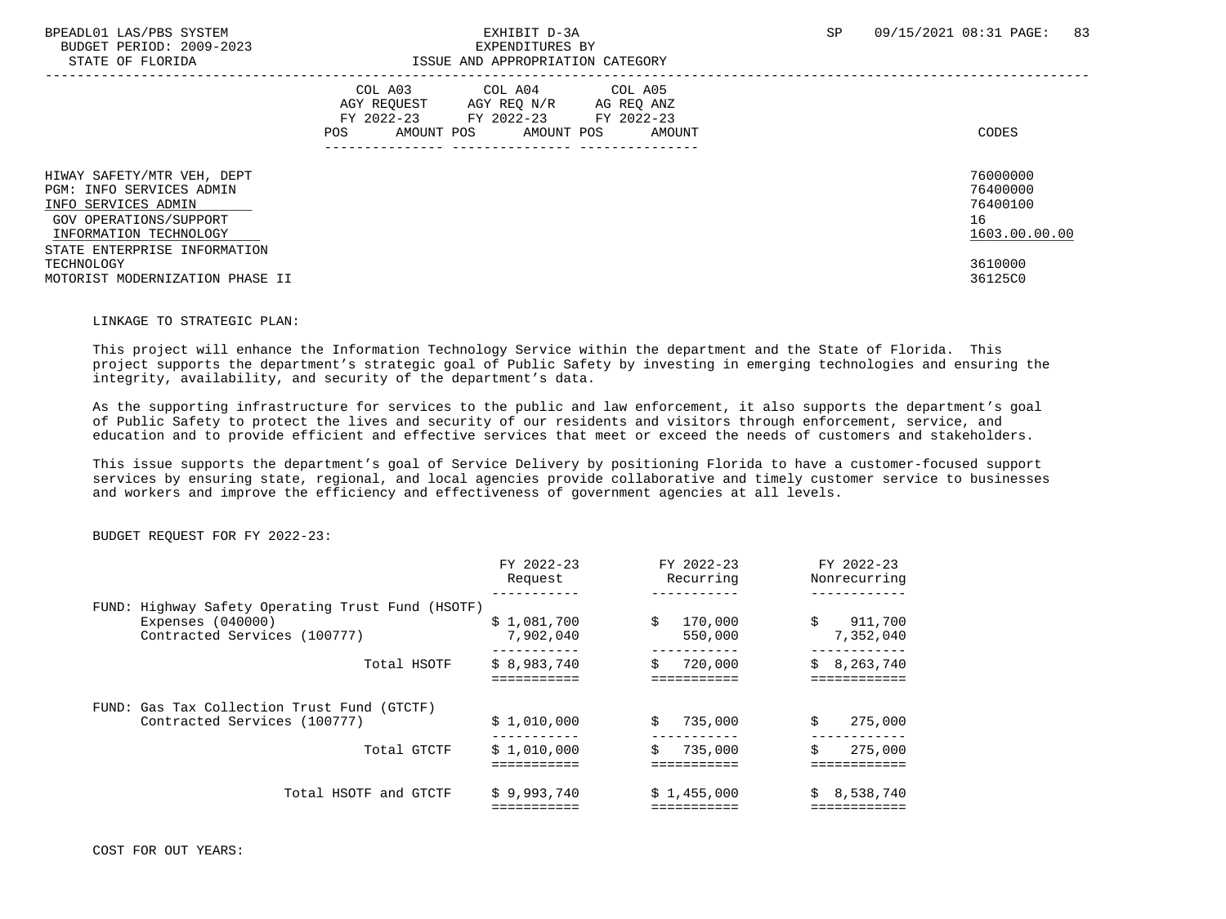BUDGET PERIOD: 2009-2023<br>
EXPENDITURES BY ELOPIDA

### BPEADL01 LAS/PBS SYSTEM SALL RESOLUTE THE STATE OF SALL RESOLUTE TO A SP 09/15/2021 08:31 PAGE: 83 STATE OF FLORIDA ISSUE AND APPROPRIATION CATEGORY

| STATE OF FLORIDA                                                                                                                                                  | ISSUE AND APPROPRIATION CATEGORY                                                                                                                           |                                                         |
|-------------------------------------------------------------------------------------------------------------------------------------------------------------------|------------------------------------------------------------------------------------------------------------------------------------------------------------|---------------------------------------------------------|
|                                                                                                                                                                   | COL A03<br>COL A04 COL A05<br>AGY REOUEST<br>AGY REO N/R<br>AG REQ ANZ<br>FY 2022-23<br>FY 2022-23 FY 2022-23<br>AMOUNT POS<br>AMOUNT POS<br>POS<br>AMOUNT | CODES                                                   |
| HIWAY SAFETY/MTR VEH, DEPT<br>PGM: INFO SERVICES ADMIN<br>INFO SERVICES ADMIN<br>GOV OPERATIONS/SUPPORT<br>INFORMATION TECHNOLOGY<br>STATE ENTERPRISE INFORMATION |                                                                                                                                                            | 76000000<br>76400000<br>76400100<br>16<br>1603.00.00.00 |
| TECHNOLOGY<br>MOTORIST MODERNIZATION PHASE II                                                                                                                     |                                                                                                                                                            | 3610000<br>36125C0                                      |

#### LINKAGE TO STRATEGIC PLAN:

 This project will enhance the Information Technology Service within the department and the State of Florida. This project supports the department's strategic goal of Public Safety by investing in emerging technologies and ensuring the integrity, availability, and security of the department's data.

 As the supporting infrastructure for services to the public and law enforcement, it also supports the department's goal of Public Safety to protect the lives and security of our residents and visitors through enforcement, service, and education and to provide efficient and effective services that meet or exceed the needs of customers and stakeholders.

 This issue supports the department's goal of Service Delivery by positioning Florida to have a customer-focused support services by ensuring state, regional, and local agencies provide collaborative and timely customer service to businesses and workers and improve the efficiency and effectiveness of government agencies at all levels.

#### BUDGET REQUEST FOR FY 2022-23:

|                                                                                                          | FY 2022-23<br>Request    | FY 2022-23<br>Recurring  | FY 2022-23<br>Nonrecurring |
|----------------------------------------------------------------------------------------------------------|--------------------------|--------------------------|----------------------------|
| FUND: Highway Safety Operating Trust Fund (HSOTF)<br>Expenses $(040000)$<br>Contracted Services (100777) | \$1,081,700<br>7,902,040 | 170,000<br>\$<br>550,000 | 911,700<br>\$<br>7,352,040 |
| Total HSOTF                                                                                              | \$8,983,740              | 720,000<br>Ŝ.            | \$8, 263, 740              |
| FUND: Gas Tax Collection Trust Fund (GTCTF)<br>Contracted Services (100777)                              | \$1,010,000              | 735,000<br>Ŝ.            | \$<br>275,000              |
| Total GTCTF                                                                                              | \$1,010,000              | 735,000<br>Ŝ.            | 275,000<br>\$              |
| Total HSOTF and GTCTF                                                                                    | \$9,993,740              | \$1,455,000              | 8,538,740<br>S.            |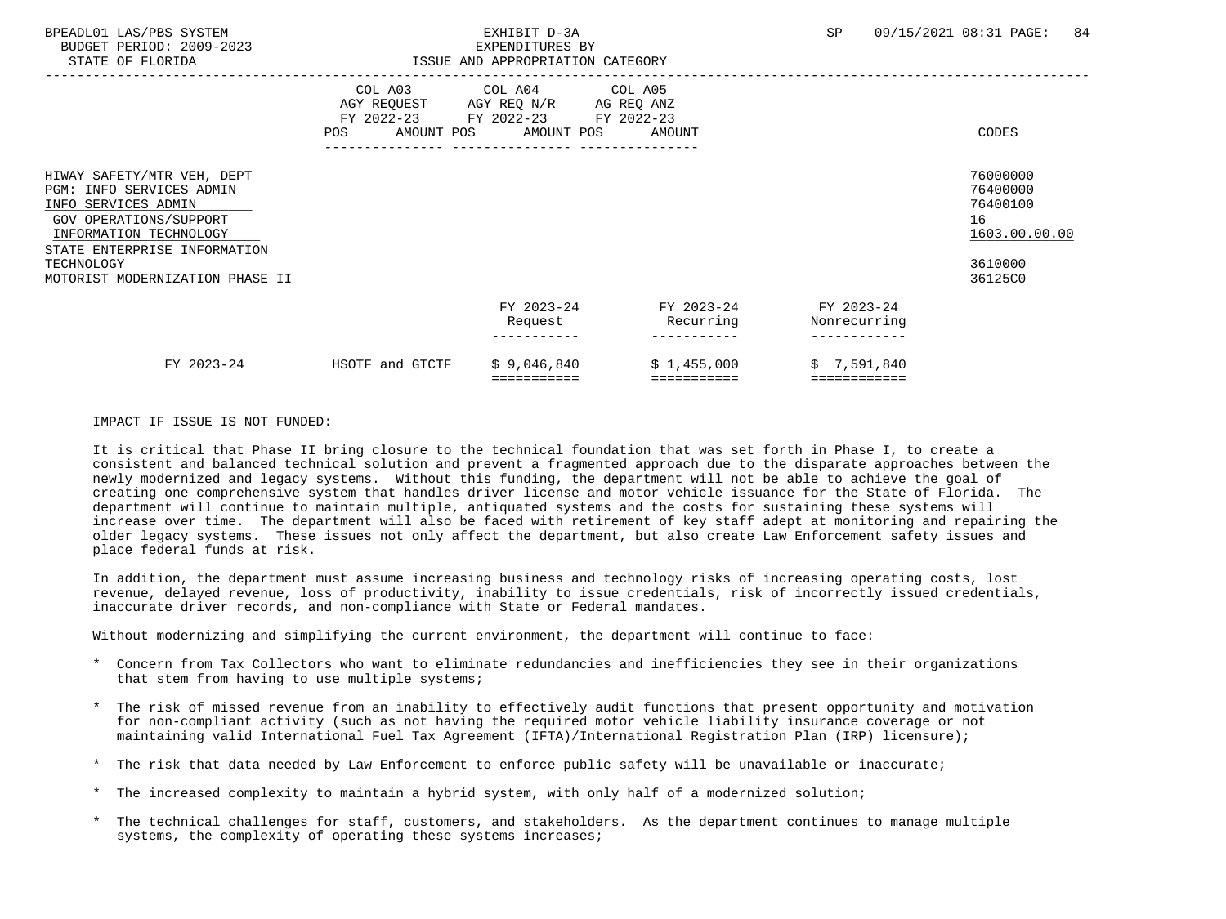| BPEADL01 LAS/PBS SYSTEM<br>BUDGET PERIOD: 2009-2023<br>STATE OF FLORIDA                                                                                                                                                   |                                                                                                                | EXHIBIT D-3A<br>EXPENDITURES BY<br>ISSUE AND APPROPRIATION CATEGORY                                                               |                            | SP                                    | 84<br>09/15/2021 08:31 PAGE:                                                  |
|---------------------------------------------------------------------------------------------------------------------------------------------------------------------------------------------------------------------------|----------------------------------------------------------------------------------------------------------------|-----------------------------------------------------------------------------------------------------------------------------------|----------------------------|---------------------------------------|-------------------------------------------------------------------------------|
|                                                                                                                                                                                                                           | POS FOR THE POST OF THE STATE STATE STATE STATE STATE STATE STATE STATE STATE STATE STATE STATE STATE STATE ST | COL A03 COL A04 COL A05<br>AGY REQUEST AGY REQ N/R AG REQ ANZ<br>FY 2022-23 FY 2022-23 FY 2022-23<br>AMOUNT POS AMOUNT POS AMOUNT |                            |                                       | CODES                                                                         |
| HIWAY SAFETY/MTR VEH, DEPT<br><b>PGM: INFO SERVICES ADMIN</b><br>INFO SERVICES ADMIN<br>GOV OPERATIONS/SUPPORT<br>INFORMATION TECHNOLOGY<br>STATE ENTERPRISE INFORMATION<br>TECHNOLOGY<br>MOTORIST MODERNIZATION PHASE II |                                                                                                                |                                                                                                                                   |                            |                                       | 76000000<br>76400000<br>76400100<br>16<br>1603.00.00.00<br>3610000<br>36125C0 |
|                                                                                                                                                                                                                           |                                                                                                                | FY 2023-24<br>Request                                                                                                             | Recurring                  | FY 2023-24 FY 2023-24<br>Nonrecurring |                                                                               |
| FY 2023-24                                                                                                                                                                                                                | HSOTF and GTCTF                                                                                                | \$9,046,840<br>===========                                                                                                        | \$1,455,000<br>=========== | \$7,591,840<br>============           |                                                                               |

### IMPACT IF ISSUE IS NOT FUNDED:

 It is critical that Phase II bring closure to the technical foundation that was set forth in Phase I, to create a consistent and balanced technical solution and prevent a fragmented approach due to the disparate approaches between the newly modernized and legacy systems. Without this funding, the department will not be able to achieve the goal of creating one comprehensive system that handles driver license and motor vehicle issuance for the State of Florida. The department will continue to maintain multiple, antiquated systems and the costs for sustaining these systems will increase over time. The department will also be faced with retirement of key staff adept at monitoring and repairing the older legacy systems. These issues not only affect the department, but also create Law Enforcement safety issues and place federal funds at risk.

 In addition, the department must assume increasing business and technology risks of increasing operating costs, lost revenue, delayed revenue, loss of productivity, inability to issue credentials, risk of incorrectly issued credentials, inaccurate driver records, and non-compliance with State or Federal mandates.

Without modernizing and simplifying the current environment, the department will continue to face:

- \* Concern from Tax Collectors who want to eliminate redundancies and inefficiencies they see in their organizations that stem from having to use multiple systems;
- \* The risk of missed revenue from an inability to effectively audit functions that present opportunity and motivation for non-compliant activity (such as not having the required motor vehicle liability insurance coverage or not maintaining valid International Fuel Tax Agreement (IFTA)/International Registration Plan (IRP) licensure);
- \* The risk that data needed by Law Enforcement to enforce public safety will be unavailable or inaccurate;
- The increased complexity to maintain a hybrid system, with only half of a modernized solution;
- \* The technical challenges for staff, customers, and stakeholders. As the department continues to manage multiple systems, the complexity of operating these systems increases;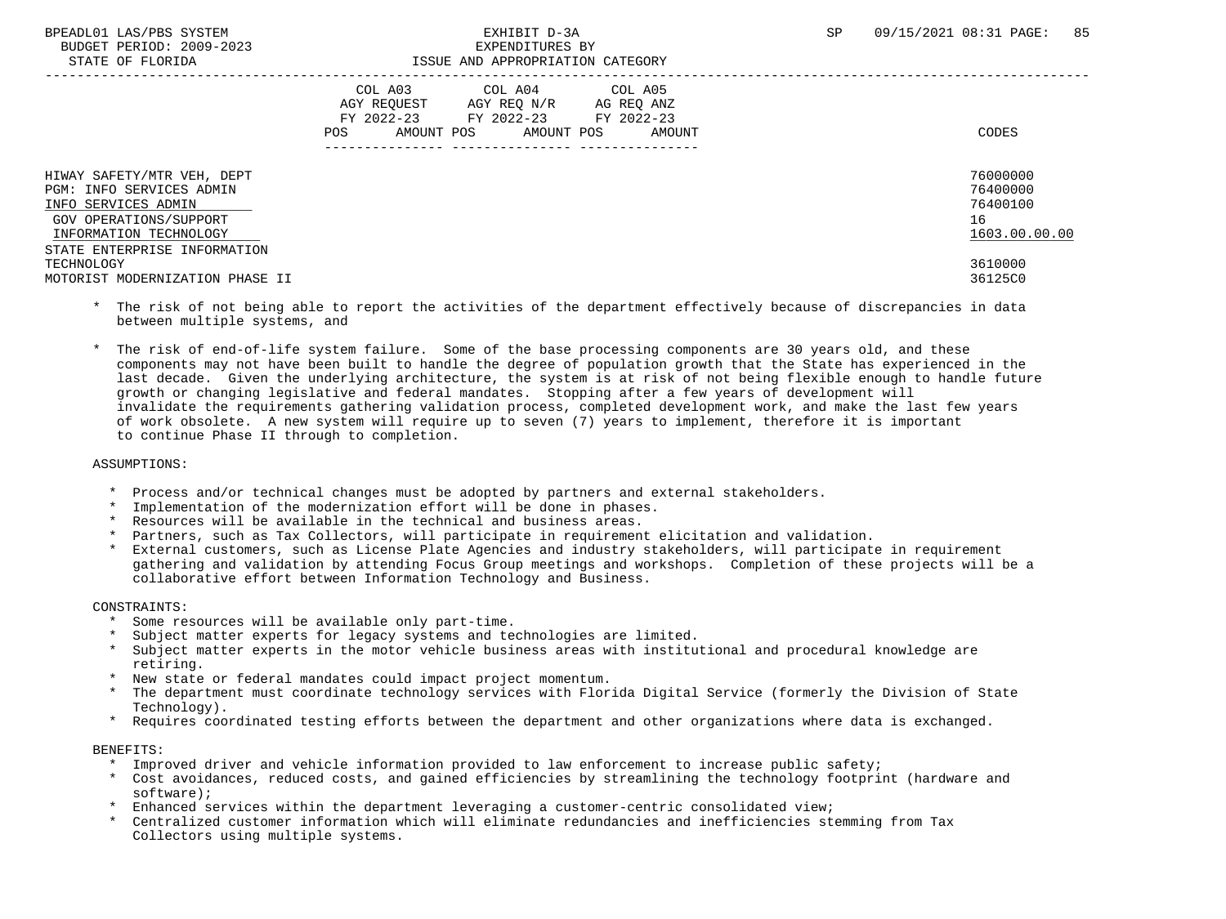| PIAIR OF LUOKIDH                                                                                                                                                  | ISSUE AND APPROPRIAIION CAIEGORI                                                                                                                           |                                                         |
|-------------------------------------------------------------------------------------------------------------------------------------------------------------------|------------------------------------------------------------------------------------------------------------------------------------------------------------|---------------------------------------------------------|
|                                                                                                                                                                   | COL A03<br>COL A04 COL A05<br>AGY REOUEST<br>AGY REO N/R<br>AG REQ ANZ<br>FY 2022-23<br>FY 2022-23 FY 2022-23<br>AMOUNT POS<br>AMOUNT POS<br>POS<br>AMOUNT | CODES                                                   |
| HIWAY SAFETY/MTR VEH, DEPT<br>PGM: INFO SERVICES ADMIN<br>INFO SERVICES ADMIN<br>GOV OPERATIONS/SUPPORT<br>INFORMATION TECHNOLOGY<br>STATE ENTERPRISE INFORMATION |                                                                                                                                                            | 76000000<br>76400000<br>76400100<br>16<br>1603.00.00.00 |
| TECHNOLOGY<br>MOTORIST MODERNIZATION PHASE II                                                                                                                     |                                                                                                                                                            | 3610000<br>36125C0                                      |

- \* The risk of not being able to report the activities of the department effectively because of discrepancies in data between multiple systems, and
- \* The risk of end-of-life system failure. Some of the base processing components are 30 years old, and these components may not have been built to handle the degree of population growth that the State has experienced in the last decade. Given the underlying architecture, the system is at risk of not being flexible enough to handle future growth or changing legislative and federal mandates. Stopping after a few years of development will invalidate the requirements gathering validation process, completed development work, and make the last few years of work obsolete. A new system will require up to seven (7) years to implement, therefore it is important to continue Phase II through to completion.

#### ASSUMPTIONS:

- Process and/or technical changes must be adopted by partners and external stakeholders.
- Implementation of the modernization effort will be done in phases.
- \* Resources will be available in the technical and business areas.
- Partners, such as Tax Collectors, will participate in requirement elicitation and validation.
- \* External customers, such as License Plate Agencies and industry stakeholders, will participate in requirement gathering and validation by attending Focus Group meetings and workshops. Completion of these projects will be a collaborative effort between Information Technology and Business.

#### CONSTRAINTS:

- \* Some resources will be available only part-time.
- Subject matter experts for legacy systems and technologies are limited.
- Subject matter experts in the motor vehicle business areas with institutional and procedural knowledge are retiring.
- \* New state or federal mandates could impact project momentum.
- The department must coordinate technology services with Florida Digital Service (formerly the Division of State Technology).
- \* Requires coordinated testing efforts between the department and other organizations where data is exchanged.

#### BENEFITS:

- \* Improved driver and vehicle information provided to law enforcement to increase public safety;
- \* Cost avoidances, reduced costs, and gained efficiencies by streamlining the technology footprint (hardware and software);
- Enhanced services within the department leveraging a customer-centric consolidated view;
- \* Centralized customer information which will eliminate redundancies and inefficiencies stemming from Tax Collectors using multiple systems.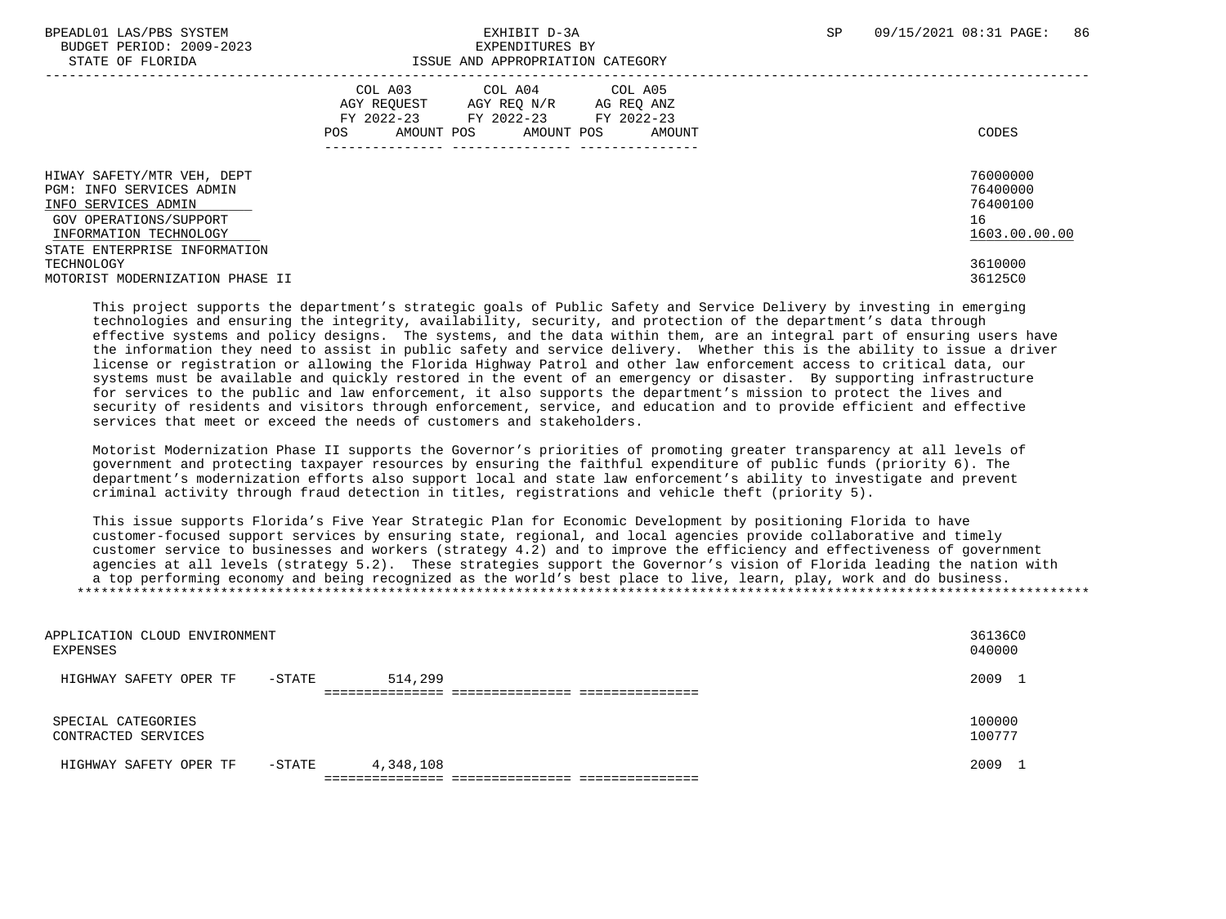# STATE OF FLORIDA **ISSUE AND APPROPRIATION CATEGORY**

| ------ -- --------                                                            |                                                                                                                                                                  |                                  |
|-------------------------------------------------------------------------------|------------------------------------------------------------------------------------------------------------------------------------------------------------------|----------------------------------|
|                                                                               | COL A03<br>COL A04<br>COL A05<br>AGY REOUEST<br>AGY REQ N/R<br>AG REQ ANZ<br>FY 2022-23<br>FY 2022-23<br>FY 2022-23<br>AMOUNT POS<br>AMOUNT POS<br>AMOUNT<br>POS | CODES                            |
| HIWAY SAFETY/MTR VEH, DEPT<br>PGM: INFO SERVICES ADMIN<br>INFO SERVICES ADMIN |                                                                                                                                                                  | 76000000<br>76400000<br>76400100 |
| GOV OPERATIONS/SUPPORT<br>INFORMATION TECHNOLOGY                              |                                                                                                                                                                  | 16<br>1603.00.00.00              |
| STATE ENTERPRISE INFORMATION<br>TECHNOLOGY                                    |                                                                                                                                                                  | 3610000                          |
| MOTORIST MODERNIZATION PHASE II                                               |                                                                                                                                                                  | 36125C0                          |

 This project supports the department's strategic goals of Public Safety and Service Delivery by investing in emerging technologies and ensuring the integrity, availability, security, and protection of the department's data through effective systems and policy designs. The systems, and the data within them, are an integral part of ensuring users have the information they need to assist in public safety and service delivery. Whether this is the ability to issue a driver license or registration or allowing the Florida Highway Patrol and other law enforcement access to critical data, our systems must be available and quickly restored in the event of an emergency or disaster. By supporting infrastructure for services to the public and law enforcement, it also supports the department's mission to protect the lives and security of residents and visitors through enforcement, service, and education and to provide efficient and effective services that meet or exceed the needs of customers and stakeholders.

 Motorist Modernization Phase II supports the Governor's priorities of promoting greater transparency at all levels of government and protecting taxpayer resources by ensuring the faithful expenditure of public funds (priority 6). The department's modernization efforts also support local and state law enforcement's ability to investigate and prevent criminal activity through fraud detection in titles, registrations and vehicle theft (priority 5).

 This issue supports Florida's Five Year Strategic Plan for Economic Development by positioning Florida to have customer-focused support services by ensuring state, regional, and local agencies provide collaborative and timely customer service to businesses and workers (strategy 4.2) and to improve the efficiency and effectiveness of government agencies at all levels (strategy 5.2). These strategies support the Governor's vision of Florida leading the nation with a top performing economy and being recognized as the world's best place to live, learn, play, work and do business. \*\*\*\*\*\*\*\*\*\*\*\*\*\*\*\*\*\*\*\*\*\*\*\*\*\*\*\*\*\*\*\*\*\*\*\*\*\*\*\*\*\*\*\*\*\*\*\*\*\*\*\*\*\*\*\*\*\*\*\*\*\*\*\*\*\*\*\*\*\*\*\*\*\*\*\*\*\*\*\*\*\*\*\*\*\*\*\*\*\*\*\*\*\*\*\*\*\*\*\*\*\*\*\*\*\*\*\*\*\*\*\*\*\*\*\*\*\*\*\*\*\*\*\*\*\*\*

| APPLICATION CLOUD ENVIRONMENT<br>EXPENSES |           |           | 36136C0<br>040000 |
|-------------------------------------------|-----------|-----------|-------------------|
| HIGHWAY SAFETY OPER TF                    | $-$ STATE | 514,299   | 2009 1            |
|                                           |           |           |                   |
| SPECIAL CATEGORIES<br>CONTRACTED SERVICES |           |           | 100000<br>100777  |
| HIGHWAY SAFETY OPER TF                    | $-$ STATE | 4,348,108 | 2009 1            |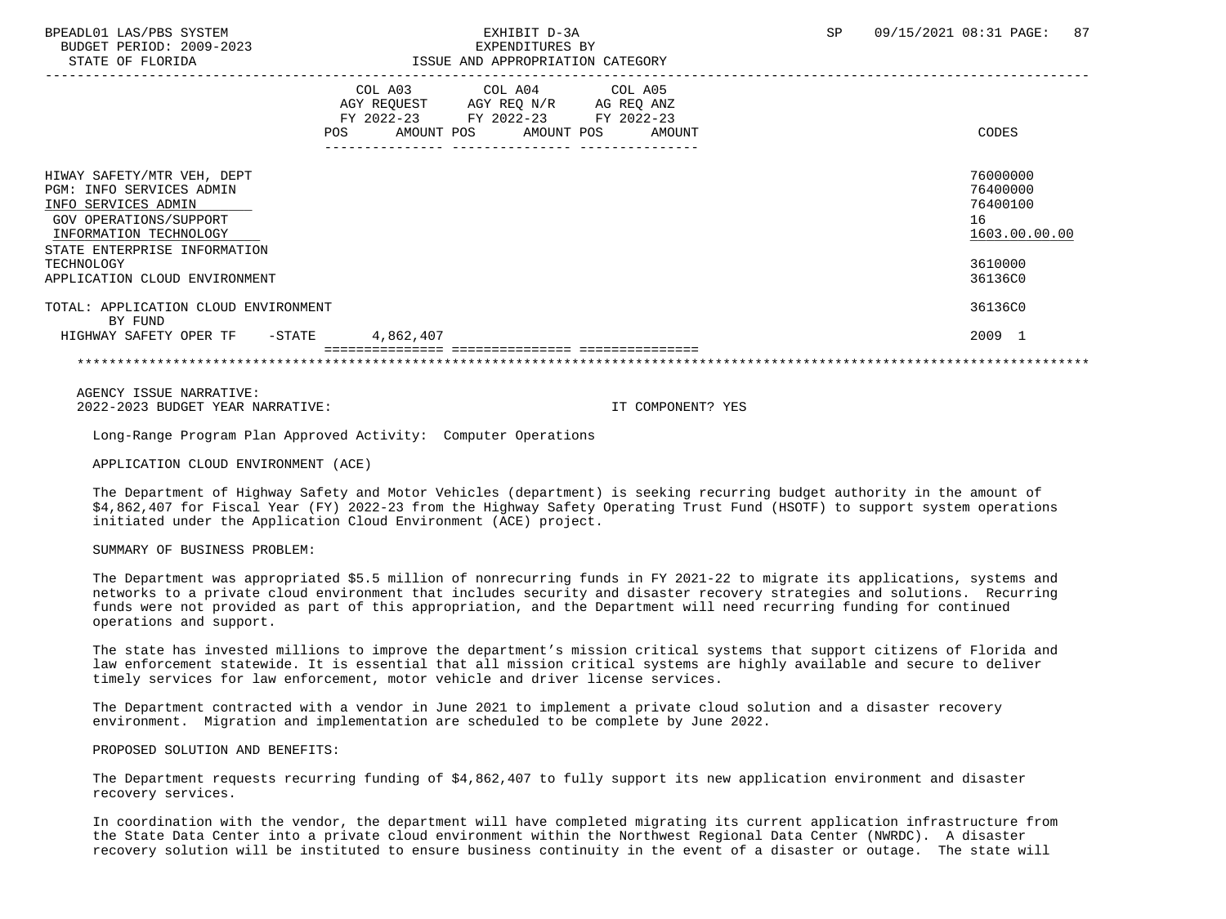BUDGET PERIOD: 2009-2023<br>
EXPENDITURES BY ELOPIDA

## BPEADL01 LAS/PBS SYSTEM SALL BOOK CONTROL CONTROLLER TO A SP 09/15/2021 08:31 PAGE: 87 STATE OF FLORIDA ISSUE AND APPROPRIATION CATEGORY

| DIAIE OF FEORIDA                                                                                                                                                                                                 | TOOOD AND AFFIVOFRIATION CAIDOORI |                                                    |                           |                               |  |                                    |  |                                                                               |
|------------------------------------------------------------------------------------------------------------------------------------------------------------------------------------------------------------------|-----------------------------------|----------------------------------------------------|---------------------------|-------------------------------|--|------------------------------------|--|-------------------------------------------------------------------------------|
|                                                                                                                                                                                                                  | <b>POS</b>                        | COL A03<br>AGY REOUEST<br>FY 2022-23<br>AMOUNT POS | AGY REQ N/R<br>FY 2022-23 | COL A04 COL A05<br>AMOUNT POS |  | AG REQ ANZ<br>FY 2022-23<br>AMOUNT |  | CODES                                                                         |
| HIWAY SAFETY/MTR VEH, DEPT<br>PGM: INFO SERVICES ADMIN<br>INFO SERVICES ADMIN<br>GOV OPERATIONS/SUPPORT<br>INFORMATION TECHNOLOGY<br>STATE ENTERPRISE INFORMATION<br>TECHNOLOGY<br>APPLICATION CLOUD ENVIRONMENT |                                   |                                                    |                           |                               |  |                                    |  | 76000000<br>76400000<br>76400100<br>16<br>1603.00.00.00<br>3610000<br>36136C0 |
| TOTAL: APPLICATION CLOUD ENVIRONMENT<br>BY FUND<br>HIGHWAY SAFETY OPER TF<br>$-$ STATE                                                                                                                           |                                   | 4,862,407                                          |                           |                               |  |                                    |  | 36136C0<br>2009 1                                                             |
|                                                                                                                                                                                                                  |                                   |                                                    |                           |                               |  |                                    |  |                                                                               |

 AGENCY ISSUE NARRATIVE: 2022-2023 BUDGET YEAR NARRATIVE: IT COMPONENT? YES

Long-Range Program Plan Approved Activity: Computer Operations

APPLICATION CLOUD ENVIRONMENT (ACE)

 The Department of Highway Safety and Motor Vehicles (department) is seeking recurring budget authority in the amount of \$4,862,407 for Fiscal Year (FY) 2022-23 from the Highway Safety Operating Trust Fund (HSOTF) to support system operations initiated under the Application Cloud Environment (ACE) project.

SUMMARY OF BUSINESS PROBLEM:

 The Department was appropriated \$5.5 million of nonrecurring funds in FY 2021-22 to migrate its applications, systems and networks to a private cloud environment that includes security and disaster recovery strategies and solutions. Recurring funds were not provided as part of this appropriation, and the Department will need recurring funding for continued operations and support.

 The state has invested millions to improve the department's mission critical systems that support citizens of Florida and law enforcement statewide. It is essential that all mission critical systems are highly available and secure to deliver timely services for law enforcement, motor vehicle and driver license services.

 The Department contracted with a vendor in June 2021 to implement a private cloud solution and a disaster recovery environment. Migration and implementation are scheduled to be complete by June 2022.

PROPOSED SOLUTION AND BENEFITS:

 The Department requests recurring funding of \$4,862,407 to fully support its new application environment and disaster recovery services.

 In coordination with the vendor, the department will have completed migrating its current application infrastructure from the State Data Center into a private cloud environment within the Northwest Regional Data Center (NWRDC). A disaster recovery solution will be instituted to ensure business continuity in the event of a disaster or outage. The state will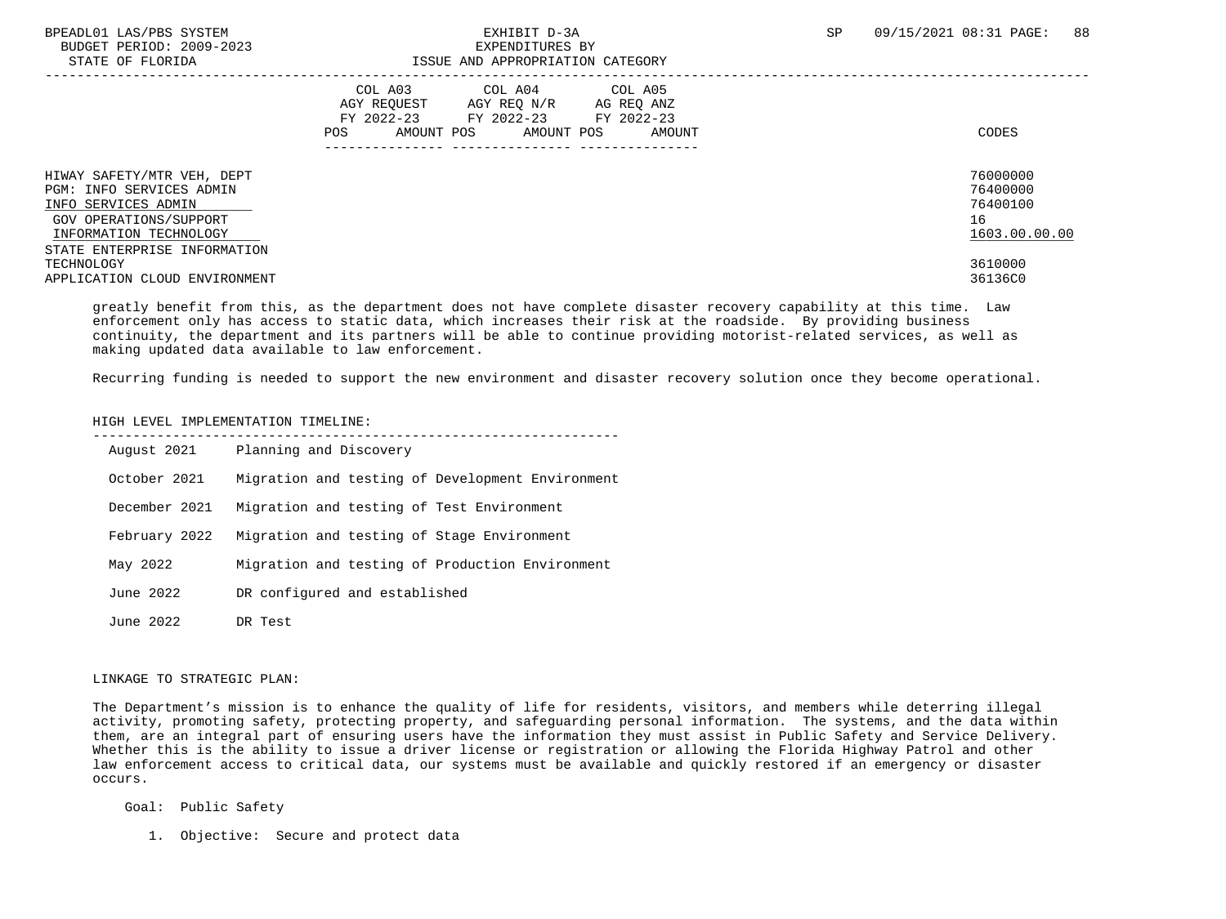BUDGET PERIOD: 2009-2023<br>
STATE OF FLORIDA<br>
STATE OF FLORIDA

# ISSUE AND APPROPRIATION CATEGORY

| 011111 01 110111011                                                                                                                                               | TOOOT IND INTINGLICIITION CHITOONI                                                                                                                         |                                                         |
|-------------------------------------------------------------------------------------------------------------------------------------------------------------------|------------------------------------------------------------------------------------------------------------------------------------------------------------|---------------------------------------------------------|
|                                                                                                                                                                   | COL A04 COL A05<br>COL A03<br>AGY REOUEST<br>AGY REO N/R<br>AG REO ANZ<br>FY 2022-23<br>FY 2022-23 FY 2022-23<br>AMOUNT POS<br>POS<br>AMOUNT POS<br>AMOUNT | CODES                                                   |
| HIWAY SAFETY/MTR VEH, DEPT<br>PGM: INFO SERVICES ADMIN<br>INFO SERVICES ADMIN<br>GOV OPERATIONS/SUPPORT<br>INFORMATION TECHNOLOGY<br>STATE ENTERPRISE INFORMATION |                                                                                                                                                            | 76000000<br>76400000<br>76400100<br>16<br>1603.00.00.00 |
| TECHNOLOGY<br>APPLICATION CLOUD ENVIRONMENT                                                                                                                       |                                                                                                                                                            | 3610000<br>36136C0                                      |

 greatly benefit from this, as the department does not have complete disaster recovery capability at this time. Law enforcement only has access to static data, which increases their risk at the roadside. By providing business continuity, the department and its partners will be able to continue providing motorist-related services, as well as making updated data available to law enforcement.

Recurring funding is needed to support the new environment and disaster recovery solution once they become operational.

#### HIGH LEVEL IMPLEMENTATION TIMELINE:

| August 2021   | Planning and Discovery                           |
|---------------|--------------------------------------------------|
| October 2021  | Migration and testing of Development Environment |
| December 2021 | Migration and testing of Test Environment        |
| February 2022 | Migration and testing of Stage Environment       |
| May 2022      | Migration and testing of Production Environment  |
| June 2022     | DR configured and established                    |
| June 2022     | DR Test                                          |

#### LINKAGE TO STRATEGIC PLAN:

 The Department's mission is to enhance the quality of life for residents, visitors, and members while deterring illegal activity, promoting safety, protecting property, and safeguarding personal information. The systems, and the data within them, are an integral part of ensuring users have the information they must assist in Public Safety and Service Delivery. Whether this is the ability to issue a driver license or registration or allowing the Florida Highway Patrol and other law enforcement access to critical data, our systems must be available and quickly restored if an emergency or disaster occurs.

Goal: Public Safety

1. Objective: Secure and protect data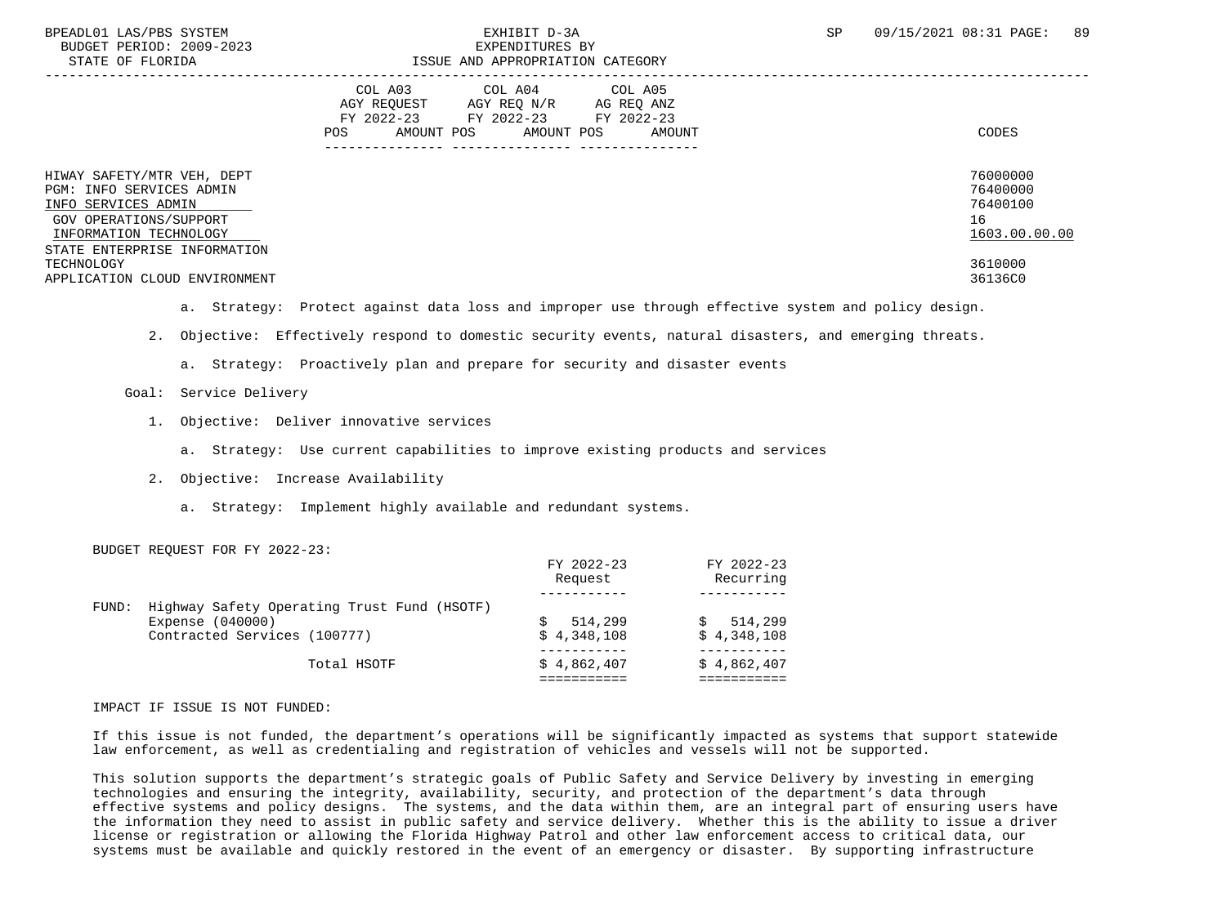| STATE OF FLORIDA                                                                                                                                                  | ISSUE AND APPROPRIATION CATEGORY                                                                                                                                 |                                                         |
|-------------------------------------------------------------------------------------------------------------------------------------------------------------------|------------------------------------------------------------------------------------------------------------------------------------------------------------------|---------------------------------------------------------|
|                                                                                                                                                                   | COL A05<br>COL A03<br>COL A04<br>AGY REOUEST<br>AGY REQ N/R<br>AG REQ ANZ<br>FY 2022-23<br>FY 2022-23<br>FY 2022-23<br>AMOUNT POS<br>AMOUNT POS<br>POS<br>AMOUNT | CODES                                                   |
| HIWAY SAFETY/MTR VEH, DEPT<br>PGM: INFO SERVICES ADMIN<br>INFO SERVICES ADMIN<br>GOV OPERATIONS/SUPPORT<br>INFORMATION TECHNOLOGY<br>STATE ENTERPRISE INFORMATION |                                                                                                                                                                  | 76000000<br>76400000<br>76400100<br>16<br>1603.00.00.00 |
| TECHNOLOGY<br>APPLICATION CLOUD ENVIRONMENT                                                                                                                       |                                                                                                                                                                  | 3610000<br>36136C0                                      |

- a. Strategy: Protect against data loss and improper use through effective system and policy design.
- 2. Objective: Effectively respond to domestic security events, natural disasters, and emerging threats.
	- a. Strategy: Proactively plan and prepare for security and disaster events

### Goal: Service Delivery

- 1. Objective: Deliver innovative services
	- a. Strategy: Use current capabilities to improve existing products and services
- 2. Objective: Increase Availability
	- a. Strategy: Implement highly available and redundant systems.

#### BUDGET REQUEST FOR FY 2022-23:

|       |                                             | FY 2022-23<br>Request | FY 2022-23<br>Recurring |
|-------|---------------------------------------------|-----------------------|-------------------------|
|       |                                             |                       |                         |
| FUND: | Highway Safety Operating Trust Fund (HSOTF) |                       |                         |
|       | Expense (040000)                            | 514,299               | 514,299                 |
|       | Contracted Services (100777)                | \$4.348.108           | \$4,348,108             |
|       | Total HSOTF                                 | \$4,862,407           | \$4,862,407             |
|       |                                             |                       |                         |

IMPACT IF ISSUE IS NOT FUNDED:

 If this issue is not funded, the department's operations will be significantly impacted as systems that support statewide law enforcement, as well as credentialing and registration of vehicles and vessels will not be supported.

 This solution supports the department's strategic goals of Public Safety and Service Delivery by investing in emerging technologies and ensuring the integrity, availability, security, and protection of the department's data through effective systems and policy designs. The systems, and the data within them, are an integral part of ensuring users have the information they need to assist in public safety and service delivery. Whether this is the ability to issue a driver license or registration or allowing the Florida Highway Patrol and other law enforcement access to critical data, our systems must be available and quickly restored in the event of an emergency or disaster. By supporting infrastructure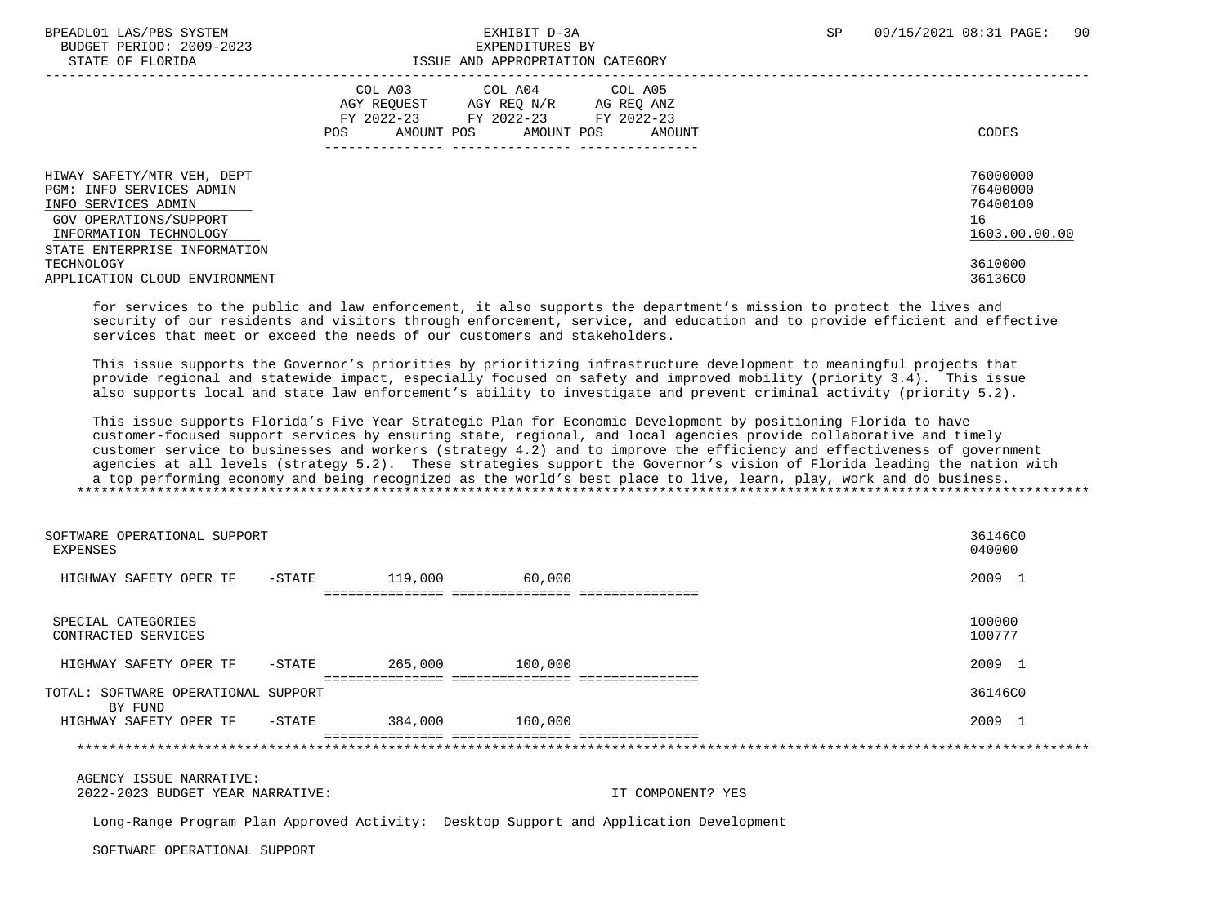BUDGET PERIOD: 2009-2023<br>
STATE OF FLORIDA<br>
STATE OF FLORIDA

# ISSUE AND APPROPRIATION CATEGORY

|                                                                                                                                                                   | COL A03<br>COL A04<br>COL A05<br>AGY REOUEST<br>AGY REO N/R<br>AG REO ANZ<br>FY 2022-23<br>FY 2022-23<br>FY 2022-23<br>AMOUNT POS<br>AMOUNT POS<br>POS<br>AMOUNT | CODES                                                   |
|-------------------------------------------------------------------------------------------------------------------------------------------------------------------|------------------------------------------------------------------------------------------------------------------------------------------------------------------|---------------------------------------------------------|
| HIWAY SAFETY/MTR VEH, DEPT<br>PGM: INFO SERVICES ADMIN<br>INFO SERVICES ADMIN<br>GOV OPERATIONS/SUPPORT<br>INFORMATION TECHNOLOGY<br>STATE ENTERPRISE INFORMATION |                                                                                                                                                                  | 76000000<br>76400000<br>76400100<br>16<br>1603.00.00.00 |
| TECHNOLOGY<br>APPLICATION CLOUD ENVIRONMENT                                                                                                                       |                                                                                                                                                                  | 3610000<br>36136C0                                      |

 for services to the public and law enforcement, it also supports the department's mission to protect the lives and security of our residents and visitors through enforcement, service, and education and to provide efficient and effective services that meet or exceed the needs of our customers and stakeholders.

 This issue supports the Governor's priorities by prioritizing infrastructure development to meaningful projects that provide regional and statewide impact, especially focused on safety and improved mobility (priority 3.4). This issue also supports local and state law enforcement's ability to investigate and prevent criminal activity (priority 5.2).

 This issue supports Florida's Five Year Strategic Plan for Economic Development by positioning Florida to have customer-focused support services by ensuring state, regional, and local agencies provide collaborative and timely customer service to businesses and workers (strategy 4.2) and to improve the efficiency and effectiveness of government agencies at all levels (strategy 5.2). These strategies support the Governor's vision of Florida leading the nation with a top performing economy and being recognized as the world's best place to live, learn, play, work and do business. \*\*\*\*\*\*\*\*\*\*\*\*\*\*\*\*\*\*\*\*\*\*\*\*\*\*\*\*\*\*\*\*\*\*\*\*\*\*\*\*\*\*\*\*\*\*\*\*\*\*\*\*\*\*\*\*\*\*\*\*\*\*\*\*\*\*\*\*\*\*\*\*\*\*\*\*\*\*\*\*\*\*\*\*\*\*\*\*\*\*\*\*\*\*\*\*\*\*\*\*\*\*\*\*\*\*\*\*\*\*\*\*\*\*\*\*\*\*\*\*\*\*\*\*\*\*\*

| SOFTWARE OPERATIONAL SUPPORT<br>EXPENSES       |           |                                           |         | 36146C0<br>040000 |
|------------------------------------------------|-----------|-------------------------------------------|---------|-------------------|
| HIGHWAY SAFETY OPER TF                         | $-$ STATE | 119,000<br>------------- ---------------- | 60,000  | 2009 1            |
| SPECIAL CATEGORIES<br>CONTRACTED SERVICES      |           |                                           |         | 100000<br>100777  |
| HIGHWAY SAFETY OPER TF                         | $-$ STATE | 265,000                                   | 100,000 | 2009 1            |
| TOTAL: SOFTWARE OPERATIONAL SUPPORT<br>BY FUND |           |                                           |         | 36146C0           |
| HIGHWAY SAFETY OPER TF                         | $-$ STATE | 384,000                                   | 160,000 | 2009 1            |
|                                                |           | ===========================               |         |                   |

 AGENCY ISSUE NARRATIVE: 2022-2023 BUDGET YEAR NARRATIVE: IT COMPONENT? YES

Long-Range Program Plan Approved Activity: Desktop Support and Application Development

SOFTWARE OPERATIONAL SUPPORT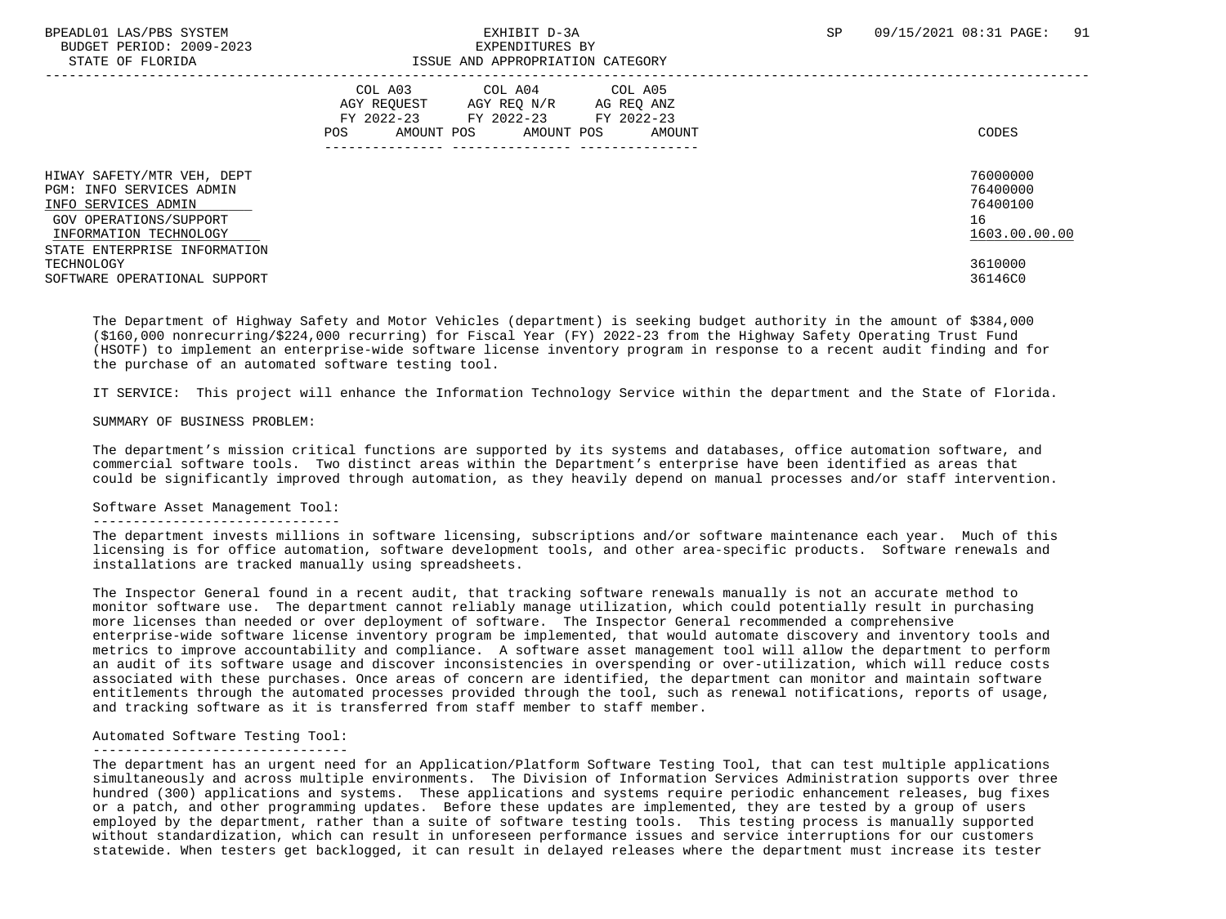# BPEADL01 LAS/PBS SYSTEM SALL SALL STATES ON THE STATE OF SALL STATES OF SP 09/15/2021 08:31 PAGE: 91

| STATE OF FLORIDA                                                                                                                                                  | ISSUE AND APPROPRIATION CATEGORY                                                                                                                                 |                                                         |
|-------------------------------------------------------------------------------------------------------------------------------------------------------------------|------------------------------------------------------------------------------------------------------------------------------------------------------------------|---------------------------------------------------------|
|                                                                                                                                                                   | COL A05<br>COL A03<br>COL A04<br>AGY REOUEST<br>AGY REO N/R<br>AG REO ANZ<br>FY 2022-23<br>FY 2022-23<br>FY 2022-23<br>AMOUNT POS<br>AMOUNT POS<br>POS<br>AMOUNT | CODES                                                   |
| HIWAY SAFETY/MTR VEH, DEPT<br>PGM: INFO SERVICES ADMIN<br>INFO SERVICES ADMIN<br>GOV OPERATIONS/SUPPORT<br>INFORMATION TECHNOLOGY<br>STATE ENTERPRISE INFORMATION |                                                                                                                                                                  | 76000000<br>76400000<br>76400100<br>16<br>1603.00.00.00 |
| TECHNOLOGY<br>SOFTWARE OPERATIONAL SUPPORT                                                                                                                        |                                                                                                                                                                  | 3610000<br>36146C0                                      |

 The Department of Highway Safety and Motor Vehicles (department) is seeking budget authority in the amount of \$384,000 (\$160,000 nonrecurring/\$224,000 recurring) for Fiscal Year (FY) 2022-23 from the Highway Safety Operating Trust Fund (HSOTF) to implement an enterprise-wide software license inventory program in response to a recent audit finding and for the purchase of an automated software testing tool.

IT SERVICE: This project will enhance the Information Technology Service within the department and the State of Florida.

#### SUMMARY OF BUSINESS PROBLEM:

 The department's mission critical functions are supported by its systems and databases, office automation software, and commercial software tools. Two distinct areas within the Department's enterprise have been identified as areas that could be significantly improved through automation, as they heavily depend on manual processes and/or staff intervention.

#### Software Asset Management Tool:

#### -------------------------------

 The department invests millions in software licensing, subscriptions and/or software maintenance each year. Much of this licensing is for office automation, software development tools, and other area-specific products. Software renewals and installations are tracked manually using spreadsheets.

 The Inspector General found in a recent audit, that tracking software renewals manually is not an accurate method to monitor software use. The department cannot reliably manage utilization, which could potentially result in purchasing more licenses than needed or over deployment of software. The Inspector General recommended a comprehensive enterprise-wide software license inventory program be implemented, that would automate discovery and inventory tools and metrics to improve accountability and compliance. A software asset management tool will allow the department to perform an audit of its software usage and discover inconsistencies in overspending or over-utilization, which will reduce costs associated with these purchases. Once areas of concern are identified, the department can monitor and maintain software entitlements through the automated processes provided through the tool, such as renewal notifications, reports of usage, and tracking software as it is transferred from staff member to staff member.

#### Automated Software Testing Tool:

### --------------------------------

 The department has an urgent need for an Application/Platform Software Testing Tool, that can test multiple applications simultaneously and across multiple environments. The Division of Information Services Administration supports over three hundred (300) applications and systems. These applications and systems require periodic enhancement releases, bug fixes or a patch, and other programming updates. Before these updates are implemented, they are tested by a group of users employed by the department, rather than a suite of software testing tools. This testing process is manually supported without standardization, which can result in unforeseen performance issues and service interruptions for our customers statewide. When testers get backlogged, it can result in delayed releases where the department must increase its tester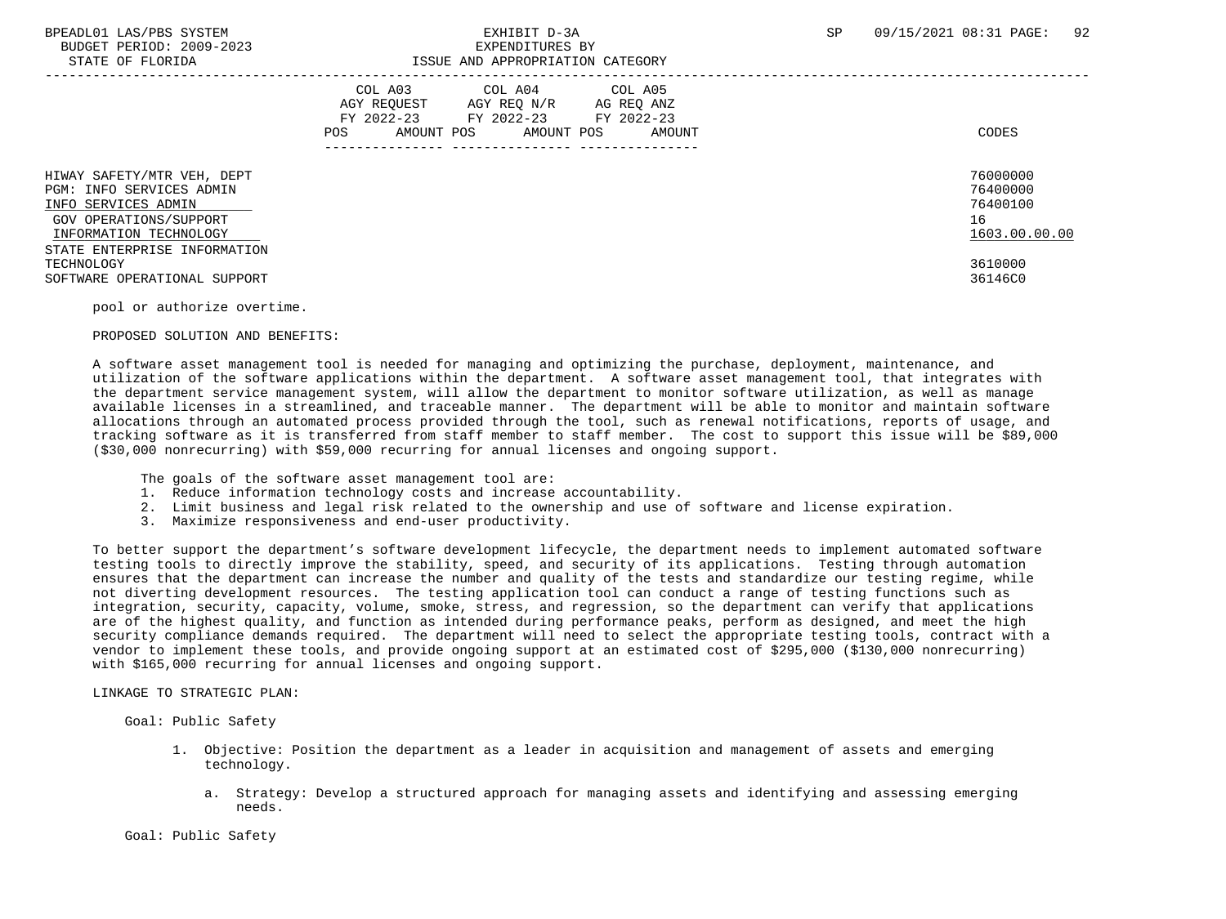## BPEADL01 LAS/PBS SYSTEM SALL BOOK CONTROL CONTROLLER TO A SP 09/15/2021 08:31 PAGE: 92 STATE OF FLORIDA ISSUE AND APPROPRIATION CATEGORY

| DIAIB OF FEORIDA                                                                                                                  | TANG UMU ULLIYALIYIN CUTANGILI                                                                                                                                |                                                         |
|-----------------------------------------------------------------------------------------------------------------------------------|---------------------------------------------------------------------------------------------------------------------------------------------------------------|---------------------------------------------------------|
|                                                                                                                                   | COL A03<br>COL A04 COL A05<br>AGY REOUEST<br>AGY REQ N/R<br>AG REQ ANZ<br>FY 2022-23<br>FY 2022-23<br>FY 2022-23<br>AMOUNT POS<br>AMOUNT POS<br>AMOUNT<br>POS | CODES                                                   |
| HIWAY SAFETY/MTR VEH, DEPT<br>PGM: INFO SERVICES ADMIN<br>INFO SERVICES ADMIN<br>GOV OPERATIONS/SUPPORT<br>INFORMATION TECHNOLOGY |                                                                                                                                                               | 76000000<br>76400000<br>76400100<br>16<br>1603.00.00.00 |
| STATE ENTERPRISE INFORMATION<br>TECHNOLOGY<br>SOFTWARE OPERATIONAL SUPPORT                                                        |                                                                                                                                                               | 3610000<br>36146C0                                      |

pool or authorize overtime.

#### PROPOSED SOLUTION AND BENEFITS:

 A software asset management tool is needed for managing and optimizing the purchase, deployment, maintenance, and utilization of the software applications within the department. A software asset management tool, that integrates with the department service management system, will allow the department to monitor software utilization, as well as manage available licenses in a streamlined, and traceable manner. The department will be able to monitor and maintain software allocations through an automated process provided through the tool, such as renewal notifications, reports of usage, and tracking software as it is transferred from staff member to staff member. The cost to support this issue will be \$89,000 (\$30,000 nonrecurring) with \$59,000 recurring for annual licenses and ongoing support.

The goals of the software asset management tool are:

- 1. Reduce information technology costs and increase accountability.
- 2. Limit business and legal risk related to the ownership and use of software and license expiration.
- 3. Maximize responsiveness and end-user productivity.

 To better support the department's software development lifecycle, the department needs to implement automated software testing tools to directly improve the stability, speed, and security of its applications. Testing through automation ensures that the department can increase the number and quality of the tests and standardize our testing regime, while not diverting development resources. The testing application tool can conduct a range of testing functions such as integration, security, capacity, volume, smoke, stress, and regression, so the department can verify that applications are of the highest quality, and function as intended during performance peaks, perform as designed, and meet the high security compliance demands required. The department will need to select the appropriate testing tools, contract with a vendor to implement these tools, and provide ongoing support at an estimated cost of \$295,000 (\$130,000 nonrecurring) with \$165,000 recurring for annual licenses and ongoing support.

### LINKAGE TO STRATEGIC PLAN:

Goal: Public Safety

- 1. Objective: Position the department as a leader in acquisition and management of assets and emerging technology.
	- a. Strategy: Develop a structured approach for managing assets and identifying and assessing emerging needs.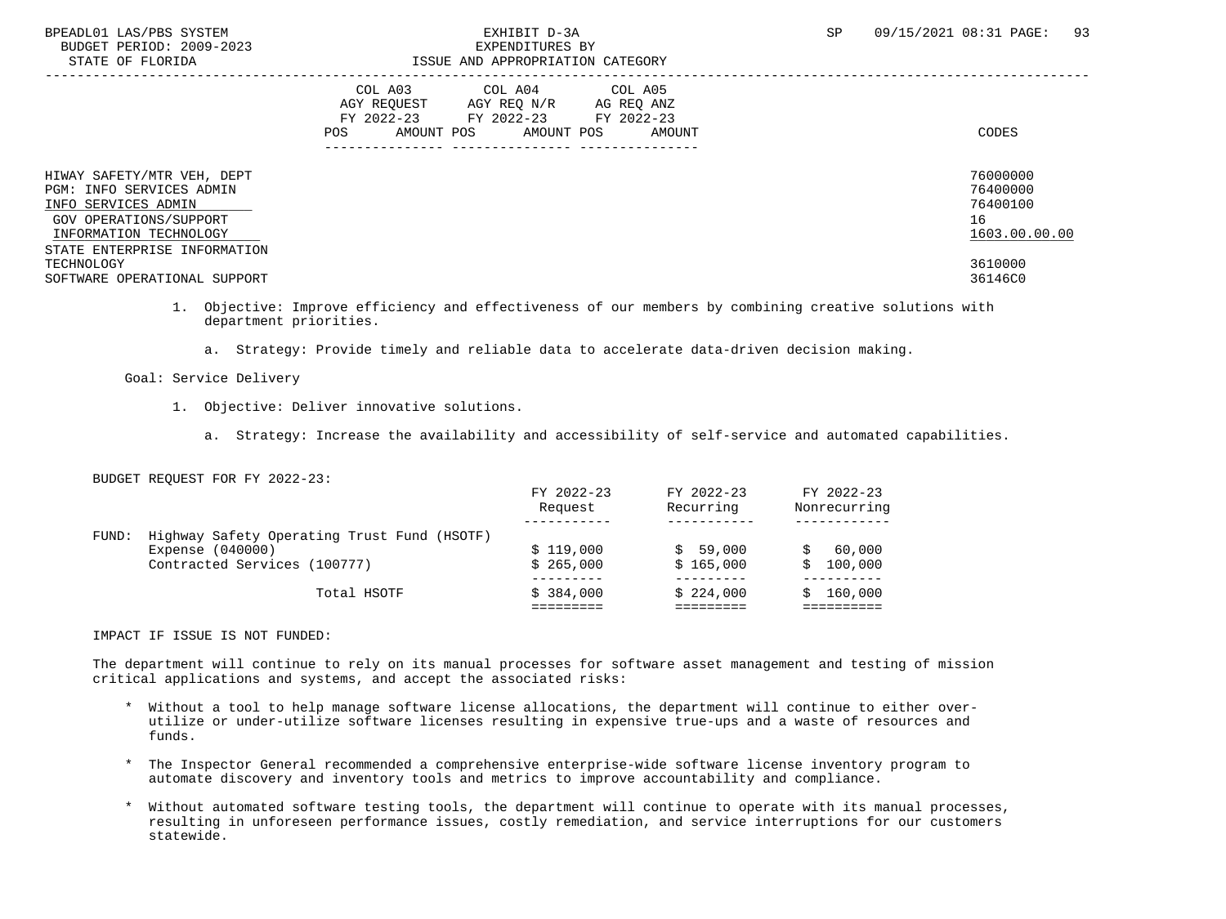## BPEADL01 LAS/PBS SYSTEM  $\blacksquare$  SPEADL01 LAS/PBS SYSTEM  $\blacksquare$  33 STATE OF FLORIDA ISSUE AND APPROPRIATION CATEGORY

| 011111 01 110111011                                                                                                                                               | TOOOT IND INTINGLICIITION CHITOONI                                                                                                                                                          |                                                         |
|-------------------------------------------------------------------------------------------------------------------------------------------------------------------|---------------------------------------------------------------------------------------------------------------------------------------------------------------------------------------------|---------------------------------------------------------|
|                                                                                                                                                                   | COL A04 COL A05<br>COL A03<br>AGY REOUEST<br>AGY REO N/R<br>AG REO ANZ<br>FY 2022-23 FY 2022-23 FY 2022-23<br>AMOUNT POS<br>AMOUNT POS<br>AMOUNT<br>POS<br>---------------- --------------- | CODES                                                   |
| HIWAY SAFETY/MTR VEH, DEPT<br>PGM: INFO SERVICES ADMIN<br>INFO SERVICES ADMIN<br>GOV OPERATIONS/SUPPORT<br>INFORMATION TECHNOLOGY<br>STATE ENTERPRISE INFORMATION |                                                                                                                                                                                             | 76000000<br>76400000<br>76400100<br>16<br>1603.00.00.00 |
| TECHNOLOGY<br>SOFTWARE OPERATIONAL SUPPORT                                                                                                                        |                                                                                                                                                                                             | 3610000<br>36146C0                                      |

 1. Objective: Improve efficiency and effectiveness of our members by combining creative solutions with department priorities.

a. Strategy: Provide timely and reliable data to accelerate data-driven decision making.

### Goal: Service Delivery

- 1. Objective: Deliver innovative solutions.
	- a. Strategy: Increase the availability and accessibility of self-service and automated capabilities.

### BUDGET REQUEST FOR FY 2022-23:

|       |                                             | FY 2022-23<br>Request | FY 2022-23<br>Recurring | FY 2022-23<br>Nonrecurring |
|-------|---------------------------------------------|-----------------------|-------------------------|----------------------------|
|       |                                             |                       |                         |                            |
| FUND: | Highway Safety Operating Trust Fund (HSOTF) |                       |                         |                            |
|       | Expense (040000)                            | \$119.000             | \$59,000                | 60,000                     |
|       | Contracted Services (100777)                | \$265.000             | \$165.000               | 100,000<br>S.              |
|       |                                             |                       |                         |                            |
|       | Total HSOTF                                 | \$384,000             | \$224.000               | 160,000                    |
|       |                                             |                       |                         |                            |
|       |                                             |                       |                         |                            |

#### IMPACT IF ISSUE IS NOT FUNDED:

 The department will continue to rely on its manual processes for software asset management and testing of mission critical applications and systems, and accept the associated risks:

- \* Without a tool to help manage software license allocations, the department will continue to either over utilize or under-utilize software licenses resulting in expensive true-ups and a waste of resources and funds.
- \* The Inspector General recommended a comprehensive enterprise-wide software license inventory program to automate discovery and inventory tools and metrics to improve accountability and compliance.
- \* Without automated software testing tools, the department will continue to operate with its manual processes, resulting in unforeseen performance issues, costly remediation, and service interruptions for our customers statewide.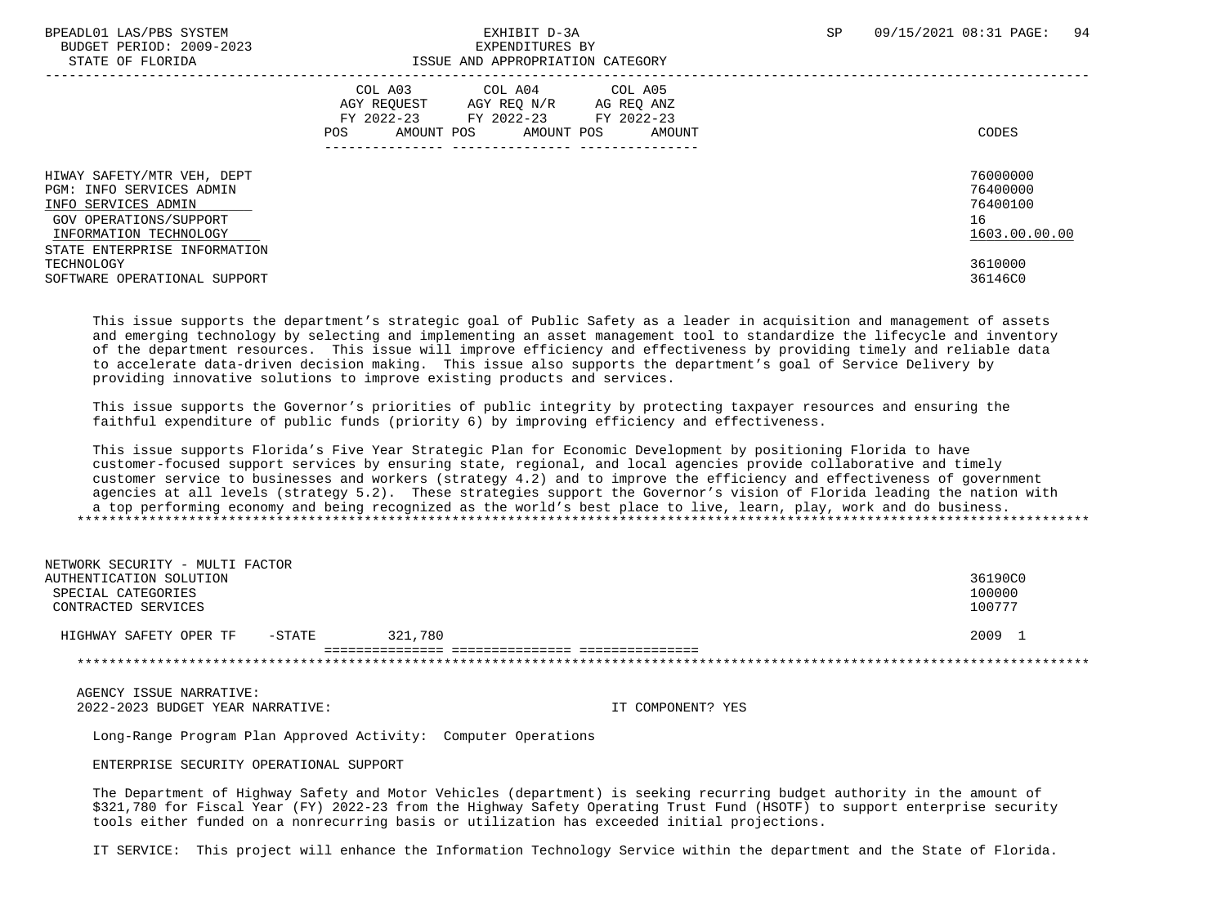BUDGET PERIOD: 2009-2023<br>
STATE OF FLORIDA<br>
STATE OF FLORIDA

# ISSUE AND APPROPRIATION CATEGORY

|                                                                                                                                   | ICCOL IND INTERVENTION CHILDOORS                                                                                                                              |                                                         |
|-----------------------------------------------------------------------------------------------------------------------------------|---------------------------------------------------------------------------------------------------------------------------------------------------------------|---------------------------------------------------------|
|                                                                                                                                   | COL A03<br>COL A04<br>COL A05<br>AGY REOUEST<br>AGY REO N/R<br>AG REO ANZ<br>FY 2022-23<br>FY 2022-23 FY 2022-23<br>AMOUNT POS<br>AMOUNT POS<br>AMOUNT<br>POS | CODES                                                   |
| HIWAY SAFETY/MTR VEH, DEPT<br>PGM: INFO SERVICES ADMIN<br>INFO SERVICES ADMIN<br>GOV OPERATIONS/SUPPORT<br>INFORMATION TECHNOLOGY |                                                                                                                                                               | 76000000<br>76400000<br>76400100<br>16<br>1603.00.00.00 |
| STATE ENTERPRISE INFORMATION<br>TECHNOLOGY<br>SOFTWARE OPERATIONAL SUPPORT                                                        |                                                                                                                                                               | 3610000<br>36146C0                                      |

 This issue supports the department's strategic goal of Public Safety as a leader in acquisition and management of assets and emerging technology by selecting and implementing an asset management tool to standardize the lifecycle and inventory of the department resources. This issue will improve efficiency and effectiveness by providing timely and reliable data to accelerate data-driven decision making. This issue also supports the department's goal of Service Delivery by providing innovative solutions to improve existing products and services.

 This issue supports the Governor's priorities of public integrity by protecting taxpayer resources and ensuring the faithful expenditure of public funds (priority 6) by improving efficiency and effectiveness.

 This issue supports Florida's Five Year Strategic Plan for Economic Development by positioning Florida to have customer-focused support services by ensuring state, regional, and local agencies provide collaborative and timely customer service to businesses and workers (strategy 4.2) and to improve the efficiency and effectiveness of government agencies at all levels (strategy 5.2). These strategies support the Governor's vision of Florida leading the nation with a top performing economy and being recognized as the world's best place to live, learn, play, work and do business. \*\*\*\*\*\*\*\*\*\*\*\*\*\*\*\*\*\*\*\*\*\*\*\*\*\*\*\*\*\*\*\*\*\*\*\*\*\*\*\*\*\*\*\*\*\*\*\*\*\*\*\*\*\*\*\*\*\*\*\*\*\*\*\*\*\*\*\*\*\*\*\*\*\*\*\*\*\*\*\*\*\*\*\*\*\*\*\*\*\*\*\*\*\*\*\*\*\*\*\*\*\*\*\*\*\*\*\*\*\*\*\*\*\*\*\*\*\*\*\*\*\*\*\*\*\*\*

| NETWORK SECURITY - MULTI FACTOR  |         |         |
|----------------------------------|---------|---------|
| AUTHENTICATION SOLUTION          |         | 36190C0 |
| SPECIAL CATEGORIES               |         | 100000  |
| CONTRACTED SERVICES              |         | 100777  |
| -STATE<br>HIGHWAY SAFETY OPER TF | 321,780 | 2009 1  |
|                                  |         |         |
|                                  |         |         |

 AGENCY ISSUE NARRATIVE: 2022-2023 BUDGET YEAR NARRATIVE: IT COMPONENT? YES

Long-Range Program Plan Approved Activity: Computer Operations

ENTERPRISE SECURITY OPERATIONAL SUPPORT

 The Department of Highway Safety and Motor Vehicles (department) is seeking recurring budget authority in the amount of \$321,780 for Fiscal Year (FY) 2022-23 from the Highway Safety Operating Trust Fund (HSOTF) to support enterprise security tools either funded on a nonrecurring basis or utilization has exceeded initial projections.

IT SERVICE: This project will enhance the Information Technology Service within the department and the State of Florida.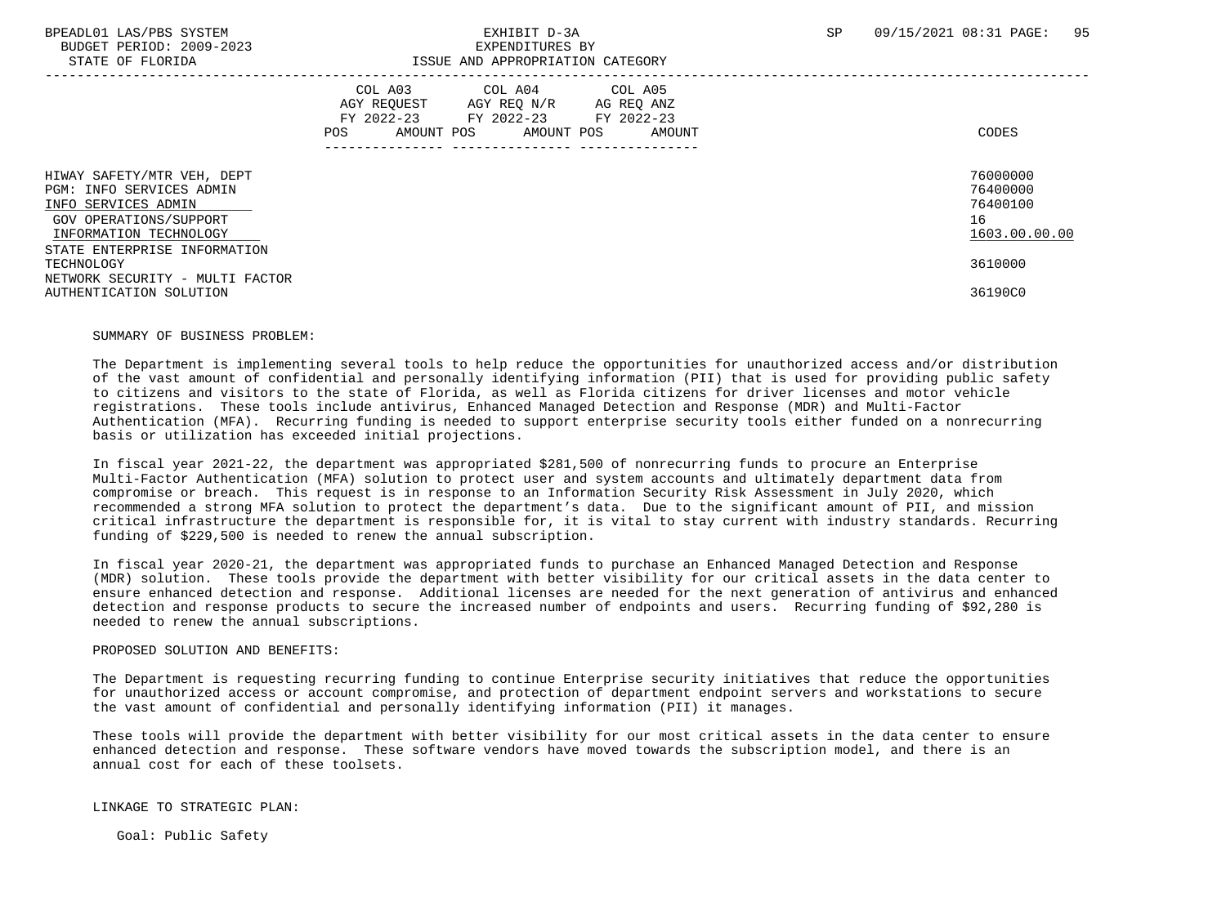BUDGET PERIOD: 2009-2023<br>
STATE OF FLORIDA<br>
STATE OF FLORIDA

## BPEADL01 LAS/PBS SYSTEM SALL SALL STATES ON THE STATE OF A SP 09/15/2021 08:31 PAGE: 95 ISSUE AND APPROPRIATION CATEGORY

| DINIB OI IBORIDNI                                                                                                                 | TOOOD IND INTINOTRIIITION CHILDOONI                                                                                                                           |                                                         |  |  |
|-----------------------------------------------------------------------------------------------------------------------------------|---------------------------------------------------------------------------------------------------------------------------------------------------------------|---------------------------------------------------------|--|--|
|                                                                                                                                   | COL A03<br>COL A04<br>COL A05<br>AGY REOUEST<br>AGY REQ N/R<br>AG REQ ANZ<br>FY 2022-23<br>FY 2022-23 FY 2022-23<br>AMOUNT POS<br>POS<br>AMOUNT POS<br>AMOUNT | CODES                                                   |  |  |
| HIWAY SAFETY/MTR VEH, DEPT<br>PGM: INFO SERVICES ADMIN<br>INFO SERVICES ADMIN<br>GOV OPERATIONS/SUPPORT<br>INFORMATION TECHNOLOGY |                                                                                                                                                               | 76000000<br>76400000<br>76400100<br>16<br>1603.00.00.00 |  |  |
| STATE ENTERPRISE INFORMATION<br>TECHNOLOGY<br>NETWORK SECURITY - MULTI FACTOR<br>AUTHENTICATION SOLUTION                          |                                                                                                                                                               | 3610000<br>36190C0                                      |  |  |

#### SUMMARY OF BUSINESS PROBLEM:

 The Department is implementing several tools to help reduce the opportunities for unauthorized access and/or distribution of the vast amount of confidential and personally identifying information (PII) that is used for providing public safety to citizens and visitors to the state of Florida, as well as Florida citizens for driver licenses and motor vehicle registrations. These tools include antivirus, Enhanced Managed Detection and Response (MDR) and Multi-Factor Authentication (MFA). Recurring funding is needed to support enterprise security tools either funded on a nonrecurring basis or utilization has exceeded initial projections.

 In fiscal year 2021-22, the department was appropriated \$281,500 of nonrecurring funds to procure an Enterprise Multi-Factor Authentication (MFA) solution to protect user and system accounts and ultimately department data from compromise or breach. This request is in response to an Information Security Risk Assessment in July 2020, which recommended a strong MFA solution to protect the department's data. Due to the significant amount of PII, and mission critical infrastructure the department is responsible for, it is vital to stay current with industry standards. Recurring funding of \$229,500 is needed to renew the annual subscription.

 In fiscal year 2020-21, the department was appropriated funds to purchase an Enhanced Managed Detection and Response (MDR) solution. These tools provide the department with better visibility for our critical assets in the data center to ensure enhanced detection and response. Additional licenses are needed for the next generation of antivirus and enhanced detection and response products to secure the increased number of endpoints and users. Recurring funding of \$92,280 is needed to renew the annual subscriptions.

#### PROPOSED SOLUTION AND BENEFITS:

 The Department is requesting recurring funding to continue Enterprise security initiatives that reduce the opportunities for unauthorized access or account compromise, and protection of department endpoint servers and workstations to secure the vast amount of confidential and personally identifying information (PII) it manages.

 These tools will provide the department with better visibility for our most critical assets in the data center to ensure enhanced detection and response. These software vendors have moved towards the subscription model, and there is an annual cost for each of these toolsets.

LINKAGE TO STRATEGIC PLAN:

Goal: Public Safety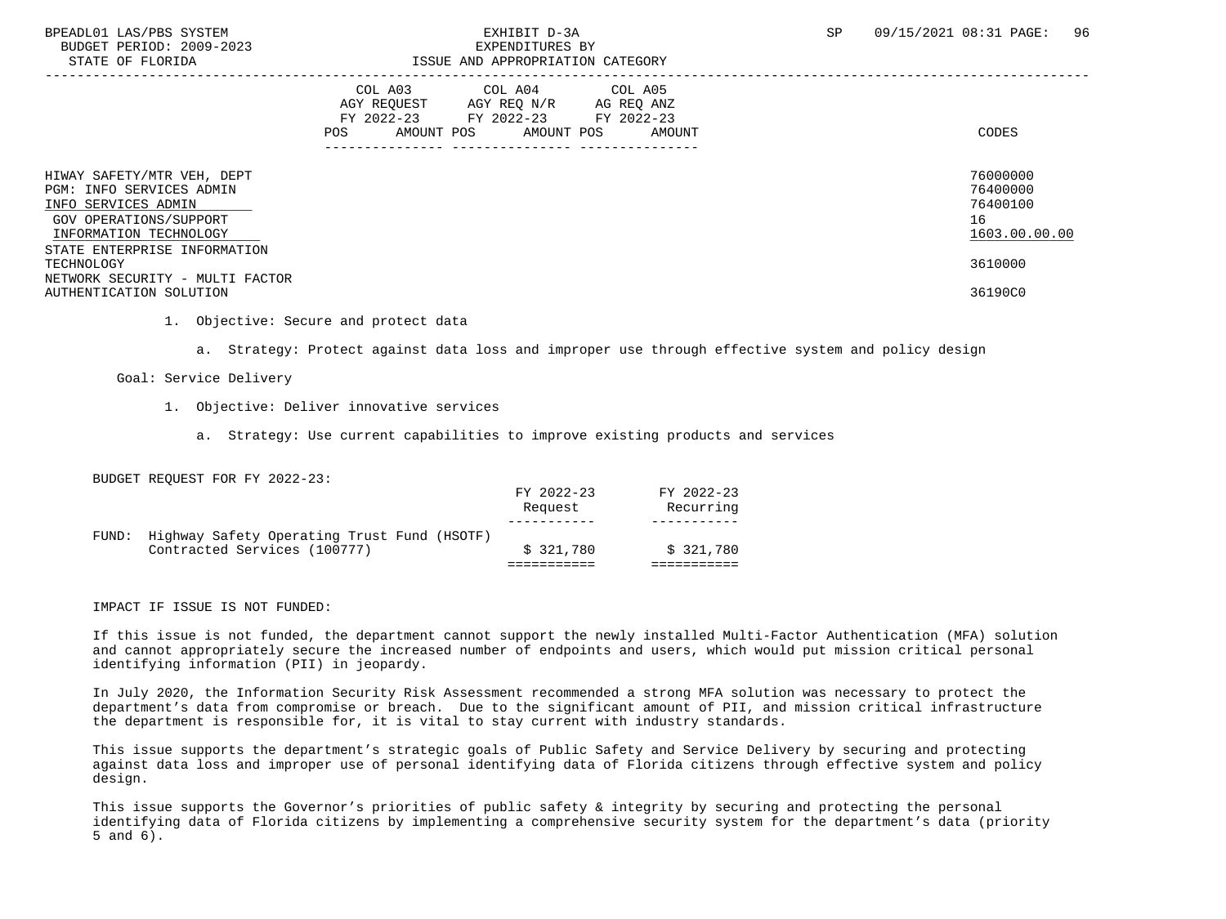STATE OF FLORIDA ISSUE AND APPROPRIATION CATEGORY

### BPEADL01 LAS/PBS SYSTEM SALL BOOK CONTROL CONTROLLER TO THE SECOND PAGE OF SP 09/15/2021 08:31 PAGE: 96 BUDGET PERIOD: 2009-2023<br>
EXPENDITURES BY<br>
EXPENDITURES BY

| STATE OF FLORIDA                                                                                                                                                  | ISSUE AND APPROPRIATION CATEGORY                                                                                                                     |                                                         |
|-------------------------------------------------------------------------------------------------------------------------------------------------------------------|------------------------------------------------------------------------------------------------------------------------------------------------------|---------------------------------------------------------|
|                                                                                                                                                                   | COL A03 COL A04 COL A05<br>AGY REOUEST<br>AGY REO N/R<br>AG REO ANZ<br>FY 2022-23 FY 2022-23 FY 2022-23<br>AMOUNT POS<br>AMOUNT POS<br>POS<br>AMOUNT | CODES                                                   |
| HIWAY SAFETY/MTR VEH, DEPT<br>PGM: INFO SERVICES ADMIN<br>INFO SERVICES ADMIN<br>GOV OPERATIONS/SUPPORT<br>INFORMATION TECHNOLOGY<br>STATE ENTERPRISE INFORMATION |                                                                                                                                                      | 76000000<br>76400000<br>76400100<br>16<br>1603.00.00.00 |
| TECHNOLOGY<br>NETWORK SECURITY - MULTI FACTOR                                                                                                                     |                                                                                                                                                      | 3610000                                                 |
| AUTHENTICATION SOLUTION                                                                                                                                           |                                                                                                                                                      | 36190C0                                                 |

1. Objective: Secure and protect data

a. Strategy: Protect against data loss and improper use through effective system and policy design

Goal: Service Delivery

- 1. Objective: Deliver innovative services
	- a. Strategy: Use current capabilities to improve existing products and services

BUDGET REQUEST FOR FY 2022-23:

| FUND: | Highway Safety Operating Trust Fund (HSOTF)<br>Contracted Services (100777) | \$321.780             | \$321.780               |
|-------|-----------------------------------------------------------------------------|-----------------------|-------------------------|
|       |                                                                             | FY 2022-23<br>Request | FY 2022-23<br>Recurring |

IMPACT IF ISSUE IS NOT FUNDED:

 If this issue is not funded, the department cannot support the newly installed Multi-Factor Authentication (MFA) solution and cannot appropriately secure the increased number of endpoints and users, which would put mission critical personal identifying information (PII) in jeopardy.

 In July 2020, the Information Security Risk Assessment recommended a strong MFA solution was necessary to protect the department's data from compromise or breach. Due to the significant amount of PII, and mission critical infrastructure the department is responsible for, it is vital to stay current with industry standards.

 This issue supports the department's strategic goals of Public Safety and Service Delivery by securing and protecting against data loss and improper use of personal identifying data of Florida citizens through effective system and policy design.

 This issue supports the Governor's priorities of public safety & integrity by securing and protecting the personal identifying data of Florida citizens by implementing a comprehensive security system for the department's data (priority 5 and 6).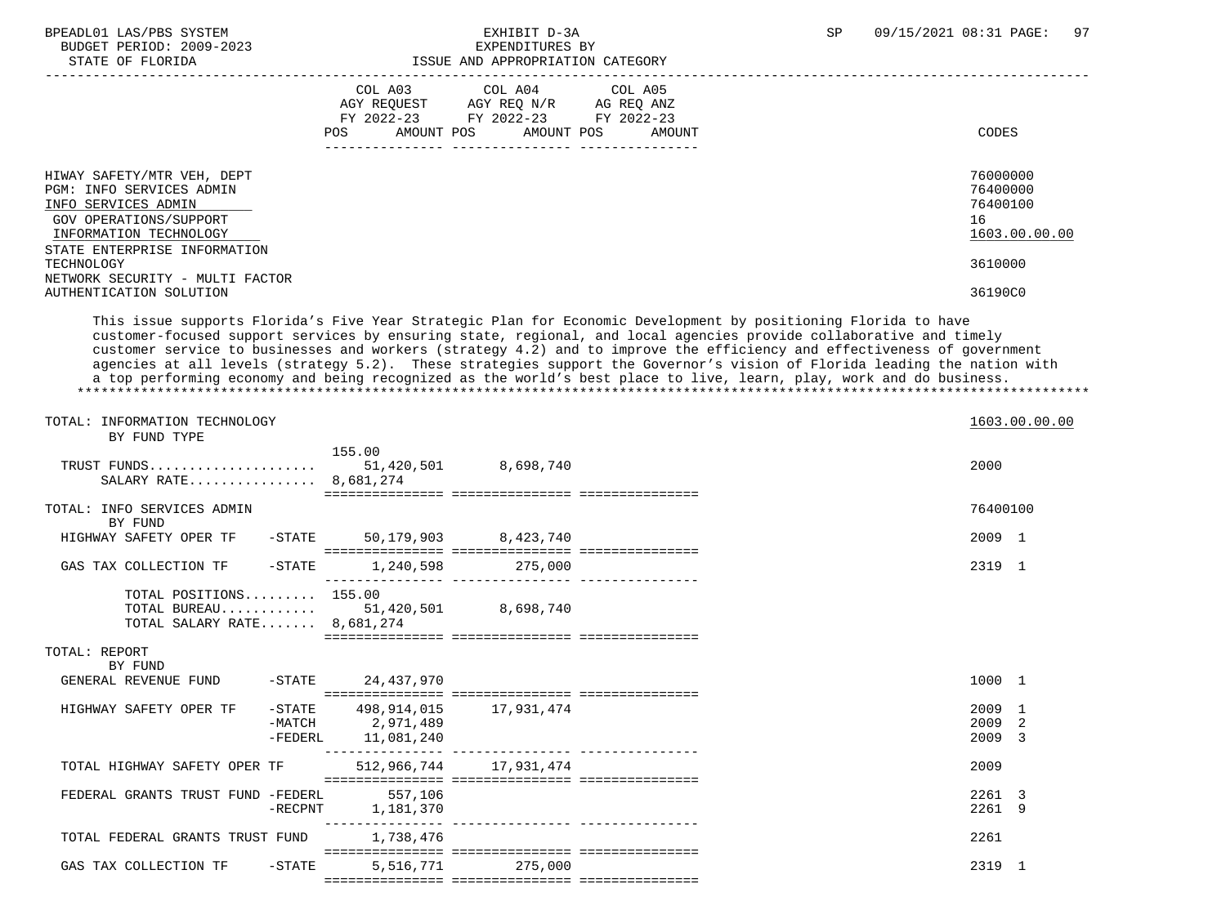| BPEADL01 LAS/PBS SYSTEM |                  |                          |
|-------------------------|------------------|--------------------------|
|                         |                  | BUDGET PERIOD: 2009-2023 |
|                         | CTATE OF FLORIDA |                          |

## EXPENDITURES BY ISSUE AND APPROPRIATION CATEGORY

|                                                                                                                                   | COL A03<br>COL A04<br>COL A05<br>AGY REQUEST<br>AGY REQ N/R<br>AG REQ ANZ<br>FY 2022-23<br>FY 2022-23<br>FY 2022-23<br>AMOUNT POS<br>POS<br>AMOUNT POS<br>AMOUNT<br>---------------- | CODES                                                   |
|-----------------------------------------------------------------------------------------------------------------------------------|--------------------------------------------------------------------------------------------------------------------------------------------------------------------------------------|---------------------------------------------------------|
| HIWAY SAFETY/MTR VEH, DEPT<br>PGM: INFO SERVICES ADMIN<br>INFO SERVICES ADMIN<br>GOV OPERATIONS/SUPPORT<br>INFORMATION TECHNOLOGY |                                                                                                                                                                                      | 76000000<br>76400000<br>76400100<br>16<br>1603.00.00.00 |
| STATE ENTERPRISE INFORMATION<br>TECHNOLOGY<br>NETWORK SECURITY - MULTI FACTOR                                                     |                                                                                                                                                                                      | 3610000                                                 |
| AUTHENTICATION SOLUTION                                                                                                           |                                                                                                                                                                                      | 36190C0                                                 |

 This issue supports Florida's Five Year Strategic Plan for Economic Development by positioning Florida to have customer-focused support services by ensuring state, regional, and local agencies provide collaborative and timely customer service to businesses and workers (strategy 4.2) and to improve the efficiency and effectiveness of government agencies at all levels (strategy 5.2). These strategies support the Governor's vision of Florida leading the nation with a top performing economy and being recognized as the world's best place to live, learn, play, work and do business. \*\*\*\*\*\*\*\*\*\*\*\*\*\*\*\*\*\*\*\*\*\*\*\*\*\*\*\*\*\*\*\*\*\*\*\*\*\*\*\*\*\*\*\*\*\*\*\*\*\*\*\*\*\*\*\*\*\*\*\*\*\*\*\*\*\*\*\*\*\*\*\*\*\*\*\*\*\*\*\*\*\*\*\*\*\*\*\*\*\*\*\*\*\*\*\*\*\*\*\*\*\*\*\*\*\*\*\*\*\*\*\*\*\*\*\*\*\*\*\*\*\*\*\*\*\*\*

| TOTAL: INFORMATION TECHNOLOGY<br>BY FUND TYPE                                              |                         |                                   | 1603.00.00.00              |  |
|--------------------------------------------------------------------------------------------|-------------------------|-----------------------------------|----------------------------|--|
| SALARY RATE 8,681,274                                                                      | 155.00                  | ================================= | 2000                       |  |
| TOTAL: INFO SERVICES ADMIN<br>BY FUND                                                      |                         |                                   | 76400100                   |  |
| HIGHWAY SAFETY OPER TF<br>$-\mathtt{STATE}$                                                |                         | 50, 179, 903 8, 423, 740          | 2009 1                     |  |
| GAS TAX COLLECTION TF<br>$-$ STATE                                                         | 1,240,598               | 275,000                           | 2319 1                     |  |
| TOTAL POSITIONS 155.00<br>TOTAL BUREAU 51,420,501 8,698,740<br>TOTAL SALARY RATE 8,681,274 |                         |                                   |                            |  |
| TOTAL: REPORT<br>BY FUND                                                                   |                         |                                   |                            |  |
| GENERAL REVENUE FUND                                                                       | -STATE 24,437,970       |                                   | 1000 1                     |  |
| HIGHWAY SAFETY OPER TF<br>$-$ STATE<br>-MATCH<br>$-FEDERL$                                 | 2,971,489<br>11,081,240 |                                   | 2009 1<br>2009 2<br>2009 3 |  |
| TOTAL HIGHWAY SAFETY OPER TF                                                               |                         | 512,966,744 17,931,474            | 2009                       |  |
| FEDERAL GRANTS TRUST FUND -FEDERL<br>$-RECPNT$                                             | 557,106<br>1,181,370    |                                   | 2261 3<br>2261 9           |  |
| TOTAL FEDERAL GRANTS TRUST FUND                                                            | 1,738,476               |                                   | 2261                       |  |
| GAS TAX COLLECTION TF<br>$-$ STATE                                                         |                         | 5,516,771 275,000                 | 2319 1                     |  |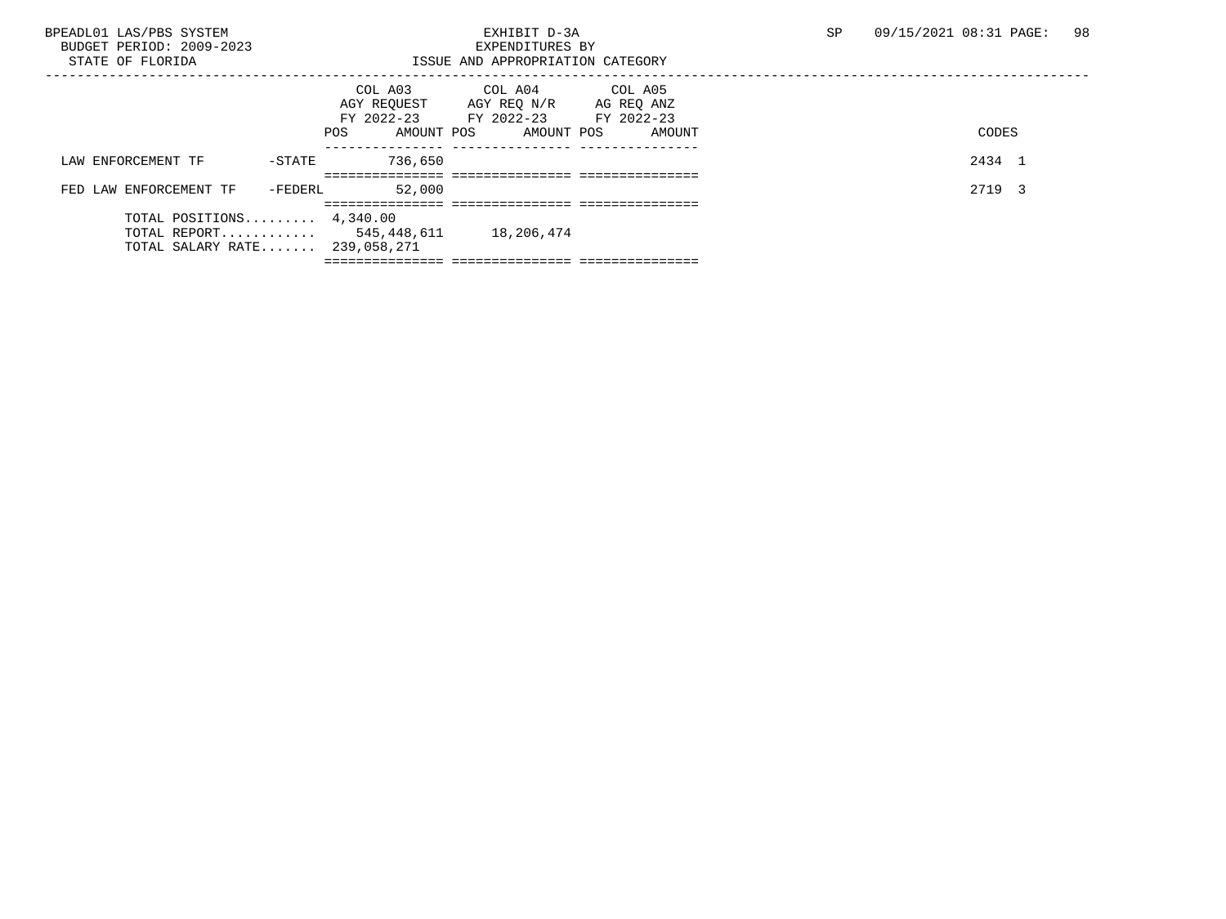| BPEADL01 LAS/PBS SYSTEM             |                   | EXHIBIT D-3A                     |            | SP | 09/15/2021 08:31 PAGE: | 98 |
|-------------------------------------|-------------------|----------------------------------|------------|----|------------------------|----|
| BUDGET PERIOD: 2009-2023            | EXPENDITURES BY   |                                  |            |    |                        |    |
| STATE OF FLORIDA                    |                   | ISSUE AND APPROPRIATION CATEGORY |            |    |                        |    |
|                                     |                   |                                  |            |    |                        |    |
|                                     |                   | COL A03 COL A04 COL A05          |            |    |                        |    |
|                                     | AGY REOUEST       | AGY REQ N/R                      | AG REQ ANZ |    |                        |    |
|                                     |                   | FY 2022-23 FY 2022-23 FY 2022-23 |            |    |                        |    |
|                                     | AMOUNT POS<br>POS | AMOUNT POS                       | AMOUNT     |    | CODES                  |    |
|                                     |                   |                                  |            |    |                        |    |
| LAW ENFORCEMENT TF<br>$-$ STATE     | 736,650           |                                  |            |    | 2434 1                 |    |
|                                     |                   |                                  |            |    |                        |    |
| FED LAW ENFORCEMENT TF<br>-FEDERL   | 52,000            |                                  |            |    | 2719 3                 |    |
|                                     |                   |                                  |            |    |                        |    |
| TOTAL POSITIONS $4,340.00$          |                   |                                  |            |    |                        |    |
| TOTAL REPORT 545,448,611 18,206,474 |                   |                                  |            |    |                        |    |
| TOTAL SALARY RATE 239,058,271       |                   |                                  |            |    |                        |    |
|                                     |                   |                                  |            |    |                        |    |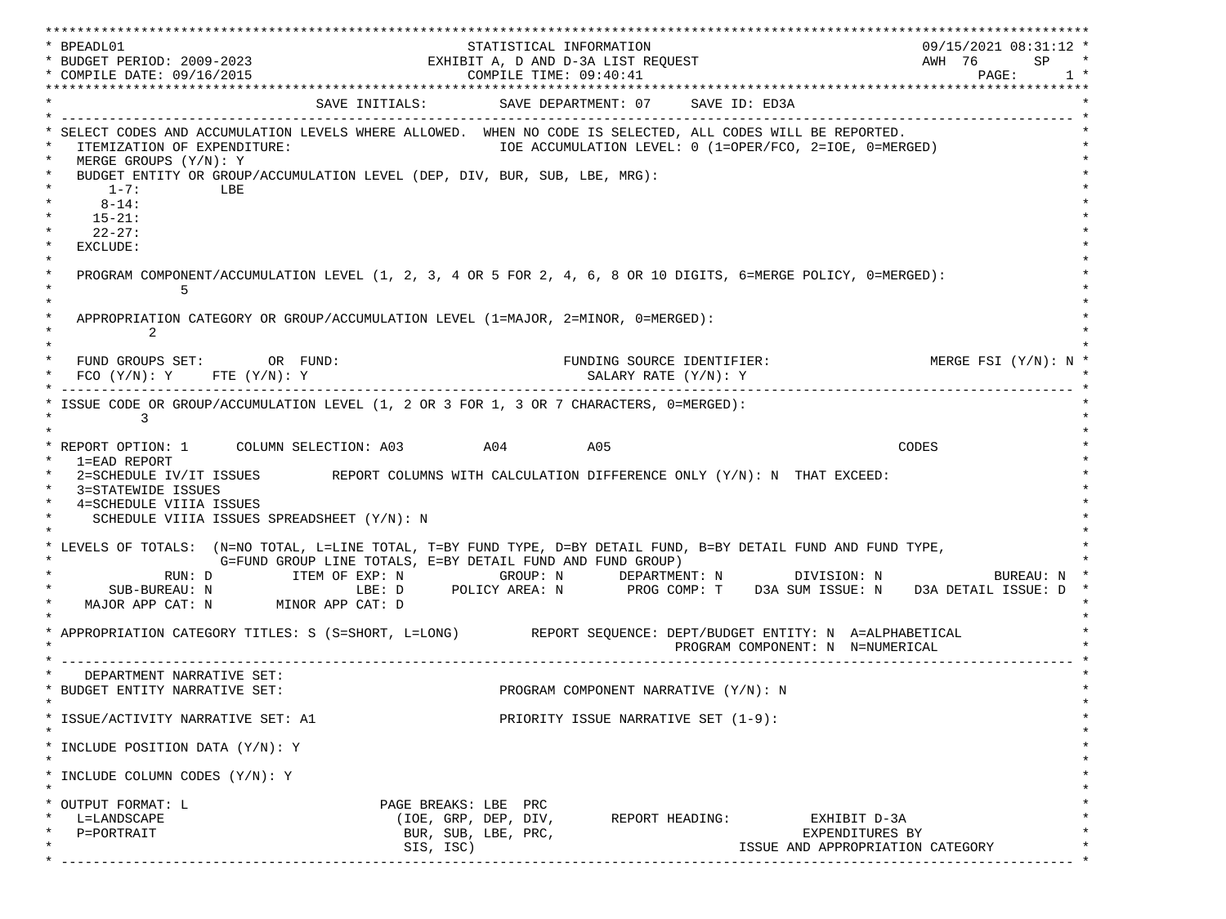\*\*\*\*\*\*\*\*\*\*\*\*\*\*\*\*\*\*\*\*\*\*\*\*\*\*\*\*\*\*\*\*\*\*\*\*\*\*\*\*\*\*\*\*\*\*\*\*\*\*\*\*\*\*\*\*\*\*\*\*\*\*\*\*\*\*\*\*\*\*\*\*\*\*\*\*\*\*\*\*\*\*\*\*\*\*\*\*\*\*\*\*\*\*\*\*\*\*\*\*\*\*\*\*\*\*\*\*\*\*\*\*\*\*\*\*\*\*\*\*\*\*\*\*\*\*\*\*\*\*\* \* BPEADL01 STATISTICAL INFORMATION 09/15/2021 08:31:12 \* \* BUDGET PERIOD: 2009-2023 EXHIBIT A, D AND D-3A LIST REQUEST AWH 76 SP \* \* COMPILE DATE: 09/16/2015 2010 2020 2020 COMPILE TIME: 09:40:41 \*\*\*\*\*\*\*\*\*\*\*\*\*\*\*\*\*\*\*\*\*\*\*\*\*\*\*\*\*\*\*\*\*\*\*\*\*\*\*\*\*\*\*\*\*\*\*\*\*\*\*\*\*\*\*\*\*\*\*\*\*\*\*\*\*\*\*\*\*\*\*\*\*\*\*\*\*\*\*\*\*\*\*\*\*\*\*\*\*\*\*\*\*\*\*\*\*\*\*\*\*\*\*\*\*\*\*\*\*\*\*\*\*\*\*\*\*\*\*\*\*\*\*\*\*\*\*\*\*\*\* SAVE INITIALS: SAVE DEPARTMENT: 07 SAVE ID: ED3A \* ------------------------------------------------------------------------------------------------------------------------------- \* SELECT CODES AND ACCUMULATION LEVELS WHERE ALLOWED. WHEN NO CODE IS SELECTED, ALL CODES WILL BE REPORTED. ITEMIZATION OF EXPENDITURE:  $\overline{10E}$  accumulation level: 0 (1=OPER/FCO, 2=IOE, 0=MERGED) MERGE GROUPS (Y/N): Y BUDGET ENTITY OR GROUP/ACCUMULATION LEVEL (DEP, DIV, BUR, SUB, LBE, MRG):  $*$  1-7: LBE  $*$  $*$  8-14:  $*$  $*$  15-21:  $*$  $*$  22-27: \* \* EXCLUDE: \*  $\star$   $\star$  \* PROGRAM COMPONENT/ACCUMULATION LEVEL (1, 2, 3, 4 OR 5 FOR 2, 4, 6, 8 OR 10 DIGITS, 6=MERGE POLICY, 0=MERGED): \*  $\star$  5  $\star$  $\star$   $\star$ APPROPRIATION CATEGORY OR GROUP/ACCUMULATION LEVEL (1=MAJOR, 2=MINOR, 0=MERGED):  $\star$  2  $\star$  $\star$   $\star$ FUND GROUPS SET: OR FUND: THE SOURCE IDENTIFIER: MERGE FSI (Y/N): N  $FCO (Y/N): Y$  FTE  $(Y/N): Y$  SALARY RATE  $(Y/N): Y$  \* ------------------------------------------------------------------------------------------------------------------------------- \* ISSUE CODE OR GROUP/ACCUMULATION LEVEL (1, 2 OR 3 FOR 1, 3 OR 7 CHARACTERS, 0=MERGED):  $\star$  3  $\star$  $\star$   $\star$  \* REPORT OPTION: 1 COLUMN SELECTION: A03 A04 A05 CODES \* \* 1=EAD REPORT \* 2=SCHEDULE IV/IT ISSUES REPORT COLUMNS WITH CALCULATION DIFFERENCE ONLY (Y/N): N THAT EXCEED: 3=STATEWIDE ISSUES 4=SCHEDULE VIIIA ISSUES SCHEDULE VIIIA ISSUES SPREADSHEET (Y/N): N \* \* \* LEVELS OF TOTALS: (N=NO TOTAL, L=LINE TOTAL, T=BY FUND TYPE, D=BY DETAIL FUND, B=BY DETAIL FUND AND FUND TYPE, \* G=FUND GROUP LINE TOTALS, E=BY DETAIL FUND AND FUND GROUP) \* RUN: D ITEM OF EXP: N GROUP: N DEPARTMENT: N DIVISION: N BUREAU: N \* SUB-BUREAU: N LBE: D POLICY AREA: N PROG COMP: T D3A SUM ISSUE: N D3A DETAIL ISSUE: D MAJOR APP CAT: N MINOR APP CAT: D \* \* APPROPRIATION CATEGORY TITLES: S (S=SHORT, L=LONG) REPORT SEQUENCE: DEPT/BUDGET ENTITY: N A=ALPHABETICAL PROGRAM COMPONENT: N N=NUMERICAL \* ------------------------------------------------------------------------------------------------------------------------------- \* DEPARTMENT NARRATIVE SET:<br>BUDGET ENTITY NARRATIVE SET: PROGRAM COMPONENT NARRATIVE (Y/N): N \* \* \* ISSUE/ACTIVITY NARRATIVE SET: A1 PRIORITY ISSUE NARRATIVE SET (1-9): \*  $\star$   $\star$  \* INCLUDE POSITION DATA (Y/N): Y \* \* \* INCLUDE COLUMN CODES  $(Y/N): Y$  \* \* \* OUTPUT FORMAT: L PAGE BREAKS: LBE PRC \* \* L=LANDSCAPE (IOE, GRP, DEP, DIV, REPORT HEADING: EXHIBIT D-3A \* \* P=PORTRAIT BUR, SUB, LBE, PRC, EXPENDITURES BY \* \* SIS, ISC) ISSUE AND APPROPRIATION CATEGORY \* \* ------------------------------------------------------------------------------------------------------------------------------- \*